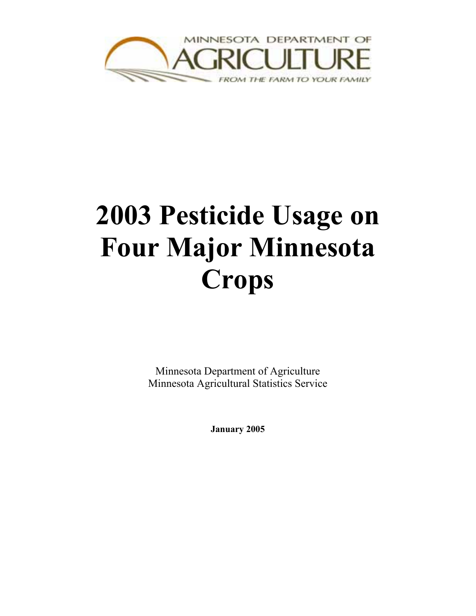

# **2003 Pesticide Usage on Four Major Minnesota Crops**

Minnesota Department of Agriculture Minnesota Agricultural Statistics Service

**January 2005**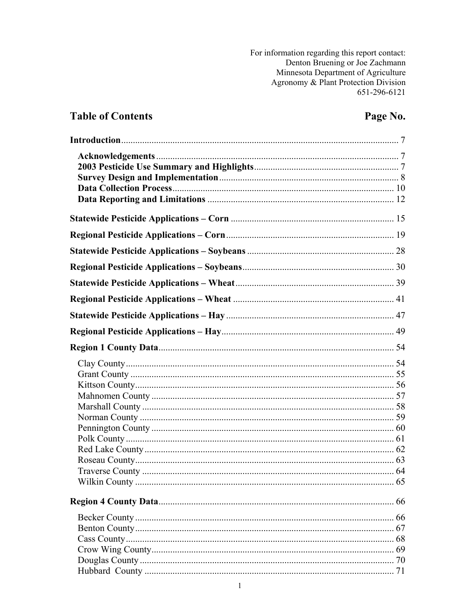For information regarding this report contact: Denton Bruening or Joe Zachmann Minnesota Department of Agriculture Agronomy & Plant Protection Division 651-296-6121

#### **Table of Contents**

#### Page No.

| 66 |
|----|
|    |
|    |
|    |
|    |
|    |
|    |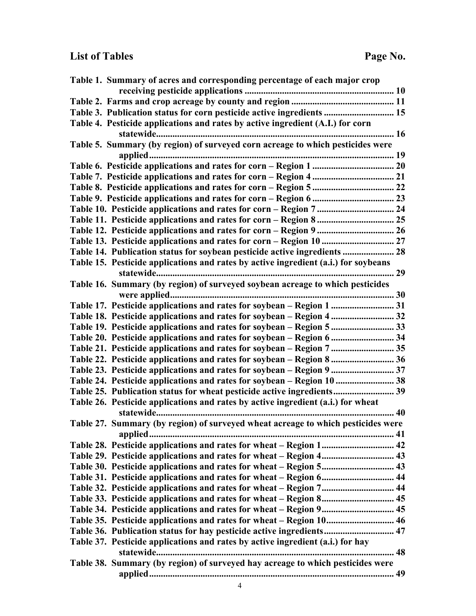# List of Tables Page No.

| Table 1. Summary of acres and corresponding percentage of each major crop           |  |
|-------------------------------------------------------------------------------------|--|
|                                                                                     |  |
|                                                                                     |  |
| Table 3. Publication status for corn pesticide active ingredients  15               |  |
| Table 4. Pesticide applications and rates by active ingredient (A.I.) for corn      |  |
|                                                                                     |  |
| Table 5. Summary (by region) of surveyed corn acreage to which pesticides were      |  |
|                                                                                     |  |
|                                                                                     |  |
|                                                                                     |  |
|                                                                                     |  |
|                                                                                     |  |
|                                                                                     |  |
|                                                                                     |  |
|                                                                                     |  |
|                                                                                     |  |
|                                                                                     |  |
| Table 15. Pesticide applications and rates by active ingredient (a.i.) for soybeans |  |
|                                                                                     |  |
| Table 16. Summary (by region) of surveyed soybean acreage to which pesticides       |  |
|                                                                                     |  |
| Table 17. Pesticide applications and rates for soybean - Region 1  31               |  |
| Table 18. Pesticide applications and rates for soybean – Region 4  32               |  |
| Table 19. Pesticide applications and rates for soybean - Region 5  33               |  |
| Table 20. Pesticide applications and rates for soybean – Region 6  34               |  |
| Table 21. Pesticide applications and rates for soybean – Region 7  35               |  |
| Table 22. Pesticide applications and rates for soybean – Region 8  36               |  |
| Table 23. Pesticide applications and rates for soybean – Region 9  37               |  |
| Table 24. Pesticide applications and rates for soybean – Region 10  38              |  |
| Table 25. Publication status for wheat pesticide active ingredients 39              |  |
| Table 26. Pesticide applications and rates by active ingredient (a.i.) for wheat    |  |
|                                                                                     |  |
| Table 27. Summary (by region) of surveyed wheat acreage to which pesticides were    |  |
|                                                                                     |  |
|                                                                                     |  |
|                                                                                     |  |
|                                                                                     |  |
|                                                                                     |  |
| Table 32. Pesticide applications and rates for wheat – Region 7 44                  |  |
|                                                                                     |  |
|                                                                                     |  |
| Table 35. Pesticide applications and rates for wheat – Region 10 46                 |  |
| Table 36. Publication status for hay pesticide active ingredients 47                |  |
| Table 37. Pesticide applications and rates by active ingredient (a.i.) for hay      |  |
| Table 38. Summary (by region) of surveyed hay acreage to which pesticides were      |  |
|                                                                                     |  |
|                                                                                     |  |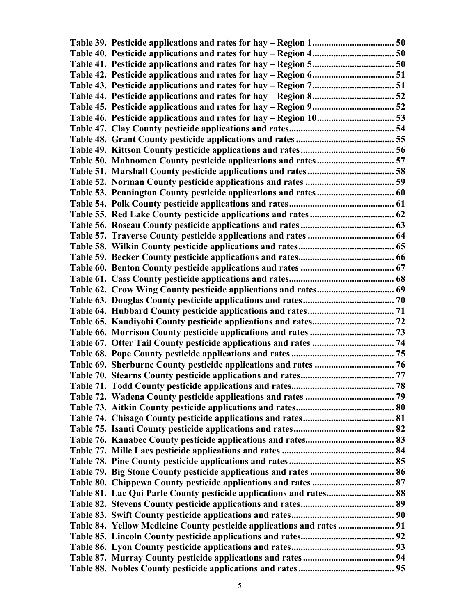| Table 50. Mahnomen County pesticide applications and rates 57  |  |
|----------------------------------------------------------------|--|
|                                                                |  |
|                                                                |  |
|                                                                |  |
|                                                                |  |
|                                                                |  |
|                                                                |  |
|                                                                |  |
|                                                                |  |
|                                                                |  |
|                                                                |  |
|                                                                |  |
| Table 62. Crow Wing County pesticide applications and rates 69 |  |
|                                                                |  |
|                                                                |  |
|                                                                |  |
|                                                                |  |
|                                                                |  |
|                                                                |  |
|                                                                |  |
|                                                                |  |
|                                                                |  |
|                                                                |  |
|                                                                |  |
|                                                                |  |
|                                                                |  |
|                                                                |  |
|                                                                |  |
|                                                                |  |
|                                                                |  |
|                                                                |  |
|                                                                |  |
|                                                                |  |
|                                                                |  |
|                                                                |  |
|                                                                |  |
|                                                                |  |
|                                                                |  |
|                                                                |  |
|                                                                |  |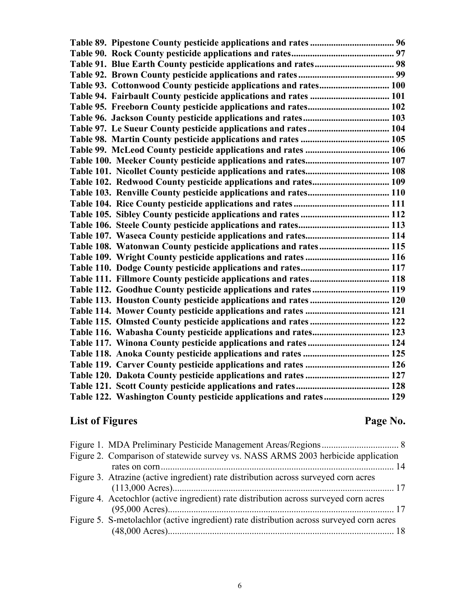| Table 93. Cottonwood County pesticide applications and rates 100  |  |
|-------------------------------------------------------------------|--|
| Table 94. Fairbault County pesticide applications and rates  101  |  |
| Table 95. Freeborn County pesticide applications and rates 102    |  |
|                                                                   |  |
|                                                                   |  |
|                                                                   |  |
|                                                                   |  |
|                                                                   |  |
|                                                                   |  |
| Table 102. Redwood County pesticide applications and rates 109    |  |
| Table 103. Renville County pesticide applications and rates 110   |  |
|                                                                   |  |
|                                                                   |  |
|                                                                   |  |
|                                                                   |  |
| Table 108. Watonwan County pesticide applications and rates 115   |  |
| Table 109. Wright County pesticide applications and rates  116    |  |
|                                                                   |  |
| Table 111. Fillmore County pesticide applications and rates 118   |  |
| Table 112. Goodhue County pesticide applications and rates 119    |  |
|                                                                   |  |
|                                                                   |  |
| Table 115. Olmsted County pesticide applications and rates  122   |  |
| Table 116. Wabasha County pesticide applications and rates 123    |  |
|                                                                   |  |
|                                                                   |  |
|                                                                   |  |
|                                                                   |  |
|                                                                   |  |
| Table 122. Washington County pesticide applications and rates 129 |  |
|                                                                   |  |

# List of Figures Page No.

| Figure 2. Comparison of statewide survey vs. NASS ARMS 2003 herbicide application<br>Figure 3. Atrazine (active ingredient) rate distribution across surveyed corn acres<br>Figure 4. Acetochlor (active ingredient) rate distribution across surveyed corn acres<br>Figure 5. S-metolachlor (active ingredient) rate distribution across surveyed corn acres |
|---------------------------------------------------------------------------------------------------------------------------------------------------------------------------------------------------------------------------------------------------------------------------------------------------------------------------------------------------------------|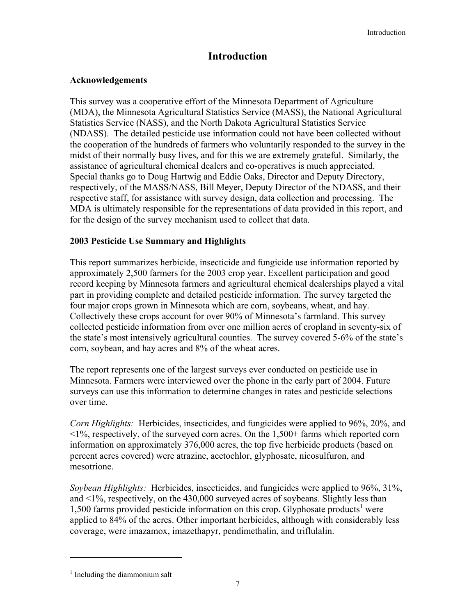#### **Introduction**

#### **Acknowledgements**

This survey was a cooperative effort of the Minnesota Department of Agriculture (MDA), the Minnesota Agricultural Statistics Service (MASS), the National Agricultural Statistics Service (NASS), and the North Dakota Agricultural Statistics Service (NDASS). The detailed pesticide use information could not have been collected without the cooperation of the hundreds of farmers who voluntarily responded to the survey in the midst of their normally busy lives, and for this we are extremely grateful. Similarly, the assistance of agricultural chemical dealers and co-operatives is much appreciated. Special thanks go to Doug Hartwig and Eddie Oaks, Director and Deputy Directory, respectively, of the MASS/NASS, Bill Meyer, Deputy Director of the NDASS, and their respective staff, for assistance with survey design, data collection and processing. The MDA is ultimately responsible for the representations of data provided in this report, and for the design of the survey mechanism used to collect that data.

#### **2003 Pesticide Use Summary and Highlights**

This report summarizes herbicide, insecticide and fungicide use information reported by approximately 2,500 farmers for the 2003 crop year. Excellent participation and good record keeping by Minnesota farmers and agricultural chemical dealerships played a vital part in providing complete and detailed pesticide information. The survey targeted the four major crops grown in Minnesota which are corn, soybeans, wheat, and hay. Collectively these crops account for over 90% of Minnesota's farmland. This survey collected pesticide information from over one million acres of cropland in seventy-six of the state's most intensively agricultural counties. The survey covered 5-6% of the state's corn, soybean, and hay acres and 8% of the wheat acres.

The report represents one of the largest surveys ever conducted on pesticide use in Minnesota. Farmers were interviewed over the phone in the early part of 2004. Future surveys can use this information to determine changes in rates and pesticide selections over time.

*Corn Highlights:* Herbicides, insecticides, and fungicides were applied to 96%, 20%, and <1%, respectively, of the surveyed corn acres. On the 1,500+ farms which reported corn information on approximately 376,000 acres, the top five herbicide products (based on percent acres covered) were atrazine, acetochlor, glyphosate, nicosulfuron, and mesotrione.

*Soybean Highlights:* Herbicides, insecticides, and fungicides were applied to 96%, 31%, and <1%, respectively, on the 430,000 surveyed acres of soybeans. Slightly less than 1,500 farms provided pesticide information on this crop. Glyphosate products<sup>1</sup> were applied to 84% of the acres. Other important herbicides, although with considerably less coverage, were imazamox, imazethapyr, pendimethalin, and triflulalin.

l

<sup>&</sup>lt;sup>1</sup> Including the diammonium salt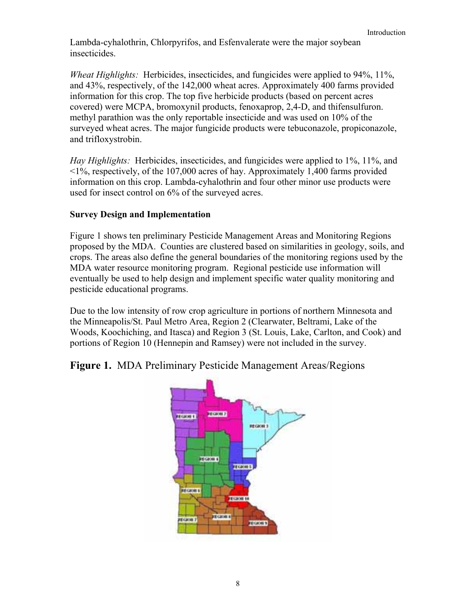Lambda-cyhalothrin, Chlorpyrifos, and Esfenvalerate were the major soybean insecticides.

*Wheat Highlights:* Herbicides, insecticides, and fungicides were applied to 94%, 11%, and 43%, respectively, of the 142,000 wheat acres. Approximately 400 farms provided information for this crop. The top five herbicide products (based on percent acres covered) were MCPA, bromoxynil products, fenoxaprop, 2,4-D, and thifensulfuron. methyl parathion was the only reportable insecticide and was used on 10% of the surveyed wheat acres. The major fungicide products were tebuconazole, propiconazole, and trifloxystrobin.

*Hay Highlights:* Herbicides, insecticides, and fungicides were applied to 1%, 11%, and <1%, respectively, of the 107,000 acres of hay. Approximately 1,400 farms provided information on this crop. Lambda-cyhalothrin and four other minor use products were used for insect control on 6% of the surveyed acres.

#### **Survey Design and Implementation**

Figure 1 shows ten preliminary Pesticide Management Areas and Monitoring Regions proposed by the MDA. Counties are clustered based on similarities in geology, soils, and crops. The areas also define the general boundaries of the monitoring regions used by the MDA water resource monitoring program. Regional pesticide use information will eventually be used to help design and implement specific water quality monitoring and pesticide educational programs.

Due to the low intensity of row crop agriculture in portions of northern Minnesota and the Minneapolis/St. Paul Metro Area, Region 2 (Clearwater, Beltrami, Lake of the Woods, Koochiching, and Itasca) and Region 3 (St. Louis, Lake, Carlton, and Cook) and portions of Region 10 (Hennepin and Ramsey) were not included in the survey.

**Figure 1.** MDA Preliminary Pesticide Management Areas/Regions

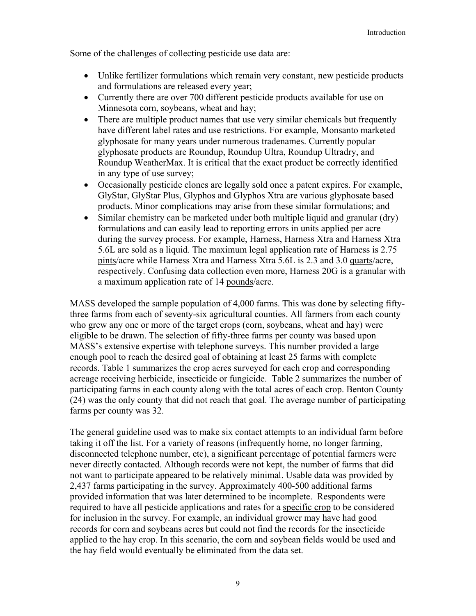Some of the challenges of collecting pesticide use data are:

- Unlike fertilizer formulations which remain very constant, new pesticide products and formulations are released every year;
- Currently there are over 700 different pesticide products available for use on Minnesota corn, soybeans, wheat and hay;
- There are multiple product names that use very similar chemicals but frequently have different label rates and use restrictions. For example, Monsanto marketed glyphosate for many years under numerous tradenames. Currently popular glyphosate products are Roundup, Roundup Ultra, Roundup Ultradry, and Roundup WeatherMax. It is critical that the exact product be correctly identified in any type of use survey;
- Occasionally pesticide clones are legally sold once a patent expires. For example, GlyStar, GlyStar Plus, Glyphos and Glyphos Xtra are various glyphosate based products. Minor complications may arise from these similar formulations; and
- Similar chemistry can be marketed under both multiple liquid and granular (dry) formulations and can easily lead to reporting errors in units applied per acre during the survey process. For example, Harness, Harness Xtra and Harness Xtra 5.6L are sold as a liquid. The maximum legal application rate of Harness is 2.75 pints/acre while Harness Xtra and Harness Xtra 5.6L is 2.3 and 3.0 quarts/acre, respectively. Confusing data collection even more, Harness 20G is a granular with a maximum application rate of 14 pounds/acre.

MASS developed the sample population of 4,000 farms. This was done by selecting fiftythree farms from each of seventy-six agricultural counties. All farmers from each county who grew any one or more of the target crops (corn, soybeans, wheat and hay) were eligible to be drawn. The selection of fifty-three farms per county was based upon MASS's extensive expertise with telephone surveys. This number provided a large enough pool to reach the desired goal of obtaining at least 25 farms with complete records. Table 1 summarizes the crop acres surveyed for each crop and corresponding acreage receiving herbicide, insecticide or fungicide. Table 2 summarizes the number of participating farms in each county along with the total acres of each crop. Benton County (24) was the only county that did not reach that goal. The average number of participating farms per county was 32.

The general guideline used was to make six contact attempts to an individual farm before taking it off the list. For a variety of reasons (infrequently home, no longer farming, disconnected telephone number, etc), a significant percentage of potential farmers were never directly contacted. Although records were not kept, the number of farms that did not want to participate appeared to be relatively minimal. Usable data was provided by 2,437 farms participating in the survey. Approximately 400-500 additional farms provided information that was later determined to be incomplete. Respondents were required to have all pesticide applications and rates for a specific crop to be considered for inclusion in the survey. For example, an individual grower may have had good records for corn and soybeans acres but could not find the records for the insecticide applied to the hay crop. In this scenario, the corn and soybean fields would be used and the hay field would eventually be eliminated from the data set.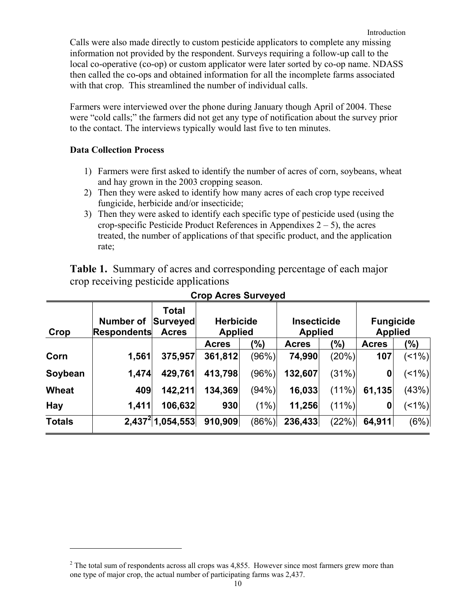Calls were also made directly to custom pesticide applicators to complete any missing information not provided by the respondent. Surveys requiring a follow-up call to the local co-operative (co-op) or custom applicator were later sorted by co-op name. NDASS then called the co-ops and obtained information for all the incomplete farms associated with that crop. This streamlined the number of individual calls.

Farmers were interviewed over the phone during January though April of 2004. These were "cold calls;" the farmers did not get any type of notification about the survey prior to the contact. The interviews typically would last five to ten minutes.

#### **Data Collection Process**

 $\overline{a}$ 

- 1) Farmers were first asked to identify the number of acres of corn, soybeans, wheat and hay grown in the 2003 cropping season.
- 2) Then they were asked to identify how many acres of each crop type received fungicide, herbicide and/or insecticide;
- 3) Then they were asked to identify each specific type of pesticide used (using the crop-specific Pesticide Product References in Appendixes  $2 - 5$ ), the acres treated, the number of applications of that specific product, and the application rate;

**Table 1.** Summary of acres and corresponding percentage of each major crop receiving pesticide applications

| Crop          | Number of<br><b>Respondents</b> | <b>Total</b><br><b>Surveyed</b><br><b>Acres</b> | <b>Herbicide</b><br><b>Applied</b> |        | <b>Insecticide</b><br><b>Applied</b> |       | <b>Fungicide</b><br><b>Applied</b> |         |
|---------------|---------------------------------|-------------------------------------------------|------------------------------------|--------|--------------------------------------|-------|------------------------------------|---------|
|               |                                 |                                                 | <b>Acres</b>                       | (%)    | <b>Acres</b>                         | (%)   | <b>Acres</b>                       | (%)     |
| Corn          | 1,561                           | 375,957                                         | 361,812                            | (96%)  | 74,990                               | (20%) | 107                                | $(1\%)$ |
| Soybean       | 1,474                           | 429,761                                         | 413,798                            | (96%)  | 132,607                              | (31%) | 0                                  | $(1\%)$ |
| <b>Wheat</b>  | 409                             | 142,211                                         | 134,369                            | (94% ) | 16,033                               | (11%) | 61,135                             | (43%)   |
| <b>Hay</b>    | 1,411                           | 106,632                                         | 930                                | (1%)   | 11,256                               | (11%) | 0                                  | $(1\%)$ |
| <b>Totals</b> |                                 | $2,437^{2}$ 1,054,553                           | 910,909                            | (86%)  | 236,433                              | (22%) | 64,911                             | (6%)    |

#### **Crop Acres Surveyed**

 $2^{2}$  The total sum of respondents across all crops was 4,855. However since most farmers grew more than one type of major crop, the actual number of participating farms was 2,437.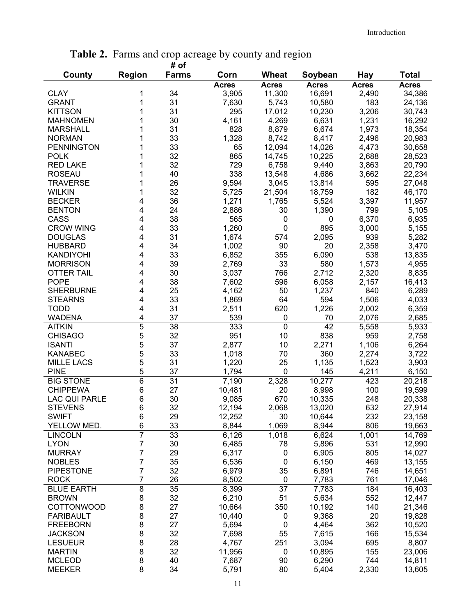|                      |               | # of            |              |              |              |              |              |
|----------------------|---------------|-----------------|--------------|--------------|--------------|--------------|--------------|
| County               | <b>Region</b> | <b>Farms</b>    | Corn         | Wheat        | Soybean      | Hay          | Total        |
|                      |               |                 | <b>Acres</b> | <b>Acres</b> | <b>Acres</b> | <b>Acres</b> | <b>Acres</b> |
| <b>CLAY</b>          | 1             | 34              | 3,905        | 11,300       | 16,691       | 2,490        | 34,386       |
| <b>GRANT</b>         | 1             | 31              | 7,630        | 5,743        | 10,580       | 183          | 24,136       |
| <b>KITTSON</b>       | 1             | 31              | 295          | 17,012       | 10,230       | 3,206        | 30,743       |
| <b>MAHNOMEN</b>      |               | 30              | 4,161        | 4,269        | 6,631        | 1,231        | 16,292       |
| <b>MARSHALL</b>      |               | 31              | 828          | 8,879        | 6,674        | 1,973        | 18,354       |
| <b>NORMAN</b>        |               | 33              | 1,328        | 8,742        | 8,417        | 2,496        | 20,983       |
| <b>PENNINGTON</b>    |               | 33              | 65           | 12,094       | 14,026       | 4,473        | 30,658       |
| <b>POLK</b>          |               | 32              | 865          | 14,745       | 10,225       | 2,688        | 28,523       |
| <b>RED LAKE</b>      |               | 32              | 729          | 6,758        | 9,440        | 3,863        | 20,790       |
| <b>ROSEAU</b>        | 1             | 40              | 338          | 13,548       | 4,686        | 3,662        | 22,234       |
| <b>TRAVERSE</b>      |               | 26              | 9,594        | 3,045        | 13,814       | 595          | 27,048       |
| <b>WILKIN</b>        | 1             | 32              | 5,725        | 21,504       | 18,759       | 182          | 46,170       |
| <b>BECKER</b>        | 4             | 36              | 1,271        | 1,765        | 5,524        | 3,397        | 11,957       |
| <b>BENTON</b>        | 4             | 24              | 2,886        | 30           | 1,390        | 799          | 5,105        |
| CASS                 | 4             | 38              | 565          | 0            | 0            | 6,370        | 6,935        |
| <b>CROW WING</b>     | 4             | 33              | 1,260        | 0            | 895          | 3,000        | 5,155        |
| <b>DOUGLAS</b>       | 4             | 31              | 1,674        | 574          | 2,095        | 939          | 5,282        |
| <b>HUBBARD</b>       | 4             | 34              | 1,002        | 90           | 20           | 2,358        | 3,470        |
|                      |               | 33              |              |              |              | 538          |              |
| <b>KANDIYOHI</b>     | 4             |                 | 6,852        | 355          | 6,090<br>580 |              | 13,835       |
| <b>MORRISON</b>      | 4             | 39              | 2,769        | 33           |              | 1,573        | 4,955        |
| <b>OTTER TAIL</b>    | 4             | 30              | 3,037        | 766          | 2,712        | 2,320        | 8,835        |
| <b>POPE</b>          | 4             | 38              | 7,602        | 596          | 6,058        | 2,157        | 16,413       |
| <b>SHERBURNE</b>     | 4             | 25              | 4,162        | 50           | 1,237        | 840          | 6,289        |
| <b>STEARNS</b>       | 4             | 33              | 1,869        | 64           | 594          | 1,506        | 4,033        |
| <b>TODD</b>          | 4             | 31              | 2,511        | 620          | 1,226        | 2,002        | 6,359        |
| <b>WADENA</b>        | 4             | 37              | 539          | 0            | 70           | 2,076        | 2,685        |
| <b>AITKIN</b>        | 5             | $\overline{38}$ | 333          | 0            | 42           | 5,558        | 5,933        |
| <b>CHISAGO</b>       | 5             | 32              | 951          | 10           | 838          | 959          | 2,758        |
| <b>ISANTI</b>        | 5             | 37              | 2,877        | 10           | 2,271        | 1,106        | 6,264        |
| <b>KANABEC</b>       | 5             | 33              | 1,018        | 70           | 360          | 2,274        | 3,722        |
| <b>MILLE LACS</b>    | 5             | 31              | 1,220        | 25           | 1,135        | 1,523        | 3,903        |
| <b>PINE</b>          | 5             | 37              | 1,794        | 0            | 145          | 4,211        | 6,150        |
| <b>BIG STONE</b>     | 6             | 31              | 7,190        | 2,328        | 10,277       | 423          | 20,218       |
| <b>CHIPPEWA</b>      | 6             | 27              | 10,481       | 20           | 8,998        | 100          | 19,599       |
| <b>LAC QUI PARLE</b> | 6             | 30              | 9,085        | 670          | 10,335       | 248          | 20,338       |
| <b>STEVENS</b>       | 6             | 32              | 12,194       | 2,068        | 13,020       | 632          | 27,914       |
| <b>SWIFT</b>         | 6             | 29              | 12,252       | 30           | 10,644       | 232          | 23,158       |
| YELLOW MED.          | 6             | 33              | 8,844        | 1,069        | 8,944        | 806          | 19,663       |
| <b>LINCOLN</b>       | 7             | 33              | 6,126        | 1,018        | 6,624        | 1,001        | 14,769       |
| <b>LYON</b>          | 7             | 30              | 6,485        | 78           | 5,896        | 531          | 12,990       |
| <b>MURRAY</b>        | 7             | 29              | 6,317        | 0            | 6,905        | 805          | 14,027       |
| <b>NOBLES</b>        | 7             | 35              | 6,536        | $\mathbf 0$  | 6,150        | 469          | 13,155       |
| <b>PIPESTONE</b>     | 7             | 32              | 6,979        | 35           | 6,891        | 746          | 14,651       |
| <b>ROCK</b>          | 7             | 26              | 8,502        | $\mathbf 0$  | 7,783        | 761          | 17,046       |
| <b>BLUE EARTH</b>    | 8             | 35              | 8,399        | 37           | 7,783        | 184          | 16,403       |
| <b>BROWN</b>         | 8             | 32              | 6,210        | 51           | 5,634        | 552          | 12,447       |
| <b>COTTONWOOD</b>    | 8             | 27              | 10,664       | 350          | 10,192       | 140          | 21,346       |
| <b>FARIBAULT</b>     | 8             | 27              | 10,440       | 0            | 9,368        | 20           | 19,828       |
| <b>FREEBORN</b>      | 8             | 27              | 5,694        | $\mathbf 0$  | 4,464        | 362          | 10,520       |
| <b>JACKSON</b>       | 8             | 32              | 7,698        | 55           | 7,615        | 166          | 15,534       |
| <b>LESUEUR</b>       | 8             | 28              | 4,767        | 251          | 3,094        | 695          | 8,807        |
| <b>MARTIN</b>        | 8             | 32              | 11,956       | 0            | 10,895       | 155          | 23,006       |
| <b>MCLEOD</b>        | 8             | 40              | 7,687        | 90           | 6,290        | 744          | 14,811       |
| <b>MEEKER</b>        | 8             | 34              | 5,791        | 80           | 5,404        | 2,330        | 13,605       |
|                      |               |                 |              |              |              |              |              |

#### **Table 2.** Farms and crop acreage by county and region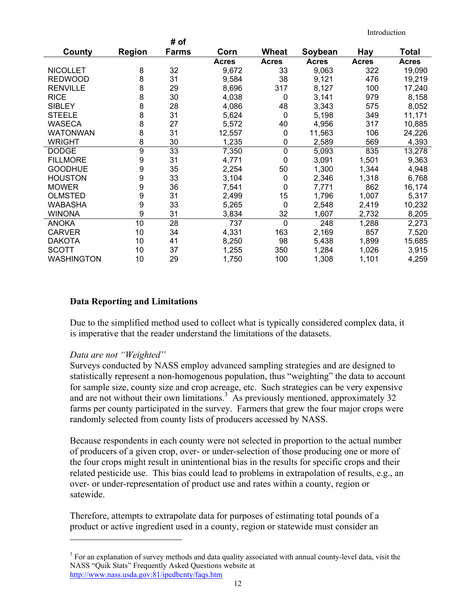|                   |                  | # of         |              |              |              |              |        |
|-------------------|------------------|--------------|--------------|--------------|--------------|--------------|--------|
| County            | <b>Region</b>    | <b>Farms</b> | Corn         | Wheat        | Soybean      | Hay          | Total  |
|                   |                  |              | <b>Acres</b> | <b>Acres</b> | <b>Acres</b> | <b>Acres</b> | Acres  |
| <b>NICOLLET</b>   | 8                | 32           | 9,672        | 33           | 9,063        | 322          | 19,090 |
| <b>REDWOOD</b>    | 8                | 31           | 9,584        | 38           | 9,121        | 476          | 19,219 |
| <b>RENVILLE</b>   | 8                | 29           | 8,696        | 317          | 8,127        | 100          | 17,240 |
| <b>RICE</b>       | 8                | 30           | 4,038        | $\mathbf 0$  | 3,141        | 979          | 8,158  |
| <b>SIBLEY</b>     | 8                | 28           | 4,086        | 48           | 3,343        | 575          | 8,052  |
| <b>STEELE</b>     | 8                | 31           | 5,624        | $\mathbf 0$  | 5,198        | 349          | 11,171 |
| WASECA            | 8                | 27           | 5,572        | 40           | 4,956        | 317          | 10,885 |
| <b>WATONWAN</b>   | 8                | 31           | 12,557       | 0            | 11,563       | 106          | 24,226 |
| WRIGHT            | 8                | 30           | 1,235        | 0            | 2,589        | 569          | 4,393  |
| <b>DODGE</b>      | $\boldsymbol{9}$ | 33           | 7,350        | $\pmb{0}$    | 5,093        | 835          | 13,278 |
| <b>FILLMORE</b>   | 9                | 31           | 4,771        | 0            | 3,091        | 1,501        | 9,363  |
| <b>GOODHUE</b>    | 9                | 35           | 2,254        | 50           | 1,300        | 1,344        | 4,948  |
| <b>HOUSTON</b>    | 9                | 33           | 3,104        | 0            | 2,346        | 1,318        | 6,768  |
| <b>MOWER</b>      | 9                | 36           | 7,541        | 0            | 7,771        | 862          | 16,174 |
| <b>OLMSTED</b>    | 9                | 31           | 2,499        | 15           | 1,796        | 1,007        | 5,317  |
| WABASHA           | 9                | 33           | 5,265        | 0            | 2,548        | 2,419        | 10,232 |
| <b>WINONA</b>     | 9                | 31           | 3,834        | 32           | 1,607        | 2,732        | 8,205  |
| <b>ANOKA</b>      | 10               | 28           | 737          | $\mathbf 0$  | 248          | 1,288        | 2,273  |
| <b>CARVER</b>     | 10               | 34           | 4,331        | 163          | 2,169        | 857          | 7,520  |
| <b>DAKOTA</b>     | 10               | 41           | 8,250        | 98           | 5,438        | 1,899        | 15,685 |
| <b>SCOTT</b>      | 10               | 37           | 1,255        | 350          | 1,284        | 1,026        | 3,915  |
| <b>WASHINGTON</b> | 10               | 29           | 1,750        | 100          | 1,308        | 1,101        | 4,259  |

#### **Data Reporting and Limitations**

Due to the simplified method used to collect what is typically considered complex data, it is imperative that the reader understand the limitations of the datasets.

#### *Data are not "Weighted"*

 $\overline{a}$ 

Surveys conducted by NASS employ advanced sampling strategies and are designed to statistically represent a non-homogenous population, thus "weighting" the data to account for sample size, county size and crop acreage, etc. Such strategies can be very expensive and are not without their own limitations.<sup>3</sup> As previously mentioned, approximately 32 farms per county participated in the survey. Farmers that grew the four major crops were randomly selected from county lists of producers accessed by NASS.

Because respondents in each county were not selected in proportion to the actual number of producers of a given crop, over- or under-selection of those producing one or more of the four crops might result in unintentional bias in the results for specific crops and their related pesticide use. This bias could lead to problems in extrapolation of results, e.g., an over- or under-representation of product use and rates within a county, region or satewide.

Therefore, attempts to extrapolate data for purposes of estimating total pounds of a product or active ingredient used in a county, region or statewide must consider an

<sup>&</sup>lt;sup>3</sup> For an explanation of survey methods and data quality associated with annual county-level data, visit the NASS "Quik Stats" Frequently Asked Questions website at http://www.nass.usda.gov:81/ipedbcnty/faqs.htm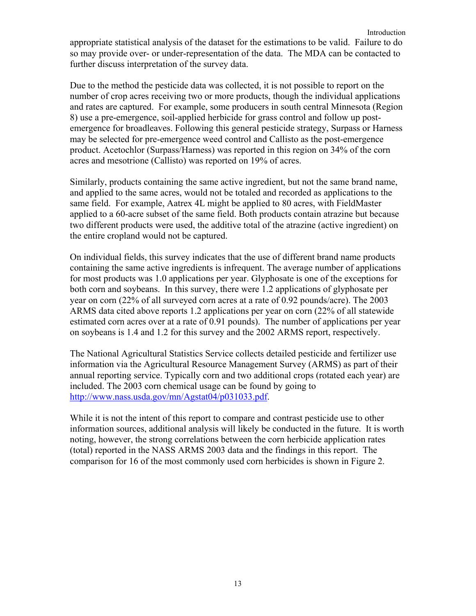Introduction appropriate statistical analysis of the dataset for the estimations to be valid. Failure to do so may provide over- or under-representation of the data. The MDA can be contacted to further discuss interpretation of the survey data.

Due to the method the pesticide data was collected, it is not possible to report on the number of crop acres receiving two or more products, though the individual applications and rates are captured. For example, some producers in south central Minnesota (Region 8) use a pre-emergence, soil-applied herbicide for grass control and follow up postemergence for broadleaves. Following this general pesticide strategy, Surpass or Harness may be selected for pre-emergence weed control and Callisto as the post-emergence product. Acetochlor (Surpass/Harness) was reported in this region on 34% of the corn acres and mesotrione (Callisto) was reported on 19% of acres.

Similarly, products containing the same active ingredient, but not the same brand name, and applied to the same acres, would not be totaled and recorded as applications to the same field. For example, Aatrex 4L might be applied to 80 acres, with FieldMaster applied to a 60-acre subset of the same field. Both products contain atrazine but because two different products were used, the additive total of the atrazine (active ingredient) on the entire cropland would not be captured.

On individual fields, this survey indicates that the use of different brand name products containing the same active ingredients is infrequent. The average number of applications for most products was 1.0 applications per year. Glyphosate is one of the exceptions for both corn and soybeans. In this survey, there were 1.2 applications of glyphosate per year on corn (22% of all surveyed corn acres at a rate of 0.92 pounds/acre). The 2003 ARMS data cited above reports 1.2 applications per year on corn (22% of all statewide estimated corn acres over at a rate of 0.91 pounds). The number of applications per year on soybeans is 1.4 and 1.2 for this survey and the 2002 ARMS report, respectively.

The National Agricultural Statistics Service collects detailed pesticide and fertilizer use information via the Agricultural Resource Management Survey (ARMS) as part of their annual reporting service. Typically corn and two additional crops (rotated each year) are included. The 2003 corn chemical usage can be found by going to http://www.nass.usda.gov/mn/Agstat04/p031033.pdf.

While it is not the intent of this report to compare and contrast pesticide use to other information sources, additional analysis will likely be conducted in the future. It is worth noting, however, the strong correlations between the corn herbicide application rates (total) reported in the NASS ARMS 2003 data and the findings in this report. The comparison for 16 of the most commonly used corn herbicides is shown in Figure 2.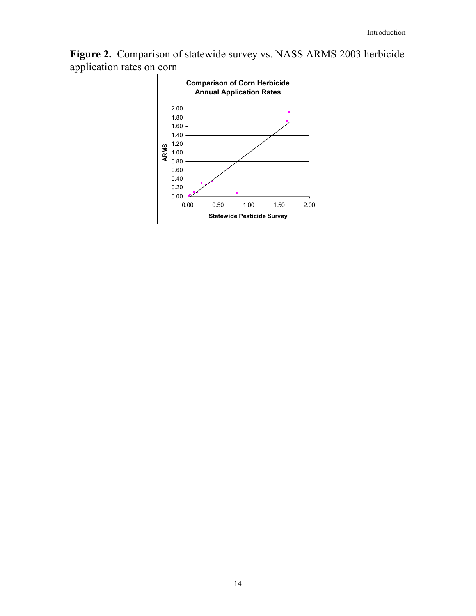**Figure 2.** Comparison of statewide survey vs. NASS ARMS 2003 herbicide application rates on corn

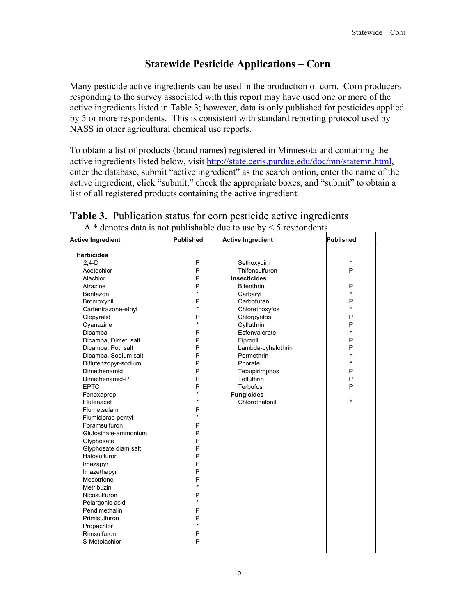#### **Statewide Pesticide Applications – Corn**

Many pesticide active ingredients can be used in the production of corn. Corn producers responding to the survey associated with this report may have used one or more of the active ingredients listed in Table 3; however, data is only published for pesticides applied by 5 or more respondents. This is consistent with standard reporting protocol used by NASS in other agricultural chemical use reports.

To obtain a list of products (brand names) registered in Minnesota and containing the active ingredients listed below, visit http://state.ceris.purdue.edu/doc/mn/statemn.html, enter the database, submit "active ingredient" as the search option, enter the name of the active ingredient, click "submit," check the appropriate boxes, and "submit" to obtain a list of all registered products containing the active ingredient.

| <b>Active Ingredient</b> | <b>Published</b> | <b>Active Ingredient</b> | <b>Published</b> |
|--------------------------|------------------|--------------------------|------------------|
| <b>Herbicides</b>        |                  |                          |                  |
| $2,4-D$                  | P                | Sethoxydim               | $\star$          |
| Acetochlor               | P                | Thifensulfuron           | P                |
| Alachlor                 | P                | <b>Insecticides</b>      |                  |
| Atrazine                 | P                | <b>Bifenthrin</b>        | P                |
| Bentazon                 | $\star$          | Carbaryl                 | $\star$          |
| Bromoxynil               | P                | Carbofuran               | P                |
| Carfentrazone-ethyl      | $\star$          | Chlorethoxyfos           | $\star$          |
| Clopyralid               | P                | Chlorpyrifos             | P                |
| Cyanazine                | $\star$          | Cyfluthrin               | P                |
| Dicamba                  | P                | Esfenvalerate            | $\star$          |
| Dicamba, Dimet. salt     | P                | Fipronil                 | P                |
| Dicamba, Pot. salt       | P                | Lambda-cyhalothrin       | P                |
| Dicamba, Sodium salt     | P                | Permethrin               | $\star$          |
| Diflufenzopyr-sodium     | P                | Phorate                  | $\star$          |
| Dimethenamid             | P                | Tebupirimphos            | P                |
| Dimethenamid-P           | P                | Tefluthrin               | P                |
| <b>EPTC</b>              | P                | <b>Terbufos</b>          | P                |
| Fenoxaprop               | $\star$          | <b>Fungicides</b>        |                  |
| Flufenacet               | $\star$          | Chlorothalonil           | $\star$          |
| Flumetsulam              | P                |                          |                  |
| Flumiclorac-pentyl       | $\star$          |                          |                  |
| Foramsulfuron            | P                |                          |                  |
| Glufosinate-ammonium     | P                |                          |                  |
| Glyphosate               | P                |                          |                  |
| Glyphosate diam salt     | P                |                          |                  |
| Halosulfuron             | P                |                          |                  |
| Imazapyr                 | P                |                          |                  |
| Imazethapyr              | P                |                          |                  |
| Mesotrione               | P                |                          |                  |
| Metribuzin               | $\star$          |                          |                  |
| Nicosulfuron             | P                |                          |                  |
| Pelargonic acid          | $\star$          |                          |                  |
| Pendimethalin            | P                |                          |                  |
| Primisulfuron            | P                |                          |                  |
| Propachlor               | $\star$          |                          |                  |
| Rimsulfuron              | P                |                          |                  |
| S-Metolachlor            | P                |                          |                  |
|                          |                  |                          |                  |

## **Table 3.** Publication status for corn pesticide active ingredients

A  $*$  denotes data is not publishable due to use by  $\leq$  5 respondents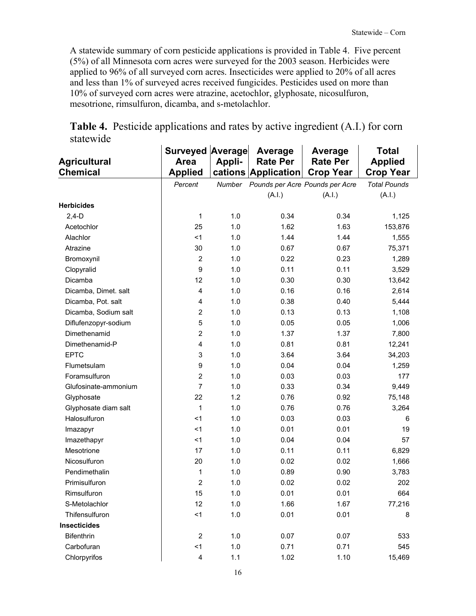A statewide summary of corn pesticide applications is provided in Table 4. Five percent (5%) of all Minnesota corn acres were surveyed for the 2003 season. Herbicides were applied to 96% of all surveyed corn acres. Insecticides were applied to 20% of all acres and less than 1% of surveyed acres received fungicides. Pesticides used on more than 10% of surveyed corn acres were atrazine, acetochlor, glyphosate, nicosulfuron, mesotrione, rimsulfuron, dicamba, and s-metolachlor.

|                      | <b>Surveyed Average</b> |        | Average                         | Average          | Total               |
|----------------------|-------------------------|--------|---------------------------------|------------------|---------------------|
| <b>Agricultural</b>  | <b>Area</b>             | Appli- | <b>Rate Per</b>                 | <b>Rate Per</b>  | <b>Applied</b>      |
| <b>Chemical</b>      | <b>Applied</b>          |        | cations Application             | <b>Crop Year</b> | <b>Crop Year</b>    |
|                      | Percent                 | Number | Pounds per Acre Pounds per Acre |                  | <b>Total Pounds</b> |
|                      |                         |        | (A.I.)                          | (A.I.)           | (A.I.)              |
| <b>Herbicides</b>    |                         |        |                                 |                  |                     |
| $2,4-D$              | 1                       | 1.0    | 0.34                            | 0.34             | 1,125               |
| Acetochlor           | 25                      | 1.0    | 1.62                            | 1.63             | 153,876             |
| Alachlor             | $<$ 1                   | 1.0    | 1.44                            | 1.44             | 1,555               |
| Atrazine             | 30                      | 1.0    | 0.67                            | 0.67             | 75,371              |
| Bromoxynil           | $\overline{2}$          | 1.0    | 0.22                            | 0.23             | 1,289               |
| Clopyralid           | 9                       | 1.0    | 0.11                            | 0.11             | 3,529               |
| Dicamba              | 12                      | 1.0    | 0.30                            | 0.30             | 13,642              |
| Dicamba, Dimet. salt | $\overline{4}$          | 1.0    | 0.16                            | 0.16             | 2,614               |
| Dicamba, Pot. salt   | $\overline{4}$          | 1.0    | 0.38                            | 0.40             | 5,444               |
| Dicamba, Sodium salt | $\overline{2}$          | 1.0    | 0.13                            | 0.13             | 1,108               |
| Diflufenzopyr-sodium | 5                       | 1.0    | 0.05                            | 0.05             | 1,006               |
| Dimethenamid         | $\overline{2}$          | 1.0    | 1.37                            | 1.37             | 7,800               |
| Dimethenamid-P       | 4                       | 1.0    | 0.81                            | 0.81             | 12,241              |
| <b>EPTC</b>          | 3                       | 1.0    | 3.64                            | 3.64             | 34,203              |
| Flumetsulam          | 9                       | 1.0    | 0.04                            | 0.04             | 1,259               |
| Foramsulfuron        | $\overline{2}$          | 1.0    | 0.03                            | 0.03             | 177                 |
| Glufosinate-ammonium | $\overline{7}$          | 1.0    | 0.33                            | 0.34             | 9,449               |
| Glyphosate           | 22                      | 1.2    | 0.76                            | 0.92             | 75,148              |
| Glyphosate diam salt | 1                       | 1.0    | 0.76                            | 0.76             | 3,264               |
| Halosulfuron         | < 1                     | 1.0    | 0.03                            | 0.03             | 6                   |
| Imazapyr             | $<$ 1                   | 1.0    | 0.01                            | 0.01             | 19                  |
| Imazethapyr          | $<$ 1                   | 1.0    | 0.04                            | 0.04             | 57                  |
| Mesotrione           | 17                      | 1.0    | 0.11                            | 0.11             | 6,829               |
| Nicosulfuron         | 20                      | 1.0    | 0.02                            | 0.02             | 1,666               |
| Pendimethalin        | 1                       | 1.0    | 0.89                            | 0.90             | 3,783               |
| Primisulfuron        | $\overline{2}$          | 1.0    | 0.02                            | 0.02             | 202                 |
| Rimsulfuron          | 15                      | 1.0    | 0.01                            | 0.01             | 664                 |
| S-Metolachlor        | 12                      | 1.0    | 1.66                            | 1.67             | 77,216              |
| Thifensulfuron       | $1$                     | 1.0    | 0.01                            | 0.01             | 8                   |
| <b>Insecticides</b>  |                         |        |                                 |                  |                     |
| <b>Bifenthrin</b>    | $\overline{2}$          | 1.0    | 0.07                            | 0.07             | 533                 |
| Carbofuran           | < 1                     | 1.0    | 0.71                            | 0.71             | 545                 |
| Chlorpyrifos         | 4                       | 1.1    | 1.02                            | 1.10             | 15,469              |

**Table 4.** Pesticide applications and rates by active ingredient (A.I.) for corn statewide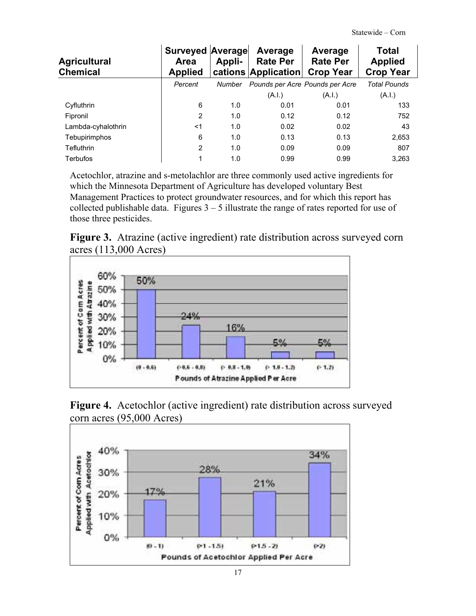| <b>Agricultural</b><br><b>Chemical</b> | <b>Surveyed Average</b><br>Area<br><b>Applied</b> | Appli- | Average<br><b>Rate Per</b><br>cations Application | Average<br><b>Rate Per</b><br><b>Crop Year</b> | Total<br><b>Applied</b><br><b>Crop Year</b> |
|----------------------------------------|---------------------------------------------------|--------|---------------------------------------------------|------------------------------------------------|---------------------------------------------|
|                                        | Percent                                           | Number | Pounds per Acre Pounds per Acre                   |                                                | <b>Total Pounds</b>                         |
|                                        |                                                   |        | (A.I.)                                            | (A.I.)                                         | (A.I.)                                      |
| Cyfluthrin                             | 6                                                 | 1.0    | 0.01                                              | 0.01                                           | 133                                         |
| Fipronil                               | 2                                                 | 1.0    | 0.12                                              | 0.12                                           | 752                                         |
| Lambda-cyhalothrin                     | $<$ 1                                             | 1.0    | 0.02                                              | 0.02                                           | 43                                          |
| Tebupirimphos                          | 6                                                 | 1.0    | 0.13                                              | 0.13                                           | 2,653                                       |
| <b>Tefluthrin</b>                      | 2                                                 | 1.0    | 0.09                                              | 0.09                                           | 807                                         |
| <b>Terbufos</b>                        | 1                                                 | 1.0    | 0.99                                              | 0.99                                           | 3,263                                       |

Acetochlor, atrazine and s-metolachlor are three commonly used active ingredients for which the Minnesota Department of Agriculture has developed voluntary Best Management Practices to protect groundwater resources, and for which this report has collected publishable data. Figures  $3 - 5$  illustrate the range of rates reported for use of those three pesticides.





**Figure 4.** Acetochlor (active ingredient) rate distribution across surveyed corn acres (95,000 Acres)

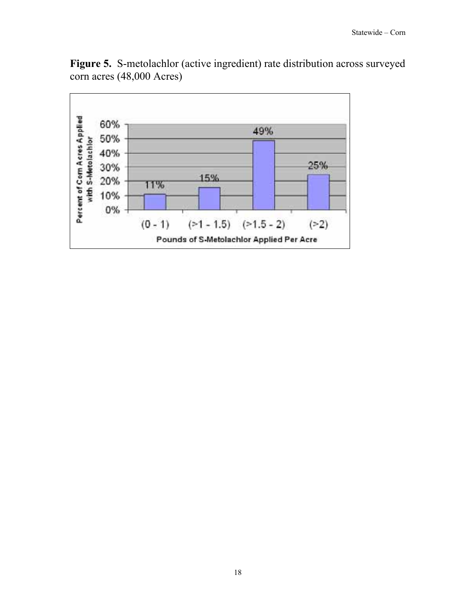

**Figure 5.** S-metolachlor (active ingredient) rate distribution across surveyed corn acres (48,000 Acres)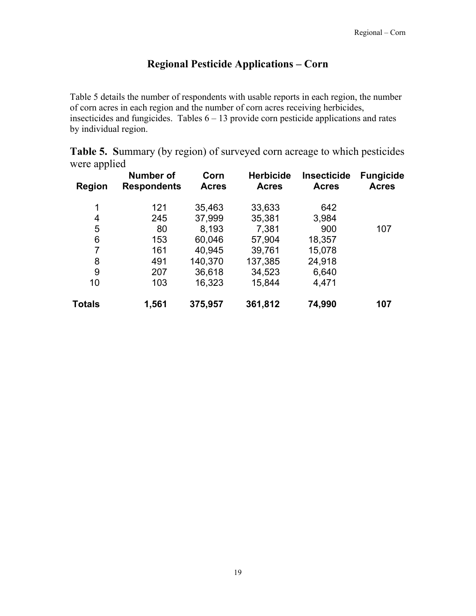#### **Regional Pesticide Applications – Corn**

Table 5 details the number of respondents with usable reports in each region, the number of corn acres in each region and the number of corn acres receiving herbicides, insecticides and fungicides. Tables  $6 - 13$  provide corn pesticide applications and rates by individual region.

**Table 5. S**ummary (by region) of surveyed corn acreage to which pesticides were applied

| <b>Region</b> | <b>Number of</b><br><b>Respondents</b> | Corn<br><b>Acres</b> | <b>Herbicide</b><br><b>Acres</b> | <b>Insecticide</b><br><b>Acres</b> | <b>Fungicide</b><br><b>Acres</b> |
|---------------|----------------------------------------|----------------------|----------------------------------|------------------------------------|----------------------------------|
| 1             | 121                                    | 35,463               | 33,633                           | 642                                |                                  |
| 4             | 245                                    | 37,999               | 35,381                           | 3,984                              |                                  |
| 5             | 80                                     | 8,193                | 7,381                            | 900                                | 107                              |
| 6             | 153                                    | 60,046               | 57,904                           | 18,357                             |                                  |
| 7             | 161                                    | 40,945               | 39,761                           | 15,078                             |                                  |
| 8             | 491                                    | 140,370              | 137,385                          | 24,918                             |                                  |
| 9             | 207                                    | 36,618               | 34,523                           | 6,640                              |                                  |
| 10            | 103                                    | 16,323               | 15,844                           | 4,471                              |                                  |
| Totals        | 1,561                                  | 375,957              | 361,812                          | 74,990                             | 107                              |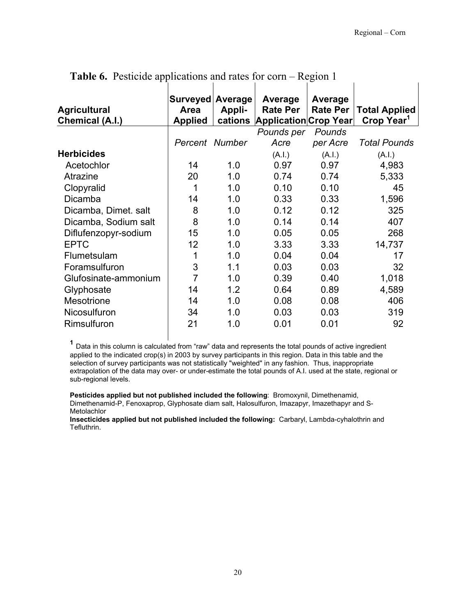$\overline{1}$ 

| Area<br><b>Applied</b> | <b>Appli-</b><br>cations | Average<br><b>Rate Per</b> | Average<br><b>Rate Per</b> | <b>Total Applied</b><br>Crop Year <sup>1</sup> |
|------------------------|--------------------------|----------------------------|----------------------------|------------------------------------------------|
|                        |                          | Pounds per                 | Pounds                     |                                                |
|                        |                          | Acre                       | per Acre                   | <b>Total Pounds</b>                            |
|                        |                          | (A.I.)                     | (A.I.)                     | (A.I.)                                         |
| 14                     | 1.0                      | 0.97                       | 0.97                       | 4,983                                          |
| 20                     | 1.0                      | 0.74                       | 0.74                       | 5,333                                          |
| 1                      | 1.0                      | 0.10                       | 0.10                       | 45                                             |
| 14                     | 1.0                      | 0.33                       | 0.33                       | 1,596                                          |
| 8                      | 1.0                      | 0.12                       | 0.12                       | 325                                            |
| 8                      | 1.0                      | 0.14                       | 0.14                       | 407                                            |
| 15                     | 1.0                      | 0.05                       | 0.05                       | 268                                            |
| 12                     | 1.0                      | 3.33                       | 3.33                       | 14,737                                         |
| 1                      | 1.0                      | 0.04                       | 0.04                       | 17                                             |
| 3                      | 1.1                      | 0.03                       | 0.03                       | 32                                             |
| $\overline{7}$         | 1.0                      | 0.39                       | 0.40                       | 1,018                                          |
| 14                     | 1.2                      | 0.64                       | 0.89                       | 4,589                                          |
| 14                     | 1.0                      | 0.08                       | 0.08                       | 406                                            |
| 34                     | 1.0                      | 0.03                       | 0.03                       | 319                                            |
| 21                     | 1.0                      | 0.01                       | 0.01                       | 92                                             |
|                        |                          | Percent Number             | Surveyed Average           | Application Crop Year                          |

**Table 6.** Pesticide applications and rates for corn – Region 1

**<sup>1</sup>** Data in this column is calculated from "raw" data and represents the total pounds of active ingredient applied to the indicated crop(s) in 2003 by survey participants in this region. Data in this table and the selection of survey participants was not statistically "weighted" in any fashion. Thus, inappropriate extrapolation of the data may over- or under-estimate the total pounds of A.I. used at the state, regional or sub-regional levels.

**Pesticides applied but not published included the following**: Bromoxynil, Dimethenamid, Dimethenamid-P, Fenoxaprop, Glyphosate diam salt, Halosulfuron, Imazapyr, Imazethapyr and S-Metolachlor

**Insecticides applied but not published included the following:** Carbaryl, Lambda-cyhalothrin and Tefluthrin.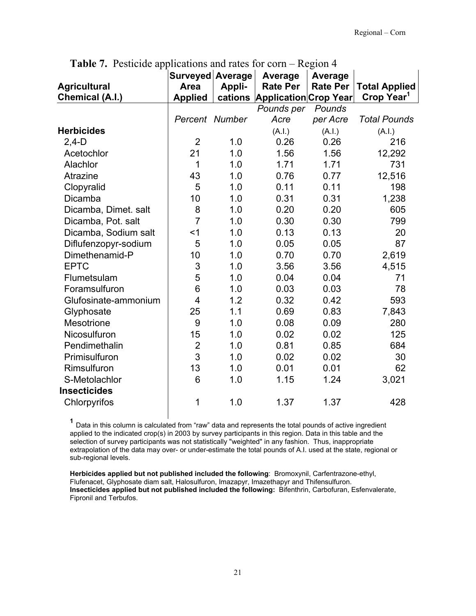|                      | Surveyed Average |         | Average                      | <b>Average</b>  |                        |
|----------------------|------------------|---------|------------------------------|-----------------|------------------------|
| <b>Agricultural</b>  | Area             | Appli-  | <b>Rate Per</b>              | <b>Rate Per</b> | <b>Total Applied</b>   |
| Chemical (A.I.)      | <b>Applied</b>   | cations | <b>Application Crop Year</b> |                 | Crop Year <sup>1</sup> |
|                      |                  |         | Pounds per                   | Pounds          |                        |
|                      | Percent Number   |         | Acre                         | per Acre        | <b>Total Pounds</b>    |
| <b>Herbicides</b>    |                  |         | (A.I.)                       | (A.I.)          | (A.I.)                 |
| $2,4-D$              | $\overline{2}$   | 1.0     | 0.26                         | 0.26            | 216                    |
| Acetochlor           | 21               | 1.0     | 1.56                         | 1.56            | 12,292                 |
| Alachlor             | 1                | 1.0     | 1.71                         | 1.71            | 731                    |
| Atrazine             | 43               | 1.0     | 0.76                         | 0.77            | 12,516                 |
| Clopyralid           | 5                | 1.0     | 0.11                         | 0.11            | 198                    |
| Dicamba              | 10               | 1.0     | 0.31                         | 0.31            | 1,238                  |
| Dicamba, Dimet. salt | 8                | 1.0     | 0.20                         | 0.20            | 605                    |
| Dicamba, Pot. salt   | $\overline{7}$   | 1.0     | 0.30                         | 0.30            | 799                    |
| Dicamba, Sodium salt | $<$ 1            | 1.0     | 0.13                         | 0.13            | 20                     |
| Diflufenzopyr-sodium | 5                | 1.0     | 0.05                         | 0.05            | 87                     |
| Dimethenamid-P       | 10               | 1.0     | 0.70                         | 0.70            | 2,619                  |
| <b>EPTC</b>          | 3                | 1.0     | 3.56                         | 3.56            | 4,515                  |
| Flumetsulam          | 5                | 1.0     | 0.04                         | 0.04            | 71                     |
| Foramsulfuron        | 6                | 1.0     | 0.03                         | 0.03            | 78                     |
| Glufosinate-ammonium | $\overline{4}$   | 1.2     | 0.32                         | 0.42            | 593                    |
| Glyphosate           | 25               | 1.1     | 0.69                         | 0.83            | 7,843                  |
| Mesotrione           | 9                | 1.0     | 0.08                         | 0.09            | 280                    |
| Nicosulfuron         | 15               | 1.0     | 0.02                         | 0.02            | 125                    |
| Pendimethalin        | $\overline{2}$   | 1.0     | 0.81                         | 0.85            | 684                    |
| Primisulfuron        | 3                | 1.0     | 0.02                         | 0.02            | 30                     |
| Rimsulfuron          | 13               | 1.0     | 0.01                         | 0.01            | 62                     |
| S-Metolachlor        | 6                | 1.0     | 1.15                         | 1.24            | 3,021                  |
| <b>Insecticides</b>  |                  |         |                              |                 |                        |
| Chlorpyrifos         | 1                | 1.0     | 1.37                         | 1.37            | 428                    |
|                      |                  |         |                              |                 |                        |

**Table 7.** Pesticide applications and rates for corn – Region 4

**<sup>1</sup>** Data in this column is calculated from "raw" data and represents the total pounds of active ingredient applied to the indicated crop(s) in 2003 by survey participants in this region. Data in this table and the selection of survey participants was not statistically "weighted" in any fashion. Thus, inappropriate extrapolation of the data may over- or under-estimate the total pounds of A.I. used at the state, regional or sub-regional levels.

**Herbicides applied but not published included the following**: Bromoxynil, Carfentrazone-ethyl, Flufenacet, Glyphosate diam salt, Halosulfuron, Imazapyr, Imazethapyr and Thifensulfuron. **Insecticides applied but not published included the following:** Bifenthrin, Carbofuran, Esfenvalerate, Fipronil and Terbufos.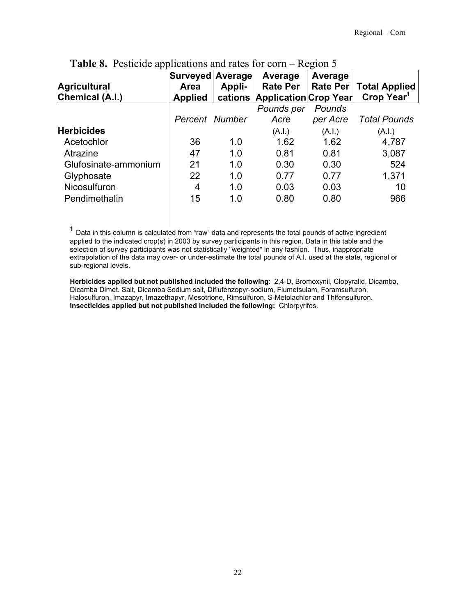| <b>Agricultural</b>  | Surveyed Average<br>Area | Appli- | Average<br><b>Rate Per</b>    | Average<br><b>Rate Per</b> | <b>Total Applied</b>   |
|----------------------|--------------------------|--------|-------------------------------|----------------------------|------------------------|
| Chemical (A.I.)      | <b>Applied</b>           |        | cations Application Crop Year |                            | Crop Year <sup>1</sup> |
|                      |                          |        | Pounds per                    | Pounds                     |                        |
|                      | Percent Number           |        | Acre                          | per Acre                   | <b>Total Pounds</b>    |
| <b>Herbicides</b>    |                          |        | (A.I.)                        | (A.I.)                     | (A.I.)                 |
| Acetochlor           | 36                       | 1.0    | 1.62                          | 1.62                       | 4,787                  |
| Atrazine             | 47                       | 1.0    | 0.81                          | 0.81                       | 3,087                  |
| Glufosinate-ammonium | 21                       | 1.0    | 0.30                          | 0.30                       | 524                    |
| Glyphosate           | 22                       | 1.0    | 0.77                          | 0.77                       | 1,371                  |
| Nicosulfuron         | 4                        | 1.0    | 0.03                          | 0.03                       | 10                     |
| Pendimethalin        | 15                       | 1.0    | 0.80                          | 0.80                       | 966                    |

#### **Table 8.** Pesticide applications and rates for corn – Region 5

**<sup>1</sup>** Data in this column is calculated from "raw" data and represents the total pounds of active ingredient applied to the indicated crop(s) in 2003 by survey participants in this region. Data in this table and the selection of survey participants was not statistically "weighted" in any fashion. Thus, inappropriate extrapolation of the data may over- or under-estimate the total pounds of A.I. used at the state, regional or sub-regional levels.

**Herbicides applied but not published included the following**: 2,4-D, Bromoxynil, Clopyralid, Dicamba, Dicamba Dimet. Salt, Dicamba Sodium salt, Diflufenzopyr-sodium, Flumetsulam, Foramsulfuron, Halosulfuron, Imazapyr, Imazethapyr, Mesotrione, Rimsulfuron, S-Metolachlor and Thifensulfuron. **Insecticides applied but not published included the following:** Chlorpyrifos.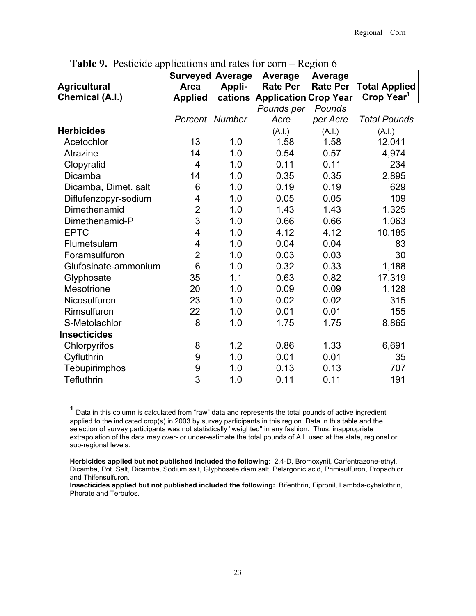|                      | Surveyed Average        |        | Average                       | Average         |                        |
|----------------------|-------------------------|--------|-------------------------------|-----------------|------------------------|
| <b>Agricultural</b>  | <b>Area</b>             | Appli- | <b>Rate Per</b>               | <b>Rate Per</b> | <b>Total Applied</b>   |
| Chemical (A.I.)      | <b>Applied</b>          |        | cations Application Crop Year |                 | Crop Year <sup>1</sup> |
|                      |                         |        | Pounds per                    | Pounds          |                        |
|                      | Percent Number          |        | Acre                          | per Acre        | <b>Total Pounds</b>    |
| <b>Herbicides</b>    |                         |        | (A.I.)                        | (A.l.)          | (A.I.)                 |
| Acetochlor           | 13                      | 1.0    | 1.58                          | 1.58            | 12,041                 |
| Atrazine             | 14                      | 1.0    | 0.54                          | 0.57            | 4,974                  |
| Clopyralid           | 4                       | 1.0    | 0.11                          | 0.11            | 234                    |
| Dicamba              | 14                      | 1.0    | 0.35                          | 0.35            | 2,895                  |
| Dicamba, Dimet. salt | 6                       | 1.0    | 0.19                          | 0.19            | 629                    |
| Diflufenzopyr-sodium | 4                       | 1.0    | 0.05                          | 0.05            | 109                    |
| Dimethenamid         | $\overline{\mathbf{c}}$ | 1.0    | 1.43                          | 1.43            | 1,325                  |
| Dimethenamid-P       | 3                       | 1.0    | 0.66                          | 0.66            | 1,063                  |
| <b>EPTC</b>          | $\overline{\mathbf{4}}$ | 1.0    | 4.12                          | 4.12            | 10,185                 |
| Flumetsulam          | 4                       | 1.0    | 0.04                          | 0.04            | 83                     |
| Foramsulfuron        | $\overline{2}$          | 1.0    | 0.03                          | 0.03            | 30                     |
| Glufosinate-ammonium | $6\phantom{1}$          | 1.0    | 0.32                          | 0.33            | 1,188                  |
| Glyphosate           | 35                      | 1.1    | 0.63                          | 0.82            | 17,319                 |
| Mesotrione           | 20                      | 1.0    | 0.09                          | 0.09            | 1,128                  |
| Nicosulfuron         | 23                      | 1.0    | 0.02                          | 0.02            | 315                    |
| Rimsulfuron          | 22                      | 1.0    | 0.01                          | 0.01            | 155                    |
| S-Metolachlor        | 8                       | 1.0    | 1.75                          | 1.75            | 8,865                  |
| <b>Insecticides</b>  |                         |        |                               |                 |                        |
| Chlorpyrifos         | 8                       | 1.2    | 0.86                          | 1.33            | 6,691                  |
| Cyfluthrin           | 9                       | 1.0    | 0.01                          | 0.01            | 35                     |
| Tebupirimphos        | $\boldsymbol{9}$        | 1.0    | 0.13                          | 0.13            | 707                    |
| <b>Tefluthrin</b>    | 3                       | 1.0    | 0.11                          | 0.11            | 191                    |

**Table 9.** Pesticide applications and rates for corn – Region 6

**<sup>1</sup>** Data in this column is calculated from "raw" data and represents the total pounds of active ingredient applied to the indicated crop(s) in 2003 by survey participants in this region. Data in this table and the selection of survey participants was not statistically "weighted" in any fashion. Thus, inappropriate extrapolation of the data may over- or under-estimate the total pounds of A.I. used at the state, regional or sub-regional levels.

**Herbicides applied but not published included the following**: 2,4-D, Bromoxynil, Carfentrazone-ethyl, Dicamba, Pot. Salt, Dicamba, Sodium salt, Glyphosate diam salt, Pelargonic acid, Primisulfuron, Propachlor and Thifensulfuron.

**Insecticides applied but not published included the following:** Bifenthrin, Fipronil, Lambda-cyhalothrin, Phorate and Terbufos.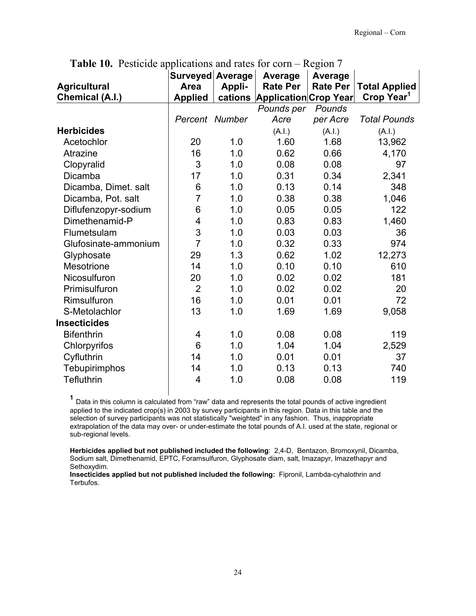|                      | Surveyed Average |        | Average                       | <b>Average</b>  |                        |
|----------------------|------------------|--------|-------------------------------|-----------------|------------------------|
| <b>Agricultural</b>  | <b>Area</b>      | Appli- | <b>Rate Per</b>               | <b>Rate Per</b> | <b>Total Applied</b>   |
| Chemical (A.I.)      | <b>Applied</b>   |        | cations Application Crop Year |                 | Crop Year <sup>1</sup> |
|                      |                  |        | Pounds per                    | Pounds          |                        |
|                      | Percent Number   |        | Acre                          | per Acre        | <b>Total Pounds</b>    |
| <b>Herbicides</b>    |                  |        | (A.I.)                        | (A.I.)          | (A.I.)                 |
| Acetochlor           | 20               | 1.0    | 1.60                          | 1.68            | 13,962                 |
| Atrazine             | 16               | 1.0    | 0.62                          | 0.66            | 4,170                  |
| Clopyralid           | 3                | 1.0    | 0.08                          | 0.08            | 97                     |
| Dicamba              | 17               | 1.0    | 0.31                          | 0.34            | 2,341                  |
| Dicamba, Dimet. salt | 6                | 1.0    | 0.13                          | 0.14            | 348                    |
| Dicamba, Pot. salt   | $\overline{7}$   | 1.0    | 0.38                          | 0.38            | 1,046                  |
| Diflufenzopyr-sodium | 6                | 1.0    | 0.05                          | 0.05            | 122                    |
| Dimethenamid-P       | 4                | 1.0    | 0.83                          | 0.83            | 1,460                  |
| Flumetsulam          | 3                | 1.0    | 0.03                          | 0.03            | 36                     |
| Glufosinate-ammonium | $\overline{7}$   | 1.0    | 0.32                          | 0.33            | 974                    |
| Glyphosate           | 29               | 1.3    | 0.62                          | 1.02            | 12,273                 |
| Mesotrione           | 14               | 1.0    | 0.10                          | 0.10            | 610                    |
| Nicosulfuron         | 20               | 1.0    | 0.02                          | 0.02            | 181                    |
| Primisulfuron        | $\overline{2}$   | 1.0    | 0.02                          | 0.02            | 20                     |
| Rimsulfuron          | 16               | 1.0    | 0.01                          | 0.01            | 72                     |
| S-Metolachlor        | 13               | 1.0    | 1.69                          | 1.69            | 9,058                  |
| <b>Insecticides</b>  |                  |        |                               |                 |                        |
| <b>Bifenthrin</b>    | 4                | 1.0    | 0.08                          | 0.08            | 119                    |
| Chlorpyrifos         | 6                | 1.0    | 1.04                          | 1.04            | 2,529                  |
| Cyfluthrin           | 14               | 1.0    | 0.01                          | 0.01            | 37                     |
| Tebupirimphos        | 14               | 1.0    | 0.13                          | 0.13            | 740                    |
| <b>Tefluthrin</b>    | $\overline{4}$   | 1.0    | 0.08                          | 0.08            | 119                    |
|                      |                  |        |                               |                 |                        |

**Table 10.** Pesticide applications and rates for corn – Region 7

**<sup>1</sup>** Data in this column is calculated from "raw" data and represents the total pounds of active ingredient applied to the indicated crop(s) in 2003 by survey participants in this region. Data in this table and the selection of survey participants was not statistically "weighted" in any fashion. Thus, inappropriate extrapolation of the data may over- or under-estimate the total pounds of A.I. used at the state, regional or sub-regional levels.

**Herbicides applied but not published included the following**: 2,4-D, Bentazon, Bromoxynil, Dicamba, Sodium salt, Dimethenamid, EPTC, Foramsulfuron, Glyphosate diam, salt, Imazapyr, Imazethapyr and Sethoxydim.

**Insecticides applied but not published included the following:** Fipronil, Lambda-cyhalothrin and Terbufos.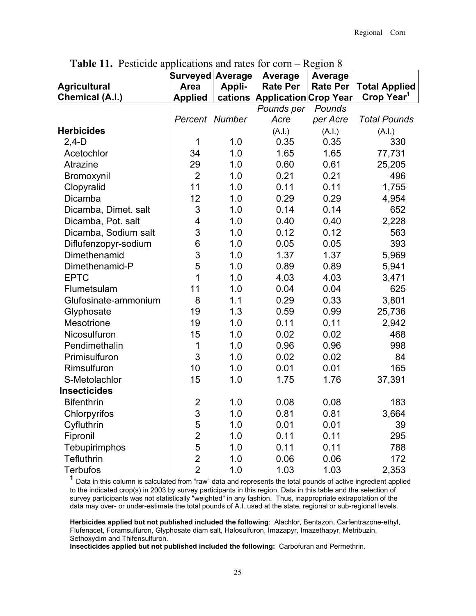| <b>Agricultural</b><br><b>Chemical (A.I.)</b> | Surveyed Average<br><b>Area</b><br><b>Applied</b> | Appli- | Average<br><b>Rate Per</b><br>cations Application Crop Year | <b>Average</b><br><b>Rate Per</b> | <b>Total Applied</b><br>Crop Year <sup>1</sup> |
|-----------------------------------------------|---------------------------------------------------|--------|-------------------------------------------------------------|-----------------------------------|------------------------------------------------|
|                                               |                                                   |        | Pounds per                                                  | Pounds                            |                                                |
|                                               | Percent Number                                    |        | Acre                                                        | per Acre                          | <b>Total Pounds</b>                            |
| <b>Herbicides</b>                             |                                                   |        | (A.I.)                                                      | (A.I.)                            | (A.I.)                                         |
| $2,4-D$                                       | 1                                                 | 1.0    | 0.35                                                        | 0.35                              | 330                                            |
| Acetochlor                                    | 34                                                | 1.0    | 1.65                                                        | 1.65                              | 77,731                                         |
| Atrazine                                      | 29                                                | 1.0    | 0.60                                                        | 0.61                              | 25,205                                         |
| Bromoxynil                                    | $\overline{2}$                                    | 1.0    | 0.21                                                        | 0.21                              | 496                                            |
| Clopyralid                                    | 11                                                | 1.0    | 0.11                                                        | 0.11                              | 1,755                                          |
| Dicamba                                       | 12                                                | 1.0    | 0.29                                                        | 0.29                              | 4,954                                          |
| Dicamba, Dimet. salt                          | 3                                                 | 1.0    | 0.14                                                        | 0.14                              | 652                                            |
| Dicamba, Pot. salt                            | $\overline{4}$                                    | 1.0    | 0.40                                                        | 0.40                              | 2,228                                          |
| Dicamba, Sodium salt                          | 3                                                 | 1.0    | 0.12                                                        | 0.12                              | 563                                            |
| Diflufenzopyr-sodium                          | 6                                                 | 1.0    | 0.05                                                        | 0.05                              | 393                                            |
| Dimethenamid                                  | 3                                                 | 1.0    | 1.37                                                        | 1.37                              | 5,969                                          |
| Dimethenamid-P                                | 5                                                 | 1.0    | 0.89                                                        | 0.89                              | 5,941                                          |
| <b>EPTC</b>                                   | 1                                                 | 1.0    | 4.03                                                        | 4.03                              | 3,471                                          |
| Flumetsulam                                   | 11                                                | 1.0    | 0.04                                                        | 0.04                              | 625                                            |
| Glufosinate-ammonium                          | 8                                                 | 1.1    | 0.29                                                        | 0.33                              | 3,801                                          |
| Glyphosate                                    | 19                                                | 1.3    | 0.59                                                        | 0.99                              | 25,736                                         |
| Mesotrione                                    | 19                                                | 1.0    | 0.11                                                        | 0.11                              | 2,942                                          |
| Nicosulfuron                                  | 15                                                | 1.0    | 0.02                                                        | 0.02                              | 468                                            |
| Pendimethalin                                 | 1                                                 | 1.0    | 0.96                                                        | 0.96                              | 998                                            |
| Primisulfuron                                 | 3                                                 | 1.0    | 0.02                                                        | 0.02                              | 84                                             |
| Rimsulfuron                                   | 10                                                | 1.0    | 0.01                                                        | 0.01                              | 165                                            |
| S-Metolachlor                                 | 15                                                | 1.0    | 1.75                                                        | 1.76                              | 37,391                                         |
| <b>Insecticides</b>                           |                                                   |        |                                                             |                                   |                                                |
| <b>Bifenthrin</b>                             | $\overline{2}$                                    | 1.0    | 0.08                                                        | 0.08                              | 183                                            |
| Chlorpyrifos                                  | 3                                                 | 1.0    | 0.81                                                        | 0.81                              | 3,664                                          |
| Cyfluthrin                                    | 5                                                 | 1.0    | 0.01                                                        | 0.01                              | 39                                             |
| Fipronil                                      | $\overline{c}$                                    | 1.0    | 0.11                                                        | 0.11                              | 295                                            |
| Tebupirimphos                                 | 5                                                 | 1.0    | 0.11                                                        | 0.11                              | 788                                            |
| <b>Tefluthrin</b>                             | $\overline{2}$                                    | 1.0    | 0.06                                                        | 0.06                              | 172                                            |
| <b>Terbufos</b>                               | $\overline{2}$                                    | 1.0    | 1.03                                                        | 1.03                              | 2,353                                          |

**Table 11.** Pesticide applications and rates for corn – Region 8

**<sup>1</sup>** Data in this column is calculated from "raw" data and represents the total pounds of active ingredient applied to the indicated crop(s) in 2003 by survey participants in this region. Data in this table and the selection of survey participants was not statistically "weighted" in any fashion. Thus, inappropriate extrapolation of the data may over- or under-estimate the total pounds of A.I. used at the state, regional or sub-regional levels.

**Herbicides applied but not published included the following**: Alachlor, Bentazon, Carfentrazone-ethyl, Flufenacet, Foramsulfuron, Glyphosate diam salt, Halosulfuron, Imazapyr, Imazethapyr, Metribuzin, Sethoxydim and Thifensulfuron.

**Insecticides applied but not published included the following:** Carbofuran and Permethrin.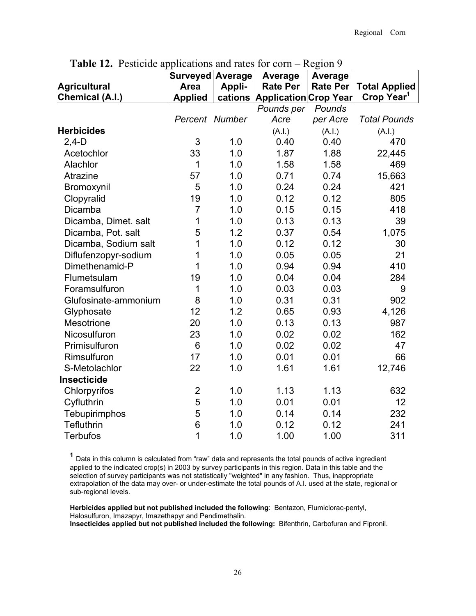|                      | Surveyed Average        |        | Average                       | <b>Average</b>  |                        |
|----------------------|-------------------------|--------|-------------------------------|-----------------|------------------------|
| <b>Agricultural</b>  | Area                    | Appli- | <b>Rate Per</b>               | <b>Rate Per</b> | <b>Total Applied</b>   |
| Chemical (A.I.)      | <b>Applied</b>          |        | cations Application Crop Year |                 | Crop Year <sup>1</sup> |
|                      |                         |        | Pounds per                    | Pounds          |                        |
|                      | Percent Number          |        | Acre                          | per Acre        | <b>Total Pounds</b>    |
| <b>Herbicides</b>    |                         |        | (A.I.)                        | (A.I.)          | (A.I.)                 |
| $2,4-D$              | 3                       | 1.0    | 0.40                          | 0.40            | 470                    |
| Acetochlor           | 33                      | 1.0    | 1.87                          | 1.88            | 22,445                 |
| Alachlor             | $\mathbf{1}$            | 1.0    | 1.58                          | 1.58            | 469                    |
| Atrazine             | 57                      | 1.0    | 0.71                          | 0.74            | 15,663                 |
| Bromoxynil           | 5                       | 1.0    | 0.24                          | 0.24            | 421                    |
| Clopyralid           | 19                      | 1.0    | 0.12                          | 0.12            | 805                    |
| Dicamba              | $\overline{7}$          | 1.0    | 0.15                          | 0.15            | 418                    |
| Dicamba, Dimet. salt | 1                       | 1.0    | 0.13                          | 0.13            | 39                     |
| Dicamba, Pot. salt   | 5                       | 1.2    | 0.37                          | 0.54            | 1,075                  |
| Dicamba, Sodium salt | 1                       | 1.0    | 0.12                          | 0.12            | 30                     |
| Diflufenzopyr-sodium | 1                       | 1.0    | 0.05                          | 0.05            | 21                     |
| Dimethenamid-P       | 1                       | 1.0    | 0.94                          | 0.94            | 410                    |
| Flumetsulam          | 19                      | 1.0    | 0.04                          | 0.04            | 284                    |
| Foramsulfuron        | 1                       | 1.0    | 0.03                          | 0.03            | 9                      |
| Glufosinate-ammonium | 8                       | 1.0    | 0.31                          | 0.31            | 902                    |
| Glyphosate           | 12                      | 1.2    | 0.65                          | 0.93            | 4,126                  |
| Mesotrione           | 20                      | 1.0    | 0.13                          | 0.13            | 987                    |
| Nicosulfuron         | 23                      | 1.0    | 0.02                          | 0.02            | 162                    |
| Primisulfuron        | 6                       | 1.0    | 0.02                          | 0.02            | 47                     |
| Rimsulfuron          | 17                      | 1.0    | 0.01                          | 0.01            | 66                     |
| S-Metolachlor        | 22                      | 1.0    | 1.61                          | 1.61            | 12,746                 |
| Insecticide          |                         |        |                               |                 |                        |
| Chlorpyrifos         | $\overline{\mathbf{c}}$ | 1.0    | 1.13                          | 1.13            | 632                    |
| Cyfluthrin           | 5                       | 1.0    | 0.01                          | 0.01            | 12                     |
| Tebupirimphos        | 5                       | 1.0    | 0.14                          | 0.14            | 232                    |
| Tefluthrin           | 6                       | 1.0    | 0.12                          | 0.12            | 241                    |
| <b>Terbufos</b>      | 1                       | 1.0    | 1.00                          | 1.00            | 311                    |

**Table 12.** Pesticide applications and rates for corn – Region 9

**<sup>1</sup>** Data in this column is calculated from "raw" data and represents the total pounds of active ingredient applied to the indicated crop(s) in 2003 by survey participants in this region. Data in this table and the selection of survey participants was not statistically "weighted" in any fashion. Thus, inappropriate extrapolation of the data may over- or under-estimate the total pounds of A.I. used at the state, regional or sub-regional levels.

**Herbicides applied but not published included the following**: Bentazon, Flumiclorac-pentyl, Halosulfuron, Imazapyr, Imazethapyr and Pendimethalin. **Insecticides applied but not published included the following:** Bifenthrin, Carbofuran and Fipronil.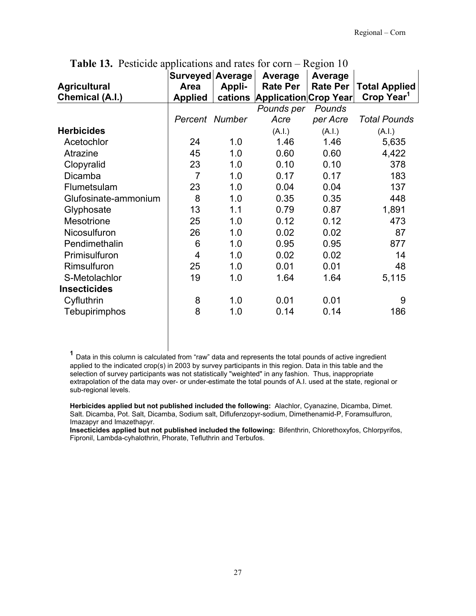|                      | Surveyed Average |        | Average                       | Average         |                        |
|----------------------|------------------|--------|-------------------------------|-----------------|------------------------|
| <b>Agricultural</b>  | <b>Area</b>      | Appli- | <b>Rate Per</b>               | <b>Rate Per</b> | <b>Total Applied</b>   |
| Chemical (A.I.)      | <b>Applied</b>   |        | cations Application Crop Year |                 | Crop Year <sup>1</sup> |
|                      |                  |        | Pounds per                    | Pounds          |                        |
|                      | Percent Number   |        | Acre                          | per Acre        | <b>Total Pounds</b>    |
| <b>Herbicides</b>    |                  |        | (A.I.)                        | (A.I.)          | (A.I.)                 |
| Acetochlor           | 24               | 1.0    | 1.46                          | 1.46            | 5,635                  |
| Atrazine             | 45               | 1.0    | 0.60                          | 0.60            | 4,422                  |
| Clopyralid           | 23               | 1.0    | 0.10                          | 0.10            | 378                    |
| Dicamba              | $\overline{7}$   | 1.0    | 0.17                          | 0.17            | 183                    |
| Flumetsulam          | 23               | 1.0    | 0.04                          | 0.04            | 137                    |
| Glufosinate-ammonium | 8                | 1.0    | 0.35                          | 0.35            | 448                    |
| Glyphosate           | 13               | 1.1    | 0.79                          | 0.87            | 1,891                  |
| Mesotrione           | 25               | 1.0    | 0.12                          | 0.12            | 473                    |
| Nicosulfuron         | 26               | 1.0    | 0.02                          | 0.02            | 87                     |
| Pendimethalin        | 6                | 1.0    | 0.95                          | 0.95            | 877                    |
| Primisulfuron        | 4                | 1.0    | 0.02                          | 0.02            | 14                     |
| Rimsulfuron          | 25               | 1.0    | 0.01                          | 0.01            | 48                     |
| S-Metolachlor        | 19               | 1.0    | 1.64                          | 1.64            | 5,115                  |
| <b>Insecticides</b>  |                  |        |                               |                 |                        |
| Cyfluthrin           | 8                | 1.0    | 0.01                          | 0.01            | 9                      |
| Tebupirimphos        | 8                | 1.0    | 0.14                          | 0.14            | 186                    |

**Table 13.** Pesticide applications and rates for corn – Region 10

**<sup>1</sup>** Data in this column is calculated from "raw" data and represents the total pounds of active ingredient applied to the indicated crop(s) in 2003 by survey participants in this region. Data in this table and the selection of survey participants was not statistically "weighted" in any fashion. Thus, inappropriate extrapolation of the data may over- or under-estimate the total pounds of A.I. used at the state, regional or sub-regional levels.

**Herbicides applied but not published included the following:** Alachlor, Cyanazine, Dicamba, Dimet. Salt. Dicamba, Pot. Salt, Dicamba, Sodium salt, Diflufenzopyr-sodium, Dimethenamid-P, Foramsulfuron, Imazapyr and Imazethapyr.

**Insecticides applied but not published included the following:** Bifenthrin, Chlorethoxyfos, Chlorpyrifos, Fipronil, Lambda-cyhalothrin, Phorate, Tefluthrin and Terbufos.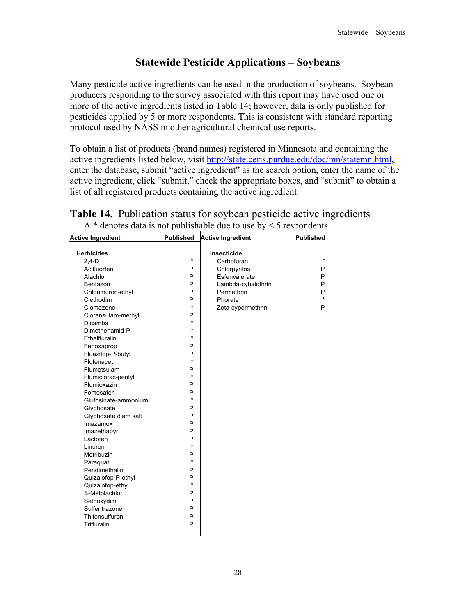#### **Statewide Pesticide Applications – Soybeans**

Many pesticide active ingredients can be used in the production of soybeans. Soybean producers responding to the survey associated with this report may have used one or more of the active ingredients listed in Table 14; however, data is only published for pesticides applied by 5 or more respondents. This is consistent with standard reporting protocol used by NASS in other agricultural chemical use reports.

To obtain a list of products (brand names) registered in Minnesota and containing the active ingredients listed below, visit http://state.ceris.purdue.edu/doc/mn/statemn.html, enter the database, submit "active ingredient" as the search option, enter the name of the active ingredient, click "submit," check the appropriate boxes, and "submit" to obtain a list of all registered products containing the active ingredient.

| <b>Active Ingredient</b> | <b>Published</b> | <b>Active Ingredient</b> | <b>Published</b> |
|--------------------------|------------------|--------------------------|------------------|
| <b>Herbicides</b>        |                  | Insecticide              |                  |
| $2,4-D$                  | $\star$          | Carbofuran               | $\star$          |
| Acifluorfen              | P                | Chlorpyrifos             | P                |
| Alachlor                 | P                | Esfenvalerate            | P                |
| Bentazon                 | P                | Lambda-cyhalothrin       | P                |
| Chlorimuron-ethyl        | P                | Permethrin               | P                |
| Clethodim                | P                | Phorate                  | $\star$          |
| Clomazone                | $\star$          | Zeta-cypermethrin        | P                |
| Cloransulam-methyl       | P                |                          |                  |
| Dicamba                  | $\star$          |                          |                  |
| Dimethenamid-P           | $\star$          |                          |                  |
| Ethalfluralin            | $\star$          |                          |                  |
| Fenoxaprop               | P                |                          |                  |
| Fluazifop-P-butyl        | P                |                          |                  |
| Flufenacet               | $\star$          |                          |                  |
| Flumetsulam              | P                |                          |                  |
| Flumiclorac-pentyl       | $\star$          |                          |                  |
| Flumioxazin              | P                |                          |                  |
| Fomesafen                | P                |                          |                  |
| Glufosinate-ammonium     | $\star$          |                          |                  |
| Glyphosate               | P                |                          |                  |
| Glyphosate diam salt     | P                |                          |                  |
| Imazamox                 | P                |                          |                  |
| Imazethapyr              | P                |                          |                  |
| Lactofen                 | P                |                          |                  |
| Linuron                  | $\star$          |                          |                  |
| Metribuzin               | P                |                          |                  |
| Paraguat                 | $\star$          |                          |                  |
| Pendimethalin            | P                |                          |                  |
| Quizalofop-P-ethyl       | P                |                          |                  |
| Quizalofop-ethyl         | $\star$          |                          |                  |
| S-Metolachlor            | P                |                          |                  |
| Sethoxydim               | P                |                          |                  |
| Sulfentrazone            | P                |                          |                  |
| Thifensulfuron           | P                |                          |                  |
| Trifluralin              | P                |                          |                  |
|                          |                  |                          |                  |

|  | <b>Table 14.</b> Publication status for soybean pesticide active ingredients |  |
|--|------------------------------------------------------------------------------|--|
|  | A $*$ denotes data is not publishable due to use by $\leq$ 5 respondents     |  |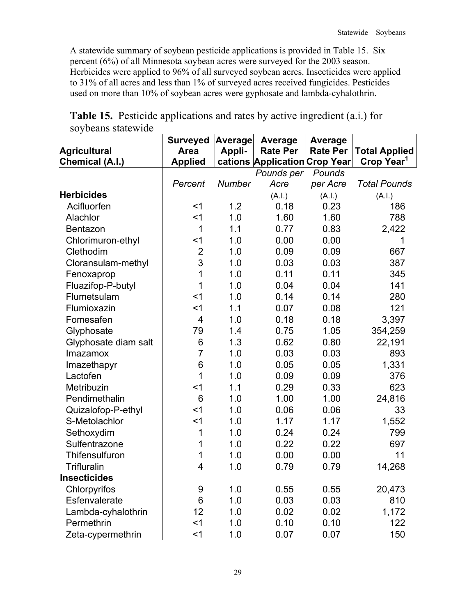A statewide summary of soybean pesticide applications is provided in Table 15. Six percent (6%) of all Minnesota soybean acres were surveyed for the 2003 season. Herbicides were applied to 96% of all surveyed soybean acres. Insecticides were applied to 31% of all acres and less than 1% of surveyed acres received fungicides. Pesticides used on more than 10% of soybean acres were gyphosate and lambda-cyhalothrin.

| $\sigma$ value bacter $\sigma$<br><b>Agricultural</b><br><b>Chemical (A.I.)</b> | <b>Surveyed</b><br>Area<br><b>Applied</b> | <b>Average</b><br>Appli- | <b>Average</b><br><b>Rate Per</b><br>cations Application Crop Year | Average<br><b>Rate Per</b> | <b>Total Applied</b><br>Crop Year <sup>1</sup> |
|---------------------------------------------------------------------------------|-------------------------------------------|--------------------------|--------------------------------------------------------------------|----------------------------|------------------------------------------------|
|                                                                                 |                                           |                          | Pounds per                                                         | Pounds                     |                                                |
|                                                                                 | Percent                                   | Number                   | Acre                                                               | per Acre                   | <b>Total Pounds</b>                            |
| <b>Herbicides</b>                                                               |                                           |                          | (A.I.)                                                             | (A.I.)                     | (A.I.)                                         |
| Acifluorfen                                                                     | $<$ 1                                     | 1.2                      | 0.18                                                               | 0.23                       | 186                                            |
| Alachlor                                                                        | $<$ 1                                     | 1.0                      | 1.60                                                               | 1.60                       | 788                                            |
| Bentazon                                                                        | 1                                         | 1.1                      | 0.77                                                               | 0.83                       | 2,422                                          |
| Chlorimuron-ethyl                                                               | $<$ 1                                     | 1.0                      | 0.00                                                               | 0.00                       |                                                |
| Clethodim                                                                       | $\overline{2}$                            | 1.0                      | 0.09                                                               | 0.09                       | 667                                            |
| Cloransulam-methyl                                                              | 3                                         | 1.0                      | 0.03                                                               | 0.03                       | 387                                            |
| Fenoxaprop                                                                      | 1                                         | 1.0                      | 0.11                                                               | 0.11                       | 345                                            |
| Fluazifop-P-butyl                                                               | 1                                         | 1.0                      | 0.04                                                               | 0.04                       | 141                                            |
| Flumetsulam                                                                     | $<$ 1                                     | 1.0                      | 0.14                                                               | 0.14                       | 280                                            |
| Flumioxazin                                                                     | $<$ 1                                     | 1.1                      | 0.07                                                               | 0.08                       | 121                                            |
| Fomesafen                                                                       | $\overline{4}$                            | 1.0                      | 0.18                                                               | 0.18                       | 3,397                                          |
| Glyphosate                                                                      | 79                                        | 1.4                      | 0.75                                                               | 1.05                       | 354,259                                        |
| Glyphosate diam salt                                                            | 6                                         | 1.3                      | 0.62                                                               | 0.80                       | 22,191                                         |
| Imazamox                                                                        | $\overline{7}$                            | 1.0                      | 0.03                                                               | 0.03                       | 893                                            |
| Imazethapyr                                                                     | 6                                         | 1.0                      | 0.05                                                               | 0.05                       | 1,331                                          |
| Lactofen                                                                        | 1                                         | 1.0                      | 0.09                                                               | 0.09                       | 376                                            |
| Metribuzin                                                                      | $<$ 1                                     | 1.1                      | 0.29                                                               | 0.33                       | 623                                            |
| Pendimethalin                                                                   | 6                                         | 1.0                      | 1.00                                                               | 1.00                       | 24,816                                         |
| Quizalofop-P-ethyl                                                              | $<$ 1                                     | 1.0                      | 0.06                                                               | 0.06                       | 33                                             |
| S-Metolachlor                                                                   | $<$ 1                                     | 1.0                      | 1.17                                                               | 1.17                       | 1,552                                          |
| Sethoxydim                                                                      | 1                                         | 1.0                      | 0.24                                                               | 0.24                       | 799                                            |
| Sulfentrazone                                                                   | 1                                         | 1.0                      | 0.22                                                               | 0.22                       | 697                                            |
| Thifensulfuron                                                                  | 1                                         | 1.0                      | 0.00                                                               | 0.00                       | 11                                             |
| <b>Trifluralin</b>                                                              | 4                                         | 1.0                      | 0.79                                                               | 0.79                       | 14,268                                         |
| <b>Insecticides</b>                                                             |                                           |                          |                                                                    |                            |                                                |
| Chlorpyrifos                                                                    | 9                                         | 1.0                      | 0.55                                                               | 0.55                       | 20,473                                         |
| Esfenvalerate                                                                   | 6                                         | 1.0                      | 0.03                                                               | 0.03                       | 810                                            |
| Lambda-cyhalothrin                                                              | 12                                        | 1.0                      | 0.02                                                               | 0.02                       | 1,172                                          |
| Permethrin                                                                      | $<$ 1                                     | 1.0                      | 0.10                                                               | 0.10                       | 122                                            |
| Zeta-cypermethrin                                                               | $<$ 1                                     | 1.0                      | 0.07                                                               | 0.07                       | 150                                            |

**Table 15.** Pesticide applications and rates by active ingredient (a.i.) for soybeans statewide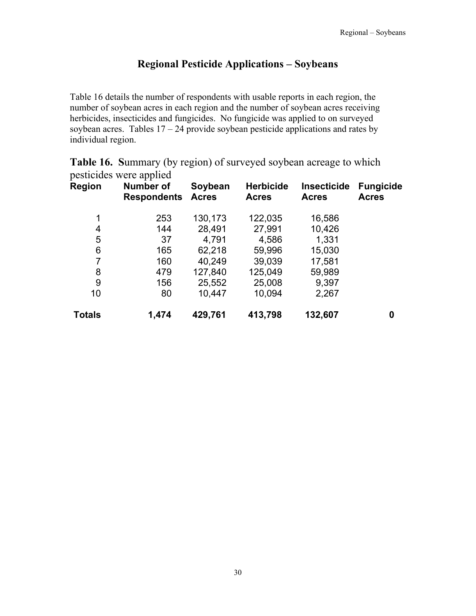#### **Regional Pesticide Applications – Soybeans**

Table 16 details the number of respondents with usable reports in each region, the number of soybean acres in each region and the number of soybean acres receiving herbicides, insecticides and fungicides.No fungicide was applied to on surveyed soybean acres. Tables  $17 - 24$  provide soybean pesticide applications and rates by individual region.

|               | pesticides were applied                |                         |                                  |                                    |                                  |
|---------------|----------------------------------------|-------------------------|----------------------------------|------------------------------------|----------------------------------|
| Region        | <b>Number of</b><br><b>Respondents</b> | Soybean<br><b>Acres</b> | <b>Herbicide</b><br><b>Acres</b> | <b>Insecticide</b><br><b>Acres</b> | <b>Fungicide</b><br><b>Acres</b> |
| 1             | 253                                    | 130,173                 | 122,035                          | 16,586                             |                                  |
| 4             | 144                                    | 28,491                  | 27,991                           | 10,426                             |                                  |
| 5             | 37                                     | 4,791                   | 4,586                            | 1,331                              |                                  |
| 6             | 165                                    | 62,218                  | 59,996                           | 15,030                             |                                  |
| 7             | 160                                    | 40,249                  | 39,039                           | 17,581                             |                                  |
| 8             | 479                                    | 127,840                 | 125,049                          | 59,989                             |                                  |
| 9             | 156                                    | 25,552                  | 25,008                           | 9,397                              |                                  |
| 10            | 80                                     | 10,447                  | 10,094                           | 2,267                              |                                  |
| <b>Totals</b> | 1,474                                  | 429,761                 | 413,798                          | 132,607                            | 0                                |

**Table 16. S**ummary (by region) of surveyed soybean acreage to which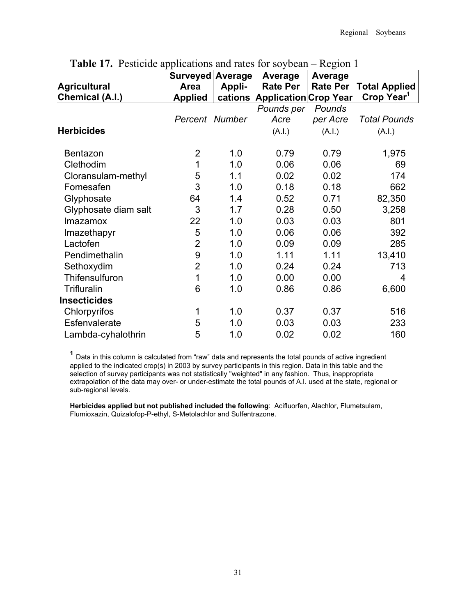| <b>Agricultural</b><br><b>Chemical (A.I.)</b> | Surveyed Average<br><b>Area</b><br><b>Applied</b> | Appli- | Average<br><b>Rate Per</b><br>cations Application Crop Year | Average<br><b>Rate Per</b> | <b>Total Applied</b><br>Crop Year <sup>1</sup> |
|-----------------------------------------------|---------------------------------------------------|--------|-------------------------------------------------------------|----------------------------|------------------------------------------------|
|                                               |                                                   |        | Pounds per                                                  | Pounds                     |                                                |
|                                               | Percent Number                                    |        | Acre                                                        | per Acre                   | <b>Total Pounds</b>                            |
| <b>Herbicides</b>                             |                                                   |        | (A.I.)                                                      | (A.I.)                     | (A.I.)                                         |
| Bentazon                                      | $\overline{2}$                                    | 1.0    | 0.79                                                        | 0.79                       | 1,975                                          |
| Clethodim                                     | 1                                                 | 1.0    | 0.06                                                        | 0.06                       | 69                                             |
| Cloransulam-methyl                            | 5                                                 | 1.1    | 0.02                                                        | 0.02                       | 174                                            |
| Fomesafen                                     | 3                                                 | 1.0    | 0.18                                                        | 0.18                       | 662                                            |
| Glyphosate                                    | 64                                                | 1.4    | 0.52                                                        | 0.71                       | 82,350                                         |
| Glyphosate diam salt                          | 3                                                 | 1.7    | 0.28                                                        | 0.50                       | 3,258                                          |
| <b>Imazamox</b>                               | 22                                                | 1.0    | 0.03                                                        | 0.03                       | 801                                            |
| Imazethapyr                                   | 5                                                 | 1.0    | 0.06                                                        | 0.06                       | 392                                            |
| Lactofen                                      | $\overline{2}$                                    | 1.0    | 0.09                                                        | 0.09                       | 285                                            |
| Pendimethalin                                 | 9                                                 | 1.0    | 1.11                                                        | 1.11                       | 13,410                                         |
| Sethoxydim                                    | $\overline{2}$                                    | 1.0    | 0.24                                                        | 0.24                       | 713                                            |
| Thifensulfuron                                | 1                                                 | 1.0    | 0.00                                                        | 0.00                       | 4                                              |
| Trifluralin                                   | 6                                                 | 1.0    | 0.86                                                        | 0.86                       | 6,600                                          |
| <b>Insecticides</b>                           |                                                   |        |                                                             |                            |                                                |
| Chlorpyrifos                                  | 1                                                 | 1.0    | 0.37                                                        | 0.37                       | 516                                            |
| Esfenvalerate                                 | 5                                                 | 1.0    | 0.03                                                        | 0.03                       | 233                                            |
| Lambda-cyhalothrin                            | 5                                                 | 1.0    | 0.02                                                        | 0.02                       | 160                                            |

**Table 17.** Pesticide applications and rates for soybean – Region 1

 **<sup>1</sup>** Data in this column is calculated from "raw" data and represents the total pounds of active ingredient applied to the indicated crop(s) in 2003 by survey participants in this region. Data in this table and the selection of survey participants was not statistically "weighted" in any fashion. Thus, inappropriate extrapolation of the data may over- or under-estimate the total pounds of A.I. used at the state, regional or sub-regional levels.

**Herbicides applied but not published included the following**: Acifluorfen, Alachlor, Flumetsulam, Flumioxazin, Quizalofop-P-ethyl, S-Metolachlor and Sulfentrazone.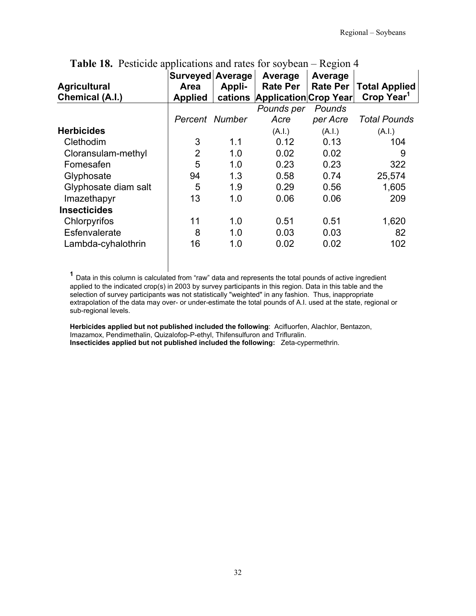| <b>Agricultural</b><br>Chemical (A.I.) | Surveyed Average<br>Area<br><b>Applied</b> | Appli- | Average<br><b>Rate Per</b><br>cations Application Crop Year | Average<br><b>Rate Per</b> | <b>Total Applied</b><br>Crop Year <sup>1</sup> |
|----------------------------------------|--------------------------------------------|--------|-------------------------------------------------------------|----------------------------|------------------------------------------------|
|                                        |                                            |        | Pounds per                                                  | Pounds                     |                                                |
|                                        | Percent Number                             |        | Acre                                                        | per Acre                   | <b>Total Pounds</b>                            |
| <b>Herbicides</b>                      |                                            |        | (A.I.)                                                      | (A.I.)                     | (A.I.)                                         |
| Clethodim                              | 3                                          | 1.1    | 0.12                                                        | 0.13                       | 104                                            |
| Cloransulam-methyl                     | $\overline{2}$                             | 1.0    | 0.02                                                        | 0.02                       | 9                                              |
| Fomesafen                              | 5                                          | 1.0    | 0.23                                                        | 0.23                       | 322                                            |
| Glyphosate                             | 94                                         | 1.3    | 0.58                                                        | 0.74                       | 25,574                                         |
| Glyphosate diam salt                   | 5                                          | 1.9    | 0.29                                                        | 0.56                       | 1,605                                          |
| Imazethapyr                            | 13                                         | 1.0    | 0.06                                                        | 0.06                       | 209                                            |
| <b>Insecticides</b>                    |                                            |        |                                                             |                            |                                                |
| Chlorpyrifos                           | 11                                         | 1.0    | 0.51                                                        | 0.51                       | 1,620                                          |
| Esfenvalerate                          | 8                                          | 1.0    | 0.03                                                        | 0.03                       | 82                                             |
| Lambda-cyhalothrin                     | 16                                         | 1.0    | 0.02                                                        | 0.02                       | 102                                            |

**Table 18.** Pesticide applications and rates for soybean – Region 4

**<sup>1</sup>** Data in this column is calculated from "raw" data and represents the total pounds of active ingredient applied to the indicated crop(s) in 2003 by survey participants in this region. Data in this table and the selection of survey participants was not statistically "weighted" in any fashion. Thus, inappropriate extrapolation of the data may over- or under-estimate the total pounds of A.I. used at the state, regional or sub-regional levels.

**Herbicides applied but not published included the following**: Acifluorfen, Alachlor, Bentazon, Imazamox, Pendimethalin, Quizalofop-P-ethyl, Thifensulfuron and Trifluralin. **Insecticides applied but not published included the following:** Zeta-cypermethrin.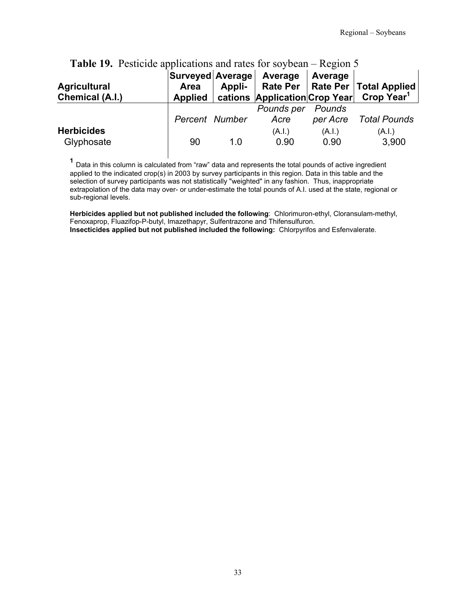| <b>Agricultural</b><br>Chemical (A.I.) | Surveyed Average<br>Area<br><b>Applied</b> | Appli- | Average<br><b>Rate Per</b><br>cations Application Crop Year | Average            | Rate Per   Total Applied<br><b>Crop Year</b> |
|----------------------------------------|--------------------------------------------|--------|-------------------------------------------------------------|--------------------|----------------------------------------------|
|                                        | Percent Number                             |        | Pounds per<br>Acre                                          | Pounds<br>per Acre | Total Pounds                                 |
| <b>Herbicides</b><br>Glyphosate        | 90                                         | 1.0    | (A.I.)<br>0.90                                              | (A.I.)<br>0.90     | (A.I.)<br>3,900                              |

### **Table 19.** Pesticide applications and rates for soybean – Region 5

**<sup>1</sup>** Data in this column is calculated from "raw" data and represents the total pounds of active ingredient applied to the indicated crop(s) in 2003 by survey participants in this region. Data in this table and the selection of survey participants was not statistically "weighted" in any fashion. Thus, inappropriate extrapolation of the data may over- or under-estimate the total pounds of A.I. used at the state, regional or sub-regional levels.

**Herbicides applied but not published included the following**: Chlorimuron-ethyl, Cloransulam-methyl, Fenoxaprop, Fluazifop-P-butyl, Imazethapyr, Sulfentrazone and Thifensulfuron. **Insecticides applied but not published included the following:** Chlorpyrifos and Esfenvalerate.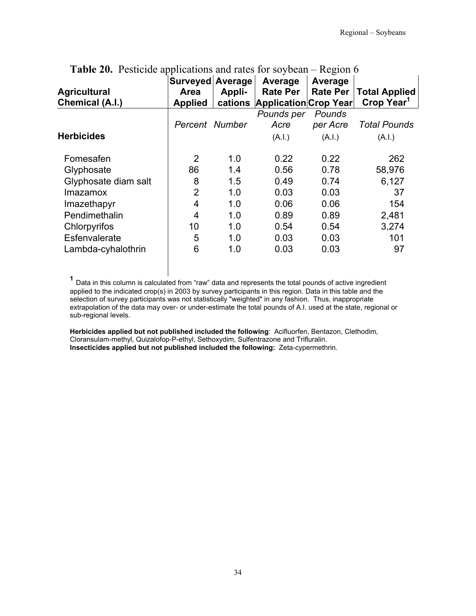| Area<br><b>Applied</b> | Appli-<br>cations | Average<br><b>Rate Per</b> | Average<br><b>Rate Per</b> | <b>Total Applied</b><br>Crop Year <sup>1</sup> |
|------------------------|-------------------|----------------------------|----------------------------|------------------------------------------------|
|                        |                   | Pounds per                 | Pounds                     |                                                |
|                        |                   |                            |                            | <b>Total Pounds</b>                            |
|                        |                   | (A.1.)                     | (A.I.)                     | (A.I.)                                         |
| 2                      | 1.0               | 0.22                       | 0.22                       | 262                                            |
| 86                     | 1.4               | 0.56                       | 0.78                       | 58,976                                         |
| 8                      | 1.5               | 0.49                       | 0.74                       | 6,127                                          |
| $\overline{2}$         | 1.0               | 0.03                       | 0.03                       | 37                                             |
| 4                      | 1.0               | 0.06                       | 0.06                       | 154                                            |
| 4                      | 1.0               | 0.89                       | 0.89                       | 2,481                                          |
| 10                     | 1.0               | 0.54                       | 0.54                       | 3,274                                          |
| 5                      | 1.0               | 0.03                       | 0.03                       | 101                                            |
| 6                      | 1.0               | 0.03                       | 0.03                       | 97                                             |
|                        |                   | Percent Number             | Surveyed Average<br>Acre   | Application Crop Year<br>per Acre              |

**Table 20.** Pesticide applications and rates for soybean – Region 6

**<sup>1</sup>** Data in this column is calculated from "raw" data and represents the total pounds of active ingredient applied to the indicated crop(s) in 2003 by survey participants in this region. Data in this table and the selection of survey participants was not statistically "weighted" in any fashion. Thus, inappropriate extrapolation of the data may over- or under-estimate the total pounds of A.I. used at the state, regional or sub-regional levels.

**Herbicides applied but not published included the following**: Acifluorfen, Bentazon, Clethodim, Cloransulam-methyl, Quizalofop-P-ethyl, Sethoxydim, Sulfentrazone and Trifluralin. **Insecticides applied but not published included the following:** Zeta-cypermethrin.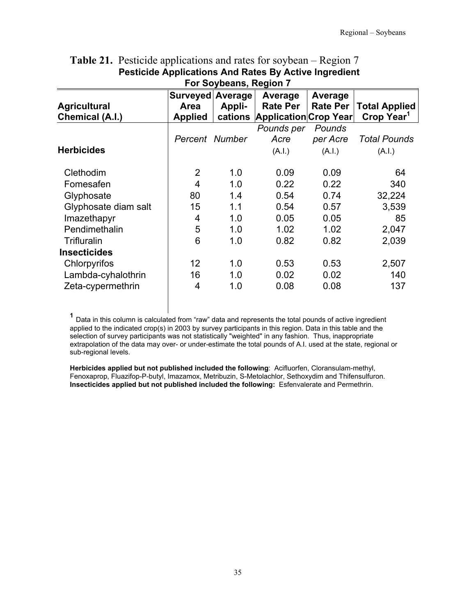| For Soybeans, Region 7                 |                                                   |                   |                                                            |                            |                                                |  |  |
|----------------------------------------|---------------------------------------------------|-------------------|------------------------------------------------------------|----------------------------|------------------------------------------------|--|--|
| <b>Agricultural</b><br>Chemical (A.I.) | Surveyed Average<br><b>Area</b><br><b>Applied</b> | Appli-<br>cations | Average<br><b>Rate Per</b><br><b>Application Crop Year</b> | Average<br><b>Rate Per</b> | <b>Total Applied</b><br>Crop Year <sup>1</sup> |  |  |
|                                        |                                                   |                   | Pounds per                                                 | Pounds                     |                                                |  |  |
|                                        | Percent Number                                    |                   | Acre                                                       | per Acre                   | <b>Total Pounds</b>                            |  |  |
| <b>Herbicides</b>                      |                                                   |                   | (A.I.)                                                     | (A.I.)                     | (A.I.)                                         |  |  |
| Clethodim                              | $\overline{2}$                                    | 1.0               | 0.09                                                       | 0.09                       | 64                                             |  |  |
| Fomesafen                              | 4                                                 | 1.0               | 0.22                                                       | 0.22                       | 340                                            |  |  |
| Glyphosate                             | 80                                                | 1.4               | 0.54                                                       | 0.74                       | 32,224                                         |  |  |
| Glyphosate diam salt                   | 15                                                | 1.1               | 0.54                                                       | 0.57                       | 3,539                                          |  |  |
| Imazethapyr                            | 4                                                 | 1.0               | 0.05                                                       | 0.05                       | 85                                             |  |  |
| Pendimethalin                          | 5                                                 | 1.0               | 1.02                                                       | 1.02                       | 2,047                                          |  |  |
| Trifluralin                            | 6                                                 | 1.0               | 0.82                                                       | 0.82                       | 2,039                                          |  |  |
| <b>Insecticides</b>                    |                                                   |                   |                                                            |                            |                                                |  |  |
| Chlorpyrifos                           | 12                                                | 1.0               | 0.53                                                       | 0.53                       | 2,507                                          |  |  |
| Lambda-cyhalothrin                     | 16                                                | 1.0               | 0.02                                                       | 0.02                       | 140                                            |  |  |
| Zeta-cypermethrin                      | 4                                                 | 1.0               | 0.08                                                       | 0.08                       | 137                                            |  |  |

# **Table 21.** Pesticide applications and rates for soybean – Region 7  **Pesticide Applications And Rates By Active Ingredient**

**<sup>1</sup>** Data in this column is calculated from "raw" data and represents the total pounds of active ingredient applied to the indicated crop(s) in 2003 by survey participants in this region. Data in this table and the selection of survey participants was not statistically "weighted" in any fashion. Thus, inappropriate extrapolation of the data may over- or under-estimate the total pounds of A.I. used at the state, regional or sub-regional levels.

**Herbicides applied but not published included the following**: Acifluorfen, Cloransulam-methyl, Fenoxaprop, Fluazifop-P-butyl, Imazamox, Metribuzin, S-Metolachlor, Sethoxydim and Thifensulfuron. **Insecticides applied but not published included the following:** Esfenvalerate and Permethrin.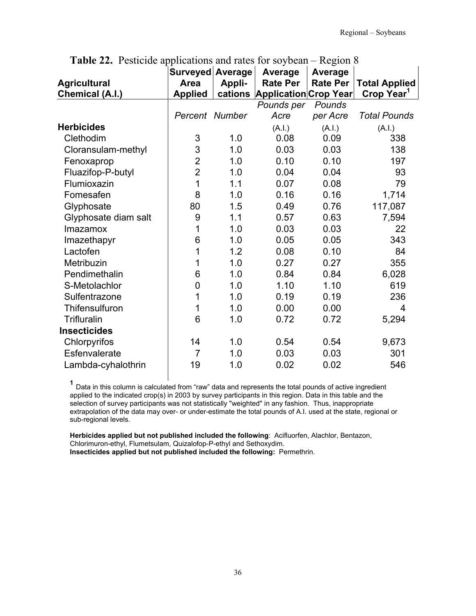| <b>Agricultural</b><br>Chemical (A.I.) | Surveyed Average<br><b>Area</b><br><b>Applied</b> | Appli-<br>cations | Average<br><b>Rate Per</b><br>Application Crop Year | <b>Average</b><br><b>Rate Per</b> | <b>Total Applied</b><br>Crop Year <sup>1</sup> |
|----------------------------------------|---------------------------------------------------|-------------------|-----------------------------------------------------|-----------------------------------|------------------------------------------------|
|                                        |                                                   |                   | Pounds per                                          | Pounds                            |                                                |
|                                        | Percent Number                                    |                   | Acre                                                | per Acre                          | <b>Total Pounds</b>                            |
| <b>Herbicides</b>                      |                                                   |                   | (A.I.)                                              | (A.l.)                            | (A.I.)                                         |
| Clethodim                              | 3                                                 | 1.0               | 0.08                                                | 0.09                              | 338                                            |
| Cloransulam-methyl                     | 3                                                 | 1.0               | 0.03                                                | 0.03                              | 138                                            |
| Fenoxaprop                             | $\overline{2}$                                    | 1.0               | 0.10                                                | 0.10                              | 197                                            |
| Fluazifop-P-butyl                      | $\overline{2}$                                    | 1.0               | 0.04                                                | 0.04                              | 93                                             |
| Flumioxazin                            | 1                                                 | 1.1               | 0.07                                                | 0.08                              | 79                                             |
| Fomesafen                              | 8                                                 | 1.0               | 0.16                                                | 0.16                              | 1,714                                          |
| Glyphosate                             | 80                                                | 1.5               | 0.49                                                | 0.76                              | 117,087                                        |
| Glyphosate diam salt                   | 9                                                 | 1.1               | 0.57                                                | 0.63                              | 7,594                                          |
| Imazamox                               | 1                                                 | 1.0               | 0.03                                                | 0.03                              | 22                                             |
| Imazethapyr                            | 6                                                 | 1.0               | 0.05                                                | 0.05                              | 343                                            |
| Lactofen                               | 1                                                 | 1.2               | 0.08                                                | 0.10                              | 84                                             |
| Metribuzin                             | 1                                                 | 1.0               | 0.27                                                | 0.27                              | 355                                            |
| Pendimethalin                          | 6                                                 | 1.0               | 0.84                                                | 0.84                              | 6,028                                          |
| S-Metolachlor                          | 0                                                 | 1.0               | 1.10                                                | 1.10                              | 619                                            |
| Sulfentrazone                          | 1                                                 | 1.0               | 0.19                                                | 0.19                              | 236                                            |
| Thifensulfuron                         | 1                                                 | 1.0               | 0.00                                                | 0.00                              | 4                                              |
| Trifluralin                            | 6                                                 | 1.0               | 0.72                                                | 0.72                              | 5,294                                          |
| <b>Insecticides</b>                    |                                                   |                   |                                                     |                                   |                                                |
| Chlorpyrifos                           | 14                                                | 1.0               | 0.54                                                | 0.54                              | 9,673                                          |
| Esfenvalerate                          | $\overline{7}$                                    | 1.0               | 0.03                                                | 0.03                              | 301                                            |
| Lambda-cyhalothrin                     | 19                                                | 1.0               | 0.02                                                | 0.02                              | 546                                            |

**Table 22.** Pesticide applications and rates for soybean – Region 8

**<sup>1</sup>** Data in this column is calculated from "raw" data and represents the total pounds of active ingredient applied to the indicated crop(s) in 2003 by survey participants in this region. Data in this table and the selection of survey participants was not statistically "weighted" in any fashion. Thus, inappropriate extrapolation of the data may over- or under-estimate the total pounds of A.I. used at the state, regional or sub-regional levels.

**Herbicides applied but not published included the following**: Acifluorfen, Alachlor, Bentazon, Chlorimuron-ethyl, Flumetsulam, Quizalofop-P-ethyl and Sethoxydim. **Insecticides applied but not published included the following:** Permethrin.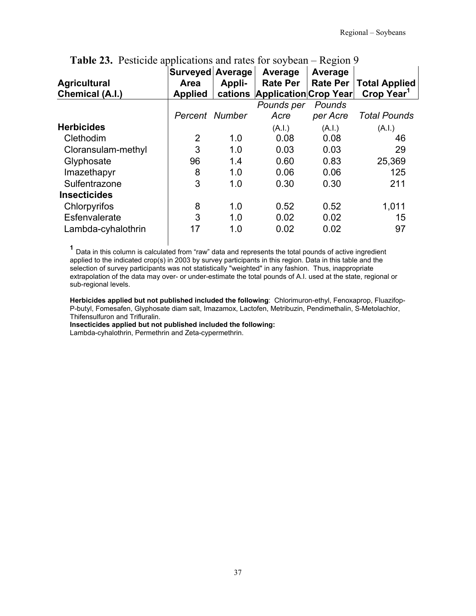| <b>Agricultural</b><br>Chemical (A.I.) | Surveyed Average<br>Area<br><b>Applied</b> | Appli-<br>cations | Average<br><b>Rate Per</b><br><b>Application Crop Year</b> | Average<br><b>Rate Per</b> | <b>Total Applied</b><br>Crop Year <sup>1</sup> |
|----------------------------------------|--------------------------------------------|-------------------|------------------------------------------------------------|----------------------------|------------------------------------------------|
|                                        |                                            |                   | Pounds per                                                 | Pounds                     |                                                |
|                                        | Percent Number                             |                   | Acre                                                       | per Acre                   | <b>Total Pounds</b>                            |
| <b>Herbicides</b>                      |                                            |                   | (A.I.)                                                     | (A.I.)                     | (A.I.)                                         |
| Clethodim                              | 2                                          | 1.0               | 0.08                                                       | 0.08                       | 46                                             |
| Cloransulam-methyl                     | 3                                          | 1.0               | 0.03                                                       | 0.03                       | 29                                             |
| Glyphosate                             | 96                                         | 1.4               | 0.60                                                       | 0.83                       | 25,369                                         |
| Imazethapyr                            | 8                                          | 1.0               | 0.06                                                       | 0.06                       | 125                                            |
| Sulfentrazone                          | 3                                          | 1.0               | 0.30                                                       | 0.30                       | 211                                            |
| <b>Insecticides</b>                    |                                            |                   |                                                            |                            |                                                |
| Chlorpyrifos                           | 8                                          | 1.0               | 0.52                                                       | 0.52                       | 1,011                                          |
| Esfenvalerate                          | 3                                          | 1.0               | 0.02                                                       | 0.02                       | 15                                             |
| Lambda-cyhalothrin                     | 17                                         | 1.0               | 0.02                                                       | 0.02                       | 97                                             |

## **Table 23.** Pesticide applications and rates for soybean – Region 9

**<sup>1</sup>** Data in this column is calculated from "raw" data and represents the total pounds of active ingredient applied to the indicated crop(s) in 2003 by survey participants in this region. Data in this table and the selection of survey participants was not statistically "weighted" in any fashion. Thus, inappropriate extrapolation of the data may over- or under-estimate the total pounds of A.I. used at the state, regional or sub-regional levels.

**Herbicides applied but not published included the following**: Chlorimuron-ethyl, Fenoxaprop, Fluazifop-P-butyl, Fomesafen, Glyphosate diam salt, Imazamox, Lactofen, Metribuzin, Pendimethalin, S-Metolachlor, Thifensulfuron and Trifluralin.

**Insecticides applied but not published included the following:** 

Lambda-cyhalothrin, Permethrin and Zeta-cypermethrin.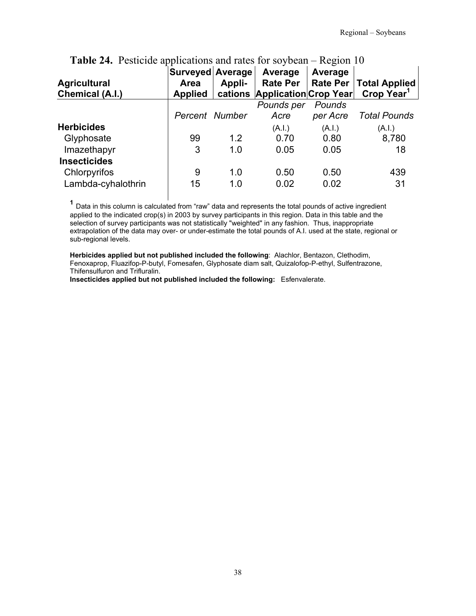| <b>Agricultural</b><br><b>Chemical (A.I.)</b> | Surveyed Average<br>Area<br><b>Applied</b> | Appli-<br>cations | Average<br><b>Rate Per</b><br><b>Application Crop Year</b> | Average<br>Rate Per | Total Applied<br>Crop Year <sup>1</sup> |
|-----------------------------------------------|--------------------------------------------|-------------------|------------------------------------------------------------|---------------------|-----------------------------------------|
|                                               |                                            |                   | Pounds per                                                 | Pounds              |                                         |
|                                               | Percent Number                             |                   | Acre                                                       | per Acre            | <b>Total Pounds</b>                     |
| <b>Herbicides</b>                             |                                            |                   | (A.I.)                                                     | (A.I.)              | (A.I.)                                  |
| Glyphosate                                    | 99                                         | 1.2               | 0.70                                                       | 0.80                | 8,780                                   |
| Imazethapyr                                   | 3                                          | 1.0               | 0.05                                                       | 0.05                | 18                                      |
| <b>Insecticides</b>                           |                                            |                   |                                                            |                     |                                         |
| Chlorpyrifos                                  | 9                                          | 1.0               | 0.50                                                       | 0.50                | 439                                     |
| Lambda-cyhalothrin                            | 15                                         | 1.0               | 0.02                                                       | 0.02                | 31                                      |

# **Table 24.** Pesticide applications and rates for soybean – Region 10

**<sup>1</sup>** Data in this column is calculated from "raw" data and represents the total pounds of active ingredient applied to the indicated crop(s) in 2003 by survey participants in this region. Data in this table and the selection of survey participants was not statistically "weighted" in any fashion. Thus, inappropriate extrapolation of the data may over- or under-estimate the total pounds of A.I. used at the state, regional or sub-regional levels.

**Herbicides applied but not published included the following**: Alachlor, Bentazon, Clethodim, Fenoxaprop, Fluazifop-P-butyl, Fomesafen, Glyphosate diam salt, Quizalofop-P-ethyl, Sulfentrazone, Thifensulfuron and Trifluralin.

**Insecticides applied but not published included the following:** Esfenvalerate.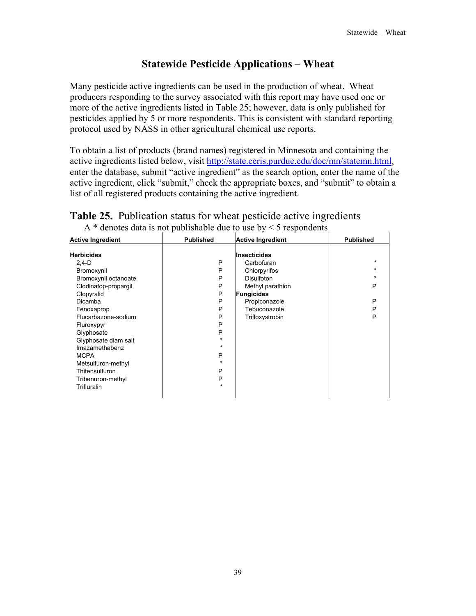# **Statewide Pesticide Applications – Wheat**

Many pesticide active ingredients can be used in the production of wheat. Wheat producers responding to the survey associated with this report may have used one or more of the active ingredients listed in Table 25; however, data is only published for pesticides applied by 5 or more respondents. This is consistent with standard reporting protocol used by NASS in other agricultural chemical use reports.

To obtain a list of products (brand names) registered in Minnesota and containing the active ingredients listed below, visit http://state.ceris.purdue.edu/doc/mn/statemn.html, enter the database, submit "active ingredient" as the search option, enter the name of the active ingredient, click "submit," check the appropriate boxes, and "submit" to obtain a list of all registered products containing the active ingredient.

| <b>Active Ingredient</b>                                                                                                                                                             | <b>Published</b>                                          | <b>Active Ingredient</b>                                                                                                                                     | <b>Published</b>                                  |
|--------------------------------------------------------------------------------------------------------------------------------------------------------------------------------------|-----------------------------------------------------------|--------------------------------------------------------------------------------------------------------------------------------------------------------------|---------------------------------------------------|
| <b>Herbicides</b><br>$2,4-D$<br>Bromoxynil<br>Bromoxynil octanoate<br>Clodinafop-propargil<br>Clopyralid<br>Dicamba<br>Fenoxaprop<br>Flucarbazone-sodium<br>Fluroxypyr<br>Glyphosate | P<br>P<br>P<br>P<br>P<br>P<br>P<br>P<br>P<br>P<br>$\star$ | <b>Insecticides</b><br>Carbofuran<br>Chlorpyrifos<br>Disulfoton<br>Methyl parathion<br><b>Fungicides</b><br>Propiconazole<br>Tebuconazole<br>Trifloxystrobin | $\star$<br>$\star$<br>$\star$<br>Ρ<br>P<br>P<br>P |
| Glyphosate diam salt<br>Imazamethabenz<br><b>MCPA</b><br>Metsulfuron-methyl<br>Thifensulfuron<br>Tribenuron-methyl<br><b>Trifluralin</b>                                             | $\star$<br>P<br>$\star$<br>P<br>P<br>$\star$              |                                                                                                                                                              |                                                   |

#### **Table 25.** Publication status for wheat pesticide active ingredients A  $*$  denotes data is not publishable due to use by  $\leq$  5 respondents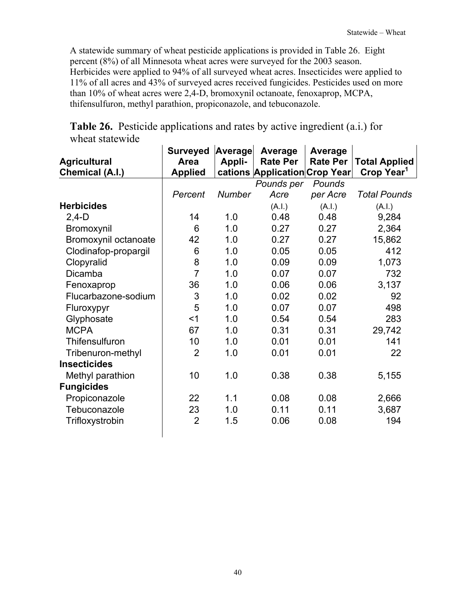A statewide summary of wheat pesticide applications is provided in Table 26. Eight percent (8%) of all Minnesota wheat acres were surveyed for the 2003 season. Herbicides were applied to 94% of all surveyed wheat acres. Insecticides were applied to 11% of all acres and 43% of surveyed acres received fungicides. Pesticides used on more than 10% of wheat acres were 2,4-D, bromoxynil octanoate, fenoxaprop, MCPA, thifensulfuron, methyl parathion, propiconazole, and tebuconazole.

| <b>Agricultural</b><br><b>Chemical (A.I.)</b> | <b>Surveyed</b><br>Area<br><b>Applied</b> | <b>Average</b><br>Appli- | Average<br><b>Rate Per</b><br>cations Application Crop Year | Average<br><b>Rate Per</b> | <b>Total Applied</b><br>Crop Year <sup>1</sup> |
|-----------------------------------------------|-------------------------------------------|--------------------------|-------------------------------------------------------------|----------------------------|------------------------------------------------|
|                                               |                                           |                          | Pounds per                                                  | Pounds                     |                                                |
|                                               | Percent                                   | <b>Number</b>            | Acre                                                        | per Acre                   | <b>Total Pounds</b>                            |
| <b>Herbicides</b>                             |                                           |                          | (A.I.)                                                      | (A.I.)                     | (A.I.)                                         |
| $2,4-D$                                       | 14                                        | 1.0                      | 0.48                                                        | 0.48                       | 9,284                                          |
| Bromoxynil                                    | 6                                         | 1.0                      | 0.27                                                        | 0.27                       | 2,364                                          |
| Bromoxynil octanoate                          | 42                                        | 1.0                      | 0.27                                                        | 0.27                       | 15,862                                         |
| Clodinafop-propargil                          | 6                                         | 1.0                      | 0.05                                                        | 0.05                       | 412                                            |
| Clopyralid                                    | 8                                         | 1.0                      | 0.09                                                        | 0.09                       | 1,073                                          |
| Dicamba                                       | $\overline{7}$                            | 1.0                      | 0.07                                                        | 0.07                       | 732                                            |
| Fenoxaprop                                    | 36                                        | 1.0                      | 0.06                                                        | 0.06                       | 3,137                                          |
| Flucarbazone-sodium                           | 3                                         | 1.0                      | 0.02                                                        | 0.02                       | 92                                             |
| Fluroxypyr                                    | 5                                         | 1.0                      | 0.07                                                        | 0.07                       | 498                                            |
| Glyphosate                                    | $<$ 1                                     | 1.0                      | 0.54                                                        | 0.54                       | 283                                            |
| <b>MCPA</b>                                   | 67                                        | 1.0                      | 0.31                                                        | 0.31                       | 29,742                                         |
| Thifensulfuron                                | 10                                        | 1.0                      | 0.01                                                        | 0.01                       | 141                                            |
| Tribenuron-methyl                             | $\overline{2}$                            | 1.0                      | 0.01                                                        | 0.01                       | 22                                             |
| <b>Insecticides</b>                           |                                           |                          |                                                             |                            |                                                |
| Methyl parathion                              | 10                                        | 1.0                      | 0.38                                                        | 0.38                       | 5,155                                          |
| <b>Fungicides</b>                             |                                           |                          |                                                             |                            |                                                |
| Propiconazole                                 | 22                                        | 1.1                      | 0.08                                                        | 0.08                       | 2,666                                          |
| Tebuconazole                                  | 23                                        | 1.0                      | 0.11                                                        | 0.11                       | 3,687                                          |
| Trifloxystrobin                               | $\overline{2}$                            | 1.5                      | 0.06                                                        | 0.08                       | 194                                            |
|                                               |                                           |                          |                                                             |                            |                                                |

**Table 26.** Pesticide applications and rates by active ingredient (a.i.) for wheat statewide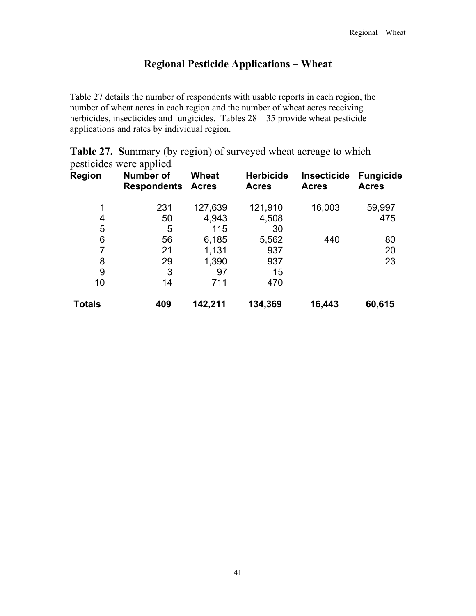## **Regional Pesticide Applications – Wheat**

Table 27 details the number of respondents with usable reports in each region, the number of wheat acres in each region and the number of wheat acres receiving herbicides, insecticides and fungicides. Tables  $28 - 35$  provide wheat pesticide applications and rates by individual region.

|               | pesticides were applied                |                       |                                  |                                    |                                  |
|---------------|----------------------------------------|-----------------------|----------------------------------|------------------------------------|----------------------------------|
| <b>Region</b> | <b>Number of</b><br><b>Respondents</b> | Wheat<br><b>Acres</b> | <b>Herbicide</b><br><b>Acres</b> | <b>Insecticide</b><br><b>Acres</b> | <b>Fungicide</b><br><b>Acres</b> |
| 1             | 231                                    | 127,639               | 121,910                          | 16,003                             | 59,997                           |
| 4             | 50                                     | 4,943                 | 4,508                            |                                    | 475                              |
| 5             | 5                                      | 115                   | 30                               |                                    |                                  |
| 6             | 56                                     | 6,185                 | 5,562                            | 440                                | 80                               |
| 7             | 21                                     | 1,131                 | 937                              |                                    | 20                               |
| 8             | 29                                     | 1,390                 | 937                              |                                    | 23                               |
| 9             | 3                                      | 97                    | 15                               |                                    |                                  |
| 10            | 14                                     | 711                   | 470                              |                                    |                                  |
| Totals        | 409                                    | 142,211               | 134,369                          | 16,443                             | 60,615                           |

**Table 27. S**ummary (by region) of surveyed wheat acreage to which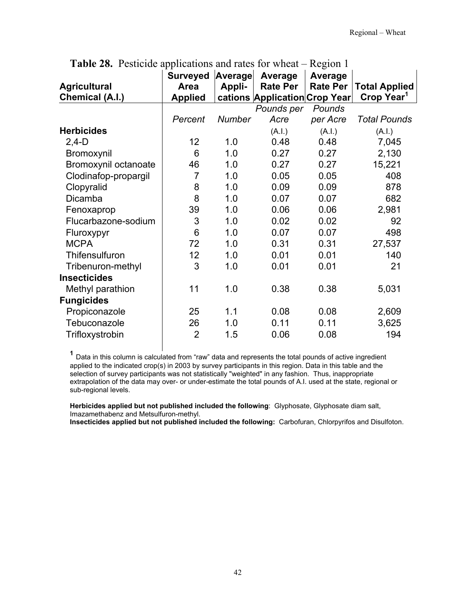| <b>Agricultural</b>  | <b>Surveyed</b><br>Area | Average<br>Appli- | Average<br><b>Rate Per</b>    | Average<br><b>Rate Per</b> | <b>Total Applied</b>   |
|----------------------|-------------------------|-------------------|-------------------------------|----------------------------|------------------------|
| Chemical (A.I.)      | <b>Applied</b>          |                   | cations Application Crop Year |                            | Crop Year <sup>1</sup> |
|                      |                         |                   | Pounds per                    | Pounds                     |                        |
|                      | Percent                 | <b>Number</b>     | Acre                          | per Acre                   | <b>Total Pounds</b>    |
| <b>Herbicides</b>    |                         |                   | (A.I.)                        | (A.I.)                     | (A.I.)                 |
| $2,4-D$              | 12 <sub>2</sub>         | 1.0               | 0.48                          | 0.48                       | 7,045                  |
| Bromoxynil           | 6                       | 1.0               | 0.27                          | 0.27                       | 2,130                  |
| Bromoxynil octanoate | 46                      | 1.0               | 0.27                          | 0.27                       | 15,221                 |
| Clodinafop-propargil | $\overline{7}$          | 1.0               | 0.05                          | 0.05                       | 408                    |
| Clopyralid           | 8                       | 1.0               | 0.09                          | 0.09                       | 878                    |
| <b>Dicamba</b>       | 8                       | 1.0               | 0.07                          | 0.07                       | 682                    |
| Fenoxaprop           | 39                      | 1.0               | 0.06                          | 0.06                       | 2,981                  |
| Flucarbazone-sodium  | 3                       | 1.0               | 0.02                          | 0.02                       | 92                     |
| Fluroxypyr           | 6                       | 1.0               | 0.07                          | 0.07                       | 498                    |
| <b>MCPA</b>          | 72                      | 1.0               | 0.31                          | 0.31                       | 27,537                 |
| Thifensulfuron       | 12                      | 1.0               | 0.01                          | 0.01                       | 140                    |
| Tribenuron-methyl    | 3                       | 1.0               | 0.01                          | 0.01                       | 21                     |
| <b>Insecticides</b>  |                         |                   |                               |                            |                        |
| Methyl parathion     | 11                      | 1.0               | 0.38                          | 0.38                       | 5,031                  |
| <b>Fungicides</b>    |                         |                   |                               |                            |                        |
| Propiconazole        | 25                      | 1.1               | 0.08                          | 0.08                       | 2,609                  |
| Tebuconazole         | 26                      | 1.0               | 0.11                          | 0.11                       | 3,625                  |
| Trifloxystrobin      | $\overline{2}$          | 1.5               | 0.06                          | 0.08                       | 194                    |

**Table 28.** Pesticide applications and rates for wheat – Region 1

**<sup>1</sup>** Data in this column is calculated from "raw" data and represents the total pounds of active ingredient applied to the indicated crop(s) in 2003 by survey participants in this region. Data in this table and the selection of survey participants was not statistically "weighted" in any fashion. Thus, inappropriate extrapolation of the data may over- or under-estimate the total pounds of A.I. used at the state, regional or sub-regional levels.

**Herbicides applied but not published included the following**: Glyphosate, Glyphosate diam salt, Imazamethabenz and Metsulfuron-methyl.

**Insecticides applied but not published included the following:** Carbofuran, Chlorpyrifos and Disulfoton.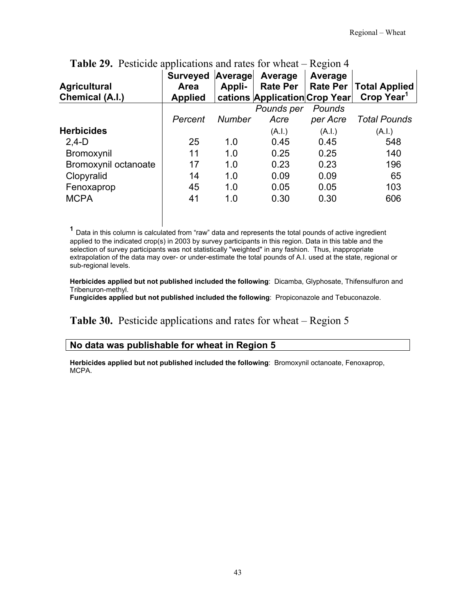| <b>Agricultural</b><br>Chemical (A.I.) | <b>Surveyed</b><br>Area<br><b>Applied</b> | Average<br>Appli- | Average<br><b>Rate Per</b><br>cations Application Crop Year | Average<br><b>Rate Per</b> | <b>Total Applied</b><br>Crop Year <sup>1</sup> |
|----------------------------------------|-------------------------------------------|-------------------|-------------------------------------------------------------|----------------------------|------------------------------------------------|
|                                        |                                           |                   | Pounds per                                                  | Pounds                     |                                                |
|                                        | Percent                                   | <b>Number</b>     | Acre                                                        | per Acre                   | <b>Total Pounds</b>                            |
| <b>Herbicides</b>                      |                                           |                   | (A.I.)                                                      | (A.I.)                     | (A.I.)                                         |
| $2,4-D$                                | 25                                        | 1.0               | 0.45                                                        | 0.45                       | 548                                            |
| Bromoxynil                             | 11                                        | 1.0               | 0.25                                                        | 0.25                       | 140                                            |
| Bromoxynil octanoate                   | 17                                        | 1.0               | 0.23                                                        | 0.23                       | 196                                            |
| Clopyralid                             | 14                                        | 1.0               | 0.09                                                        | 0.09                       | 65                                             |
| Fenoxaprop                             | 45                                        | 1.0               | 0.05                                                        | 0.05                       | 103                                            |
| <b>MCPA</b>                            | 41                                        | 1.0               | 0.30                                                        | 0.30                       | 606                                            |

# **Table 29.** Pesticide applications and rates for wheat – Region 4

**<sup>1</sup>** Data in this column is calculated from "raw" data and represents the total pounds of active ingredient applied to the indicated crop(s) in 2003 by survey participants in this region. Data in this table and the selection of survey participants was not statistically "weighted" in any fashion. Thus, inappropriate extrapolation of the data may over- or under-estimate the total pounds of A.I. used at the state, regional or sub-regional levels.

**Herbicides applied but not published included the following**: Dicamba, Glyphosate, Thifensulfuron and Tribenuron-methyl.

**Fungicides applied but not published included the following**: Propiconazole and Tebuconazole.

**Table 30.** Pesticide applications and rates for wheat – Region 5

#### **No data was publishable for wheat in Region 5**

**Herbicides applied but not published included the following**: Bromoxynil octanoate, Fenoxaprop, MCPA.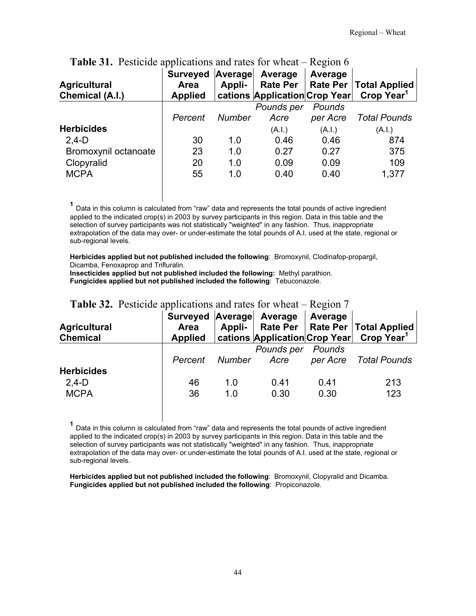| <b>Agricultural</b><br><b>Chemical (A.I.)</b> | Surveyed Average<br>Area<br><b>Applied</b> | Appli-        | Average<br><b>Rate Per</b><br>cations Application Crop Year | Average  | Rate Per   Total Applied<br>Crop Year <sup>1</sup> |
|-----------------------------------------------|--------------------------------------------|---------------|-------------------------------------------------------------|----------|----------------------------------------------------|
|                                               |                                            |               | Pounds per                                                  | Pounds   |                                                    |
|                                               | Percent                                    | <b>Number</b> | Acre                                                        | per Acre | <b>Total Pounds</b>                                |
| <b>Herbicides</b>                             |                                            |               | (A.I.)                                                      | (A.I.)   | (A.l.)                                             |
| $2,4-D$                                       | 30                                         | 1.0           | 0.46                                                        | 0.46     | 874                                                |
| Bromoxynil octanoate                          | 23                                         | 1.0           | 0.27                                                        | 0.27     | 375                                                |
| Clopyralid                                    | 20                                         | 1.0           | 0.09                                                        | 0.09     | 109                                                |
| <b>MCPA</b>                                   | 55                                         | 1.0           | 0.40                                                        | 0.40     | 1,377                                              |

**Table 31.** Pesticide applications and rates for wheat – Region 6

**<sup>1</sup>** Data in this column is calculated from "raw" data and represents the total pounds of active ingredient applied to the indicated crop(s) in 2003 by survey participants in this region. Data in this table and the selection of survey participants was not statistically "weighted" in any fashion. Thus, inappropriate extrapolation of the data may over- or under-estimate the total pounds of A.I. used at the state, regional or sub-regional levels.

**Herbicides applied but not published included the following**: Bromoxynil, Clodinafop-propargil, Dicamba, Fenoxaprop and Trifluralin.

**Insecticides applied but not published included the following:** Methyl parathion. **Fungicides applied but not published included the following**: Tebuconazole.

| <b>Agricultural</b><br><b>Chemical</b> | Surveyed Average<br>Area<br><b>Applied</b> | Appli- | Average    | Average  | Rate Per   Rate Per   Total Applied<br>cations Application Crop Year Crop Year <sup>1</sup> |
|----------------------------------------|--------------------------------------------|--------|------------|----------|---------------------------------------------------------------------------------------------|
|                                        |                                            |        | Pounds per | Pounds   |                                                                                             |
|                                        | Percent                                    | Number | Acre       | per Acre | Total Pounds                                                                                |
| <b>Herbicides</b>                      |                                            |        |            |          |                                                                                             |
| $2,4-D$                                | 46                                         | 1.0    | 0.41       | 0 41     | 213                                                                                         |
| <b>MCPA</b>                            | 36                                         | 1.0    | 0.30       | 0.30     | 123                                                                                         |

#### **Table 32.** Pesticide applications and rates for wheat – Region 7

**<sup>1</sup>** Data in this column is calculated from "raw" data and represents the total pounds of active ingredient applied to the indicated crop(s) in 2003 by survey participants in this region. Data in this table and the selection of survey participants was not statistically "weighted" in any fashion. Thus, inappropriate extrapolation of the data may over- or under-estimate the total pounds of A.I. used at the state, regional or sub-regional levels.

**Herbicides applied but not published included the following**: Bromoxynil, Clopyralid and Dicamba. **Fungicides applied but not published included the following**: Propiconazole.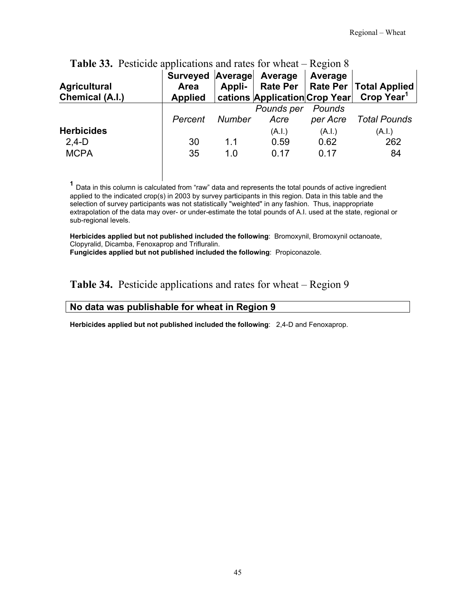| <b>Agricultural</b><br>Chemical (A.I.) | Surveyed Average Average<br>Area<br><b>Applied</b> | Appli- |                    | Average            | Rate Per   Rate Per   Total Applied<br>  cations   Application   Crop Year   Crop Year <sup>1</sup> |
|----------------------------------------|----------------------------------------------------|--------|--------------------|--------------------|-----------------------------------------------------------------------------------------------------|
|                                        | Percent                                            | Number | Pounds per<br>Acre | Pounds<br>per Acre | Total Pounds                                                                                        |
| <b>Herbicides</b>                      |                                                    |        | (A.I.)             | (A.I.)             | (A.I.)                                                                                              |
| $2,4-D$                                | 30                                                 | 1.1    | 0.59               | 0.62               | 262                                                                                                 |
| <b>MCPA</b>                            | 35                                                 | 1.0    | 0.17               | 0.17               | 84                                                                                                  |

# **Table 33.** Pesticide applications and rates for wheat – Region 8

**<sup>1</sup>** Data in this column is calculated from "raw" data and represents the total pounds of active ingredient applied to the indicated crop(s) in 2003 by survey participants in this region. Data in this table and the selection of survey participants was not statistically "weighted" in any fashion. Thus, inappropriate extrapolation of the data may over- or under-estimate the total pounds of A.I. used at the state, regional or sub-regional levels.

**Herbicides applied but not published included the following**: Bromoxynil, Bromoxynil octanoate, Clopyralid, Dicamba, Fenoxaprop and Trifluralin.

**Fungicides applied but not published included the following**: Propiconazole.

#### **Table 34.** Pesticide applications and rates for wheat – Region 9

#### **No data was publishable for wheat in Region 9**

**Herbicides applied but not published included the following**: 2,4-D and Fenoxaprop.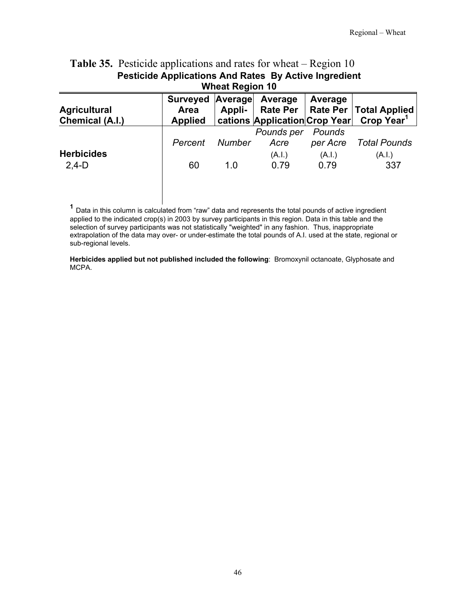| <b>Table 50.</b> I estivide applications and faces for wheat <b>exception</b> for |                  |                        |                               |          |                                     |  |
|-----------------------------------------------------------------------------------|------------------|------------------------|-------------------------------|----------|-------------------------------------|--|
| <b>Pesticide Applications And Rates By Active Ingredient</b>                      |                  |                        |                               |          |                                     |  |
|                                                                                   |                  | <b>Wheat Region 10</b> |                               |          |                                     |  |
|                                                                                   | Surveyed Average |                        | Average                       | Average  |                                     |  |
| <b>Agricultural</b>                                                               | <b>Area</b>      | Appli-                 |                               |          | Rate Per   Rate Per   Total Applied |  |
| Chemical (A.I.)                                                                   | <b>Applied</b>   |                        | cations Application Crop Year |          | Crop Year <sup>1</sup>              |  |
|                                                                                   |                  |                        | Pounds per                    | Pounds   |                                     |  |
|                                                                                   | Percent          | <b>Number</b>          | Acre                          | per Acre | <b>Total Pounds</b>                 |  |
| <b>Herbicides</b>                                                                 |                  |                        | (A.I.)                        | (A.I.)   | (A.I.)                              |  |
| $2,4-D$                                                                           | 60               | 1.0                    | 0.79                          | 0.79     | 337                                 |  |
|                                                                                   |                  |                        |                               |          |                                     |  |
|                                                                                   |                  |                        |                               |          |                                     |  |
|                                                                                   |                  |                        |                               |          |                                     |  |

# **Table 35.** Pesticide applications and rates for wheat – Region 10.

**<sup>1</sup>** Data in this column is calculated from "raw" data and represents the total pounds of active ingredient applied to the indicated crop(s) in 2003 by survey participants in this region. Data in this table and the selection of survey participants was not statistically "weighted" in any fashion. Thus, inappropriate extrapolation of the data may over- or under-estimate the total pounds of A.I. used at the state, regional or sub-regional levels.

**Herbicides applied but not published included the following**: Bromoxynil octanoate, Glyphosate and MCPA.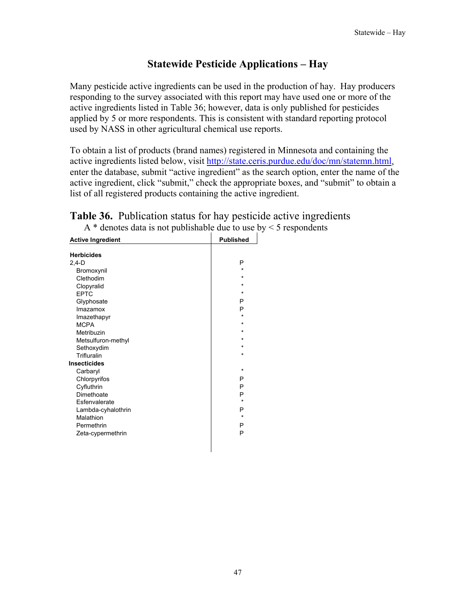# **Statewide Pesticide Applications – Hay**

Many pesticide active ingredients can be used in the production of hay. Hay producers responding to the survey associated with this report may have used one or more of the active ingredients listed in Table 36; however, data is only published for pesticides applied by 5 or more respondents. This is consistent with standard reporting protocol used by NASS in other agricultural chemical use reports.

To obtain a list of products (brand names) registered in Minnesota and containing the active ingredients listed below, visit http://state.ceris.purdue.edu/doc/mn/statemn.html, enter the database, submit "active ingredient" as the search option, enter the name of the active ingredient, click "submit," check the appropriate boxes, and "submit" to obtain a list of all registered products containing the active ingredient.

| <b>Active Ingredient</b> | <b>Published</b> |
|--------------------------|------------------|
| <b>Herbicides</b>        |                  |
| $2.4-D$                  | P                |
| Bromoxynil               | $\star$          |
| Clethodim                | $\star$          |
| Clopyralid               | $\star$          |
| <b>EPTC</b>              | $\star$          |
| Glyphosate               | P                |
| Imazamox                 | P                |
| Imazethapyr              | ÷                |
| <b>MCPA</b>              | $\star$          |
| Metribuzin               | $\star$          |
| Metsulfuron-methyl       | $\star$          |
| Sethoxydim               | $\star$          |
| Trifluralin              | $\star$          |
| Insecticides             |                  |
| Carbaryl                 | $\star$          |
| Chlorpyrifos             | P                |
| Cyfluthrin               | P                |
| Dimethoate               | P                |
| Esfenvalerate            | $\star$          |
| Lambda-cyhalothrin       | P                |
| Malathion                | $\star$          |
| Permethrin               | P                |
| Zeta-cypermethrin        | P                |
|                          |                  |
|                          |                  |

#### **Table 36.** Publication status for hay pesticide active ingredients A  $*$  denotes data is not publishable due to use by  $\leq$  5 respondents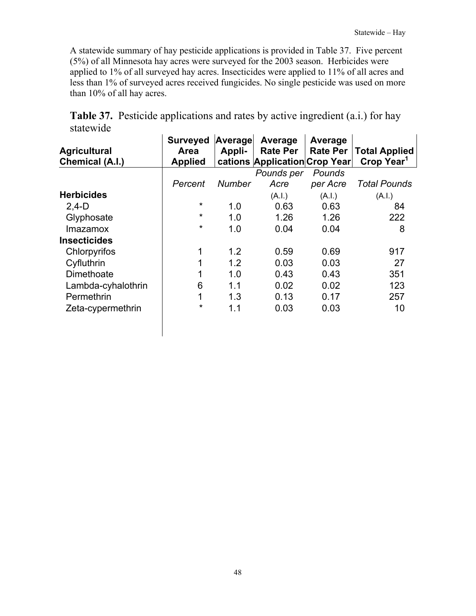A statewide summary of hay pesticide applications is provided in Table 37. Five percent (5%) of all Minnesota hay acres were surveyed for the 2003 season. Herbicides were applied to 1% of all surveyed hay acres. Insecticides were applied to 11% of all acres and less than 1% of surveyed acres received fungicides. No single pesticide was used on more than 10% of all hay acres.

|           | <b>Table 37.</b> Pesticide applications and rates by active ingredient (a.i.) for hay |  |  |  |
|-----------|---------------------------------------------------------------------------------------|--|--|--|
| statewide |                                                                                       |  |  |  |

| <b>Surveyed</b> |               | Average         | Average         |                               |
|-----------------|---------------|-----------------|-----------------|-------------------------------|
| Area            | Appli-        | <b>Rate Per</b> | <b>Rate Per</b> | <b>Total Applied</b>          |
| <b>Applied</b>  |               |                 |                 | Crop Year <sup>1</sup>        |
|                 |               | Pounds per      | Pounds          |                               |
| Percent         | <b>Number</b> | Acre            | per Acre        | <b>Total Pounds</b>           |
|                 |               | (A.I.)          | (A.I.)          | (A.I.)                        |
| $\star$         | 1.0           | 0.63            | 0.63            | 84                            |
| $\star$         | 1.0           | 1.26            | 1.26            | 222                           |
| $\star$         | 1.0           | 0.04            | 0.04            | 8                             |
|                 |               |                 |                 |                               |
| 1               | 1.2           | 0.59            | 0.69            | 917                           |
| 1               | 1.2           | 0.03            | 0.03            | 27                            |
| 1               | 1.0           | 0.43            | 0.43            | 351                           |
| 6               | 1.1           | 0.02            | 0.02            | 123                           |
| 1               | 1.3           | 0.13            | 0.17            | 257                           |
| $\star$         | 1.1           | 0.03            | 0.03            | 10                            |
|                 |               |                 | Average         | cations Application Crop Year |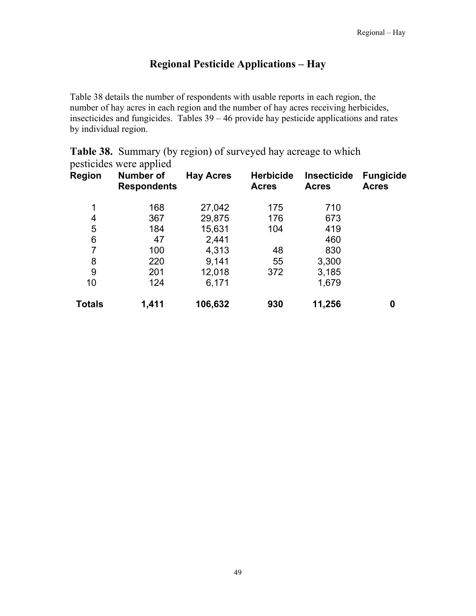# **Regional Pesticide Applications – Hay**

Table 38 details the number of respondents with usable reports in each region, the number of hay acres in each region and the number of hay acres receiving herbicides, insecticides and fungicides. Tables  $39 - 46$  provide hay pesticide applications and rates by individual region.

| <b>Region</b> | pesticides were applied<br><b>Number of</b><br><b>Respondents</b> | <b>Hay Acres</b> | <b>Herbicide</b><br><b>Acres</b> | <b>Insecticide</b><br><b>Acres</b> | <b>Fungicide</b><br><b>Acres</b> |
|---------------|-------------------------------------------------------------------|------------------|----------------------------------|------------------------------------|----------------------------------|
| 1             | 168                                                               | 27,042           | 175                              | 710                                |                                  |
| 4             | 367                                                               | 29,875           | 176                              | 673                                |                                  |
| 5             | 184                                                               | 15,631           | 104                              | 419                                |                                  |
| 6             | 47                                                                | 2,441            |                                  | 460                                |                                  |
| 7             | 100                                                               | 4,313            | 48                               | 830                                |                                  |
| 8             | 220                                                               | 9,141            | 55                               | 3,300                              |                                  |
| 9             | 201                                                               | 12,018           | 372                              | 3,185                              |                                  |
| 10            | 124                                                               | 6,171            |                                  | 1,679                              |                                  |
| <b>Totals</b> | 1,411                                                             | 106,632          | 930                              | 11,256                             | 0                                |

**Table 38.** Summary (by region) of surveyed hay acreage to which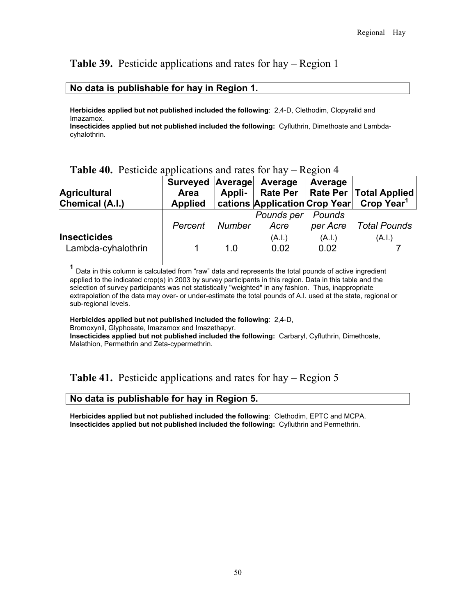## **Table 39.** Pesticide applications and rates for hay – Region 1

#### **No data is publishable for hay in Region 1.**

**Herbicides applied but not published included the following**: 2,4-D, Clethodim, Clopyralid and Imazamox.

**Insecticides applied but not published included the following:** Cyfluthrin, Dimethoate and Lambdacyhalothrin.

#### **Table 40.** Pesticide applications and rates for hay – Region 4

| <b>Agricultural</b><br>Chemical (A.I.)    | Surveyed Average Average<br><b>Area</b><br><b>Applied</b> |        |                           | Average        | Appli-   Rate Per   Rate Per   Total Applied<br>  cations   Application   Crop Year   Crop Year <sup>1</sup> |
|-------------------------------------------|-----------------------------------------------------------|--------|---------------------------|----------------|--------------------------------------------------------------------------------------------------------------|
|                                           | Percent                                                   | Number | Pounds per Pounds<br>Acre | per Acre       | Total Pounds                                                                                                 |
| <b>Insecticides</b><br>Lambda-cyhalothrin |                                                           | 1 በ    | (A.I.)<br>0.02            | (A.I.)<br>0.02 | (A.I.)                                                                                                       |

**<sup>1</sup>** Data in this column is calculated from "raw" data and represents the total pounds of active ingredient applied to the indicated crop(s) in 2003 by survey participants in this region. Data in this table and the selection of survey participants was not statistically "weighted" in any fashion. Thus, inappropriate extrapolation of the data may over- or under-estimate the total pounds of A.I. used at the state, regional or sub-regional levels.

#### **Herbicides applied but not published included the following**: 2,4-D,

Bromoxynil, Glyphosate, Imazamox and Imazethapyr.

**Insecticides applied but not published included the following:** Carbaryl, Cyfluthrin, Dimethoate, Malathion, Permethrin and Zeta-cypermethrin.

## **Table 41.** Pesticide applications and rates for hay – Region 5

#### **No data is publishable for hay in Region 5.**

**Herbicides applied but not published included the following**: Clethodim, EPTC and MCPA. **Insecticides applied but not published included the following:** Cyfluthrin and Permethrin.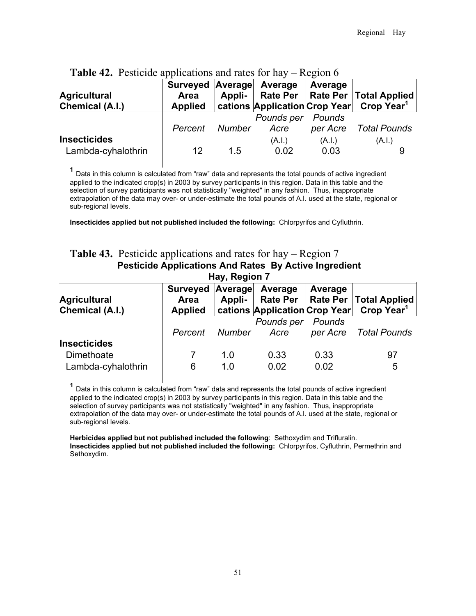| <b>THOIC</b> $\mathbf{F}$ , I conclude applications and takes for may<br><b>Agricultural</b><br>Chemical (A.I.) | Surveyed Average Average<br><b>Area</b><br><b>Applied</b> |        | cations  Application Crop Year | $\sim$<br>Average  | Appli-   Rate Per   Rate Per   Total Applied<br>Crop Year <sup>1</sup> |
|-----------------------------------------------------------------------------------------------------------------|-----------------------------------------------------------|--------|--------------------------------|--------------------|------------------------------------------------------------------------|
|                                                                                                                 | Percent                                                   | Number | Pounds per<br>Acre             | Pounds<br>per Acre | <b>Total Pounds</b>                                                    |
| <b>Insecticides</b><br>Lambda-cyhalothrin                                                                       | 12                                                        | 15     | (A.I.)<br>0.02                 | (A.I.)<br>0.03     | (A.I.)                                                                 |

#### **Table 42.** Pesticide applications and rates for hay – Region 6

**<sup>1</sup>** Data in this column is calculated from "raw" data and represents the total pounds of active ingredient applied to the indicated crop(s) in 2003 by survey participants in this region. Data in this table and the selection of survey participants was not statistically "weighted" in any fashion. Thus, inappropriate extrapolation of the data may over- or under-estimate the total pounds of A.I. used at the state, regional or sub-regional levels.

**Insecticides applied but not published included the following:** Chlorpyrifos and Cyfluthrin.

#### **Table 43.** Pesticide applications and rates for hay – Region 7  **Pesticide Applications And Rates By Active Ingredient Hay, Region 7**

| 1141.1191111                                            |                                            |            |                                                             |                    |                                                    |  |  |
|---------------------------------------------------------|--------------------------------------------|------------|-------------------------------------------------------------|--------------------|----------------------------------------------------|--|--|
| <b>Agricultural</b><br>Chemical (A.I.)                  | Surveyed Average<br>Area<br><b>Applied</b> | Appli-     | Average<br><b>Rate Per</b><br>cations Application Crop Year | Average            | Rate Per   Total Applied<br>Crop Year <sup>1</sup> |  |  |
|                                                         | Percent                                    | Number     | Pounds per<br>Acre                                          | Pounds<br>per Acre | <b>Total Pounds</b>                                |  |  |
| <b>Insecticides</b><br>Dimethoate<br>Lambda-cyhalothrin | 6                                          | 1.0<br>1.0 | 0.33<br>0.02                                                | 0.33<br>0.02       | 97<br>5                                            |  |  |

**<sup>1</sup>** Data in this column is calculated from "raw" data and represents the total pounds of active ingredient applied to the indicated crop(s) in 2003 by survey participants in this region. Data in this table and the selection of survey participants was not statistically "weighted" in any fashion. Thus, inappropriate extrapolation of the data may over- or under-estimate the total pounds of A.I. used at the state, regional or sub-regional levels.

**Herbicides applied but not published included the following**: Sethoxydim and Trifluralin. **Insecticides applied but not published included the following:** Chlorpyrifos, Cyfluthrin, Permethrin and Sethoxydim.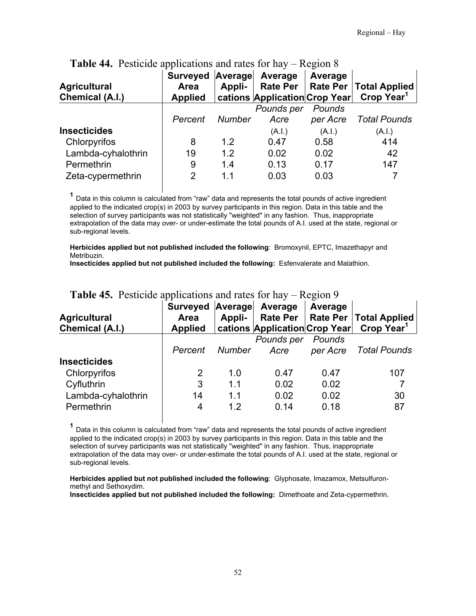| <b>Agricultural</b><br>Chemical (A.I.) | <b>Surveyed</b><br>Area<br><b>Applied</b> | Average<br>Appli- | Average<br><b>Rate Per</b><br>cations Application Crop Year | Average  | Rate Per   Total Applied<br>Crop Year <sup>1</sup> |
|----------------------------------------|-------------------------------------------|-------------------|-------------------------------------------------------------|----------|----------------------------------------------------|
|                                        |                                           |                   | Pounds per                                                  | Pounds   |                                                    |
|                                        | Percent                                   | <b>Number</b>     | Acre                                                        | per Acre | <b>Total Pounds</b>                                |
| <b>Insecticides</b>                    |                                           |                   | (A.I.)                                                      | (A.I.)   | (A.I.)                                             |
| Chlorpyrifos                           | 8                                         | 1.2               | 0.47                                                        | 0.58     | 414                                                |
| Lambda-cyhalothrin                     | 19                                        | 1.2               | 0.02                                                        | 0.02     | 42                                                 |
| Permethrin                             | 9                                         | 1.4               | 0.13                                                        | 0.17     | 147                                                |
| Zeta-cypermethrin                      | 2                                         | 1.1               | 0.03                                                        | 0.03     |                                                    |
|                                        |                                           |                   |                                                             |          |                                                    |

#### **Table 44.** Pesticide applications and rates for hay – Region 8

**<sup>1</sup>** Data in this column is calculated from "raw" data and represents the total pounds of active ingredient applied to the indicated crop(s) in 2003 by survey participants in this region. Data in this table and the selection of survey participants was not statistically "weighted" in any fashion. Thus, inappropriate extrapolation of the data may over- or under-estimate the total pounds of A.I. used at the state, regional or sub-regional levels.

**Herbicides applied but not published included the following**: Bromoxynil, EPTC, Imazethapyr and Metribuzin.

**Insecticides applied but not published included the following:** Esfenvalerate and Malathion.

| <b>Agricultural</b><br>Chemical (A.I.) | Surveyed Average<br>Area<br><b>Applied</b> | Appli-        | Average<br><b>Rate Per</b><br>cations Application Crop Year | Average  | Rate Per   Total Applied<br>Crop Year <sup>1</sup> |
|----------------------------------------|--------------------------------------------|---------------|-------------------------------------------------------------|----------|----------------------------------------------------|
|                                        |                                            |               | Pounds per                                                  | Pounds   |                                                    |
|                                        | Percent                                    | <b>Number</b> | Acre                                                        | per Acre | <b>Total Pounds</b>                                |
| <b>Insecticides</b>                    |                                            |               |                                                             |          |                                                    |
| Chlorpyrifos                           | 2                                          | 1.0           | 0.47                                                        | 0.47     | 107                                                |
| Cyfluthrin                             | 3                                          | 1.1           | 0.02                                                        | 0.02     |                                                    |
| Lambda-cyhalothrin                     | 14                                         | 1.1           | 0.02                                                        | 0.02     | 30                                                 |
| Permethrin                             | 4                                          | 1.2           | 0.14                                                        | 0.18     | 87                                                 |

#### **Table 45.** Pesticide applications and rates for hay – Region 9

**<sup>1</sup>** Data in this column is calculated from "raw" data and represents the total pounds of active ingredient applied to the indicated crop(s) in 2003 by survey participants in this region. Data in this table and the selection of survey participants was not statistically "weighted" in any fashion. Thus, inappropriate extrapolation of the data may over- or under-estimate the total pounds of A.I. used at the state, regional or sub-regional levels.

**Herbicides applied but not published included the following**: Glyphosate, Imazamox, Metsulfuronmethyl and Sethoxydim.

**Insecticides applied but not published included the following:** Dimethoate and Zeta-cypermethrin.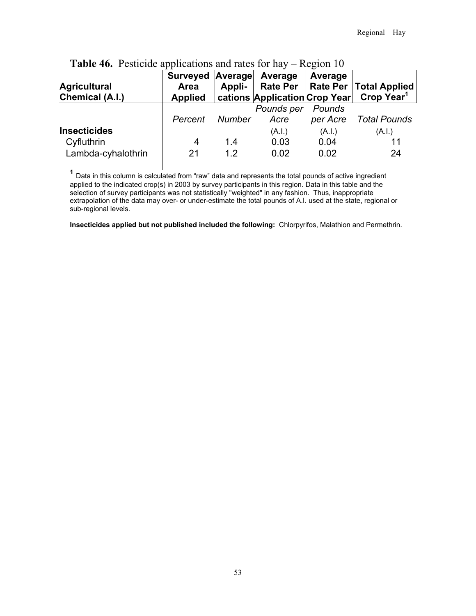| <b>Agricultural</b><br>Chemical (A.I.)                  | Surveyed Average<br>Area<br><b>Applied</b> | Appli-     | Average                | Average                | Rate Per   Rate Per   Total Applied<br>cations Application Crop Year Crop Year <sup>1</sup> |
|---------------------------------------------------------|--------------------------------------------|------------|------------------------|------------------------|---------------------------------------------------------------------------------------------|
|                                                         | Percent                                    | Number     | Pounds per<br>Acre     | Pounds<br>per Acre     | Total Pounds                                                                                |
| <b>Insecticides</b><br>Cyfluthrin<br>Lambda-cyhalothrin | 4<br>21                                    | 1.4<br>1.2 | (A.I.)<br>0.03<br>0.02 | (A.I.)<br>0.04<br>0.02 | (A.I.)<br>11<br>24                                                                          |

# **Table 46.** Pesticide applications and rates for hay – Region 10

**<sup>1</sup>** Data in this column is calculated from "raw" data and represents the total pounds of active ingredient applied to the indicated crop(s) in 2003 by survey participants in this region. Data in this table and the selection of survey participants was not statistically "weighted" in any fashion. Thus, inappropriate extrapolation of the data may over- or under-estimate the total pounds of A.I. used at the state, regional or sub-regional levels.

**Insecticides applied but not published included the following:** Chlorpyrifos, Malathion and Permethrin.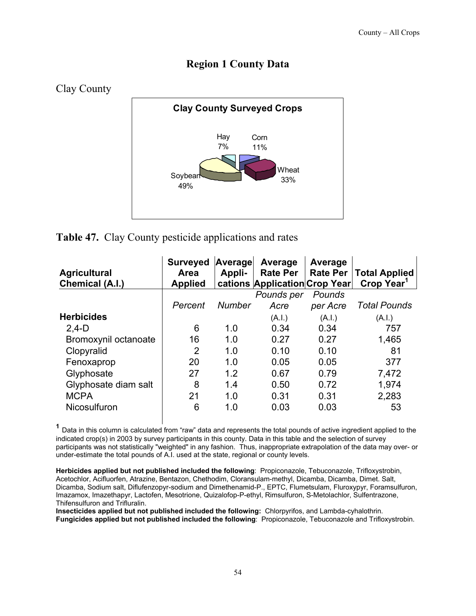# **Region 1 County Data**



#### **Table 47.** Clay County pesticide applications and rates

| <b>Agricultural</b><br>Chemical (A.I.) | <b>Surveyed</b><br>Area<br><b>Applied</b> | Average<br>Appli- | Average<br><b>Rate Per</b><br>cations Application Crop Year | Average<br>Rate Per | <b>Total Applied</b><br>Crop Year <sup>1</sup> |
|----------------------------------------|-------------------------------------------|-------------------|-------------------------------------------------------------|---------------------|------------------------------------------------|
|                                        |                                           |                   | Pounds per                                                  | Pounds              |                                                |
|                                        | Percent                                   | <b>Number</b>     | Acre                                                        | per Acre            | <b>Total Pounds</b>                            |
| <b>Herbicides</b>                      |                                           |                   | (A.I.)                                                      | (A.I.)              | (A.I.)                                         |
| $2,4-D$                                | 6                                         | 1.0               | 0.34                                                        | 0.34                | 757                                            |
| Bromoxynil octanoate                   | 16                                        | 1.0               | 0.27                                                        | 0.27                | 1,465                                          |
| Clopyralid                             | 2                                         | 1.0               | 0.10                                                        | 0.10                | 81                                             |
| Fenoxaprop                             | 20                                        | 1.0               | 0.05                                                        | 0.05                | 377                                            |
| Glyphosate                             | 27                                        | 1.2               | 0.67                                                        | 0.79                | 7,472                                          |
| Glyphosate diam salt                   | 8                                         | 1.4               | 0.50                                                        | 0.72                | 1,974                                          |
| <b>MCPA</b>                            | 21                                        | 1.0               | 0.31                                                        | 0.31                | 2,283                                          |
| Nicosulfuron                           | 6                                         | 1.0               | 0.03                                                        | 0.03                | 53                                             |

 **<sup>1</sup>** Data in this column is calculated from "raw" data and represents the total pounds of active ingredient applied to the indicated crop(s) in 2003 by survey participants in this county. Data in this table and the selection of survey participants was not statistically "weighted" in any fashion. Thus, inappropriate extrapolation of the data may over- or under-estimate the total pounds of A.I. used at the state, regional or county levels.

**Herbicides applied but not published included the following**: Propiconazole, Tebuconazole, Trifloxystrobin, Acetochlor, Acifluorfen, Atrazine, Bentazon, Chethodim, Cloransulam-methyl, Dicamba, Dicamba, Dimet. Salt, Dicamba, Sodium salt, Diflufenzopyr-sodium and Dimethenamid-P., EPTC, Flumetsulam, Fluroxypyr, Foramsulfuron, Imazamox, Imazethapyr, Lactofen, Mesotrione, Quizalofop-P-ethyl, Rimsulfuron, S-Metolachlor, Sulfentrazone, Thifensulfuron and Trifluralin.

**Insecticides applied but not published included the following:** Chlorpyrifos, and Lambda-cyhalothrin. **Fungicides applied but not published included the following**: Propiconazole, Tebuconazole and Trifloxystrobin.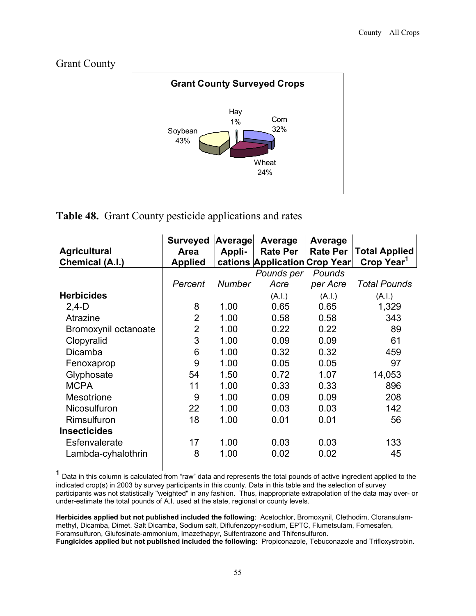## Grant County



# **Table 48.** Grant County pesticide applications and rates

| <b>Agricultural</b><br>Chemical (A.I.) | <b>Surveyed</b><br>Area<br><b>Applied</b> | Average<br>Appli- | Average<br><b>Rate Per</b><br>cations Application Crop Year | Average<br><b>Rate Per</b> | <b>Total Applied</b><br>Crop Year <sup>1</sup> |
|----------------------------------------|-------------------------------------------|-------------------|-------------------------------------------------------------|----------------------------|------------------------------------------------|
|                                        |                                           |                   | Pounds per                                                  | Pounds                     |                                                |
|                                        | Percent                                   | Number            | Acre                                                        | per Acre                   | <b>Total Pounds</b>                            |
| <b>Herbicides</b>                      |                                           |                   | (A.I.)                                                      | (A.I.)                     | (A.I.)                                         |
| $2.4-D$                                | 8                                         | 1.00              | 0.65                                                        | 0.65                       | 1,329                                          |
| Atrazine                               | $\overline{2}$                            | 1.00              | 0.58                                                        | 0.58                       | 343                                            |
| Bromoxynil octanoate                   | $\overline{2}$                            | 1.00              | 0.22                                                        | 0.22                       | 89                                             |
| Clopyralid                             | 3                                         | 1.00              | 0.09                                                        | 0.09                       | 61                                             |
| Dicamba                                | 6                                         | 1.00              | 0.32                                                        | 0.32                       | 459                                            |
| Fenoxaprop                             | 9                                         | 1.00              | 0.05                                                        | 0.05                       | 97                                             |
| Glyphosate                             | 54                                        | 1.50              | 0.72                                                        | 1.07                       | 14,053                                         |
| <b>MCPA</b>                            | 11                                        | 1.00              | 0.33                                                        | 0.33                       | 896                                            |
| <b>Mesotrione</b>                      | 9                                         | 1.00              | 0.09                                                        | 0.09                       | 208                                            |
| Nicosulfuron                           | 22                                        | 1.00              | 0.03                                                        | 0.03                       | 142                                            |
| Rimsulfuron                            | 18                                        | 1.00              | 0.01                                                        | 0.01                       | 56                                             |
| <b>Insecticides</b>                    |                                           |                   |                                                             |                            |                                                |
| Esfenvalerate                          | 17                                        | 1.00              | 0.03                                                        | 0.03                       | 133                                            |
| Lambda-cyhalothrin                     | 8                                         | 1.00              | 0.02                                                        | 0.02                       | 45                                             |

 **<sup>1</sup>** Data in this column is calculated from "raw" data and represents the total pounds of active ingredient applied to the indicated crop(s) in 2003 by survey participants in this county. Data in this table and the selection of survey participants was not statistically "weighted" in any fashion. Thus, inappropriate extrapolation of the data may over- or under-estimate the total pounds of A.I. used at the state, regional or county levels.

**Herbicides applied but not published included the following**: Acetochlor, Bromoxynil, Clethodim, Cloransulammethyl, Dicamba, Dimet. Salt Dicamba, Sodium salt, Diflufenzopyr-sodium, EPTC, Flumetsulam, Fomesafen, Foramsulfuron, Glufosinate-ammonium, Imazethapyr, Sulfentrazone and Thifensulfuron. **Fungicides applied but not published included the following**: Propiconazole, Tebuconazole and Trifloxystrobin.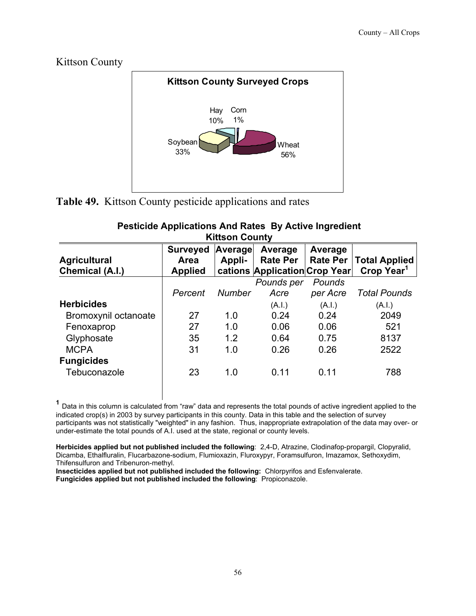

**Table 49.** Kittson County pesticide applications and rates

| <b>Pesticide Applications And Rates By Active Ingredient</b> |  |
|--------------------------------------------------------------|--|
| <b>Kittson County</b>                                        |  |

| <b>Agricultural</b>  | <b>Surveyed</b><br>Area | Average<br>Appli- | Average<br><b>Rate Per</b>    | Average<br><b>Rate Per</b> | <b>Total Applied</b>   |
|----------------------|-------------------------|-------------------|-------------------------------|----------------------------|------------------------|
| Chemical (A.I.)      | <b>Applied</b>          |                   | cations Application Crop Year |                            | Crop Year <sup>1</sup> |
|                      |                         |                   | Pounds per                    | Pounds                     |                        |
|                      | Percent                 | <b>Number</b>     | Acre                          | per Acre                   | <b>Total Pounds</b>    |
| <b>Herbicides</b>    |                         |                   | (A.I.)                        | (A.I.)                     | (A.I.)                 |
| Bromoxynil octanoate | 27                      | 1.0               | 0.24                          | 0.24                       | 2049                   |
| Fenoxaprop           | 27                      | 1.0               | 0.06                          | 0.06                       | 521                    |
| Glyphosate           | 35                      | 1.2               | 0.64                          | 0.75                       | 8137                   |
| <b>MCPA</b>          | 31                      | 1.0               | 0.26                          | 0.26                       | 2522                   |
| <b>Fungicides</b>    |                         |                   |                               |                            |                        |
| Tebuconazole         | 23                      | 1.0               | 0.11                          | 0.11                       | 788                    |

 **<sup>1</sup>** Data in this column is calculated from "raw" data and represents the total pounds of active ingredient applied to the indicated crop(s) in 2003 by survey participants in this county. Data in this table and the selection of survey participants was not statistically "weighted" in any fashion. Thus, inappropriate extrapolation of the data may over- or under-estimate the total pounds of A.I. used at the state, regional or county levels.

**Herbicides applied but not published included the following**: 2,4-D, Atrazine, Clodinafop-propargil, Clopyralid, Dicamba, Ethalfluralin, Flucarbazone-sodium, Flumioxazin, Fluroxypyr, Foramsulfuron, Imazamox, Sethoxydim, Thifensulfuron and Tribenuron-methyl.

**Insecticides applied but not published included the following:** Chlorpyrifos and Esfenvalerate. **Fungicides applied but not published included the following**: Propiconazole.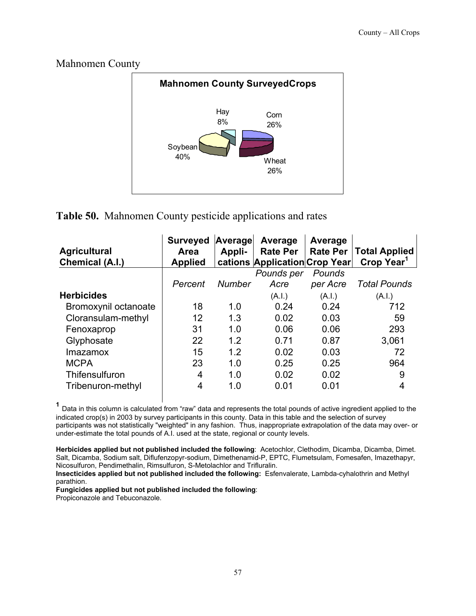

#### Mahnomen County

# **Table 50.** Mahnomen County pesticide applications and rates

| <b>Agricultural</b><br><b>Chemical (A.I.)</b> | <b>Surveyed</b><br>Area<br><b>Applied</b> | Average<br>Appli- | Average<br><b>Rate Per</b><br>cations Application Crop Year | Average<br><b>Rate Per</b> | <b>Total Applied</b><br>Crop Year <sup>1</sup> |
|-----------------------------------------------|-------------------------------------------|-------------------|-------------------------------------------------------------|----------------------------|------------------------------------------------|
|                                               |                                           |                   | Pounds per                                                  | Pounds                     |                                                |
|                                               | Percent                                   | <b>Number</b>     | Acre                                                        | per Acre                   | <b>Total Pounds</b>                            |
| <b>Herbicides</b>                             |                                           |                   | (A.l.)                                                      | (A.I.)                     | (A.l.)                                         |
| Bromoxynil octanoate                          | 18                                        | 1.0               | 0.24                                                        | 0.24                       | 712                                            |
| Cloransulam-methyl                            | 12                                        | 1.3               | 0.02                                                        | 0.03                       | 59                                             |
| Fenoxaprop                                    | 31                                        | 1.0               | 0.06                                                        | 0.06                       | 293                                            |
| Glyphosate                                    | 22                                        | 1.2               | 0.71                                                        | 0.87                       | 3,061                                          |
| Imazamox                                      | 15                                        | 1.2               | 0.02                                                        | 0.03                       | 72                                             |
| <b>MCPA</b>                                   | 23                                        | 1.0               | 0.25                                                        | 0.25                       | 964                                            |
| Thifensulfuron                                | 4                                         | 1.0               | 0.02                                                        | 0.02                       | 9                                              |
| Tribenuron-methyl                             | 4                                         | 1.0               | 0.01                                                        | 0.01                       |                                                |

 **<sup>1</sup>** Data in this column is calculated from "raw" data and represents the total pounds of active ingredient applied to the indicated crop(s) in 2003 by survey participants in this county. Data in this table and the selection of survey participants was not statistically "weighted" in any fashion. Thus, inappropriate extrapolation of the data may over- or under-estimate the total pounds of A.I. used at the state, regional or county levels.

**Herbicides applied but not published included the following**: Acetochlor, Clethodim, Dicamba, Dicamba, Dimet. Salt, Dicamba, Sodium salt, Diflufenzopyr-sodium, Dimethenamid-P, EPTC, Flumetsulam, Fomesafen, Imazethapyr, Nicosulfuron, Pendimethalin, Rimsulfuron, S-Metolachlor and Trifluralin.

**Insecticides applied but not published included the following:** Esfenvalerate, Lambda-cyhalothrin and Methyl parathion.

**Fungicides applied but not published included the following**:

Propiconazole and Tebuconazole.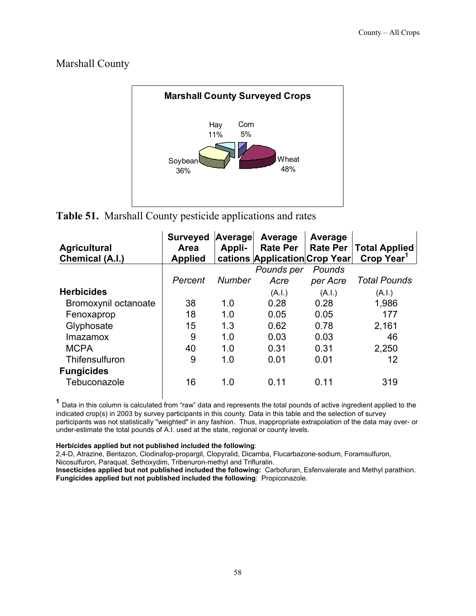# Marshall County



**Table 51.** Marshall County pesticide applications and rates

|                      | <b>Surveyed</b> | Average       | Average                       | Average         |                        |
|----------------------|-----------------|---------------|-------------------------------|-----------------|------------------------|
| <b>Agricultural</b>  | Area            | Appli-        | <b>Rate Per</b>               | <b>Rate Per</b> | <b>Total Applied</b>   |
| Chemical (A.I.)      | <b>Applied</b>  |               | cations Application Crop Year |                 | Crop Year <sup>1</sup> |
|                      |                 |               | Pounds per                    | Pounds          |                        |
|                      | Percent         | <b>Number</b> | Acre                          | per Acre        | <b>Total Pounds</b>    |
| <b>Herbicides</b>    |                 |               | (A.I.)                        | (A.I.)          | (A.I.)                 |
| Bromoxynil octanoate | 38              | 1.0           | 0.28                          | 0.28            | 1,986                  |
| Fenoxaprop           | 18              | 1.0           | 0.05                          | 0.05            | 177                    |
| Glyphosate           | 15              | 1.3           | 0.62                          | 0.78            | 2,161                  |
| <b>Imazamox</b>      | 9               | 1.0           | 0.03                          | 0.03            | 46                     |
| <b>MCPA</b>          | 40              | 1.0           | 0.31                          | 0.31            | 2,250                  |
| Thifensulfuron       | 9               | 1.0           | 0.01                          | 0.01            | 12                     |
| <b>Fungicides</b>    |                 |               |                               |                 |                        |
| Tebuconazole         | 16              | 1.0           | 0.11                          | 0.11            | 319                    |

 **<sup>1</sup>** Data in this column is calculated from "raw" data and represents the total pounds of active ingredient applied to the indicated crop(s) in 2003 by survey participants in this county. Data in this table and the selection of survey participants was not statistically "weighted" in any fashion. Thus, inappropriate extrapolation of the data may over- or under-estimate the total pounds of A.I. used at the state, regional or county levels.

#### **Herbicides applied but not published included the following**:

2,4-D, Atrazine, Bentazon, Clodinafop-propargil, Clopyralid, Dicamba, Flucarbazone-sodium, Foramsulfuron, Nicosulfuron, Paraquat, Sethoxydim, Tribenuron-methyl and Trifluralin.

**Insecticides applied but not published included the following:** Carbofuran, Esfenvalerate and Methyl parathion. **Fungicides applied but not published included the following**: Propiconazole.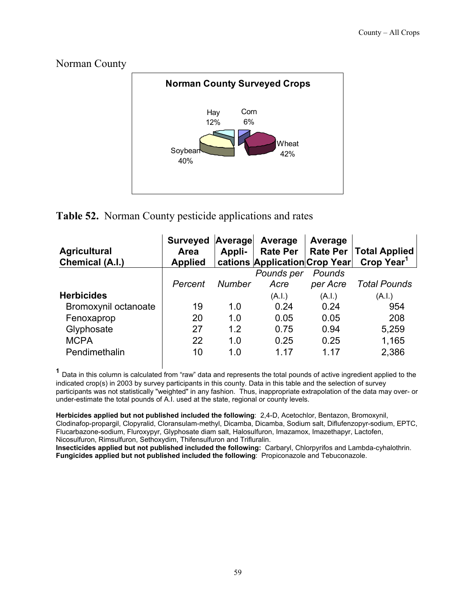Norman County



# **Table 52.** Norman County pesticide applications and rates

| <b>Agricultural</b><br>Chemical (A.I.) | <b>Surveyed</b><br>Area<br><b>Applied</b> | Average<br>Appli- | Average<br><b>Rate Per</b><br>cations Application Crop Year | Average  | Rate Per   Total Applied<br>Crop Year <sup>1</sup> |
|----------------------------------------|-------------------------------------------|-------------------|-------------------------------------------------------------|----------|----------------------------------------------------|
|                                        |                                           |                   | Pounds per                                                  | Pounds   |                                                    |
|                                        | Percent                                   | <b>Number</b>     | Acre                                                        | per Acre | <b>Total Pounds</b>                                |
| <b>Herbicides</b>                      |                                           |                   | (A.l.)                                                      | (A.I.)   | (A.I.)                                             |
| Bromoxynil octanoate                   | 19                                        | 1.0               | 0.24                                                        | 0.24     | 954                                                |
| Fenoxaprop                             | 20                                        | 1.0               | 0.05                                                        | 0.05     | 208                                                |
| Glyphosate                             | 27                                        | 1.2               | 0.75                                                        | 0.94     | 5,259                                              |
| <b>MCPA</b>                            | 22                                        | 1.0               | 0.25                                                        | 0.25     | 1,165                                              |
| Pendimethalin                          | 10                                        | 1.0               | 1 17                                                        | 1 17     | 2,386                                              |

 **<sup>1</sup>** Data in this column is calculated from "raw" data and represents the total pounds of active ingredient applied to the indicated crop(s) in 2003 by survey participants in this county. Data in this table and the selection of survey participants was not statistically "weighted" in any fashion. Thus, inappropriate extrapolation of the data may over- or under-estimate the total pounds of A.I. used at the state, regional or county levels.

**Herbicides applied but not published included the following**: 2,4-D, Acetochlor, Bentazon, Bromoxynil, Clodinafop-propargil, Clopyralid, Cloransulam-methyl, Dicamba, Dicamba, Sodium salt, Diflufenzopyr-sodium, EPTC, Flucarbazone-sodium, Fluroxypyr, Glyphosate diam salt, Halosulfuron, Imazamox, Imazethapyr, Lactofen, Nicosulfuron, Rimsulfuron, Sethoxydim, Thifensulfuron and Trifluralin.

**Insecticides applied but not published included the following:** Carbaryl, Chlorpyrifos and Lambda-cyhalothrin. **Fungicides applied but not published included the following**: Propiconazole and Tebuconazole.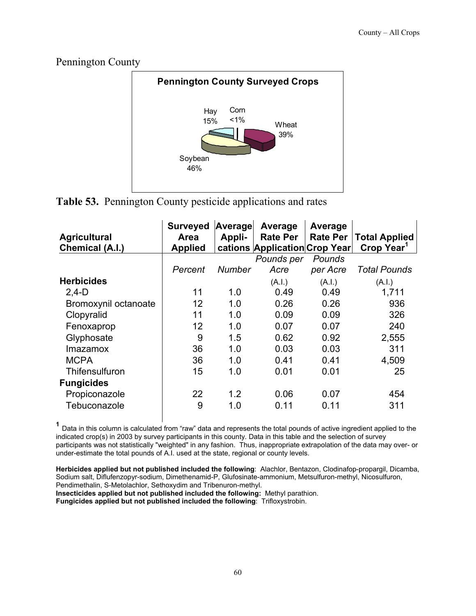Pennington County



**Table 53.** Pennington County pesticide applications and rates

| <b>Agricultural</b><br>Chemical (A.I.) | <b>Surveyed</b><br>Area<br><b>Applied</b> | Average<br>Appli- | Average<br><b>Rate Per</b><br>cations Application Crop Year | Average<br><b>Rate Per</b> | <b>Total Applied</b><br>Crop Year <sup>1</sup> |
|----------------------------------------|-------------------------------------------|-------------------|-------------------------------------------------------------|----------------------------|------------------------------------------------|
|                                        |                                           |                   | Pounds per                                                  | Pounds                     |                                                |
|                                        | Percent                                   | <b>Number</b>     | Acre                                                        | per Acre                   | <b>Total Pounds</b>                            |
| <b>Herbicides</b>                      |                                           |                   | (A.I.)                                                      | (A.I.)                     | (A.I.)                                         |
| $2,4-D$                                | 11                                        | 1.0               | 0.49                                                        | 0.49                       | 1,711                                          |
| Bromoxynil octanoate                   | 12                                        | 1.0               | 0.26                                                        | 0.26                       | 936                                            |
| Clopyralid                             | 11                                        | 1.0               | 0.09                                                        | 0.09                       | 326                                            |
| Fenoxaprop                             | 12                                        | 1.0               | 0.07                                                        | 0.07                       | 240                                            |
| Glyphosate                             | 9                                         | 1.5               | 0.62                                                        | 0.92                       | 2,555                                          |
| <b>Imazamox</b>                        | 36                                        | 1.0               | 0.03                                                        | 0.03                       | 311                                            |
| <b>MCPA</b>                            | 36                                        | 1.0               | 0.41                                                        | 0.41                       | 4,509                                          |
| Thifensulfuron                         | 15                                        | 1.0               | 0.01                                                        | 0.01                       | 25                                             |
| <b>Fungicides</b>                      |                                           |                   |                                                             |                            |                                                |
| Propiconazole                          | 22                                        | 1.2               | 0.06                                                        | 0.07                       | 454                                            |
| Tebuconazole                           | 9                                         | 1.0               | 0.11                                                        | 0.11                       | 311                                            |

 **<sup>1</sup>** Data in this column is calculated from "raw" data and represents the total pounds of active ingredient applied to the indicated crop(s) in 2003 by survey participants in this county. Data in this table and the selection of survey participants was not statistically "weighted" in any fashion. Thus, inappropriate extrapolation of the data may over- or under-estimate the total pounds of A.I. used at the state, regional or county levels.

**Herbicides applied but not published included the following**: Alachlor, Bentazon, Clodinafop-propargil, Dicamba, Sodium salt, Diflufenzopyr-sodium, Dimethenamid-P, Glufosinate-ammonium, Metsulfuron-methyl, Nicosulfuron, Pendimethalin, S-Metolachlor, Sethoxydim and Tribenuron-methyl.

**Insecticides applied but not published included the following:** Methyl parathion.

**Fungicides applied but not published included the following**: Trifloxystrobin.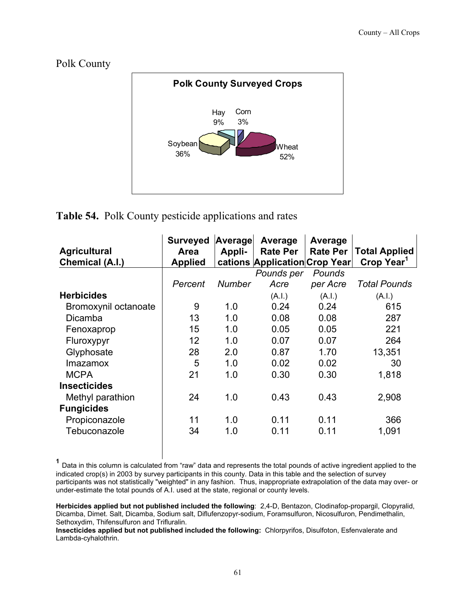Polk County



# **Table 54.** Polk County pesticide applications and rates

| <b>Surveyed</b> |               | Average    | Average                    |                                                  |
|-----------------|---------------|------------|----------------------------|--------------------------------------------------|
|                 |               |            |                            | <b>Total Applied</b>                             |
| <b>Applied</b>  |               |            |                            | Crop Year <sup>1</sup>                           |
|                 |               | Pounds per | Pounds                     |                                                  |
| Percent         | <b>Number</b> | Acre       | per Acre                   | <b>Total Pounds</b>                              |
|                 |               | (A.I.)     | (A.I.)                     | (A.I.)                                           |
| 9               | 1.0           | 0.24       | 0.24                       | 615                                              |
| 13              | 1.0           | 0.08       | 0.08                       | 287                                              |
| 15              | 1.0           | 0.05       | 0.05                       | 221                                              |
| 12              | 1.0           | 0.07       | 0.07                       | 264                                              |
| 28              | 2.0           | 0.87       | 1.70                       | 13,351                                           |
| 5               | 1.0           | 0.02       | 0.02                       | 30                                               |
| 21              | 1.0           | 0.30       | 0.30                       | 1,818                                            |
|                 |               |            |                            |                                                  |
| 24              | 1.0           | 0.43       | 0.43                       | 2,908                                            |
|                 |               |            |                            |                                                  |
| 11              | 1.0           | 0.11       | 0.11                       | 366                                              |
| 34              | 1.0           | 0.11       | 0.11                       | 1,091                                            |
|                 | Area          | Appli-     | Average<br><b>Rate Per</b> | <b>Rate Per</b><br>cations Application Crop Year |

**<sup>1</sup>** Data in this column is calculated from "raw" data and represents the total pounds of active ingredient applied to the indicated crop(s) in 2003 by survey participants in this county. Data in this table and the selection of survey participants was not statistically "weighted" in any fashion. Thus, inappropriate extrapolation of the data may over- or under-estimate the total pounds of A.I. used at the state, regional or county levels.

**Herbicides applied but not published included the following**: 2,4-D, Bentazon, Clodinafop-propargil, Clopyralid, Dicamba, Dimet. Salt, Dicamba, Sodium salt, Diflufenzopyr-sodium, Foramsulfuron, Nicosulfuron, Pendimethalin, Sethoxydim, Thifensulfuron and Trifluralin.

**Insecticides applied but not published included the following:** Chlorpyrifos, Disulfoton, Esfenvalerate and Lambda-cyhalothrin.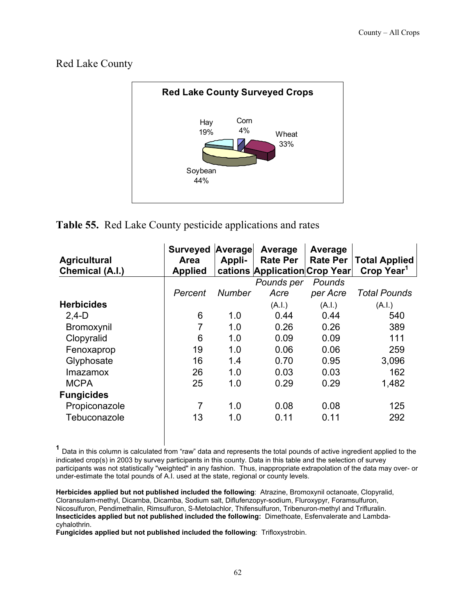Red Lake County



**Table 55.** Red Lake County pesticide applications and rates

| <b>Agricultural</b><br>Chemical (A.I.) | <b>Surveyed</b><br>Area<br><b>Applied</b> | Average<br>Appli- | Average<br><b>Rate Per</b><br>cations Application Crop Year | Average<br><b>Rate Per</b> | <b>Total Applied</b><br>Crop Year <sup>1</sup> |
|----------------------------------------|-------------------------------------------|-------------------|-------------------------------------------------------------|----------------------------|------------------------------------------------|
|                                        |                                           |                   | Pounds per                                                  | Pounds                     |                                                |
|                                        | Percent                                   | <b>Number</b>     | Acre                                                        | per Acre                   | Total Pounds                                   |
| <b>Herbicides</b>                      |                                           |                   | (A.I.)                                                      | (A.I.)                     | (A.l.)                                         |
| $2,4-D$                                | 6                                         | 1.0               | 0.44                                                        | 0.44                       | 540                                            |
| <b>Bromoxynil</b>                      | $\overline{7}$                            | 1.0               | 0.26                                                        | 0.26                       | 389                                            |
| Clopyralid                             | 6                                         | 1.0               | 0.09                                                        | 0.09                       | 111                                            |
| Fenoxaprop                             | 19                                        | 1.0               | 0.06                                                        | 0.06                       | 259                                            |
| Glyphosate                             | 16                                        | 1.4               | 0.70                                                        | 0.95                       | 3,096                                          |
| Imazamox                               | 26                                        | 1.0               | 0.03                                                        | 0.03                       | 162                                            |
| <b>MCPA</b>                            | 25                                        | 1.0               | 0.29                                                        | 0.29                       | 1,482                                          |
| <b>Fungicides</b>                      |                                           |                   |                                                             |                            |                                                |
| Propiconazole                          | 7                                         | 1.0               | 0.08                                                        | 0.08                       | 125                                            |
| Tebuconazole                           | 13                                        | 1.0               | 0.11                                                        | 0.11                       | 292                                            |

**<sup>1</sup>** Data in this column is calculated from "raw" data and represents the total pounds of active ingredient applied to the indicated crop(s) in 2003 by survey participants in this county. Data in this table and the selection of survey participants was not statistically "weighted" in any fashion. Thus, inappropriate extrapolation of the data may over- or under-estimate the total pounds of A.I. used at the state, regional or county levels.

**Herbicides applied but not published included the following**: Atrazine, Bromoxynil octanoate, Clopyralid, Cloransulam-methyl, Dicamba, Dicamba, Sodium salt, Diflufenzopyr-sodium, Fluroxypyr, Foramsulfuron, Nicosulfuron, Pendimethalin, Rimsulfuron, S-Metolachlor, Thifensulfuron, Tribenuron-methyl and Trifluralin. **Insecticides applied but not published included the following:** Dimethoate, Esfenvalerate and Lambdacyhalothrin.

**Fungicides applied but not published included the following**: Trifloxystrobin.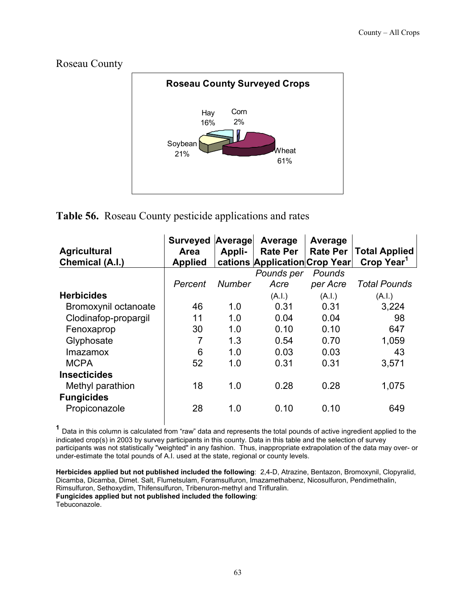Roseau County



**Table 56.** Roseau County pesticide applications and rates

| <b>Agricultural</b><br>Chemical (A.I.) | <b>Surveyed</b><br><b>Area</b><br><b>Applied</b> | Average<br>Appli- | Average<br><b>Rate Per</b><br>cations Application Crop Year | Average<br><b>Rate Per</b> | <b>Total Applied</b><br>Crop Year <sup>1</sup> |
|----------------------------------------|--------------------------------------------------|-------------------|-------------------------------------------------------------|----------------------------|------------------------------------------------|
|                                        |                                                  |                   | Pounds per                                                  | Pounds                     |                                                |
|                                        | Percent                                          | <b>Number</b>     | Acre                                                        | per Acre                   | <b>Total Pounds</b>                            |
| <b>Herbicides</b>                      |                                                  |                   | (A.I.)                                                      | (A.I.)                     | (A.I.)                                         |
| Bromoxynil octanoate                   | 46                                               | 1.0               | 0.31                                                        | 0.31                       | 3,224                                          |
| Clodinafop-propargil                   | 11                                               | 1.0               | 0.04                                                        | 0.04                       | 98                                             |
| Fenoxaprop                             | 30                                               | 1.0               | 0.10                                                        | 0.10                       | 647                                            |
| Glyphosate                             | 7                                                | 1.3               | 0.54                                                        | 0.70                       | 1,059                                          |
| Imazamox                               | 6                                                | 1.0               | 0.03                                                        | 0.03                       | 43                                             |
| <b>MCPA</b>                            | 52                                               | 1.0               | 0.31                                                        | 0.31                       | 3,571                                          |
| <b>Insecticides</b>                    |                                                  |                   |                                                             |                            |                                                |
| Methyl parathion                       | 18                                               | 1.0               | 0.28                                                        | 0.28                       | 1,075                                          |
| <b>Fungicides</b>                      |                                                  |                   |                                                             |                            |                                                |
| Propiconazole                          | 28                                               | 1.0               | 0.10                                                        | 0.10                       | 649                                            |

 **<sup>1</sup>** Data in this column is calculated from "raw" data and represents the total pounds of active ingredient applied to the indicated crop(s) in 2003 by survey participants in this county. Data in this table and the selection of survey participants was not statistically "weighted" in any fashion. Thus, inappropriate extrapolation of the data may over- or under-estimate the total pounds of A.I. used at the state, regional or county levels.

**Herbicides applied but not published included the following**: 2,4-D, Atrazine, Bentazon, Bromoxynil, Clopyralid, Dicamba, Dicamba, Dimet. Salt, Flumetsulam, Foramsulfuron, Imazamethabenz, Nicosulfuron, Pendimethalin, Rimsulfuron, Sethoxydim, Thifensulfuron, Tribenuron-methyl and Trifluralin. **Fungicides applied but not published included the following**: Tebuconazole.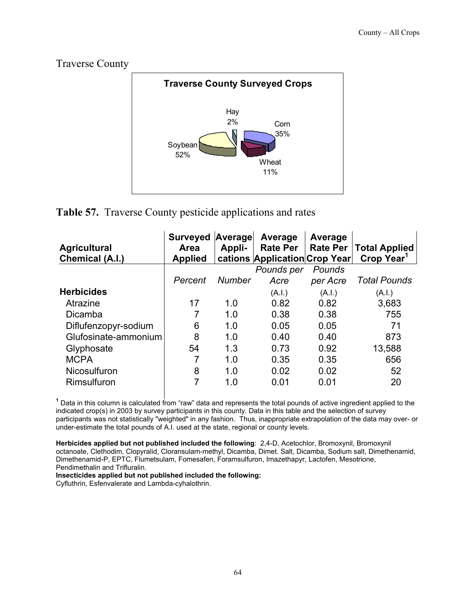Traverse County



**Table 57.** Traverse County pesticide applications and rates

| <b>Agricultural</b><br><b>Chemical (A.I.)</b> | <b>Surveyed</b><br><b>Area</b><br><b>Applied</b> | Average<br>Appli- | Average<br><b>Rate Per</b><br>cations Application Crop Year | Average<br><b>Rate Per</b> | <b>Total Applied</b><br>Crop Year <sup>1</sup> |
|-----------------------------------------------|--------------------------------------------------|-------------------|-------------------------------------------------------------|----------------------------|------------------------------------------------|
|                                               |                                                  |                   | Pounds per                                                  | Pounds                     |                                                |
|                                               | Percent                                          | <b>Number</b>     | Acre                                                        | per Acre                   | <b>Total Pounds</b>                            |
| <b>Herbicides</b>                             |                                                  |                   | (A.I.)                                                      | (A.I.)                     | (A.l.)                                         |
| Atrazine                                      | 17                                               | 1.0               | 0.82                                                        | 0.82                       | 3,683                                          |
| Dicamba                                       | 7                                                | 1.0               | 0.38                                                        | 0.38                       | 755                                            |
| Diflufenzopyr-sodium                          | 6                                                | 1.0               | 0.05                                                        | 0.05                       | 71                                             |
| Glufosinate-ammonium                          | 8                                                | 1.0               | 0.40                                                        | 0.40                       | 873                                            |
| Glyphosate                                    | 54                                               | 1.3               | 0.73                                                        | 0.92                       | 13,588                                         |
| <b>MCPA</b>                                   |                                                  | 1.0               | 0.35                                                        | 0.35                       | 656                                            |
| Nicosulfuron                                  | 8                                                | 1.0               | 0.02                                                        | 0.02                       | 52                                             |
| Rimsulfuron                                   | 7                                                | 1.0               | 0.01                                                        | 0.01                       | 20                                             |

 **<sup>1</sup>** Data in this column is calculated from "raw" data and represents the total pounds of active ingredient applied to the indicated crop(s) in 2003 by survey participants in this county. Data in this table and the selection of survey participants was not statistically "weighted" in any fashion. Thus, inappropriate extrapolation of the data may over- or under-estimate the total pounds of A.I. used at the state, regional or county levels.

**Herbicides applied but not published included the following**: 2,4-D, Acetochlor, Bromoxynil, Bromoxynil octanoate, Clethodim, Clopyralid, Cloransulam-methyl, Dicamba, Dimet. Salt, Dicamba, Sodium salt, Dimethenamid, Dimethenamid-P, EPTC, Flumetsulam, Fomesafen, Foramsulfuron, Imazethapyr, Lactofen, Mesotrione, Pendimethalin and Trifluralin.

**Insecticides applied but not published included the following:** 

Cyfluthrin, Esfenvalerate and Lambda-cyhalothrin.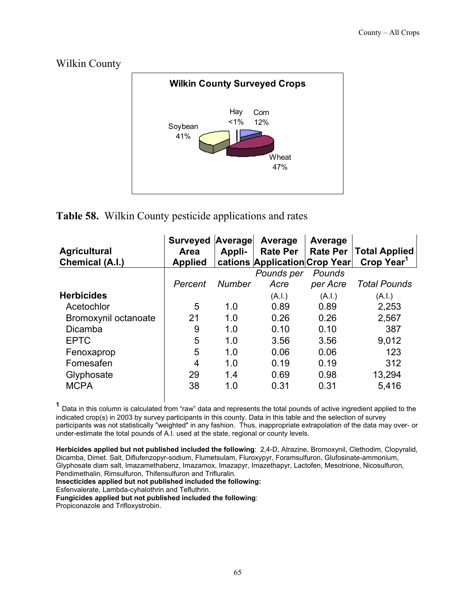## Wilkin County



## **Table 58.** Wilkin County pesticide applications and rates

| <b>Agricultural</b><br>Chemical (A.I.) | <b>Surveyed Average</b><br>Area<br><b>Applied</b> | Appli-        | Average<br><b>Rate Per</b><br>cations Application Crop Year | Average<br><b>Rate Per</b> | <b>Total Applied</b><br>Crop Year <sup>1</sup> |
|----------------------------------------|---------------------------------------------------|---------------|-------------------------------------------------------------|----------------------------|------------------------------------------------|
|                                        |                                                   |               | Pounds per                                                  | Pounds                     |                                                |
|                                        | Percent                                           | <b>Number</b> | Acre                                                        | per Acre                   | <b>Total Pounds</b>                            |
| <b>Herbicides</b>                      |                                                   |               | (A.I.)                                                      | (A.l.)                     | (A.I.)                                         |
| Acetochlor                             | 5                                                 | 1.0           | 0.89                                                        | 0.89                       | 2,253                                          |
| Bromoxynil octanoate                   | 21                                                | 1.0           | 0.26                                                        | 0.26                       | 2,567                                          |
| <b>Dicamba</b>                         | 9                                                 | 1.0           | 0.10                                                        | 0.10                       | 387                                            |
| <b>EPTC</b>                            | 5                                                 | 1.0           | 3.56                                                        | 3.56                       | 9,012                                          |
| Fenoxaprop                             | 5                                                 | 1.0           | 0.06                                                        | 0.06                       | 123                                            |
| Fomesafen                              | 4                                                 | 1.0           | 0.19                                                        | 0.19                       | 312                                            |
| Glyphosate                             | 29                                                | 1.4           | 0.69                                                        | 0.98                       | 13,294                                         |
| <b>MCPA</b>                            | 38                                                | 1.0           | 0.31                                                        | 0.31                       | 5,416                                          |

 **<sup>1</sup>** Data in this column is calculated from "raw" data and represents the total pounds of active ingredient applied to the indicated crop(s) in 2003 by survey participants in this county. Data in this table and the selection of survey participants was not statistically "weighted" in any fashion. Thus, inappropriate extrapolation of the data may over- or under-estimate the total pounds of A.I. used at the state, regional or county levels.

**Herbicides applied but not published included the following**: 2,4-D, Atrazine, Bromoxynil, Clethodim, Clopyralid, Dicamba, Dimet. Salt, Diflufenzopyr-sodium, Flumetsulam, Fluroxypyr, Foramsulfuron, Glufosinate-ammonium, Glyphosate diam salt, Imazamethabenz, Imazamox, Imazapyr, Imazethapyr, Lactofen, Mesotrione, Nicosulfuron, Pendimethalin, Rimsulfuron, Thifensulfuron and Trifluralin.

**Insecticides applied but not published included the following:** 

Esfenvalerate, Lambda-cyhalothrin and Tefluthrin.

**Fungicides applied but not published included the following**:

Propiconazole and Trifloxystrobin.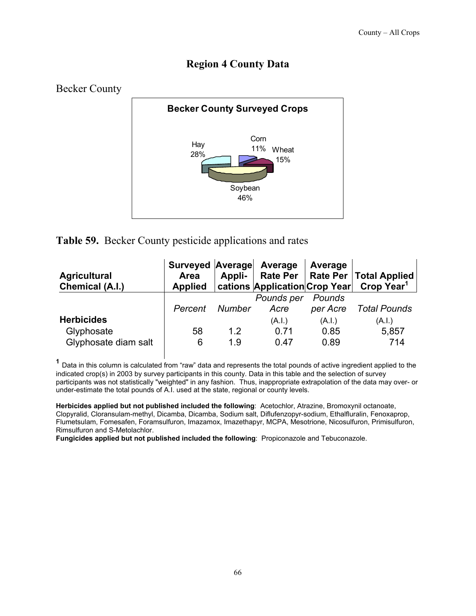# **Region 4 County Data**



**Table 59.** Becker County pesticide applications and rates

| <b>Agricultural</b><br>Chemical (A.I.)                  | Surveyed Average Average<br>Area<br><b>Applied</b> | Appli-     |                        | Average                | Rate Per   Rate Per   Total Applied<br>  cations Application Crop Year  Crop Year <sup>1</sup> |
|---------------------------------------------------------|----------------------------------------------------|------------|------------------------|------------------------|------------------------------------------------------------------------------------------------|
|                                                         | Percent                                            | Number     | Pounds per<br>Acre     | Pounds<br>per Acre     | Total Pounds                                                                                   |
| <b>Herbicides</b><br>Glyphosate<br>Glyphosate diam salt | 58<br>6                                            | 1.2<br>1.9 | (A.I.)<br>0.71<br>0.47 | (A.I.)<br>0.85<br>0.89 | (A.I.)<br>5,857<br>714                                                                         |

 **<sup>1</sup>** Data in this column is calculated from "raw" data and represents the total pounds of active ingredient applied to the indicated crop(s) in 2003 by survey participants in this county. Data in this table and the selection of survey participants was not statistically "weighted" in any fashion. Thus, inappropriate extrapolation of the data may over- or under-estimate the total pounds of A.I. used at the state, regional or county levels.

**Herbicides applied but not published included the following**: Acetochlor, Atrazine, Bromoxynil octanoate, Clopyralid, Cloransulam-methyl, Dicamba, Dicamba, Sodium salt, Diflufenzopyr-sodium, Ethalfluralin, Fenoxaprop, Flumetsulam, Fomesafen, Foramsulfuron, Imazamox, Imazethapyr, MCPA, Mesotrione, Nicosulfuron, Primisulfuron, Rimsulfuron and S-Metolachlor.

**Fungicides applied but not published included the following**: Propiconazole and Tebuconazole.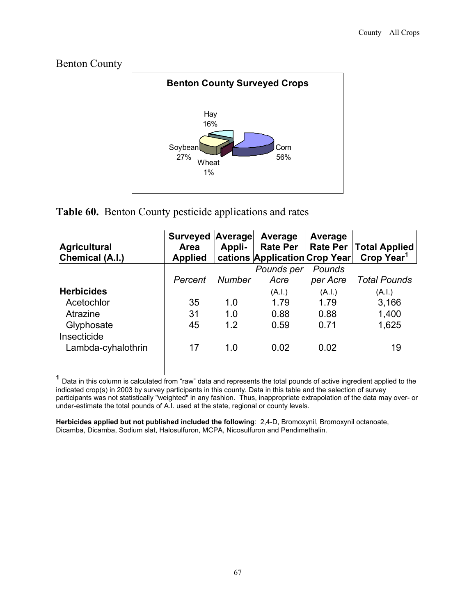#### Benton County



# **Table 60.** Benton County pesticide applications and rates

| <b>Agricultural</b><br><b>Chemical (A.I.)</b> | Surveyed<br>Area<br><b>Applied</b> | Average<br>Appli- | Average<br><b>Rate Per</b><br>cations Application Crop Year | Average<br><b>Rate Per</b> | <b>Total Applied</b><br>Crop Year <sup>1</sup> |
|-----------------------------------------------|------------------------------------|-------------------|-------------------------------------------------------------|----------------------------|------------------------------------------------|
|                                               |                                    |                   | Pounds per                                                  | Pounds                     |                                                |
|                                               | Percent                            | <b>Number</b>     | Acre                                                        | per Acre                   | <b>Total Pounds</b>                            |
| <b>Herbicides</b>                             |                                    |                   | (A.I.)                                                      | (A.I.)                     | (A.I.)                                         |
| Acetochlor                                    | 35                                 | 1.0               | 1.79                                                        | 1.79                       | 3,166                                          |
| Atrazine                                      | 31                                 | 1.0               | 0.88                                                        | 0.88                       | 1,400                                          |
| Glyphosate                                    | 45                                 | 1.2               | 0.59                                                        | 0.71                       | 1,625                                          |
| Insecticide<br>Lambda-cyhalothrin             | 17                                 | 1.0               | 0.02                                                        | 0.02                       | 19                                             |

 **<sup>1</sup>** Data in this column is calculated from "raw" data and represents the total pounds of active ingredient applied to the indicated crop(s) in 2003 by survey participants in this county. Data in this table and the selection of survey participants was not statistically "weighted" in any fashion. Thus, inappropriate extrapolation of the data may over- or under-estimate the total pounds of A.I. used at the state, regional or county levels.

**Herbicides applied but not published included the following**: 2,4-D, Bromoxynil, Bromoxynil octanoate, Dicamba, Dicamba, Sodium slat, Halosulfuron, MCPA, Nicosulfuron and Pendimethalin.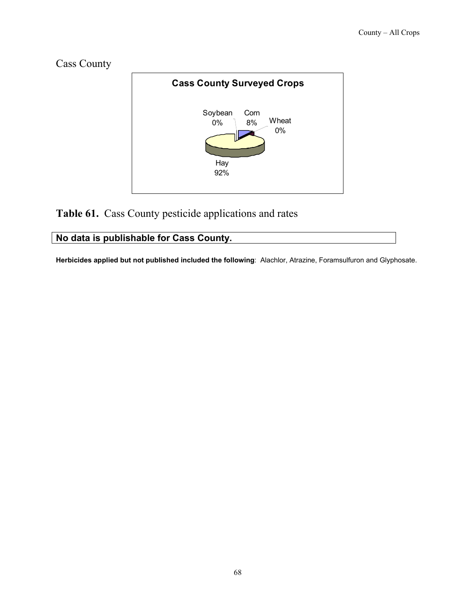



# **Table 61.** Cass County pesticide applications and rates

## **No data is publishable for Cass County.**

**Herbicides applied but not published included the following**: Alachlor, Atrazine, Foramsulfuron and Glyphosate.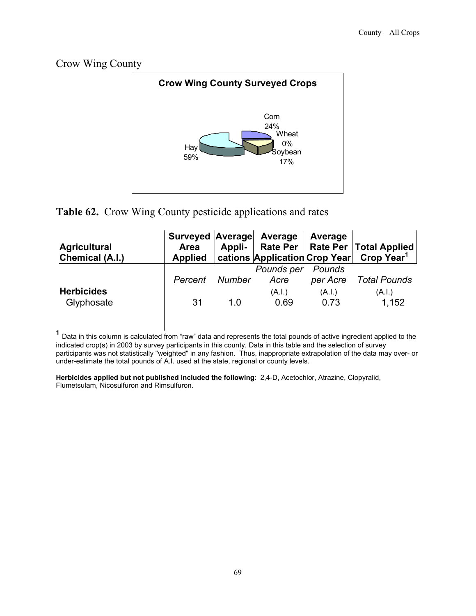Crow Wing County



# **Table 62.** Crow Wing County pesticide applications and rates

| <b>Agricultural</b><br>Chemical (A.I.) | Surveyed Average Average<br>Area |        |                    | <b>Average</b>     | Appli-   Rate Per   Rate Per   Total Applied<br>Applied   cations   Application   Crop Year   Crop Year <sup>1</sup> |
|----------------------------------------|----------------------------------|--------|--------------------|--------------------|----------------------------------------------------------------------------------------------------------------------|
|                                        | Percent                          | Number | Pounds per<br>Acre | Pounds<br>per Acre | Total Pounds                                                                                                         |
| <b>Herbicides</b><br>Glyphosate        | 31                               | 1 O    | (A.I.)<br>0.69     | (A.I.)<br>0.73     | (A.I.)<br>1.152                                                                                                      |

**<sup>1</sup>** Data in this column is calculated from "raw" data and represents the total pounds of active ingredient applied to the indicated crop(s) in 2003 by survey participants in this county. Data in this table and the selection of survey participants was not statistically "weighted" in any fashion. Thus, inappropriate extrapolation of the data may over- or under-estimate the total pounds of A.I. used at the state, regional or county levels.

**Herbicides applied but not published included the following**: 2,4-D, Acetochlor, Atrazine, Clopyralid, Flumetsulam, Nicosulfuron and Rimsulfuron.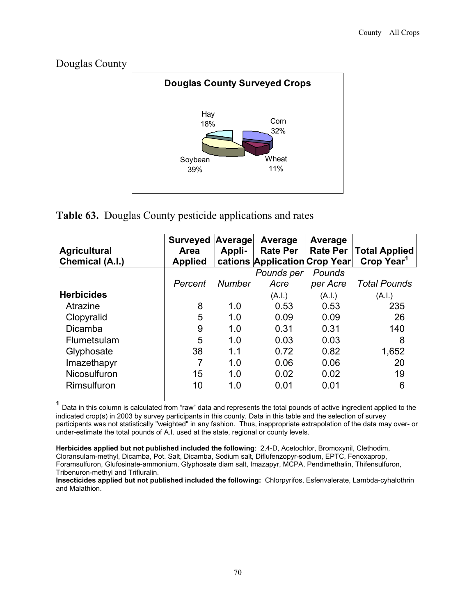



# **Table 63.** Douglas County pesticide applications and rates

| <b>Agricultural</b><br>Chemical (A.I.) | <b>Surveyed</b><br>Area<br><b>Applied</b> | Average<br>Appli- | Average<br><b>Rate Per</b><br>cations Application Crop Year | Average<br><b>Rate Per</b> | <b>Total Applied</b><br>Crop Year <sup>1</sup> |
|----------------------------------------|-------------------------------------------|-------------------|-------------------------------------------------------------|----------------------------|------------------------------------------------|
|                                        |                                           |                   | Pounds per                                                  | Pounds                     |                                                |
|                                        | Percent                                   | <b>Number</b>     | Acre                                                        | per Acre                   | <b>Total Pounds</b>                            |
| <b>Herbicides</b>                      |                                           |                   | (A.I.)                                                      | (A.I.)                     | (A.I.)                                         |
| Atrazine                               | 8                                         | 1.0               | 0.53                                                        | 0.53                       | 235                                            |
| Clopyralid                             | 5                                         | 1.0               | 0.09                                                        | 0.09                       | 26                                             |
| <b>Dicamba</b>                         | 9                                         | 1.0               | 0.31                                                        | 0.31                       | 140                                            |
| Flumetsulam                            | 5                                         | 1.0               | 0.03                                                        | 0.03                       | 8                                              |
| Glyphosate                             | 38                                        | 1.1               | 0.72                                                        | 0.82                       | 1,652                                          |
| Imazethapyr                            | 7                                         | 1.0               | 0.06                                                        | 0.06                       | 20                                             |
| Nicosulfuron                           | 15                                        | 1.0               | 0.02                                                        | 0.02                       | 19                                             |
| Rimsulfuron                            | 10                                        | 1.0               | 0.01                                                        | 0.01                       | 6                                              |

**<sup>1</sup>** Data in this column is calculated from "raw" data and represents the total pounds of active ingredient applied to the indicated crop(s) in 2003 by survey participants in this county. Data in this table and the selection of survey participants was not statistically "weighted" in any fashion. Thus, inappropriate extrapolation of the data may over- or under-estimate the total pounds of A.I. used at the state, regional or county levels.

**Herbicides applied but not published included the following**: 2,4-D, Acetochlor, Bromoxynil, Clethodim, Cloransulam-methyl, Dicamba, Pot. Salt, Dicamba, Sodium salt, Diflufenzopyr-sodium, EPTC, Fenoxaprop, Foramsulfuron, Glufosinate-ammonium, Glyphosate diam salt, Imazapyr, MCPA, Pendimethalin, Thifensulfuron, Tribenuron-methyl and Trifluralin.

**Insecticides applied but not published included the following:** Chlorpyrifos, Esfenvalerate, Lambda-cyhalothrin and Malathion.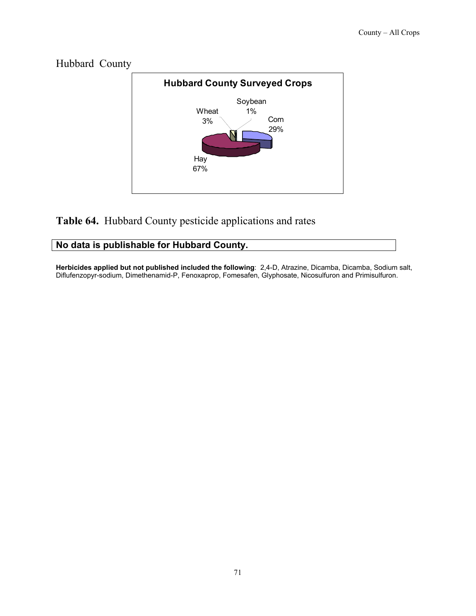

# Hubbard County

## **Table 64.** Hubbard County pesticide applications and rates

#### **No data is publishable for Hubbard County.**

**Herbicides applied but not published included the following**: 2,4-D, Atrazine, Dicamba, Dicamba, Sodium salt, Diflufenzopyr-sodium, Dimethenamid-P, Fenoxaprop, Fomesafen, Glyphosate, Nicosulfuron and Primisulfuron.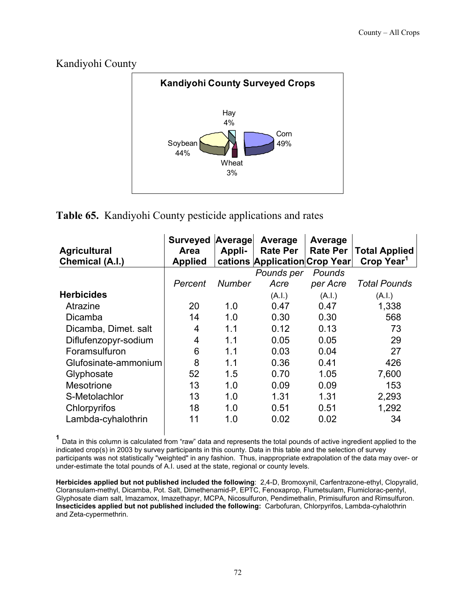

**Table 65.** Kandiyohi County pesticide applications and rates

| <b>Agricultural</b><br>Chemical (A.I.) | <b>Surveyed</b><br>Area<br><b>Applied</b> | Average<br>Appli- | Average<br><b>Rate Per</b><br>cations Application Crop Year | Average<br><b>Rate Per</b> | <b>Total Applied</b><br>Crop Year <sup>1</sup> |
|----------------------------------------|-------------------------------------------|-------------------|-------------------------------------------------------------|----------------------------|------------------------------------------------|
|                                        |                                           |                   | Pounds per                                                  | Pounds                     |                                                |
|                                        | Percent                                   | Number            | Acre                                                        | per Acre                   | <b>Total Pounds</b>                            |
| <b>Herbicides</b>                      |                                           |                   | (A.I.)                                                      | (A.I.)                     | (A.I.)                                         |
| Atrazine                               | 20                                        | 1.0               | 0.47                                                        | 0.47                       | 1,338                                          |
| Dicamba                                | 14                                        | 1.0               | 0.30                                                        | 0.30                       | 568                                            |
| Dicamba, Dimet. salt                   | 4                                         | 1.1               | 0.12                                                        | 0.13                       | 73                                             |
| Diflufenzopyr-sodium                   | 4                                         | 1.1               | 0.05                                                        | 0.05                       | 29                                             |
| Foramsulfuron                          | 6                                         | 1.1               | 0.03                                                        | 0.04                       | 27                                             |
| Glufosinate-ammonium                   | 8                                         | 1.1               | 0.36                                                        | 0.41                       | 426                                            |
| Glyphosate                             | 52                                        | 1.5               | 0.70                                                        | 1.05                       | 7,600                                          |
| <b>Mesotrione</b>                      | 13                                        | 1.0               | 0.09                                                        | 0.09                       | 153                                            |
| S-Metolachlor                          | 13                                        | 1.0               | 1.31                                                        | 1.31                       | 2,293                                          |
| Chlorpyrifos                           | 18                                        | 1.0               | 0.51                                                        | 0.51                       | 1,292                                          |
| Lambda-cyhalothrin                     | 11                                        | 1.0               | 0.02                                                        | 0.02                       | 34                                             |

**<sup>1</sup>** Data in this column is calculated from "raw" data and represents the total pounds of active ingredient applied to the indicated crop(s) in 2003 by survey participants in this county. Data in this table and the selection of survey participants was not statistically "weighted" in any fashion. Thus, inappropriate extrapolation of the data may over- or under-estimate the total pounds of A.I. used at the state, regional or county levels.

**Herbicides applied but not published included the following**: 2,4-D, Bromoxynil, Carfentrazone-ethyl, Clopyralid, Cloransulam-methyl, Dicamba, Pot. Salt, Dimethenamid-P, EPTC, Fenoxaprop, Flumetsulam, Flumiclorac-pentyl, Glyphosate diam salt, Imazamox, Imazethapyr, MCPA, Nicosulfuron, Pendimethalin, Primisulfuron and Rimsulfuron. **Insecticides applied but not published included the following:** Carbofuran, Chlorpyrifos, Lambda-cyhalothrin and Zeta-cypermethrin.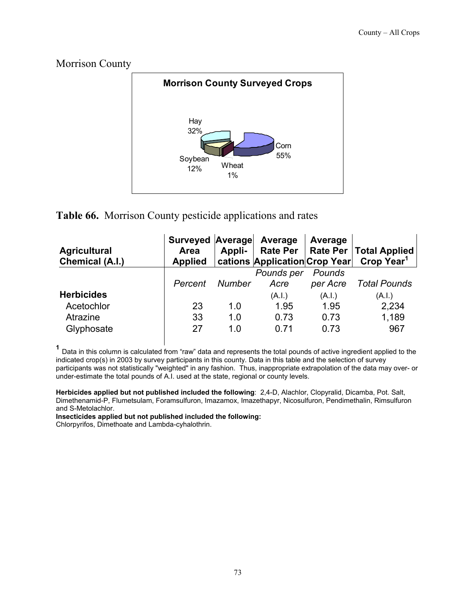#### Morrison County



# **Table 66.** Morrison County pesticide applications and rates

| <b>Agricultural</b><br>Chemical (A.I.) | Surveyed Average Average<br><b>Area</b><br><b>Applied</b> | Appli-        | cations Application Crop Year | Average            | Rate Per   Rate Per   Total Applied<br>Crop Year <sup>1</sup> |
|----------------------------------------|-----------------------------------------------------------|---------------|-------------------------------|--------------------|---------------------------------------------------------------|
|                                        | Percent                                                   | <b>Number</b> | Pounds per<br>Acre            | Pounds<br>per Acre | <b>Total Pounds</b>                                           |
| <b>Herbicides</b>                      |                                                           |               | (A.I.)                        | (A.I.)             | (A.I.)                                                        |
| Acetochlor                             | 23                                                        | 1.0           | 1.95                          | 1.95               | 2,234                                                         |
| Atrazine<br>Glyphosate                 | 33<br>27                                                  | 1.0<br>1.0    | 0.73<br>0.71                  | 0.73<br>0.73       | 1,189<br>967                                                  |

 **<sup>1</sup>** Data in this column is calculated from "raw" data and represents the total pounds of active ingredient applied to the indicated crop(s) in 2003 by survey participants in this county. Data in this table and the selection of survey participants was not statistically "weighted" in any fashion. Thus, inappropriate extrapolation of the data may over- or under-estimate the total pounds of A.I. used at the state, regional or county levels.

**Herbicides applied but not published included the following**: 2,4-D, Alachlor, Clopyralid, Dicamba, Pot. Salt, Dimethenamid-P, Flumetsulam, Foramsulfuron, Imazamox, Imazethapyr, Nicosulfuron, Pendimethalin, Rimsulfuron and S-Metolachlor.

**Insecticides applied but not published included the following:** 

Chlorpyrifos, Dimethoate and Lambda-cyhalothrin.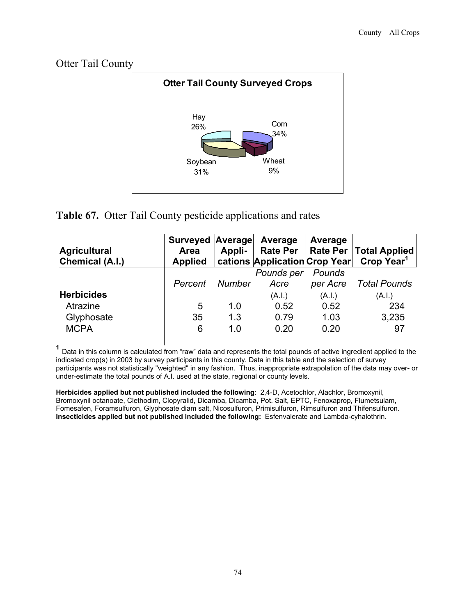Otter Tail County



# **Table 67.** Otter Tail County pesticide applications and rates

| <b>Agricultural</b><br>Chemical (A.I.) | Surveyed Average Average<br>Area<br><b>Applied</b> | Appli-        | cations  Application Crop Year | Average            | Rate Per   Rate Per   Total Applied  <br>Crop Year <sup>1</sup> |
|----------------------------------------|----------------------------------------------------|---------------|--------------------------------|--------------------|-----------------------------------------------------------------|
|                                        | Percent                                            | <b>Number</b> | Pounds per<br>Acre             | Pounds<br>per Acre | <b>Total Pounds</b>                                             |
| <b>Herbicides</b>                      |                                                    |               | (A.I.)                         | (A.I.)             | (A.I.)                                                          |
| Atrazine                               | 5                                                  | 1.0           | 0.52                           | 0.52               | 234                                                             |
| Glyphosate<br><b>MCPA</b>              | 35<br>6                                            | 1.3<br>1.0    | 0.79<br>0.20                   | 1.03<br>0.20       | 3,235<br>97                                                     |

 **<sup>1</sup>** Data in this column is calculated from "raw" data and represents the total pounds of active ingredient applied to the indicated crop(s) in 2003 by survey participants in this county. Data in this table and the selection of survey participants was not statistically "weighted" in any fashion. Thus, inappropriate extrapolation of the data may over- or under-estimate the total pounds of A.I. used at the state, regional or county levels.

**Herbicides applied but not published included the following**: 2,4-D, Acetochlor, Alachlor, Bromoxynil, Bromoxynil octanoate, Clethodim, Clopyralid, Dicamba, Dicamba, Pot. Salt, EPTC, Fenoxaprop, Flumetsulam, Fomesafen, Foramsulfuron, Glyphosate diam salt, Nicosulfuron, Primisulfuron, Rimsulfuron and Thifensulfuron. **Insecticides applied but not published included the following:** Esfenvalerate and Lambda-cyhalothrin.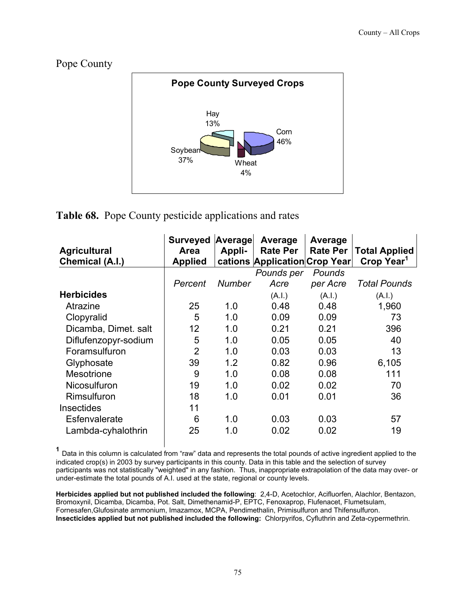Pope County



# **Table 68.** Pope County pesticide applications and rates

|                      | <b>Surveyed</b> | Average       | Average                       | Average         |                        |
|----------------------|-----------------|---------------|-------------------------------|-----------------|------------------------|
| <b>Agricultural</b>  | Area            | Appli-        | <b>Rate Per</b>               | <b>Rate Per</b> | <b>Total Applied</b>   |
| Chemical (A.I.)      | <b>Applied</b>  |               | cations Application Crop Year |                 | Crop Year <sup>1</sup> |
|                      |                 |               | Pounds per                    | Pounds          |                        |
|                      | Percent         | <b>Number</b> | Acre                          | per Acre        | <b>Total Pounds</b>    |
| <b>Herbicides</b>    |                 |               | (A.I.)                        | (A.I.)          | (A.I.)                 |
| Atrazine             | 25              | 1.0           | 0.48                          | 0.48            | 1,960                  |
| Clopyralid           | 5               | 1.0           | 0.09                          | 0.09            | 73                     |
| Dicamba, Dimet. salt | 12              | 1.0           | 0.21                          | 0.21            | 396                    |
| Diflufenzopyr-sodium | 5               | 1.0           | 0.05                          | 0.05            | 40                     |
| Foramsulfuron        | $\overline{2}$  | 1.0           | 0.03                          | 0.03            | 13                     |
| Glyphosate           | 39              | 1.2           | 0.82                          | 0.96            | 6,105                  |
| <b>Mesotrione</b>    | 9               | 1.0           | 0.08                          | 0.08            | 111                    |
| <b>Nicosulfuron</b>  | 19              | 1.0           | 0.02                          | 0.02            | 70                     |
| Rimsulfuron          | 18              | 1.0           | 0.01                          | 0.01            | 36                     |
| <b>Insectides</b>    | 11              |               |                               |                 |                        |
| Esfenvalerate        | 6               | 1.0           | 0.03                          | 0.03            | 57                     |
| Lambda-cyhalothrin   | 25              | 1.0           | 0.02                          | 0.02            | 19                     |

 **<sup>1</sup>** Data in this column is calculated from "raw" data and represents the total pounds of active ingredient applied to the indicated crop(s) in 2003 by survey participants in this county. Data in this table and the selection of survey participants was not statistically "weighted" in any fashion. Thus, inappropriate extrapolation of the data may over- or under-estimate the total pounds of A.I. used at the state, regional or county levels.

**Herbicides applied but not published included the following**: 2,4-D, Acetochlor, Acifluorfen, Alachlor, Bentazon, Bromoxynil, Dicamba, Dicamba, Pot. Salt, Dimethenamid-P, EPTC, Fenoxaprop, Flufenacet, Flumetsulam, Fornesafen,Glufosinate ammonium, Imazamox, MCPA, Pendimethalin, Primisulfuron and Thifensulfuron. **Insecticides applied but not published included the following:** Chlorpyrifos, Cyfluthrin and Zeta-cypermethrin.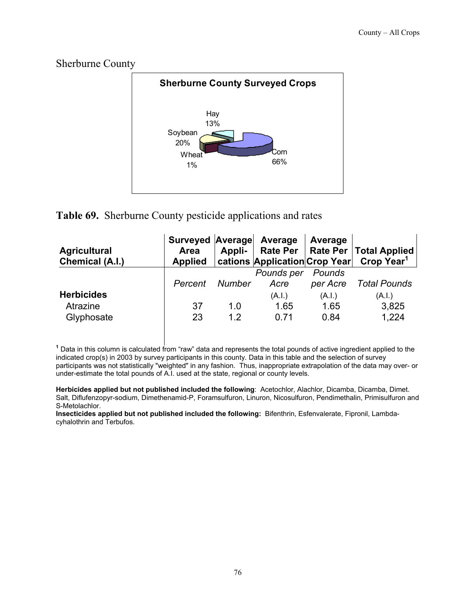#### Sherburne County



# **Table 69.** Sherburne County pesticide applications and rates

| <b>Agricultural</b><br>Chemical (A.I.) | Surveyed Average Average<br>Area<br><b>Applied</b> | Appli- |            | Average  | Rate Per   Rate Per   Total Applied<br>  cations   Application   Crop Year   Crop Year <sup>1</sup> |
|----------------------------------------|----------------------------------------------------|--------|------------|----------|-----------------------------------------------------------------------------------------------------|
|                                        |                                                    |        | Pounds per | Pounds   |                                                                                                     |
|                                        | Percent                                            | Number | Acre       | per Acre | Total Pounds                                                                                        |
| <b>Herbicides</b>                      |                                                    |        | (A.I.)     | (A.I.)   | (A.I.)                                                                                              |
| Atrazine                               | 37                                                 | 1.0    | 1.65       | 1.65     | 3,825                                                                                               |
| Glyphosate                             | 23                                                 | 12     | 0.71       | 0.84     | 1,224                                                                                               |

 **<sup>1</sup>** Data in this column is calculated from "raw" data and represents the total pounds of active ingredient applied to the indicated crop(s) in 2003 by survey participants in this county. Data in this table and the selection of survey participants was not statistically "weighted" in any fashion. Thus, inappropriate extrapolation of the data may over- or under-estimate the total pounds of A.I. used at the state, regional or county levels.

**Herbicides applied but not published included the following**: Acetochlor, Alachlor, Dicamba, Dicamba, Dimet. Salt, Diflufenzopyr-sodium, Dimethenamid-P, Foramsulfuron, Linuron, Nicosulfuron, Pendimethalin, Primisulfuron and S-Metolachlor.

**Insecticides applied but not published included the following:** Bifenthrin, Esfenvalerate, Fipronil, Lambdacyhalothrin and Terbufos.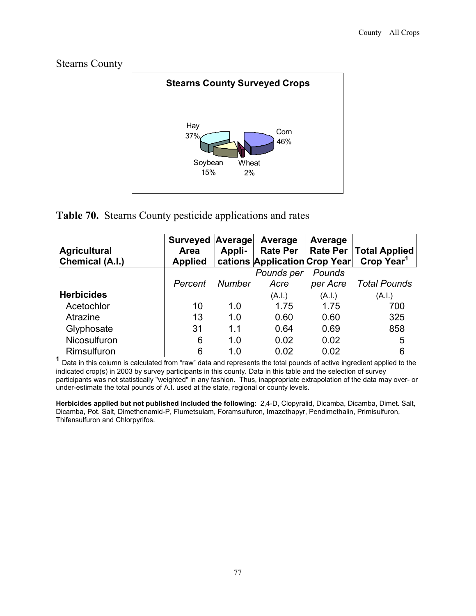Stearns County



# **Table 70.** Stearns County pesticide applications and rates

| <b>Agricultural</b><br><b>Chemical (A.I.)</b> | Surveyed Average<br><b>Area</b><br><b>Applied</b> | Appli-        | Average<br><b>Rate Per</b><br>cations Application Crop Year | Average<br><b>Rate Per</b> | <b>Total Applied</b><br>Crop Year <sup>1</sup> |
|-----------------------------------------------|---------------------------------------------------|---------------|-------------------------------------------------------------|----------------------------|------------------------------------------------|
|                                               |                                                   |               | Pounds per                                                  | Pounds                     |                                                |
|                                               | Percent                                           | <b>Number</b> | Acre                                                        | per Acre                   | <b>Total Pounds</b>                            |
| <b>Herbicides</b>                             |                                                   |               | (A.I.)                                                      | (A.I.)                     | (A.I.)                                         |
| Acetochlor                                    | 10                                                | 1.0           | 1.75                                                        | 1.75                       | 700                                            |
| Atrazine                                      | 13                                                | 1.0           | 0.60                                                        | 0.60                       | 325                                            |
| Glyphosate                                    | 31                                                | 1.1           | 0.64                                                        | 0.69                       | 858                                            |
| Nicosulfuron                                  | 6                                                 | 1.0           | 0.02                                                        | 0.02                       | 5                                              |
| Rimsulfuron                                   | 6                                                 | 1.0           | 0.02                                                        | 0.02                       | 6                                              |

**<sup>1</sup>** Data in this column is calculated from "raw" data and represents the total pounds of active ingredient applied to the indicated crop(s) in 2003 by survey participants in this county. Data in this table and the selection of survey participants was not statistically "weighted" in any fashion. Thus, inappropriate extrapolation of the data may over- or under-estimate the total pounds of A.I. used at the state, regional or county levels.

**Herbicides applied but not published included the following**: 2,4-D, Clopyralid, Dicamba, Dicamba, Dimet. Salt, Dicamba, Pot. Salt, Dimethenamid-P, Flumetsulam, Foramsulfuron, Imazethapyr, Pendimethalin, Primisulfuron, Thifensulfuron and Chlorpyrifos.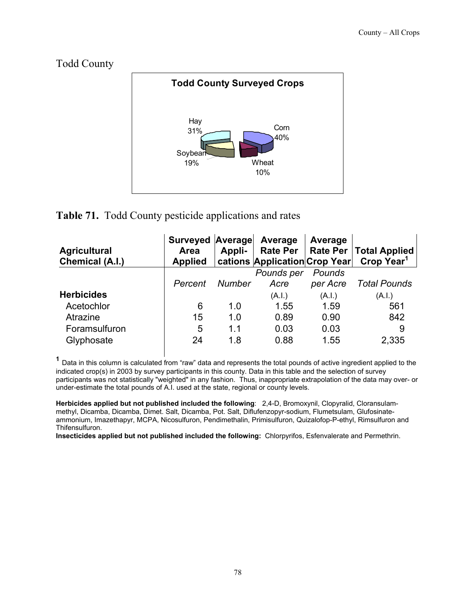Todd County



# **Table 71.** Todd County pesticide applications and rates

| <b>Agricultural</b><br>Chemical (A.I.) | Surveyed Average<br>Area<br><b>Applied</b> | Appli- | Average<br>Rate Per<br>cations Application Crop Year | Average  | Rate Per   Total Applied<br>Crop Year <sup>1</sup> |
|----------------------------------------|--------------------------------------------|--------|------------------------------------------------------|----------|----------------------------------------------------|
|                                        |                                            |        | Pounds per                                           | Pounds   |                                                    |
|                                        | Percent                                    | Number | Acre                                                 | per Acre | <b>Total Pounds</b>                                |
| <b>Herbicides</b>                      |                                            |        | (A.I.)                                               | (A.I.)   | (A.I.)                                             |
| Acetochlor                             | 6                                          | 1.0    | 1.55                                                 | 1.59     | 561                                                |
| Atrazine                               | 15                                         | 1.0    | 0.89                                                 | 0.90     | 842                                                |
| Foramsulfuron                          | 5                                          | 1.1    | 0.03                                                 | 0.03     | 9                                                  |
| Glyphosate                             | 24                                         | 1.8    | 0.88                                                 | 1.55     | 2,335                                              |

 **<sup>1</sup>** Data in this column is calculated from "raw" data and represents the total pounds of active ingredient applied to the indicated crop(s) in 2003 by survey participants in this county. Data in this table and the selection of survey participants was not statistically "weighted" in any fashion. Thus, inappropriate extrapolation of the data may over- or under-estimate the total pounds of A.I. used at the state, regional or county levels.

**Herbicides applied but not published included the following**: 2,4-D, Bromoxynil, Clopyralid, Cloransulammethyl, Dicamba, Dicamba, Dimet. Salt, Dicamba, Pot. Salt, Diflufenzopyr-sodium, Flumetsulam, Glufosinateammonium, Imazethapyr, MCPA, Nicosulfuron, Pendimethalin, Primisulfuron, Quizalofop-P-ethyl, Rimsulfuron and Thifensulfuron.

**Insecticides applied but not published included the following:** Chlorpyrifos, Esfenvalerate and Permethrin.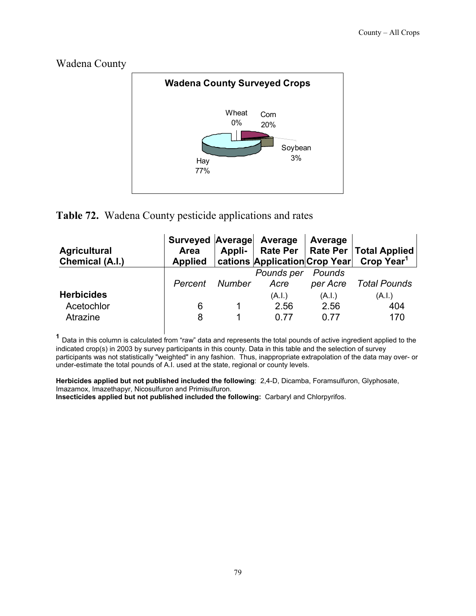#### Wadena County



# **Table 72.** Wadena County pesticide applications and rates

| <b>Agricultural</b><br>Chemical (A.I.)      | Surveyed Average Average<br>Area | Appli- |                        | Average                | Rate Per   Rate Per   Total Applied<br>Applied   cations   Application   Crop Year   Crop Year <sup>1</sup> |
|---------------------------------------------|----------------------------------|--------|------------------------|------------------------|-------------------------------------------------------------------------------------------------------------|
|                                             | Percent                          | Number | Pounds per<br>Acre     | Pounds<br>per Acre     | Total Pounds                                                                                                |
| <b>Herbicides</b><br>Acetochlor<br>Atrazine | 6<br>8                           |        | (A.I.)<br>2.56<br>በ 77 | (A.I.)<br>2.56<br>በ 77 | (A.I.)<br>404<br>170                                                                                        |

 **<sup>1</sup>** Data in this column is calculated from "raw" data and represents the total pounds of active ingredient applied to the indicated crop(s) in 2003 by survey participants in this county. Data in this table and the selection of survey participants was not statistically "weighted" in any fashion. Thus, inappropriate extrapolation of the data may over- or under-estimate the total pounds of A.I. used at the state, regional or county levels.

**Herbicides applied but not published included the following**: 2,4-D, Dicamba, Foramsulfuron, Glyphosate, Imazamox, Imazethapyr, Nicosulfuron and Primisulfuron. **Insecticides applied but not published included the following:** Carbaryl and Chlorpyrifos.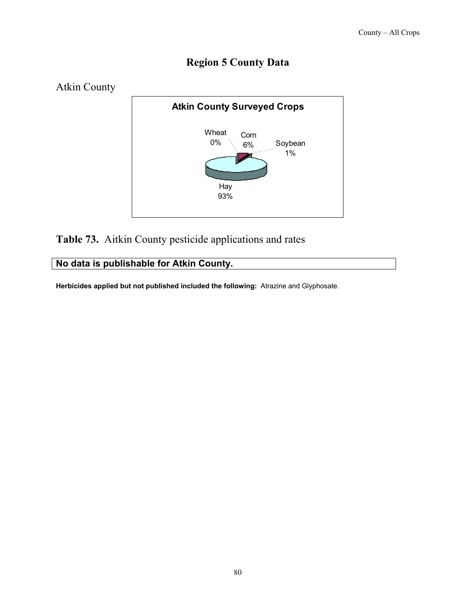# **Region 5 County Data**



**Table 73.** Aitkin County pesticide applications and rates

**No data is publishable for Atkin County.** 

**Herbicides applied but not published included the following:** Atrazine and Glyphosate.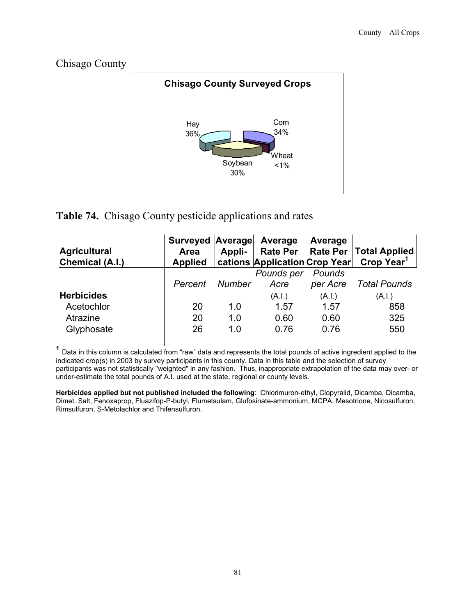#### Chisago County



# **Table 74.** Chisago County pesticide applications and rates

| <b>Agricultural</b><br>Chemical (A.I.) | Surveyed Average<br>Area<br><b>Applied</b> | Appli-        | Average<br>cations Application Crop Year | Average            | Rate Per   Rate Per   Total Applied<br>Crop Year <sup>1</sup> |
|----------------------------------------|--------------------------------------------|---------------|------------------------------------------|--------------------|---------------------------------------------------------------|
|                                        | Percent                                    | <b>Number</b> | Pounds per<br>Acre                       | Pounds<br>per Acre | <b>Total Pounds</b>                                           |
| <b>Herbicides</b>                      |                                            |               | (A.I.)                                   | (A.I.)             | (A.I.)                                                        |
| Acetochlor                             | 20                                         | 1.0           | 1.57                                     | 1.57               | 858                                                           |
| Atrazine<br>Glyphosate                 | 20<br>26                                   | 1.0<br>1.0    | 0.60<br>0.76                             | 0.60<br>0.76       | 325<br>550                                                    |

 **<sup>1</sup>** Data in this column is calculated from "raw" data and represents the total pounds of active ingredient applied to the indicated crop(s) in 2003 by survey participants in this county. Data in this table and the selection of survey participants was not statistically "weighted" in any fashion. Thus, inappropriate extrapolation of the data may over- or under-estimate the total pounds of A.I. used at the state, regional or county levels.

**Herbicides applied but not published included the following**: Chlorimuron-ethyl, Clopyralid, Dicamba, Dicamba, Dimet. Salt, Fenoxaprop, Fluazifop-P-butyl, Flumetsulam, Glufosinate-ammonium, MCPA, Mesotrione, Nicosulfuron, Rimsulfuron, S-Metolachlor and Thifensulfuron.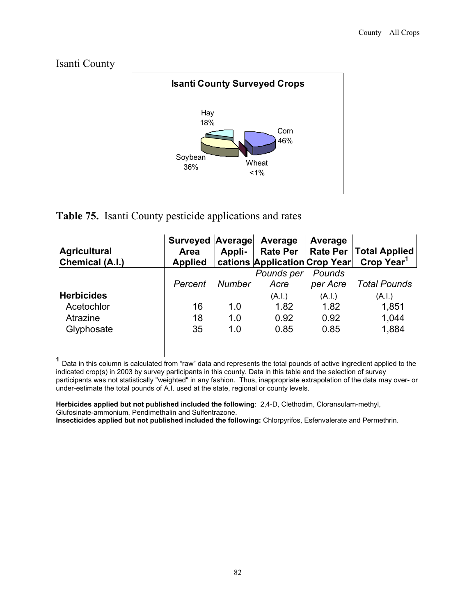Isanti County



#### **Table 75.** Isanti County pesticide applications and rates

| <b>Agricultural</b><br>Chemical (A.I.) | Surveyed Average<br>Area<br><b>Applied</b> | Appli-        | Average<br><b>Rate Per</b><br>cations Application Crop Year | Average  | <b>Rate Per   Total Applied</b><br>Crop Year <sup>1</sup> |
|----------------------------------------|--------------------------------------------|---------------|-------------------------------------------------------------|----------|-----------------------------------------------------------|
|                                        |                                            |               | Pounds per                                                  | Pounds   |                                                           |
|                                        | Percent                                    | <b>Number</b> | Acre                                                        | per Acre | <b>Total Pounds</b>                                       |
| <b>Herbicides</b>                      |                                            |               | (A.I.)                                                      | (A.I.)   | (A.I.)                                                    |
| Acetochlor                             | 16                                         | 1.0           | 1.82                                                        | 1.82     | 1,851                                                     |
| Atrazine                               | 18                                         | 1.0           | 0.92                                                        | 0.92     | 1,044                                                     |
| Glyphosate                             | 35                                         | 1.0           | 0.85                                                        | 0.85     | 1,884                                                     |

 **<sup>1</sup>** Data in this column is calculated from "raw" data and represents the total pounds of active ingredient applied to the indicated crop(s) in 2003 by survey participants in this county. Data in this table and the selection of survey participants was not statistically "weighted" in any fashion. Thus, inappropriate extrapolation of the data may over- or under-estimate the total pounds of A.I. used at the state, regional or county levels.

**Herbicides applied but not published included the following**: 2,4-D, Clethodim, Cloransulam-methyl, Glufosinate-ammonium, Pendimethalin and Sulfentrazone.

**Insecticides applied but not published included the following:** Chlorpyrifos, Esfenvalerate and Permethrin.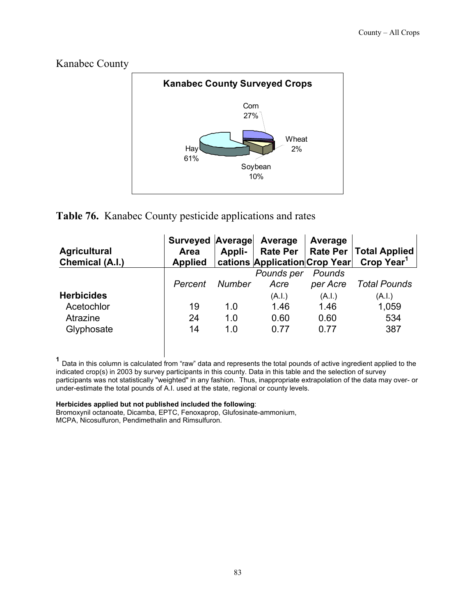



# **Table 76.** Kanabec County pesticide applications and rates

| <b>Agricultural</b><br>Chemical (A.I.) | <b>Surveyed Average</b><br>Area<br><b>Applied</b> | Appli-        | Average<br>cations Application Crop Year | Average  | Rate Per   Rate Per   Total Applied<br>Crop Year <sup>1</sup> |
|----------------------------------------|---------------------------------------------------|---------------|------------------------------------------|----------|---------------------------------------------------------------|
|                                        |                                                   |               | Pounds per                               | Pounds   |                                                               |
|                                        | Percent                                           | <b>Number</b> | Acre                                     | per Acre | <b>Total Pounds</b>                                           |
| <b>Herbicides</b>                      |                                                   |               | (A.I.)                                   | (A.I.)   | (A.I.)                                                        |
| Acetochlor                             | 19                                                | 1.0           | 1.46                                     | 1.46     | 1,059                                                         |
| Atrazine                               | 24                                                | 1.0           | 0.60                                     | 0.60     | 534                                                           |
| Glyphosate                             | 14                                                | 1.0           | 0.77                                     | 0.77     | 387                                                           |

 **<sup>1</sup>** Data in this column is calculated from "raw" data and represents the total pounds of active ingredient applied to the indicated crop(s) in 2003 by survey participants in this county. Data in this table and the selection of survey participants was not statistically "weighted" in any fashion. Thus, inappropriate extrapolation of the data may over- or under-estimate the total pounds of A.I. used at the state, regional or county levels.

#### **Herbicides applied but not published included the following**:

Bromoxynil octanoate, Dicamba, EPTC, Fenoxaprop, Glufosinate-ammonium, MCPA, Nicosulfuron, Pendimethalin and Rimsulfuron.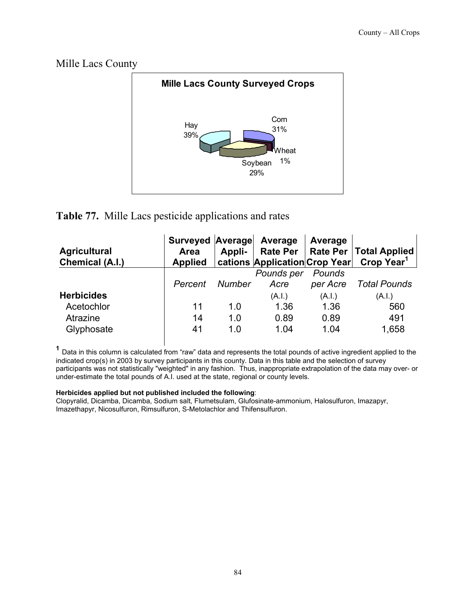Mille Lacs County



#### **Table 77.** Mille Lacs pesticide applications and rates

| <b>Agricultural</b><br>Chemical (A.I.) | Surveyed Average<br>Area<br><b>Applied</b> | Appli-        | Average<br><b>Rate Per</b><br>cations Application Crop Year | Average            | Rate Per   Total Applied<br>Crop Year <sup>1</sup> |
|----------------------------------------|--------------------------------------------|---------------|-------------------------------------------------------------|--------------------|----------------------------------------------------|
|                                        | Percent                                    | <b>Number</b> | Pounds per<br>Acre                                          | Pounds<br>per Acre | <b>Total Pounds</b>                                |
| <b>Herbicides</b>                      |                                            |               | (A.I.)                                                      | (A.I.)             | (A.I.)                                             |
| Acetochlor                             | 11                                         | 1.0           | 1.36                                                        | 1.36               | 560                                                |
| Atrazine<br>Glyphosate                 | 14<br>41                                   | 1.0<br>1.0    | 0.89<br>1.04                                                | 0.89<br>1.04       | 491<br>1,658                                       |

 **<sup>1</sup>** Data in this column is calculated from "raw" data and represents the total pounds of active ingredient applied to the indicated crop(s) in 2003 by survey participants in this county. Data in this table and the selection of survey participants was not statistically "weighted" in any fashion. Thus, inappropriate extrapolation of the data may over- or under-estimate the total pounds of A.I. used at the state, regional or county levels.

#### **Herbicides applied but not published included the following**:

Clopyralid, Dicamba, Dicamba, Sodium salt, Flumetsulam, Glufosinate-ammonium, Halosulfuron, Imazapyr, Imazethapyr, Nicosulfuron, Rimsulfuron, S-Metolachlor and Thifensulfuron.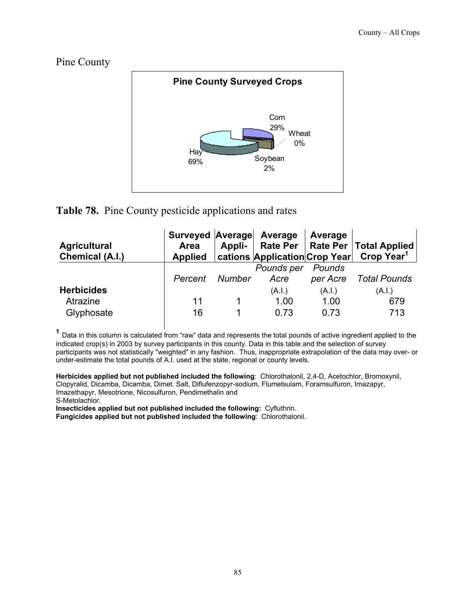Pine County



#### **Table 78.** Pine County pesticide applications and rates

| <b>Agricultural</b><br>Chemical (A.I.)      | Surveyed Average Average<br>Area<br><b>Applied</b> | Appli- |                        | Average                | Rate Per   Rate Per   Total Applied<br>  cations   Application   Crop Year   Crop Year <sup>1</sup> |
|---------------------------------------------|----------------------------------------------------|--------|------------------------|------------------------|-----------------------------------------------------------------------------------------------------|
|                                             | Percent                                            | Number | Pounds per<br>Acre     | Pounds<br>per Acre     | Total Pounds                                                                                        |
| <b>Herbicides</b><br>Atrazine<br>Glyphosate | 11<br>16                                           |        | (A.I.)<br>1.00<br>0.73 | (A.I.)<br>1.00<br>0.73 | (A.I.)<br>679<br>713                                                                                |

 **<sup>1</sup>** Data in this column is calculated from "raw" data and represents the total pounds of active ingredient applied to the indicated crop(s) in 2003 by survey participants in this county. Data in this table and the selection of survey participants was not statistically "weighted" in any fashion. Thus, inappropriate extrapolation of the data may over- or under-estimate the total pounds of A.I. used at the state, regional or county levels.

**Herbicides applied but not published included the following**: Chlorothalonil, 2,4-D, Acetochlor, Bromoxynil, Clopyralid, Dicamba, Dicamba, Dimet. Salt, Diflufenzopyr-sodium, Flumetsulam, Foramsulfuron, Imazapyr, Imazethapyr, Mesotrione, Nicosulfuron, Pendimethalin and S-Metolachlor.

**Insecticides applied but not published included the following:** Cyfluthrin.

**Fungicides applied but not published included the following**: Chlorothalonil.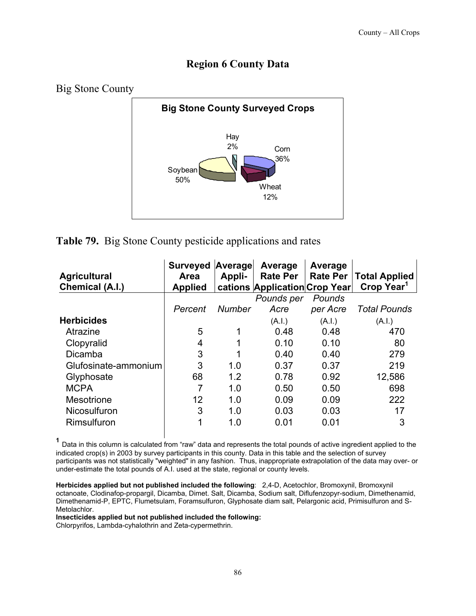# **Region 6 County Data**



**Table 79.** Big Stone County pesticide applications and rates

| <b>Agricultural</b><br>Chemical (A.I.) | <b>Surveyed</b><br><b>Area</b><br><b>Applied</b> | Average<br>Appli- | Average<br><b>Rate Per</b><br>cations Application Crop Year | Average<br><b>Rate Per</b> | <b>Total Applied</b><br>Crop Year <sup>1</sup> |
|----------------------------------------|--------------------------------------------------|-------------------|-------------------------------------------------------------|----------------------------|------------------------------------------------|
|                                        |                                                  |                   | Pounds per                                                  | Pounds                     |                                                |
|                                        | Percent                                          | <b>Number</b>     | Acre                                                        | per Acre                   | <b>Total Pounds</b>                            |
| <b>Herbicides</b>                      |                                                  |                   | (A.I.)                                                      | (A.I.)                     | (A.I.)                                         |
| Atrazine                               | 5                                                |                   | 0.48                                                        | 0.48                       | 470                                            |
| Clopyralid                             | 4                                                |                   | 0.10                                                        | 0.10                       | 80                                             |
| Dicamba                                | 3                                                |                   | 0.40                                                        | 0.40                       | 279                                            |
| Glufosinate-ammonium                   | 3                                                | 1.0               | 0.37                                                        | 0.37                       | 219                                            |
| Glyphosate                             | 68                                               | 1.2               | 0.78                                                        | 0.92                       | 12,586                                         |
| <b>MCPA</b>                            | 7                                                | 1.0               | 0.50                                                        | 0.50                       | 698                                            |
| <b>Mesotrione</b>                      | 12                                               | 1.0               | 0.09                                                        | 0.09                       | 222                                            |
| <b>Nicosulfuron</b>                    | 3                                                | 1.0               | 0.03                                                        | 0.03                       | 17                                             |
| Rimsulfuron                            | 1                                                | 1.0               | 0.01                                                        | 0.01                       | 3                                              |

**<sup>1</sup>** Data in this column is calculated from "raw" data and represents the total pounds of active ingredient applied to the indicated crop(s) in 2003 by survey participants in this county. Data in this table and the selection of survey participants was not statistically "weighted" in any fashion. Thus, inappropriate extrapolation of the data may over- or under-estimate the total pounds of A.I. used at the state, regional or county levels.

**Herbicides applied but not published included the following**: 2,4-D, Acetochlor, Bromoxynil, Bromoxynil octanoate, Clodinafop-propargil, Dicamba, Dimet. Salt, Dicamba, Sodium salt, Diflufenzopyr-sodium, Dimethenamid, Dimethenamid-P, EPTC, Flumetsulam, Foramsulfuron, Glyphosate diam salt, Pelargonic acid, Primisulfuron and S-Metolachlor.

**Insecticides applied but not published included the following:** 

Chlorpyrifos, Lambda-cyhalothrin and Zeta-cypermethrin.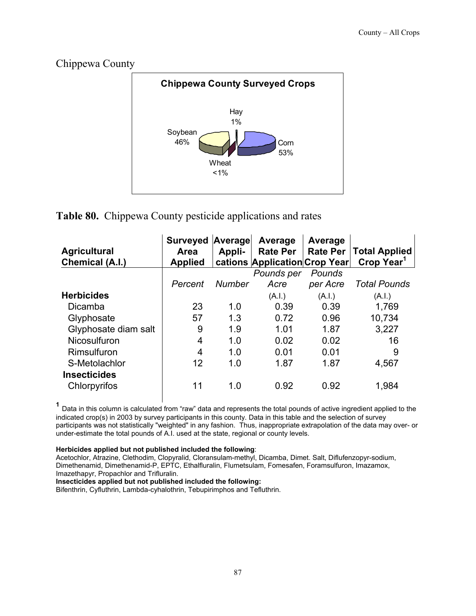# Chippewa County



# **Table 80.** Chippewa County pesticide applications and rates

| <b>Agricultural</b><br>Chemical (A.I.) | <b>Surveyed</b><br>Area<br><b>Applied</b> | Average<br>Appli- | Average<br><b>Rate Per</b><br>cations Application Crop Year | Average<br><b>Rate Per</b> | <b>Total Applied</b><br>Crop Year <sup>1</sup> |
|----------------------------------------|-------------------------------------------|-------------------|-------------------------------------------------------------|----------------------------|------------------------------------------------|
|                                        |                                           |                   | Pounds per                                                  | Pounds                     |                                                |
|                                        | Percent                                   | <b>Number</b>     | Acre                                                        | per Acre                   | <b>Total Pounds</b>                            |
| <b>Herbicides</b>                      |                                           |                   | (A.I.)                                                      | (A.I.)                     | (A.I.)                                         |
| Dicamba                                | 23                                        | 1.0               | 0.39                                                        | 0.39                       | 1,769                                          |
| Glyphosate                             | 57                                        | 1.3               | 0.72                                                        | 0.96                       | 10,734                                         |
| Glyphosate diam salt                   | 9                                         | 1.9               | 1.01                                                        | 1.87                       | 3,227                                          |
| Nicosulfuron                           | 4                                         | 1.0               | 0.02                                                        | 0.02                       | 16                                             |
| Rimsulfuron                            | 4                                         | 1.0               | 0.01                                                        | 0.01                       | 9                                              |
| S-Metolachlor                          | 12                                        | 1.0               | 1.87                                                        | 1.87                       | 4,567                                          |
| <b>Insecticides</b>                    |                                           |                   |                                                             |                            |                                                |
| Chlorpyrifos                           | 11                                        | 1.0               | 0.92                                                        | 0.92                       | 1,984                                          |

 **<sup>1</sup>** Data in this column is calculated from "raw" data and represents the total pounds of active ingredient applied to the indicated crop(s) in 2003 by survey participants in this county. Data in this table and the selection of survey participants was not statistically "weighted" in any fashion. Thus, inappropriate extrapolation of the data may over- or under-estimate the total pounds of A.I. used at the state, regional or county levels.

#### **Herbicides applied but not published included the following**:

Acetochlor, Atrazine, Clethodim, Clopyralid, Cloransulam-methyl, Dicamba, Dimet. Salt, Diflufenzopyr-sodium, Dimethenamid, Dimethenamid-P, EPTC, Ethalfluralin, Flumetsulam, Fomesafen, Foramsulfuron, Imazamox, Imazethapyr, Propachlor and Trifluralin.

**Insecticides applied but not published included the following:** 

Bifenthrin, Cyfluthrin, Lambda-cyhalothrin, Tebupirimphos and Tefluthrin.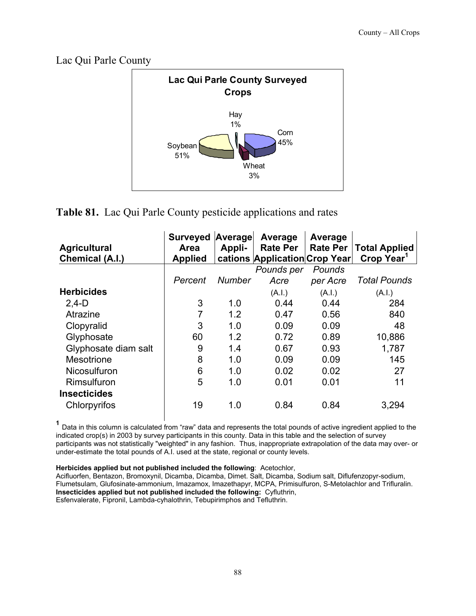Lac Qui Parle County



#### **Table 81.** Lac Qui Parle County pesticide applications and rates

| <b>Agricultural</b><br>Chemical (A.I.) | <b>Surveyed Average</b><br>Area<br><b>Applied</b> | Appli-        | Average<br><b>Rate Per</b><br>cations Application Crop Year | Average<br><b>Rate Per</b> | <b>Total Applied</b><br>Crop Year <sup>1</sup> |
|----------------------------------------|---------------------------------------------------|---------------|-------------------------------------------------------------|----------------------------|------------------------------------------------|
|                                        |                                                   |               | Pounds per                                                  | Pounds                     |                                                |
|                                        | Percent                                           | <b>Number</b> | Acre                                                        | per Acre                   | <b>Total Pounds</b>                            |
| <b>Herbicides</b>                      |                                                   |               | (A.l.)                                                      | (A.I.)                     | (A.I.)                                         |
| $2,4-D$                                | 3                                                 | 1.0           | 0.44                                                        | 0.44                       | 284                                            |
| Atrazine                               | 7                                                 | 1.2           | 0.47                                                        | 0.56                       | 840                                            |
| Clopyralid                             | 3                                                 | 1.0           | 0.09                                                        | 0.09                       | 48                                             |
| Glyphosate                             | 60                                                | 1.2           | 0.72                                                        | 0.89                       | 10,886                                         |
| Glyphosate diam salt                   | 9                                                 | 1.4           | 0.67                                                        | 0.93                       | 1,787                                          |
| Mesotrione                             | 8                                                 | 1.0           | 0.09                                                        | 0.09                       | 145                                            |
| <b>Nicosulfuron</b>                    | 6                                                 | 1.0           | 0.02                                                        | 0.02                       | 27                                             |
| Rimsulfuron                            | 5                                                 | 1.0           | 0.01                                                        | 0.01                       | 11                                             |
| <b>Insecticides</b>                    |                                                   |               |                                                             |                            |                                                |
| Chlorpyrifos                           | 19                                                | 1.0           | 0.84                                                        | 0.84                       | 3,294                                          |

**<sup>1</sup>** Data in this column is calculated from "raw" data and represents the total pounds of active ingredient applied to the indicated crop(s) in 2003 by survey participants in this county. Data in this table and the selection of survey participants was not statistically "weighted" in any fashion. Thus, inappropriate extrapolation of the data may over- or under-estimate the total pounds of A.I. used at the state, regional or county levels.

**Herbicides applied but not published included the following**: Acetochlor,

Acifluorfen, Bentazon, Bromoxynil, Dicamba, Dicamba, Dimet. Salt, Dicamba, Sodium salt, Diflufenzopyr-sodium, Flumetsulam, Glufosinate-ammonium, Imazamox, Imazethapyr, MCPA, Primisulfuron, S-Metolachlor and Trifluralin. **Insecticides applied but not published included the following:** Cyfluthrin, Esfenvalerate, Fipronil, Lambda-cyhalothrin, Tebupirimphos and Tefluthrin.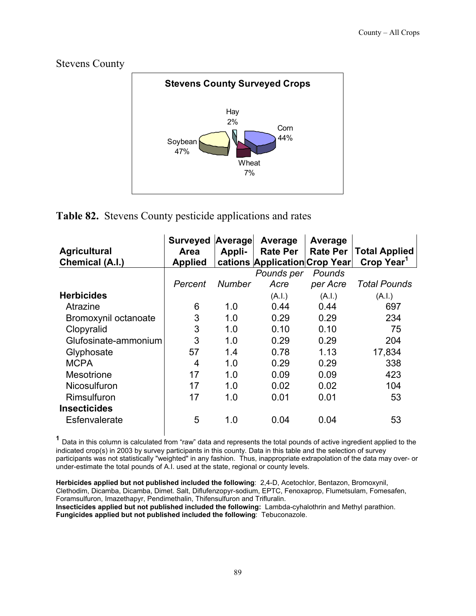

# **Table 82.** Stevens County pesticide applications and rates

| <b>Agricultural</b><br>Chemical (A.I.) | <b>Surveyed</b><br><b>Area</b><br><b>Applied</b> | Average<br>Appli- | Average<br><b>Rate Per</b><br>cations Application Crop Year | Average<br><b>Rate Per</b> | <b>Total Applied</b><br>Crop Year <sup>1</sup> |
|----------------------------------------|--------------------------------------------------|-------------------|-------------------------------------------------------------|----------------------------|------------------------------------------------|
|                                        |                                                  |                   | Pounds per                                                  | Pounds                     |                                                |
|                                        | Percent                                          | Number            | Acre                                                        | per Acre                   | <b>Total Pounds</b>                            |
| <b>Herbicides</b>                      |                                                  |                   | (A.I.)                                                      | (A.l.)                     | (A.I.)                                         |
| Atrazine                               | 6                                                | 1.0               | 0.44                                                        | 0.44                       | 697                                            |
| Bromoxynil octanoate                   | 3                                                | 1.0               | 0.29                                                        | 0.29                       | 234                                            |
| Clopyralid                             | 3                                                | 1.0               | 0.10                                                        | 0.10                       | 75                                             |
| Glufosinate-ammonium                   | 3                                                | 1.0               | 0.29                                                        | 0.29                       | 204                                            |
| Glyphosate                             | 57                                               | 1.4               | 0.78                                                        | 1.13                       | 17,834                                         |
| <b>MCPA</b>                            | 4                                                | 1.0               | 0.29                                                        | 0.29                       | 338                                            |
| Mesotrione                             | 17                                               | 1.0               | 0.09                                                        | 0.09                       | 423                                            |
| Nicosulfuron                           | 17                                               | 1.0               | 0.02                                                        | 0.02                       | 104                                            |
| Rimsulfuron                            | 17                                               | 1.0               | 0.01                                                        | 0.01                       | 53                                             |
| <b>Insecticides</b>                    |                                                  |                   |                                                             |                            |                                                |
| Esfenvalerate                          | 5                                                | 1.0               | 0.04                                                        | 0.04                       | 53                                             |

**<sup>1</sup>** Data in this column is calculated from "raw" data and represents the total pounds of active ingredient applied to the indicated crop(s) in 2003 by survey participants in this county. Data in this table and the selection of survey participants was not statistically "weighted" in any fashion. Thus, inappropriate extrapolation of the data may over- or under-estimate the total pounds of A.I. used at the state, regional or county levels.

**Herbicides applied but not published included the following**: 2,4-D, Acetochlor, Bentazon, Bromoxynil, Clethodim, Dicamba, Dicamba, Dimet. Salt, Diflufenzopyr-sodium, EPTC, Fenoxaprop, Flumetsulam, Fomesafen, Foramsulfuron, Imazethapyr, Pendimethalin, Thifensulfuron and Trifluralin.

**Insecticides applied but not published included the following:** Lambda-cyhalothrin and Methyl parathion. **Fungicides applied but not published included the following**: Tebuconazole.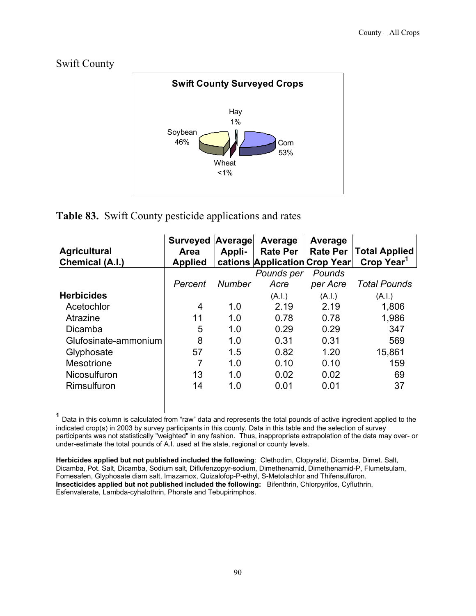#### Swift County



#### **Table 83.** Swift County pesticide applications and rates

| <b>Agricultural</b><br><b>Chemical (A.I.)</b> | <b>Surveyed</b><br><b>Area</b><br><b>Applied</b> | Average<br>Appli- | Average<br><b>Rate Per</b><br>cations Application Crop Year | Average<br><b>Rate Per</b> | <b>Total Applied</b><br>Crop Year <sup>1</sup> |
|-----------------------------------------------|--------------------------------------------------|-------------------|-------------------------------------------------------------|----------------------------|------------------------------------------------|
|                                               |                                                  |                   | Pounds per                                                  | Pounds                     |                                                |
|                                               | Percent                                          | <b>Number</b>     | Acre                                                        | per Acre                   | <b>Total Pounds</b>                            |
| <b>Herbicides</b>                             |                                                  |                   | (A.I.)                                                      | (A.I.)                     | (A.I.)                                         |
| Acetochlor                                    | 4                                                | 1.0               | 2.19                                                        | 2.19                       | 1,806                                          |
| Atrazine                                      | 11                                               | 1.0               | 0.78                                                        | 0.78                       | 1,986                                          |
| Dicamba                                       | 5                                                | 1.0               | 0.29                                                        | 0.29                       | 347                                            |
| Glufosinate-ammonium                          | 8                                                | 1.0               | 0.31                                                        | 0.31                       | 569                                            |
| Glyphosate                                    | 57                                               | 1.5               | 0.82                                                        | 1.20                       | 15,861                                         |
| Mesotrione                                    | 7                                                | 1.0               | 0.10                                                        | 0.10                       | 159                                            |
| <b>Nicosulfuron</b>                           | 13                                               | 1.0               | 0.02                                                        | 0.02                       | 69                                             |
| Rimsulfuron                                   | 14                                               | 1.0               | 0.01                                                        | 0.01                       | 37                                             |

**<sup>1</sup>** Data in this column is calculated from "raw" data and represents the total pounds of active ingredient applied to the indicated crop(s) in 2003 by survey participants in this county. Data in this table and the selection of survey participants was not statistically "weighted" in any fashion. Thus, inappropriate extrapolation of the data may over- or under-estimate the total pounds of A.I. used at the state, regional or county levels.

**Herbicides applied but not published included the following**: Clethodim, Clopyralid, Dicamba, Dimet. Salt, Dicamba, Pot. Salt, Dicamba, Sodium salt, Diflufenzopyr-sodium, Dimethenamid, Dimethenamid-P, Flumetsulam, Fomesafen, Glyphosate diam salt, Imazamox, Quizalofop-P-ethyl, S-Metolachlor and Thifensulfuron. **Insecticides applied but not published included the following:** Bifenthrin, Chlorpyrifos, Cyfluthrin, Esfenvalerate, Lambda-cyhalothrin, Phorate and Tebupirimphos.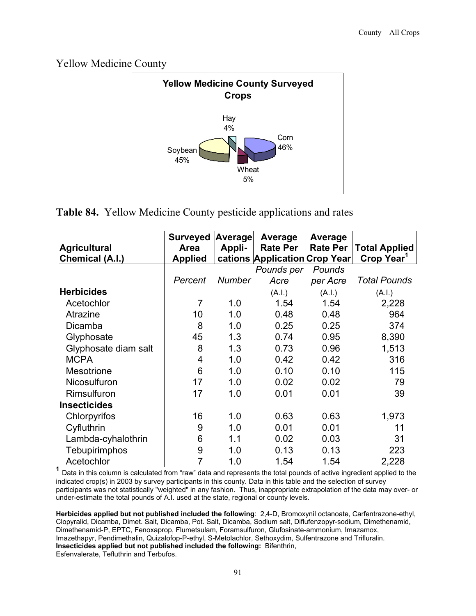Yellow Medicine County



**Table 84.** Yellow Medicine County pesticide applications and rates

|                        | <b>Surveyed</b> | Average       | Average                       | Average         |                        |
|------------------------|-----------------|---------------|-------------------------------|-----------------|------------------------|
| <b>Agricultural</b>    | <b>Area</b>     | Appli-        | <b>Rate Per</b>               | <b>Rate Per</b> | <b>Total Applied</b>   |
| <b>Chemical (A.I.)</b> | <b>Applied</b>  |               | cations Application Crop Year |                 | Crop Year <sup>1</sup> |
|                        |                 |               | Pounds per                    | Pounds          |                        |
|                        | Percent         | <b>Number</b> | Acre                          | per Acre        | <b>Total Pounds</b>    |
| <b>Herbicides</b>      |                 |               | (A.l.)                        | (A.I.)          | (A.I.)                 |
| Acetochlor             | 7               | 1.0           | 1.54                          | 1.54            | 2,228                  |
| Atrazine               | 10              | 1.0           | 0.48                          | 0.48            | 964                    |
| Dicamba                | 8               | 1.0           | 0.25                          | 0.25            | 374                    |
| Glyphosate             | 45              | 1.3           | 0.74                          | 0.95            | 8,390                  |
| Glyphosate diam salt   | 8               | 1.3           | 0.73                          | 0.96            | 1,513                  |
| <b>MCPA</b>            | 4               | 1.0           | 0.42                          | 0.42            | 316                    |
| <b>Mesotrione</b>      | 6               | 1.0           | 0.10                          | 0.10            | 115                    |
| Nicosulfuron           | 17              | 1.0           | 0.02                          | 0.02            | 79                     |
| Rimsulfuron            | 17              | 1.0           | 0.01                          | 0.01            | 39                     |
| <b>Insecticides</b>    |                 |               |                               |                 |                        |
| Chlorpyrifos           | 16              | 1.0           | 0.63                          | 0.63            | 1,973                  |
| Cyfluthrin             | 9               | 1.0           | 0.01                          | 0.01            | 11                     |
| Lambda-cyhalothrin     | 6               | 1.1           | 0.02                          | 0.03            | 31                     |
| <b>Tebupirimphos</b>   | 9               | 1.0           | 0.13                          | 0.13            | 223                    |
| Acetochlor             | 7               | 1.0           | 1.54                          | 1.54            | 2,228                  |

**<sup>1</sup>** Data in this column is calculated from "raw" data and represents the total pounds of active ingredient applied to the indicated crop(s) in 2003 by survey participants in this county. Data in this table and the selection of survey participants was not statistically "weighted" in any fashion. Thus, inappropriate extrapolation of the data may over- or under-estimate the total pounds of A.I. used at the state, regional or county levels.

**Herbicides applied but not published included the following**: 2,4-D, Bromoxynil octanoate, Carfentrazone-ethyl, Clopyralid, Dicamba, Dimet. Salt, Dicamba, Pot. Salt, Dicamba, Sodium salt, Diflufenzopyr-sodium, Dimethenamid, Dimethenamid-P, EPTC, Fenoxaprop, Flumetsulam, Foramsulfuron, Glufosinate-ammonium, Imazamox, Imazethapyr, Pendimethalin, Quizalofop-P-ethyl, S-Metolachlor, Sethoxydim, Sulfentrazone and Trifluralin. **Insecticides applied but not published included the following:** Bifenthrin, Esfenvalerate, Tefluthrin and Terbufos.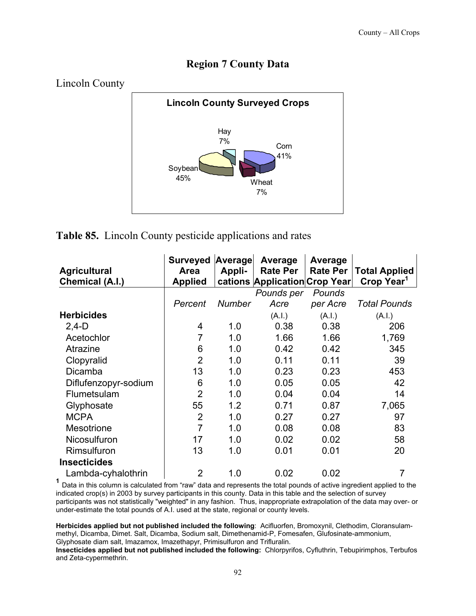#### **Region 7 County Data**



**Table 85.** Lincoln County pesticide applications and rates

|                      | <b>Surveyed</b> | Average       | Average                       | Average         |                        |
|----------------------|-----------------|---------------|-------------------------------|-----------------|------------------------|
| <b>Agricultural</b>  | <b>Area</b>     | Appli-        | <b>Rate Per</b>               | <b>Rate Per</b> | <b>Total Applied</b>   |
| Chemical (A.I.)      | <b>Applied</b>  |               | cations Application Crop Year |                 | Crop Year <sup>1</sup> |
|                      |                 |               | Pounds per                    | Pounds          |                        |
|                      | Percent         | <b>Number</b> | Acre                          | per Acre        | <b>Total Pounds</b>    |
| <b>Herbicides</b>    |                 |               | (A.I.)                        | (A.I.)          | (A.I.)                 |
| $2,4-D$              | 4               | 1.0           | 0.38                          | 0.38            | 206                    |
| Acetochlor           |                 | 1.0           | 1.66                          | 1.66            | 1,769                  |
| Atrazine             | 6               | 1.0           | 0.42                          | 0.42            | 345                    |
| Clopyralid           | $\overline{2}$  | 1.0           | 0.11                          | 0.11            | 39                     |
| Dicamba              | 13              | 1.0           | 0.23                          | 0.23            | 453                    |
| Diflufenzopyr-sodium | 6               | 1.0           | 0.05                          | 0.05            | 42                     |
| Flumetsulam          | $\overline{2}$  | 1.0           | 0.04                          | 0.04            | 14                     |
| Glyphosate           | 55              | 1.2           | 0.71                          | 0.87            | 7,065                  |
| <b>MCPA</b>          | $\overline{2}$  | 1.0           | 0.27                          | 0.27            | 97                     |
| <b>Mesotrione</b>    | $\overline{7}$  | 1.0           | 0.08                          | 0.08            | 83                     |
| Nicosulfuron         | 17              | 1.0           | 0.02                          | 0.02            | 58                     |
| Rimsulfuron          | 13              | 1.0           | 0.01                          | 0.01            | 20                     |
| <b>Insecticides</b>  |                 |               |                               |                 |                        |
| Lambda-cyhalothrin   | $\overline{2}$  | 1.0           | 0.02                          | 0.02            | 7                      |

**<sup>1</sup>** Data in this column is calculated from "raw" data and represents the total pounds of active ingredient applied to the indicated crop(s) in 2003 by survey participants in this county. Data in this table and the selection of survey participants was not statistically "weighted" in any fashion. Thus, inappropriate extrapolation of the data may over- or under-estimate the total pounds of A.I. used at the state, regional or county levels.

**Herbicides applied but not published included the following**: Acifluorfen, Bromoxynil, Clethodim, Cloransulammethyl, Dicamba, Dimet. Salt, Dicamba, Sodium salt, Dimethenamid-P, Fomesafen, Glufosinate-ammonium, Glyphosate diam salt, Imazamox, Imazethapyr, Primisulfuron and Trifluralin.

**Insecticides applied but not published included the following:** Chlorpyrifos, Cyfluthrin, Tebupirimphos, Terbufos and Zeta-cypermethrin.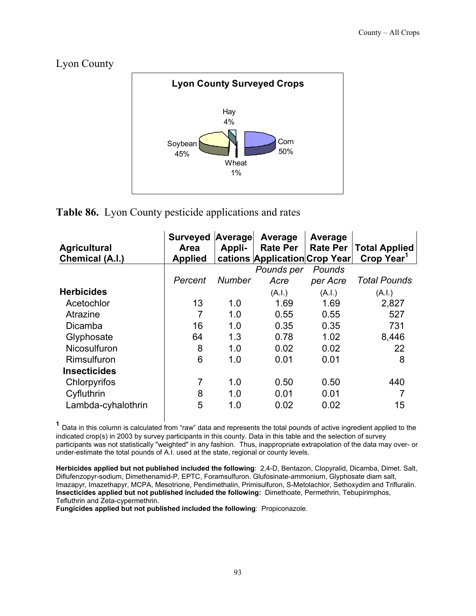#### Lyon County



#### **Table 86.** Lyon County pesticide applications and rates

| <b>Agricultural</b><br>Chemical (A.I.) | <b>Surveyed</b><br><b>Area</b><br><b>Applied</b> | Average<br>Appli- | Average<br><b>Rate Per</b><br>cations Application Crop Year | Average<br><b>Rate Per</b> | <b>Total Applied</b><br>Crop Year <sup>1</sup> |
|----------------------------------------|--------------------------------------------------|-------------------|-------------------------------------------------------------|----------------------------|------------------------------------------------|
|                                        |                                                  |                   | Pounds per                                                  | Pounds                     |                                                |
|                                        | Percent                                          | <b>Number</b>     | Acre                                                        | per Acre                   | <b>Total Pounds</b>                            |
| <b>Herbicides</b>                      |                                                  |                   | (A.I.)                                                      | (A.I.)                     | (A.I.)                                         |
| Acetochlor                             | 13                                               | 1.0               | 1.69                                                        | 1.69                       | 2,827                                          |
| Atrazine                               | $\overline{7}$                                   | 1.0               | 0.55                                                        | 0.55                       | 527                                            |
| Dicamba                                | 16                                               | 1.0               | 0.35                                                        | 0.35                       | 731                                            |
| Glyphosate                             | 64                                               | 1.3               | 0.78                                                        | 1.02                       | 8,446                                          |
| <b>Nicosulfuron</b>                    | 8                                                | 1.0               | 0.02                                                        | 0.02                       | 22                                             |
| Rimsulfuron                            | 6                                                | 1.0               | 0.01                                                        | 0.01                       | 8                                              |
| <b>Insecticides</b>                    |                                                  |                   |                                                             |                            |                                                |
| Chlorpyrifos                           | 7                                                | 1.0               | 0.50                                                        | 0.50                       | 440                                            |
| Cyfluthrin                             | 8                                                | 1.0               | 0.01                                                        | 0.01                       |                                                |
| Lambda-cyhalothrin                     | 5                                                | 1.0               | 0.02                                                        | 0.02                       | 15                                             |

 **<sup>1</sup>** Data in this column is calculated from "raw" data and represents the total pounds of active ingredient applied to the indicated crop(s) in 2003 by survey participants in this county. Data in this table and the selection of survey participants was not statistically "weighted" in any fashion. Thus, inappropriate extrapolation of the data may over- or under-estimate the total pounds of A.I. used at the state, regional or county levels.

**Herbicides applied but not published included the following**: 2,4-D, Bentazon, Clopyralid, Dicamba, Dimet. Salt, Diflufenzopyr-sodium, Dimethenamid-P, EPTC, Foramsulfuron. Glufosinate-ammonium, Glyphosate diam salt, Imazapyr, Imazethapyr, MCPA, Mesotrione, Pendimethalin, Primisulfuron, S-Metolachlor, Sethoxydim and Trifluralin. **Insecticides applied but not published included the following:** Dimethoate, Permethrin, Tebupirimphos, Tefluthrin and Zeta-cypermethrin.

**Fungicides applied but not published included the following**: Propiconazole.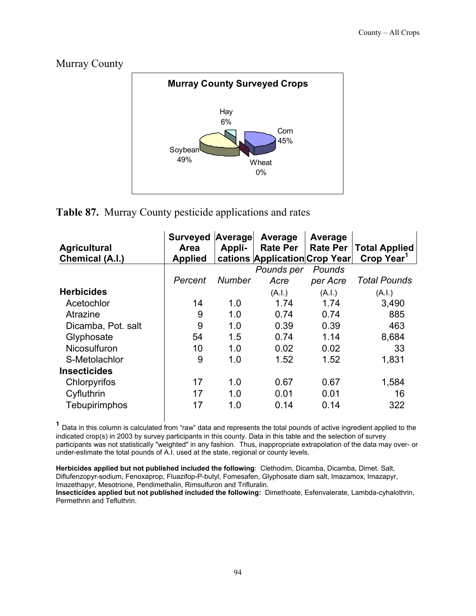



**Table 87.** Murray County pesticide applications and rates

| <b>Agricultural</b><br>Chemical (A.I.) | <b>Surveyed</b><br><b>Area</b><br><b>Applied</b> | Average<br>Appli- | Average<br><b>Rate Per</b><br>cations Application Crop Year | Average<br><b>Rate Per</b> | <b>Total Applied</b><br>Crop Year <sup>1</sup> |
|----------------------------------------|--------------------------------------------------|-------------------|-------------------------------------------------------------|----------------------------|------------------------------------------------|
|                                        |                                                  |                   | Pounds per                                                  | Pounds                     |                                                |
|                                        | Percent                                          | <b>Number</b>     | Acre                                                        | per Acre                   | <b>Total Pounds</b>                            |
| <b>Herbicides</b>                      |                                                  |                   | (A.I.)                                                      | (A.I.)                     | (A.I.)                                         |
| Acetochlor                             | 14                                               | 1.0               | 1.74                                                        | 1.74                       | 3,490                                          |
| Atrazine                               | 9                                                | 1.0               | 0.74                                                        | 0.74                       | 885                                            |
| Dicamba, Pot. salt                     | 9                                                | 1.0               | 0.39                                                        | 0.39                       | 463                                            |
| Glyphosate                             | 54                                               | 1.5               | 0.74                                                        | 1.14                       | 8,684                                          |
| Nicosulfuron                           | 10                                               | 1.0               | 0.02                                                        | 0.02                       | 33                                             |
| S-Metolachlor                          | 9                                                | 1.0               | 1.52                                                        | 1.52                       | 1,831                                          |
| <b>Insecticides</b>                    |                                                  |                   |                                                             |                            |                                                |
| Chlorpyrifos                           | 17                                               | 1.0               | 0.67                                                        | 0.67                       | 1,584                                          |
| Cyfluthrin                             | 17                                               | 1.0               | 0.01                                                        | 0.01                       | 16                                             |
| Tebupirimphos                          | 17                                               | 1.0               | 0.14                                                        | 0.14                       | 322                                            |

 **<sup>1</sup>** Data in this column is calculated from "raw" data and represents the total pounds of active ingredient applied to the indicated crop(s) in 2003 by survey participants in this county. Data in this table and the selection of survey participants was not statistically "weighted" in any fashion. Thus, inappropriate extrapolation of the data may over- or under-estimate the total pounds of A.I. used at the state, regional or county levels.

**Herbicides applied but not published included the following**: Clethodim, Dicamba, Dicamba, Dimet. Salt, Diflufenzopyr-sodium, Fenoxaprop, Fluazifop-P-butyl, Fomesafen, Glyphosate diam salt, Imazamox, Imazapyr, Imazethapyr, Mesotrione, Pendimethalin, Rimsulfuron and Trifluralin. **Insecticides applied but not published included the following:** Dimethoate, Esfenvalerate, Lambda-cyhalothrin, Permethrin and Tefluthrin.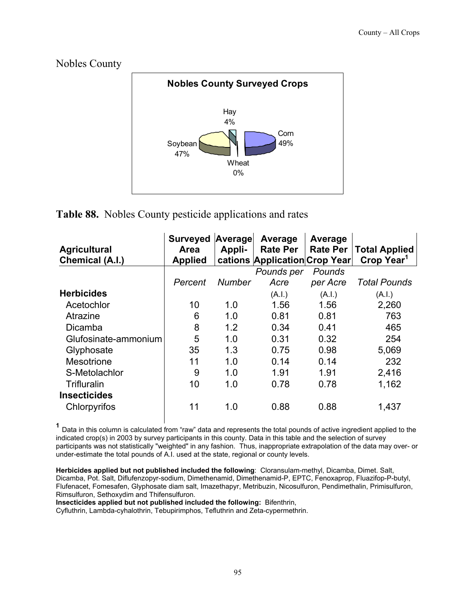



**Table 88.** Nobles County pesticide applications and rates

| <b>Agricultural</b><br>Chemical (A.I.) | <b>Surveyed</b><br>Area<br><b>Applied</b> | Average<br>Appli- | Average<br><b>Rate Per</b><br>cations Application Crop Year | Average<br><b>Rate Per</b> | <b>Total Applied</b><br>Crop Year <sup>1</sup> |
|----------------------------------------|-------------------------------------------|-------------------|-------------------------------------------------------------|----------------------------|------------------------------------------------|
|                                        |                                           |                   | Pounds per                                                  | Pounds                     |                                                |
|                                        | Percent                                   | <b>Number</b>     | Acre                                                        | per Acre                   | <b>Total Pounds</b>                            |
| <b>Herbicides</b>                      |                                           |                   | (A.I.)                                                      | (A.I.)                     | (A.I.)                                         |
| Acetochlor                             | 10                                        | 1.0               | 1.56                                                        | 1.56                       | 2,260                                          |
| Atrazine                               | 6                                         | 1.0               | 0.81                                                        | 0.81                       | 763                                            |
| Dicamba                                | 8                                         | 1.2               | 0.34                                                        | 0.41                       | 465                                            |
| Glufosinate-ammonium                   | 5                                         | 1.0               | 0.31                                                        | 0.32                       | 254                                            |
| Glyphosate                             | 35                                        | 1.3               | 0.75                                                        | 0.98                       | 5,069                                          |
| <b>Mesotrione</b>                      | 11                                        | 1.0               | 0.14                                                        | 0.14                       | 232                                            |
| S-Metolachlor                          | 9                                         | 1.0               | 1.91                                                        | 1.91                       | 2,416                                          |
| Trifluralin                            | 10                                        | 1.0               | 0.78                                                        | 0.78                       | 1,162                                          |
| <b>Insecticides</b>                    |                                           |                   |                                                             |                            |                                                |
| Chlorpyrifos                           | 11                                        | 1.0               | 0.88                                                        | 0.88                       | 1,437                                          |

 **<sup>1</sup>** Data in this column is calculated from "raw" data and represents the total pounds of active ingredient applied to the indicated crop(s) in 2003 by survey participants in this county. Data in this table and the selection of survey participants was not statistically "weighted" in any fashion. Thus, inappropriate extrapolation of the data may over- or under-estimate the total pounds of A.I. used at the state, regional or county levels.

**Herbicides applied but not published included the following**: Cloransulam-methyl, Dicamba, Dimet. Salt, Dicamba, Pot. Salt, Diflufenzopyr-sodium, Dimethenamid, Dimethenamid-P, EPTC, Fenoxaprop, Fluazifop-P-butyl, Flufenacet, Fomesafen, Glyphosate diam salt, Imazethapyr, Metribuzin, Nicosulfuron, Pendimethalin, Primisulfuron, Rimsulfuron, Sethoxydim and Thifensulfuron.

**Insecticides applied but not published included the following:** Bifenthrin,

Cyfluthrin, Lambda-cyhalothrin, Tebupirimphos, Tefluthrin and Zeta-cypermethrin.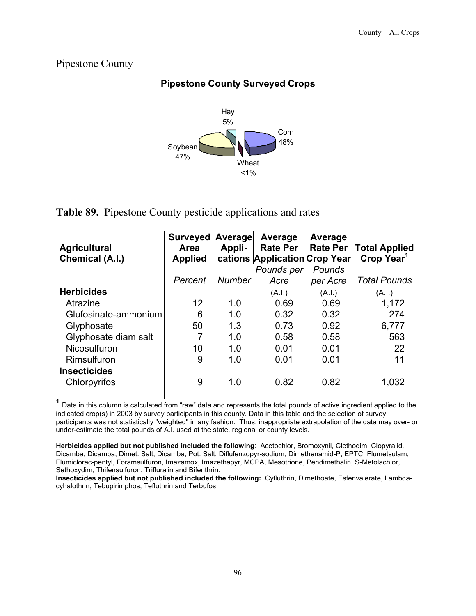Pipestone County



**Table 89.** Pipestone County pesticide applications and rates

| <b>Agricultural</b><br>Chemical (A.I.) | <b>Surveyed</b><br><b>Area</b><br><b>Applied</b> | Average<br>Appli- | Average<br><b>Rate Per</b><br>cations Application Crop Year | Average<br><b>Rate Per</b> | <b>Total Applied</b><br>Crop Year <sup>1</sup> |
|----------------------------------------|--------------------------------------------------|-------------------|-------------------------------------------------------------|----------------------------|------------------------------------------------|
|                                        |                                                  |                   | Pounds per                                                  | Pounds                     |                                                |
|                                        | Percent                                          | Number            | Acre                                                        | per Acre                   | <b>Total Pounds</b>                            |
| <b>Herbicides</b>                      |                                                  |                   | (A.I.)                                                      | (A.I.)                     | (A.l.)                                         |
| Atrazine                               | 12                                               | 1.0               | 0.69                                                        | 0.69                       | 1,172                                          |
| Glufosinate-ammonium                   | 6                                                | 1.0               | 0.32                                                        | 0.32                       | 274                                            |
| Glyphosate                             | 50                                               | 1.3               | 0.73                                                        | 0.92                       | 6,777                                          |
| Glyphosate diam salt                   | 7                                                | 1.0               | 0.58                                                        | 0.58                       | 563                                            |
| Nicosulfuron                           | 10                                               | 1.0               | 0.01                                                        | 0.01                       | 22                                             |
| Rimsulfuron                            | 9                                                | 1.0               | 0.01                                                        | 0.01                       | 11                                             |
| <b>Insecticides</b>                    |                                                  |                   |                                                             |                            |                                                |
| Chlorpyrifos                           | 9                                                | 1.0               | 0.82                                                        | 0.82                       | 1,032                                          |

 **<sup>1</sup>** Data in this column is calculated from "raw" data and represents the total pounds of active ingredient applied to the indicated crop(s) in 2003 by survey participants in this county. Data in this table and the selection of survey participants was not statistically "weighted" in any fashion. Thus, inappropriate extrapolation of the data may over- or under-estimate the total pounds of A.I. used at the state, regional or county levels.

**Herbicides applied but not published included the following**: Acetochlor, Bromoxynil, Clethodim, Clopyralid, Dicamba, Dicamba, Dimet. Salt, Dicamba, Pot. Salt, Diflufenzopyr-sodium, Dimethenamid-P, EPTC, Flumetsulam, Flumiclorac-pentyl, Foramsulfuron, Imazamox, Imazethapyr, MCPA, Mesotrione, Pendimethalin, S-Metolachlor, Sethoxydim, Thifensulfuron, Trifluralin and Bifenthrin.

**Insecticides applied but not published included the following:** Cyfluthrin, Dimethoate, Esfenvalerate, Lambdacyhalothrin, Tebupirimphos, Tefluthrin and Terbufos.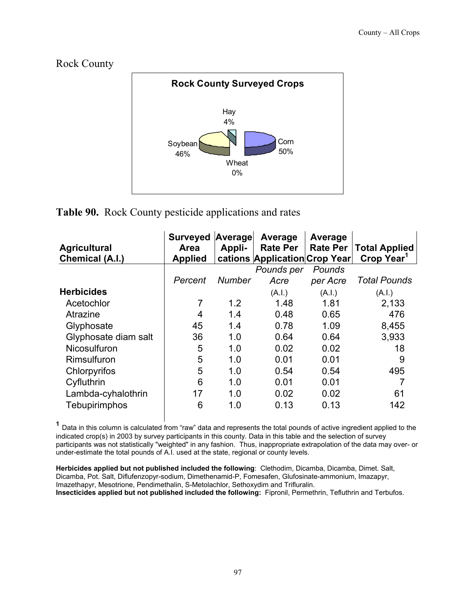#### Rock County



#### **Table 90.** Rock County pesticide applications and rates

| <b>Agricultural</b><br>Chemical (A.I.) | <b>Surveyed</b><br><b>Area</b><br><b>Applied</b> | Average<br>Appli- | Average<br><b>Rate Per</b><br>cations Application Crop Year | Average<br><b>Rate Per</b> | <b>Total Applied</b><br>Crop Year <sup>1</sup> |
|----------------------------------------|--------------------------------------------------|-------------------|-------------------------------------------------------------|----------------------------|------------------------------------------------|
|                                        |                                                  |                   | Pounds per                                                  | Pounds                     |                                                |
|                                        | Percent                                          | <b>Number</b>     | Acre                                                        | per Acre                   | <b>Total Pounds</b>                            |
| <b>Herbicides</b>                      |                                                  |                   | (A.I.)                                                      | (A.I.)                     | (A.I.)                                         |
| Acetochlor                             | 7                                                | 1.2               | 1.48                                                        | 1.81                       | 2,133                                          |
| Atrazine                               | 4                                                | 1.4               | 0.48                                                        | 0.65                       | 476                                            |
| Glyphosate                             | 45                                               | 1.4               | 0.78                                                        | 1.09                       | 8,455                                          |
| Glyphosate diam salt                   | 36                                               | 1.0               | 0.64                                                        | 0.64                       | 3,933                                          |
| Nicosulfuron                           | 5                                                | 1.0               | 0.02                                                        | 0.02                       | 18                                             |
| Rimsulfuron                            | 5                                                | 1.0               | 0.01                                                        | 0.01                       | 9                                              |
| Chlorpyrifos                           | 5                                                | 1.0               | 0.54                                                        | 0.54                       | 495                                            |
| Cyfluthrin                             | 6                                                | 1.0               | 0.01                                                        | 0.01                       |                                                |
| Lambda-cyhalothrin                     | 17                                               | 1.0               | 0.02                                                        | 0.02                       | 61                                             |
| Tebupirimphos                          | 6                                                | 1.0               | 0.13                                                        | 0.13                       | 142                                            |

 **<sup>1</sup>** Data in this column is calculated from "raw" data and represents the total pounds of active ingredient applied to the indicated crop(s) in 2003 by survey participants in this county. Data in this table and the selection of survey participants was not statistically "weighted" in any fashion. Thus, inappropriate extrapolation of the data may over- or under-estimate the total pounds of A.I. used at the state, regional or county levels.

**Herbicides applied but not published included the following**: Clethodim, Dicamba, Dicamba, Dimet. Salt, Dicamba, Pot. Salt, Diflufenzopyr-sodium, Dimethenamid-P, Fomesafen, Glufosinate-ammonium, Imazapyr, Imazethapyr, Mesotrione, Pendimethalin, S-Metolachlor, Sethoxydim and Trifluralin. **Insecticides applied but not published included the following:** Fipronil, Permethrin, Tefluthrin and Terbufos.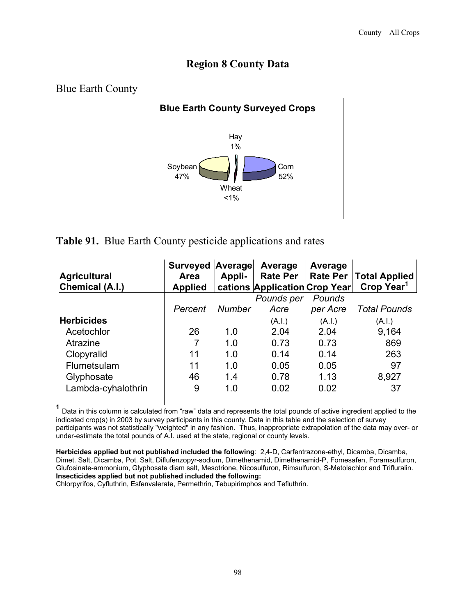# **Region 8 County Data**



# **Table 91.** Blue Earth County pesticide applications and rates

| <b>Agricultural</b><br>Chemical (A.I.) | <b>Surveyed Average</b><br>Area<br><b>Applied</b> | Appli- | Average<br><b>Rate Per</b><br>cations Application Crop Year | Average<br><b>Rate Per</b> | <b>Total Applied</b><br>Crop Year <sup>1</sup> |
|----------------------------------------|---------------------------------------------------|--------|-------------------------------------------------------------|----------------------------|------------------------------------------------|
|                                        |                                                   |        | Pounds per                                                  | Pounds                     |                                                |
|                                        | Percent                                           | Number | Acre                                                        | per Acre                   | <b>Total Pounds</b>                            |
| <b>Herbicides</b>                      |                                                   |        | (A.I.)                                                      | (A.I.)                     | (A.I.)                                         |
| Acetochlor                             | 26                                                | 1.0    | 2.04                                                        | 2.04                       | 9.164                                          |
| Atrazine                               |                                                   | 1.0    | 0.73                                                        | 0.73                       | 869                                            |
| Clopyralid                             | 11                                                | 1.0    | 0.14                                                        | 0.14                       | 263                                            |
| Flumetsulam                            | 11                                                | 1.0    | 0.05                                                        | 0.05                       | 97                                             |
| Glyphosate                             | 46                                                | 14     | 0.78                                                        | 1.13                       | 8,927                                          |
| Lambda-cyhalothrin                     | 9                                                 | 1.0    | 0.02                                                        | 0.02                       | 37                                             |

 **<sup>1</sup>** Data in this column is calculated from "raw" data and represents the total pounds of active ingredient applied to the indicated crop(s) in 2003 by survey participants in this county. Data in this table and the selection of survey participants was not statistically "weighted" in any fashion. Thus, inappropriate extrapolation of the data may over- or under-estimate the total pounds of A.I. used at the state, regional or county levels.

**Herbicides applied but not published included the following**: 2,4-D, Carfentrazone-ethyl, Dicamba, Dicamba, Dimet. Salt, Dicamba, Pot. Salt, Diflufenzopyr-sodium, Dimethenamid, Dimethenamid-P, Fomesafen, Foramsulfuron, Glufosinate-ammonium, Glyphosate diam salt, Mesotrione, Nicosulfuron, Rimsulfuron, S-Metolachlor and Trifluralin. **Insecticides applied but not published included the following:** 

Chlorpyrifos, Cyfluthrin, Esfenvalerate, Permethrin, Tebupirimphos and Tefluthrin.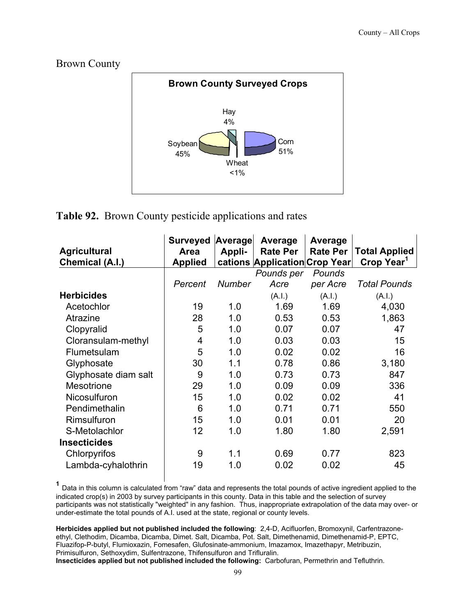Brown County



# **Table 92.** Brown County pesticide applications and rates

|                      | <b>Surveyed</b> | Average       | Average                       | Average         |                        |
|----------------------|-----------------|---------------|-------------------------------|-----------------|------------------------|
| <b>Agricultural</b>  | <b>Area</b>     | Appli-        | <b>Rate Per</b>               | <b>Rate Per</b> | <b>Total Applied</b>   |
| Chemical (A.I.)      | <b>Applied</b>  |               | cations Application Crop Year |                 | Crop Year <sup>1</sup> |
|                      |                 |               | Pounds per                    | Pounds          |                        |
|                      | Percent         | <b>Number</b> | Acre                          | per Acre        | <b>Total Pounds</b>    |
| <b>Herbicides</b>    |                 |               | (A.I.)                        | (A.I.)          | (A.I.)                 |
| Acetochlor           | 19              | 1.0           | 1.69                          | 1.69            | 4,030                  |
| Atrazine             | 28              | 1.0           | 0.53                          | 0.53            | 1,863                  |
| Clopyralid           | 5               | 1.0           | 0.07                          | 0.07            | 47                     |
| Cloransulam-methyl   | 4               | 1.0           | 0.03                          | 0.03            | 15                     |
| Flumetsulam          | 5               | 1.0           | 0.02                          | 0.02            | 16                     |
| Glyphosate           | 30              | 1.1           | 0.78                          | 0.86            | 3,180                  |
| Glyphosate diam salt | 9               | 1.0           | 0.73                          | 0.73            | 847                    |
| <b>Mesotrione</b>    | 29              | 1.0           | 0.09                          | 0.09            | 336                    |
| Nicosulfuron         | 15              | 1.0           | 0.02                          | 0.02            | 41                     |
| Pendimethalin        | 6               | 1.0           | 0.71                          | 0.71            | 550                    |
| Rimsulfuron          | 15              | 1.0           | 0.01                          | 0.01            | 20                     |
| S-Metolachlor        | 12              | 1.0           | 1.80                          | 1.80            | 2,591                  |
| <b>Insecticides</b>  |                 |               |                               |                 |                        |
| Chlorpyrifos         | 9               | 1.1           | 0.69                          | 0.77            | 823                    |
| Lambda-cyhalothrin   | 19              | 1.0           | 0.02                          | 0.02            | 45                     |

 **<sup>1</sup>** Data in this column is calculated from "raw" data and represents the total pounds of active ingredient applied to the indicated crop(s) in 2003 by survey participants in this county. Data in this table and the selection of survey participants was not statistically "weighted" in any fashion. Thus, inappropriate extrapolation of the data may over- or under-estimate the total pounds of A.I. used at the state, regional or county levels.

**Herbicides applied but not published included the following**: 2,4-D, Acifluorfen, Bromoxynil, Carfentrazoneethyl, Clethodim, Dicamba, Dicamba, Dimet. Salt, Dicamba, Pot. Salt, Dimethenamid, Dimethenamid-P, EPTC, Fluazifop-P-butyl, Flumioxazin, Fomesafen, Glufosinate-ammonium, Imazamox, Imazethapyr, Metribuzin, Primisulfuron, Sethoxydim, Sulfentrazone, Thifensulfuron and Trifluralin. **Insecticides applied but not published included the following:** Carbofuran, Permethrin and Tefluthrin.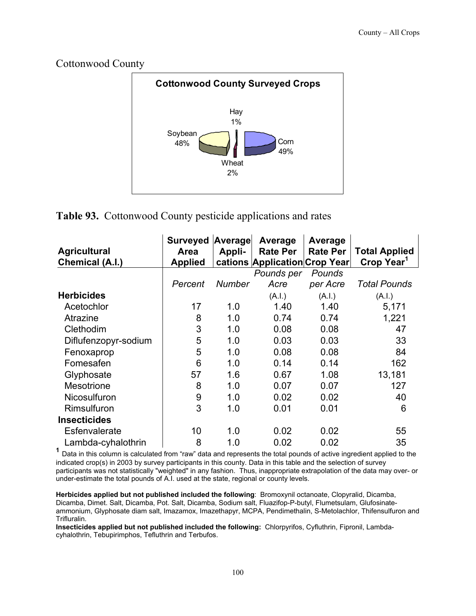Cottonwood County



# **Table 93.** Cottonwood County pesticide applications and rates

| <b>Agricultural</b>                        | <b>Surveyed Average</b><br>Area | Appli-        | Average<br><b>Rate Per</b>                  | Average<br><b>Rate Per</b> | <b>Total Applied</b><br>Crop Year <sup>1</sup> |
|--------------------------------------------|---------------------------------|---------------|---------------------------------------------|----------------------------|------------------------------------------------|
| Chemical (A.I.)                            | <b>Applied</b>                  |               | cations Application Crop Year<br>Pounds per | Pounds                     |                                                |
|                                            | Percent                         | <b>Number</b> | Acre                                        | per Acre                   | <b>Total Pounds</b>                            |
| <b>Herbicides</b>                          |                                 |               | (A.I.)                                      | (A.I.)                     | (A.I.)                                         |
| Acetochlor                                 | 17                              | 1.0           | 1.40                                        | 1.40                       | 5,171                                          |
| Atrazine                                   | 8                               | 1.0           | 0.74                                        | 0.74                       | 1,221                                          |
| Clethodim                                  | 3                               | 1.0           | 0.08                                        | 0.08                       | 47                                             |
| Diflufenzopyr-sodium                       | 5                               | 1.0           | 0.03                                        | 0.03                       | 33                                             |
| Fenoxaprop                                 | 5                               | 1.0           | 0.08                                        | 0.08                       | 84                                             |
| Fomesafen                                  | 6                               | 1.0           | 0.14                                        | 0.14                       | 162                                            |
| Glyphosate                                 | 57                              | 1.6           | 0.67                                        | 1.08                       | 13,181                                         |
| <b>Mesotrione</b>                          | 8                               | 1.0           | 0.07                                        | 0.07                       | 127                                            |
| Nicosulfuron                               | 9                               | 1.0           | 0.02                                        | 0.02                       | 40                                             |
| Rimsulfuron                                | 3                               | 1.0           | 0.01                                        | 0.01                       | 6                                              |
| <b>Insecticides</b>                        |                                 |               |                                             |                            |                                                |
| Esfenvalerate                              | 10                              | 1.0           | 0.02                                        | 0.02                       | 55                                             |
| Lambda-cyhalothrin<br>$\blacktriangleleft$ | 8                               | 1.0           | 0.02                                        | 0.02                       | 35                                             |

<sup>1</sup> Data in this column is calculated from "raw" data and represents the total pounds of active ingredient applied to the indicated crop(s) in 2003 by survey participants in this county. Data in this table and the selection of survey participants was not statistically "weighted" in any fashion. Thus, inappropriate extrapolation of the data may over- or under-estimate the total pounds of A.I. used at the state, regional or county levels.

**Herbicides applied but not published included the following**: Bromoxynil octanoate, Clopyralid, Dicamba, Dicamba, Dimet. Salt, Dicamba, Pot. Salt, Dicamba, Sodium salt, Fluazifop-P-butyl, Flumetsulam, Glufosinateammonium, Glyphosate diam salt, Imazamox, Imazethapyr, MCPA, Pendimethalin, S-Metolachlor, Thifensulfuron and Trifluralin.

**Insecticides applied but not published included the following:** Chlorpyrifos, Cyfluthrin, Fipronil, Lambdacyhalothrin, Tebupirimphos, Tefluthrin and Terbufos.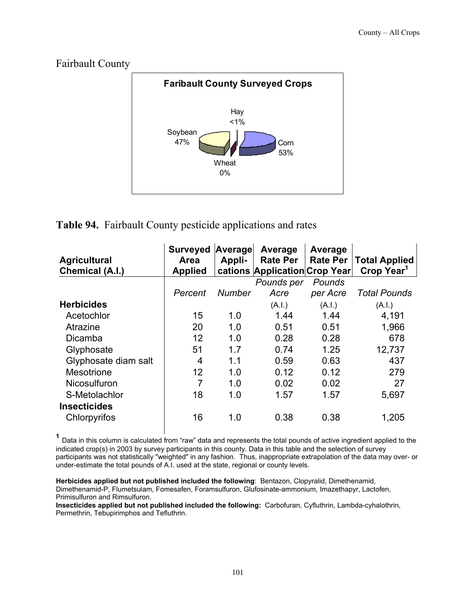# Fairbault County



#### **Table 94.** Fairbault County pesticide applications and rates

| <b>Agricultural</b><br>Chemical (A.I.) | <b>Surveyed</b><br><b>Area</b><br><b>Applied</b> | Average<br>Appli- | Average<br><b>Rate Per</b><br>cations Application Crop Year | Average<br><b>Rate Per</b> | <b>Total Applied</b><br>Crop Year <sup>1</sup> |
|----------------------------------------|--------------------------------------------------|-------------------|-------------------------------------------------------------|----------------------------|------------------------------------------------|
|                                        |                                                  |                   | Pounds per                                                  | Pounds                     |                                                |
|                                        | Percent                                          | Number            | Acre                                                        | per Acre                   | <b>Total Pounds</b>                            |
| <b>Herbicides</b>                      |                                                  |                   | (A.I.)                                                      | (A.I.)                     | (A.I.)                                         |
| Acetochlor                             | 15                                               | 1.0               | 1.44                                                        | 1.44                       | 4,191                                          |
| Atrazine                               | 20                                               | 1.0               | 0.51                                                        | 0.51                       | 1,966                                          |
| Dicamba                                | 12                                               | 1.0               | 0.28                                                        | 0.28                       | 678                                            |
| Glyphosate                             | 51                                               | 1.7               | 0.74                                                        | 1.25                       | 12,737                                         |
| Glyphosate diam salt                   | 4                                                | 1.1               | 0.59                                                        | 0.63                       | 437                                            |
| Mesotrione                             | 12                                               | 1.0               | 0.12                                                        | 0.12                       | 279                                            |
| <b>Nicosulfuron</b>                    | 7                                                | 1.0               | 0.02                                                        | 0.02                       | 27                                             |
| S-Metolachlor                          | 18                                               | 1.0               | 1.57                                                        | 1.57                       | 5,697                                          |
| <b>Insecticides</b>                    |                                                  |                   |                                                             |                            |                                                |
| Chlorpyrifos                           | 16                                               | 1.0               | 0.38                                                        | 0.38                       | 1,205                                          |

 **<sup>1</sup>** Data in this column is calculated from "raw" data and represents the total pounds of active ingredient applied to the indicated crop(s) in 2003 by survey participants in this county. Data in this table and the selection of survey participants was not statistically "weighted" in any fashion. Thus, inappropriate extrapolation of the data may over- or under-estimate the total pounds of A.I. used at the state, regional or county levels.

**Herbicides applied but not published included the following**: Bentazon, Clopyralid, Dimethenamid, Dimethenamid-P, Flumetsulam, Fomesafen, Foramsulfuron, Glufosinate-ammonium, Imazethapyr, Lactofen, Primisulfuron and Rimsulfuron.

**Insecticides applied but not published included the following:** Carbofuran, Cyfluthrin, Lambda-cyhalothrin, Permethrin, Tebupirimphos and Tefluthrin.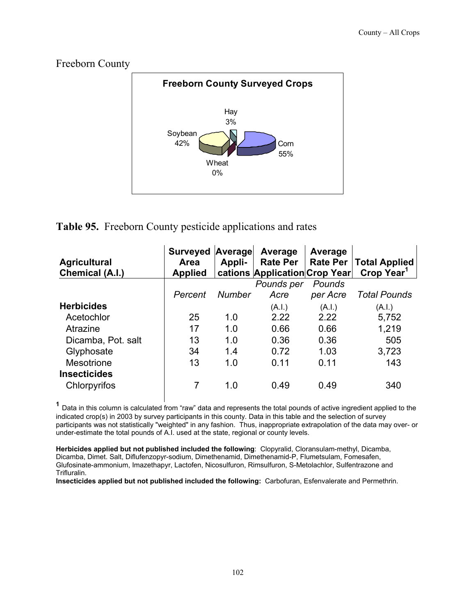

#### **Table 95.** Freeborn County pesticide applications and rates

| <b>Agricultural</b><br>Chemical (A.I.) | <b>Surveyed</b><br>Area<br><b>Applied</b> | Average<br>Appli- | Average<br><b>Rate Per</b><br>cations Application Crop Year | Average<br><b>Rate Per</b> | <b>Total Applied</b><br>Crop Year <sup>1</sup> |
|----------------------------------------|-------------------------------------------|-------------------|-------------------------------------------------------------|----------------------------|------------------------------------------------|
|                                        |                                           |                   | Pounds per                                                  | Pounds                     |                                                |
|                                        | Percent                                   | <b>Number</b>     | Acre                                                        | per Acre                   | <b>Total Pounds</b>                            |
| <b>Herbicides</b>                      |                                           |                   | (A.I.)                                                      | (A.I.)                     | (A.I.)                                         |
| Acetochlor                             | 25                                        | 1.0               | 2.22                                                        | 2.22                       | 5,752                                          |
| Atrazine                               | 17                                        | 1.0               | 0.66                                                        | 0.66                       | 1,219                                          |
| Dicamba, Pot. salt                     | 13                                        | 1.0               | 0.36                                                        | 0.36                       | 505                                            |
| Glyphosate                             | 34                                        | 1.4               | 0.72                                                        | 1.03                       | 3,723                                          |
| <b>Mesotrione</b>                      | 13                                        | 1.0               | 0.11                                                        | 0.11                       | 143                                            |
| <b>Insecticides</b>                    |                                           |                   |                                                             |                            |                                                |
| Chlorpyrifos                           |                                           | 1.0               | 0.49                                                        | 0.49                       | 340                                            |

 **<sup>1</sup>** Data in this column is calculated from "raw" data and represents the total pounds of active ingredient applied to the indicated crop(s) in 2003 by survey participants in this county. Data in this table and the selection of survey participants was not statistically "weighted" in any fashion. Thus, inappropriate extrapolation of the data may over- or under-estimate the total pounds of A.I. used at the state, regional or county levels.

**Herbicides applied but not published included the following**: Clopyralid, Cloransulam-methyl, Dicamba, Dicamba, Dimet. Salt, Diflufenzopyr-sodium, Dimethenamid, Dimethenamid-P, Flumetsulam, Fomesafen, Glufosinate-ammonium, Imazethapyr, Lactofen, Nicosulfuron, Rimsulfuron, S-Metolachlor, Sulfentrazone and Trifluralin.

**Insecticides applied but not published included the following:** Carbofuran, Esfenvalerate and Permethrin.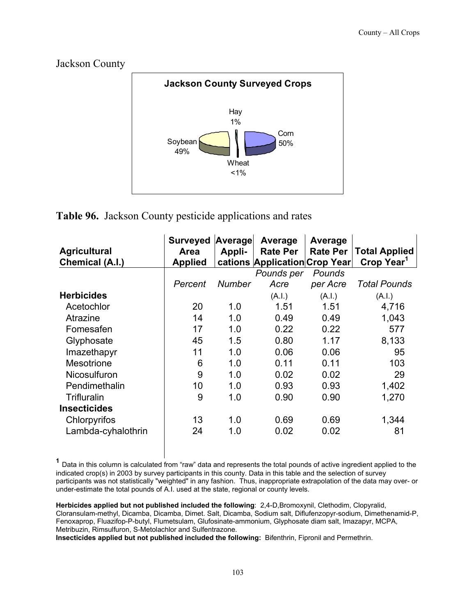



# **Table 96.** Jackson County pesticide applications and rates

| <b>Agricultural</b>    | <b>Surveyed</b><br>Area | Average<br>Appli- | Average<br><b>Rate Per</b>    | Average<br><b>Rate Per</b> | <b>Total Applied</b>   |
|------------------------|-------------------------|-------------------|-------------------------------|----------------------------|------------------------|
| <b>Chemical (A.I.)</b> | <b>Applied</b>          |                   | cations Application Crop Year |                            | Crop Year <sup>1</sup> |
|                        |                         |                   | Pounds per                    | Pounds                     |                        |
|                        | Percent                 | Number            | Acre                          | per Acre                   | <b>Total Pounds</b>    |
| <b>Herbicides</b>      |                         |                   | (A.I.)                        | (A.I.)                     | (A.I.)                 |
| Acetochlor             | 20                      | 1.0               | 1.51                          | 1.51                       | 4,716                  |
| Atrazine               | 14                      | 1.0               | 0.49                          | 0.49                       | 1,043                  |
| Fomesafen              | 17                      | 1.0               | 0.22                          | 0.22                       | 577                    |
| Glyphosate             | 45                      | 1.5               | 0.80                          | 1.17                       | 8,133                  |
| Imazethapyr            | 11                      | 1.0               | 0.06                          | 0.06                       | 95                     |
| <b>Mesotrione</b>      | 6                       | 1.0               | 0.11                          | 0.11                       | 103                    |
| <b>Nicosulfuron</b>    | 9                       | 1.0               | 0.02                          | 0.02                       | 29                     |
| Pendimethalin          | 10                      | 1.0               | 0.93                          | 0.93                       | 1,402                  |
| Trifluralin            | 9                       | 1.0               | 0.90                          | 0.90                       | 1,270                  |
| <b>Insecticides</b>    |                         |                   |                               |                            |                        |
| Chlorpyrifos           | 13                      | 1.0               | 0.69                          | 0.69                       | 1,344                  |
| Lambda-cyhalothrin     | 24                      | 1.0               | 0.02                          | 0.02                       | 81                     |

 **<sup>1</sup>** Data in this column is calculated from "raw" data and represents the total pounds of active ingredient applied to the indicated crop(s) in 2003 by survey participants in this county. Data in this table and the selection of survey participants was not statistically "weighted" in any fashion. Thus, inappropriate extrapolation of the data may over- or under-estimate the total pounds of A.I. used at the state, regional or county levels.

**Herbicides applied but not published included the following**: 2,4-D,Bromoxynil, Clethodim, Clopyralid, Cloransulam-methyl, Dicamba, Dicamba, Dimet. Salt, Dicamba, Sodium salt, Diflufenzopyr-sodium, Dimethenamid-P, Fenoxaprop, Fluazifop-P-butyl, Flumetsulam, Glufosinate-ammonium, Glyphosate diam salt, Imazapyr, MCPA, Metribuzin, Rimsulfuron, S-Metolachlor and Sulfentrazone.

**Insecticides applied but not published included the following:** Bifenthrin, Fipronil and Permethrin.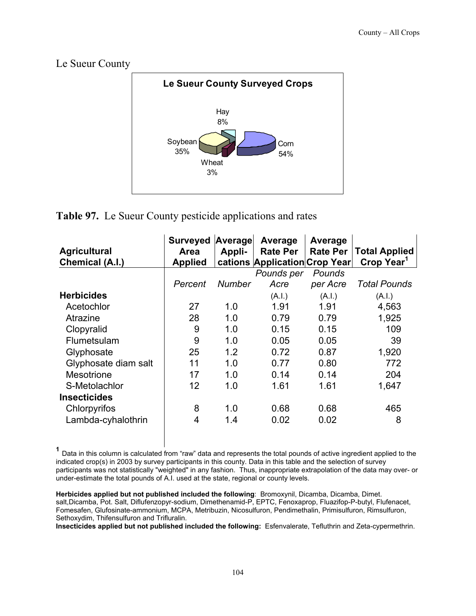Le Sueur County



# **Table 97.** Le Sueur County pesticide applications and rates

|                      | <b>Surveyed</b> | Average       | Average                       | Average         |                        |
|----------------------|-----------------|---------------|-------------------------------|-----------------|------------------------|
| <b>Agricultural</b>  | Area            | Appli-        | <b>Rate Per</b>               | <b>Rate Per</b> | <b>Total Applied</b>   |
| Chemical (A.I.)      | <b>Applied</b>  |               | cations Application Crop Year |                 | Crop Year <sup>1</sup> |
|                      |                 |               | Pounds per                    | Pounds          |                        |
|                      | Percent         | <b>Number</b> | Acre                          | per Acre        | <b>Total Pounds</b>    |
| <b>Herbicides</b>    |                 |               | (A.I.)                        | (A.I.)          | (A.I.)                 |
| Acetochlor           | 27              | 1.0           | 1.91                          | 1.91            | 4,563                  |
| Atrazine             | 28              | 1.0           | 0.79                          | 0.79            | 1,925                  |
| Clopyralid           | 9               | 1.0           | 0.15                          | 0.15            | 109                    |
| Flumetsulam          | 9               | 1.0           | 0.05                          | 0.05            | 39                     |
| Glyphosate           | 25              | 1.2           | 0.72                          | 0.87            | 1,920                  |
| Glyphosate diam salt | 11              | 1.0           | 0.77                          | 0.80            | 772                    |
| <b>Mesotrione</b>    | 17              | 1.0           | 0.14                          | 0.14            | 204                    |
| S-Metolachlor        | 12              | 1.0           | 1.61                          | 1.61            | 1,647                  |
| <b>Insecticides</b>  |                 |               |                               |                 |                        |
| Chlorpyrifos         | 8               | 1.0           | 0.68                          | 0.68            | 465                    |
| Lambda-cyhalothrin   | 4               | 1.4           | 0.02                          | 0.02            | 8                      |

 **<sup>1</sup>** Data in this column is calculated from "raw" data and represents the total pounds of active ingredient applied to the indicated crop(s) in 2003 by survey participants in this county. Data in this table and the selection of survey participants was not statistically "weighted" in any fashion. Thus, inappropriate extrapolation of the data may over- or under-estimate the total pounds of A.I. used at the state, regional or county levels.

**Herbicides applied but not published included the following**: Bromoxynil, Dicamba, Dicamba, Dimet. salt,Dicamba, Pot. Salt, Diflufenzopyr-sodium, Dimethenamid-P, EPTC, Fenoxaprop, Fluazifop-P-butyl, Flufenacet, Fomesafen, Glufosinate-ammonium, MCPA, Metribuzin, Nicosulfuron, Pendimethalin, Primisulfuron, Rimsulfuron, Sethoxydim, Thifensulfuron and Trifluralin.

**Insecticides applied but not published included the following:** Esfenvalerate, Tefluthrin and Zeta-cypermethrin.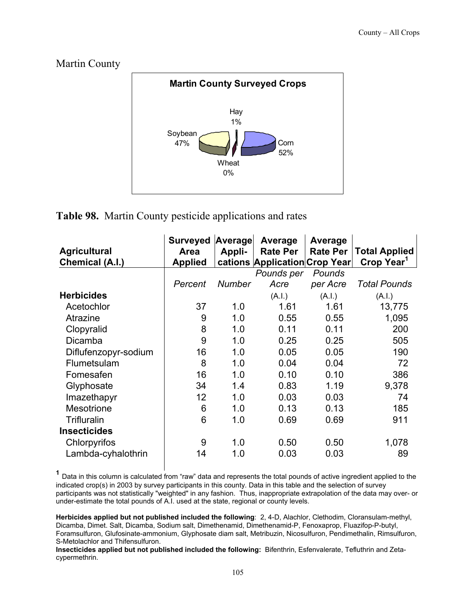#### Martin County



# **Table 98.** Martin County pesticide applications and rates

| <b>Agricultural</b><br>Chemical (A.I.) | <b>Surveyed</b><br>Area<br><b>Applied</b> | Average<br>Appli- | Average<br><b>Rate Per</b><br>cations Application Crop Year | Average<br><b>Rate Per</b> | <b>Total Applied</b><br>Crop Year <sup>1</sup> |
|----------------------------------------|-------------------------------------------|-------------------|-------------------------------------------------------------|----------------------------|------------------------------------------------|
|                                        |                                           |                   | Pounds per                                                  | Pounds                     |                                                |
|                                        | Percent                                   | Number            | Acre                                                        | per Acre                   | <b>Total Pounds</b>                            |
| <b>Herbicides</b>                      |                                           |                   | (A.I.)                                                      | (A.I.)                     | (A.I.)                                         |
| Acetochlor                             | 37                                        | 1.0               | 1.61                                                        | 1.61                       | 13,775                                         |
| Atrazine                               | 9                                         | 1.0               | 0.55                                                        | 0.55                       | 1,095                                          |
| Clopyralid                             | 8                                         | 1.0               | 0.11                                                        | 0.11                       | 200                                            |
| Dicamba                                | 9                                         | 1.0               | 0.25                                                        | 0.25                       | 505                                            |
| Diflufenzopyr-sodium                   | 16                                        | 1.0               | 0.05                                                        | 0.05                       | 190                                            |
| Flumetsulam                            | 8                                         | 1.0               | 0.04                                                        | 0.04                       | 72                                             |
| Fomesafen                              | 16                                        | 1.0               | 0.10                                                        | 0.10                       | 386                                            |
| Glyphosate                             | 34                                        | 1.4               | 0.83                                                        | 1.19                       | 9,378                                          |
| Imazethapyr                            | 12                                        | 1.0               | 0.03                                                        | 0.03                       | 74                                             |
| Mesotrione                             | 6                                         | 1.0               | 0.13                                                        | 0.13                       | 185                                            |
| Trifluralin                            | 6                                         | 1.0               | 0.69                                                        | 0.69                       | 911                                            |
| <b>Insecticides</b>                    |                                           |                   |                                                             |                            |                                                |
| Chlorpyrifos                           | 9                                         | 1.0               | 0.50                                                        | 0.50                       | 1,078                                          |
| Lambda-cyhalothrin                     | 14                                        | 1.0               | 0.03                                                        | 0.03                       | 89                                             |

 **<sup>1</sup>** Data in this column is calculated from "raw" data and represents the total pounds of active ingredient applied to the indicated crop(s) in 2003 by survey participants in this county. Data in this table and the selection of survey participants was not statistically "weighted" in any fashion. Thus, inappropriate extrapolation of the data may over- or under-estimate the total pounds of A.I. used at the state, regional or county levels.

**Herbicides applied but not published included the following**: 2, 4-D, Alachlor, Clethodim, Cloransulam-methyl, Dicamba, Dimet. Salt, Dicamba, Sodium salt, Dimethenamid, Dimethenamid-P, Fenoxaprop, Fluazifop-P-butyl, Foramsulfuron, Glufosinate-ammonium, Glyphosate diam salt, Metribuzin, Nicosulfuron, Pendimethalin, Rimsulfuron, S-Metolachlor and Thifensulfuron.

**Insecticides applied but not published included the following:** Bifenthrin, Esfenvalerate, Tefluthrin and Zetacypermethrin.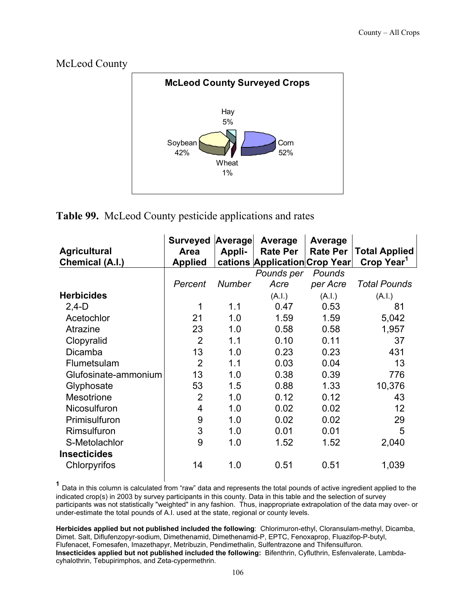



# **Table 99.** McLeod County pesticide applications and rates

|                      | <b>Surveyed</b> | Average       | Average                       | Average         |                        |
|----------------------|-----------------|---------------|-------------------------------|-----------------|------------------------|
| <b>Agricultural</b>  | <b>Area</b>     | Appli-        | <b>Rate Per</b>               | <b>Rate Per</b> | <b>Total Applied</b>   |
| Chemical (A.I.)      | <b>Applied</b>  |               | cations Application Crop Year |                 | Crop Year <sup>1</sup> |
|                      |                 |               | Pounds per                    | Pounds          |                        |
|                      | Percent         | <b>Number</b> | Acre                          | per Acre        | <b>Total Pounds</b>    |
| <b>Herbicides</b>    |                 |               | (A.I.)                        | (A.I.)          | (A.I.)                 |
| $2,4-D$              | 1               | 1.1           | 0.47                          | 0.53            | 81                     |
| Acetochlor           | 21              | 1.0           | 1.59                          | 1.59            | 5,042                  |
| Atrazine             | 23              | 1.0           | 0.58                          | 0.58            | 1,957                  |
| Clopyralid           | $\overline{2}$  | 1.1           | 0.10                          | 0.11            | 37                     |
| Dicamba              | 13              | 1.0           | 0.23                          | 0.23            | 431                    |
| Flumetsulam          | $\overline{2}$  | 1.1           | 0.03                          | 0.04            | 13                     |
| Glufosinate-ammonium | 13              | 1.0           | 0.38                          | 0.39            | 776                    |
| Glyphosate           | 53              | 1.5           | 0.88                          | 1.33            | 10,376                 |
| <b>Mesotrione</b>    | $\overline{2}$  | 1.0           | 0.12                          | 0.12            | 43                     |
| Nicosulfuron         | $\overline{4}$  | 1.0           | 0.02                          | 0.02            | 12                     |
| Primisulfuron        | 9               | 1.0           | 0.02                          | 0.02            | 29                     |
| Rimsulfuron          | 3               | 1.0           | 0.01                          | 0.01            | 5                      |
| S-Metolachlor        | 9               | 1.0           | 1.52                          | 1.52            | 2,040                  |
| <b>Insecticides</b>  |                 |               |                               |                 |                        |
| Chlorpyrifos         | 14              | 1.0           | 0.51                          | 0.51            | 1,039                  |

 **<sup>1</sup>** Data in this column is calculated from "raw" data and represents the total pounds of active ingredient applied to the indicated crop(s) in 2003 by survey participants in this county. Data in this table and the selection of survey participants was not statistically "weighted" in any fashion. Thus, inappropriate extrapolation of the data may over- or under-estimate the total pounds of A.I. used at the state, regional or county levels.

**Herbicides applied but not published included the following**: Chlorimuron-ethyl, Cloransulam-methyl, Dicamba, Dimet. Salt, Diflufenzopyr-sodium, Dimethenamid, Dimethenamid-P, EPTC, Fenoxaprop, Fluazifop-P-butyl, Flufenacet, Fomesafen, Imazethapyr, Metribuzin, Pendimethalin, Sulfentrazone and Thifensulfuron. **Insecticides applied but not published included the following:** Bifenthrin, Cyfluthrin, Esfenvalerate, Lambdacyhalothrin, Tebupirimphos, and Zeta-cypermethrin.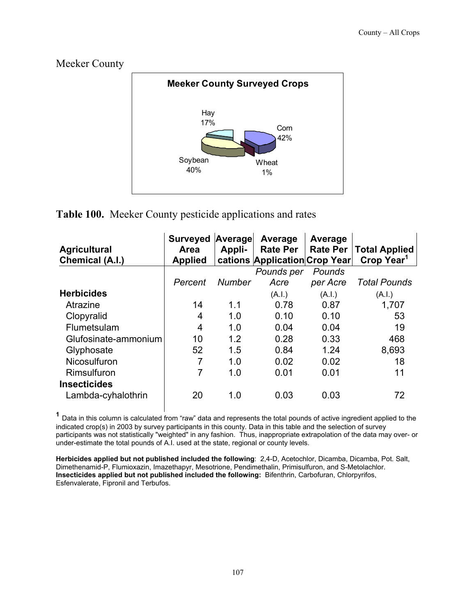Meeker County



**Table 100.** Meeker County pesticide applications and rates

| <b>Agricultural</b><br>Chemical (A.I.) | <b>Surveyed</b><br><b>Area</b><br><b>Applied</b> | Average<br>Appli- | Average<br><b>Rate Per</b><br>cations Application Crop Year | Average<br><b>Rate Per</b> | <b>Total Applied</b><br>Crop Year <sup>1</sup> |
|----------------------------------------|--------------------------------------------------|-------------------|-------------------------------------------------------------|----------------------------|------------------------------------------------|
|                                        |                                                  |                   | Pounds per                                                  | Pounds                     |                                                |
|                                        | Percent                                          | <b>Number</b>     | Acre                                                        | per Acre                   | <b>Total Pounds</b>                            |
| <b>Herbicides</b>                      |                                                  |                   | (A.I.)                                                      | (A.I.)                     | (A.1.)                                         |
| Atrazine                               | 14                                               | 1.1               | 0.78                                                        | 0.87                       | 1,707                                          |
| Clopyralid                             | 4                                                | 1.0               | 0.10                                                        | 0.10                       | 53                                             |
| Flumetsulam                            | 4                                                | 1.0               | 0.04                                                        | 0.04                       | 19                                             |
| Glufosinate-ammonium                   | 10                                               | 1.2               | 0.28                                                        | 0.33                       | 468                                            |
| Glyphosate                             | 52                                               | 1.5               | 0.84                                                        | 1.24                       | 8,693                                          |
| Nicosulfuron                           | 7                                                | 1.0               | 0.02                                                        | 0.02                       | 18                                             |
| Rimsulfuron                            | 7                                                | 1.0               | 0.01                                                        | 0.01                       | 11                                             |
| <b>Insecticides</b>                    |                                                  |                   |                                                             |                            |                                                |
| Lambda-cyhalothrin                     | 20                                               | 1.0               | 0.03                                                        | 0.03                       | 72                                             |

 **<sup>1</sup>** Data in this column is calculated from "raw" data and represents the total pounds of active ingredient applied to the indicated crop(s) in 2003 by survey participants in this county. Data in this table and the selection of survey participants was not statistically "weighted" in any fashion. Thus, inappropriate extrapolation of the data may over- or under-estimate the total pounds of A.I. used at the state, regional or county levels.

**Herbicides applied but not published included the following**: 2,4-D, Acetochlor, Dicamba, Dicamba, Pot. Salt, Dimethenamid-P, Flumioxazin, Imazethapyr, Mesotrione, Pendimethalin, Primisulfuron, and S-Metolachlor. **Insecticides applied but not published included the following:** Bifenthrin, Carbofuran, Chlorpyrifos, Esfenvalerate, Fipronil and Terbufos.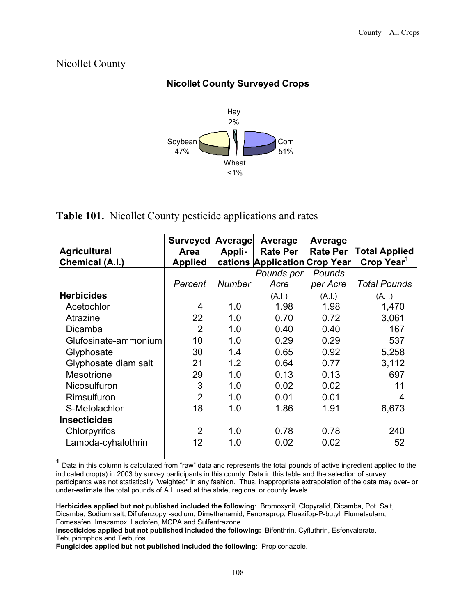

#### **Table 101.** Nicollet County pesticide applications and rates

| <b>Agricultural</b><br>Chemical (A.I.) | <b>Surveyed</b><br>Area<br><b>Applied</b> | Average<br>Appli- | Average<br><b>Rate Per</b><br>cations Application Crop Year | Average<br><b>Rate Per</b> | <b>Total Applied</b><br>Crop Year <sup>1</sup> |
|----------------------------------------|-------------------------------------------|-------------------|-------------------------------------------------------------|----------------------------|------------------------------------------------|
|                                        |                                           |                   | Pounds per                                                  | Pounds                     |                                                |
|                                        | Percent                                   | Number            | Acre                                                        | per Acre                   | <b>Total Pounds</b>                            |
| <b>Herbicides</b>                      |                                           |                   | (A.I.)                                                      | (A.I.)                     | (A.l.)                                         |
| Acetochlor                             | 4                                         | 1.0               | 1.98                                                        | 1.98                       | 1,470                                          |
| Atrazine                               | 22                                        | 1.0               | 0.70                                                        | 0.72                       | 3,061                                          |
| Dicamba                                | 2                                         | 1.0               | 0.40                                                        | 0.40                       | 167                                            |
| Glufosinate-ammonium                   | 10                                        | 1.0               | 0.29                                                        | 0.29                       | 537                                            |
| Glyphosate                             | 30                                        | 1.4               | 0.65                                                        | 0.92                       | 5,258                                          |
| Glyphosate diam salt                   | 21                                        | 1.2               | 0.64                                                        | 0.77                       | 3,112                                          |
| <b>Mesotrione</b>                      | 29                                        | 1.0               | 0.13                                                        | 0.13                       | 697                                            |
| Nicosulfuron                           | 3                                         | 1.0               | 0.02                                                        | 0.02                       | 11                                             |
| Rimsulfuron                            | $\overline{2}$                            | 1.0               | 0.01                                                        | 0.01                       | 4                                              |
| S-Metolachlor                          | 18                                        | 1.0               | 1.86                                                        | 1.91                       | 6,673                                          |
| <b>Insecticides</b>                    |                                           |                   |                                                             |                            |                                                |
| Chlorpyrifos                           | $\overline{2}$                            | 1.0               | 0.78                                                        | 0.78                       | 240                                            |
| Lambda-cyhalothrin                     | 12                                        | 1.0               | 0.02                                                        | 0.02                       | 52                                             |

 **<sup>1</sup>** Data in this column is calculated from "raw" data and represents the total pounds of active ingredient applied to the indicated crop(s) in 2003 by survey participants in this county. Data in this table and the selection of survey participants was not statistically "weighted" in any fashion. Thus, inappropriate extrapolation of the data may over- or under-estimate the total pounds of A.I. used at the state, regional or county levels.

**Herbicides applied but not published included the following**: Bromoxynil, Clopyralid, Dicamba, Pot. Salt, Dicamba, Sodium salt, Diflufenzopyr-sodium, Dimethenamid, Fenoxaprop, Fluazifop-P-butyl, Flumetsulam, Fomesafen, Imazamox, Lactofen, MCPA and Sulfentrazone.

**Insecticides applied but not published included the following:** Bifenthrin, Cyfluthrin, Esfenvalerate, Tebupirimphos and Terbufos.

**Fungicides applied but not published included the following**: Propiconazole.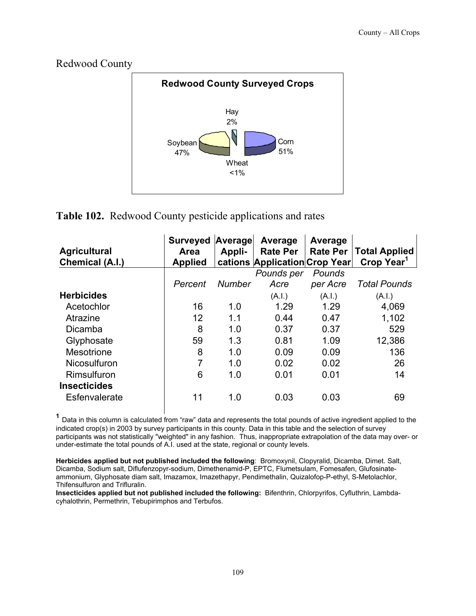

#### **Table 102.** Redwood County pesticide applications and rates

| <b>Agricultural</b><br><b>Chemical (A.I.)</b> | <b>Surveyed</b><br><b>Area</b><br><b>Applied</b> | Average<br>Appli- | Average<br><b>Rate Per</b><br>cations Application Crop Year | Average<br><b>Rate Per</b> | <b>Total Applied</b><br>Crop Year <sup>1</sup> |
|-----------------------------------------------|--------------------------------------------------|-------------------|-------------------------------------------------------------|----------------------------|------------------------------------------------|
|                                               |                                                  |                   | Pounds per                                                  | Pounds                     |                                                |
|                                               | Percent                                          | <b>Number</b>     | Acre                                                        | per Acre                   | <b>Total Pounds</b>                            |
| <b>Herbicides</b>                             |                                                  |                   | (A.I.)                                                      | (A.I.)                     | (A.I.)                                         |
| Acetochlor                                    | 16                                               | 1.0               | 1.29                                                        | 1.29                       | 4,069                                          |
| Atrazine                                      | 12                                               | 1.1               | 0.44                                                        | 0.47                       | 1,102                                          |
| Dicamba                                       | 8                                                | 1.0               | 0.37                                                        | 0.37                       | 529                                            |
| Glyphosate                                    | 59                                               | 1.3               | 0.81                                                        | 1.09                       | 12,386                                         |
| Mesotrione                                    | 8                                                | 1.0               | 0.09                                                        | 0.09                       | 136                                            |
| Nicosulfuron                                  | 7                                                | 1.0               | 0.02                                                        | 0.02                       | 26                                             |
| Rimsulfuron                                   | 6                                                | 1.0               | 0.01                                                        | 0.01                       | 14                                             |
| <b>Insecticides</b>                           |                                                  |                   |                                                             |                            |                                                |
| Esfenvalerate                                 | 11                                               | 1.0               | 0.03                                                        | 0.03                       | 69                                             |

 **<sup>1</sup>** Data in this column is calculated from "raw" data and represents the total pounds of active ingredient applied to the indicated crop(s) in 2003 by survey participants in this county. Data in this table and the selection of survey participants was not statistically "weighted" in any fashion. Thus, inappropriate extrapolation of the data may over- or under-estimate the total pounds of A.I. used at the state, regional or county levels.

**Herbicides applied but not published included the following**: Bromoxynil, Clopyralid, Dicamba, Dimet. Salt, Dicamba, Sodium salt, Diflufenzopyr-sodium, Dimethenamid-P, EPTC, Flumetsulam, Fomesafen, Glufosinateammonium, Glyphosate diam salt, Imazamox, Imazethapyr, Pendimethalin, Quizalofop-P-ethyl, S-Metolachlor, Thifensulfuron and Trifluralin.

**Insecticides applied but not published included the following:** Bifenthrin, Chlorpyrifos, Cyfluthrin, Lambdacyhalothrin, Permethrin, Tebupirimphos and Terbufos.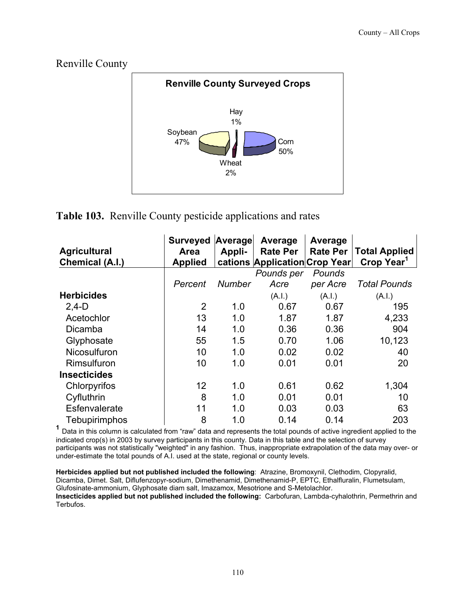#### Renville County **Renville County Surveyed Crops** Corn 50% **Wheat** 2% Soybean 47% Hay 1%

#### **Table 103.** Renville County pesticide applications and rates

| <b>Agricultural</b><br><b>Chemical (A.I.)</b> | <b>Surveyed</b><br>Area<br><b>Applied</b> | Average<br>Appli- | Average<br><b>Rate Per</b><br>cations Application Crop Year | Average<br><b>Rate Per</b> | <b>Total Applied</b><br>Crop Year <sup>1</sup> |
|-----------------------------------------------|-------------------------------------------|-------------------|-------------------------------------------------------------|----------------------------|------------------------------------------------|
|                                               |                                           |                   | Pounds per                                                  | Pounds                     |                                                |
|                                               | Percent                                   | <b>Number</b>     | Acre                                                        | per Acre                   | <b>Total Pounds</b>                            |
| <b>Herbicides</b>                             |                                           |                   | (A.I.)                                                      | (A.I.)                     | (A.I.)                                         |
| $2,4-D$                                       | $\overline{2}$                            | 1.0               | 0.67                                                        | 0.67                       | 195                                            |
| Acetochlor                                    | 13                                        | 1.0               | 1.87                                                        | 1.87                       | 4,233                                          |
| Dicamba                                       | 14                                        | 1.0               | 0.36                                                        | 0.36                       | 904                                            |
| Glyphosate                                    | 55                                        | 1.5               | 0.70                                                        | 1.06                       | 10,123                                         |
| Nicosulfuron                                  | 10                                        | 1.0               | 0.02                                                        | 0.02                       | 40                                             |
| Rimsulfuron                                   | 10                                        | 1.0               | 0.01                                                        | 0.01                       | 20                                             |
| <b>Insecticides</b>                           |                                           |                   |                                                             |                            |                                                |
| Chlorpyrifos                                  | 12                                        | 1.0               | 0.61                                                        | 0.62                       | 1,304                                          |
| Cyfluthrin                                    | 8                                         | 1.0               | 0.01                                                        | 0.01                       | 10                                             |
| Esfenvalerate                                 | 11                                        | 1.0               | 0.03                                                        | 0.03                       | 63                                             |
| Tebupirimphos                                 | 8                                         | 1.0               | 0.14                                                        | 0.14                       | 203                                            |

**<sup>1</sup>** Data in this column is calculated from "raw" data and represents the total pounds of active ingredient applied to the indicated crop(s) in 2003 by survey participants in this county. Data in this table and the selection of survey participants was not statistically "weighted" in any fashion. Thus, inappropriate extrapolation of the data may over- or under-estimate the total pounds of A.I. used at the state, regional or county levels.

**Herbicides applied but not published included the following**: Atrazine, Bromoxynil, Clethodim, Clopyralid, Dicamba, Dimet. Salt, Diflufenzopyr-sodium, Dimethenamid, Dimethenamid-P, EPTC, Ethalfluralin, Flumetsulam, Glufosinate-ammonium, Glyphosate diam salt, Imazamox, Mesotrione and S-Metolachlor. **Insecticides applied but not published included the following:** Carbofuran, Lambda-cyhalothrin, Permethrin and Terbufos.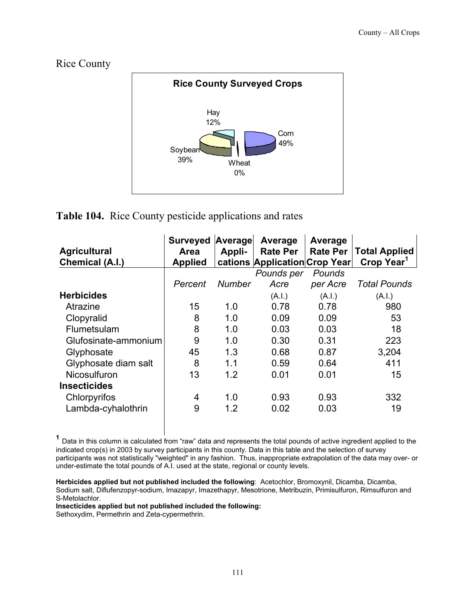Rice County



#### **Table 104.** Rice County pesticide applications and rates

| <b>Agricultural</b><br>Chemical (A.I.) | <b>Surveyed</b><br><b>Area</b><br><b>Applied</b> | Average<br>Appli- | Average<br><b>Rate Per</b><br>cations Application Crop Year | Average<br><b>Rate Per</b> | <b>Total Applied</b><br>Crop Year <sup>1</sup> |
|----------------------------------------|--------------------------------------------------|-------------------|-------------------------------------------------------------|----------------------------|------------------------------------------------|
|                                        |                                                  |                   | Pounds per                                                  | Pounds                     |                                                |
|                                        | Percent                                          | Number            | Acre                                                        | per Acre                   | Total Pounds                                   |
| <b>Herbicides</b>                      |                                                  |                   | (A.I.)                                                      | (A.I.)                     | (A.I.)                                         |
| Atrazine                               | 15                                               | 1.0               | 0.78                                                        | 0.78                       | 980                                            |
| Clopyralid                             | 8                                                | 1.0               | 0.09                                                        | 0.09                       | 53                                             |
| Flumetsulam                            | 8                                                | 1.0               | 0.03                                                        | 0.03                       | 18                                             |
| Glufosinate-ammonium                   | 9                                                | 1.0               | 0.30                                                        | 0.31                       | 223                                            |
| Glyphosate                             | 45                                               | 1.3               | 0.68                                                        | 0.87                       | 3,204                                          |
| Glyphosate diam salt                   | 8                                                | 1.1               | 0.59                                                        | 0.64                       | 411                                            |
| Nicosulfuron                           | 13                                               | 1.2               | 0.01                                                        | 0.01                       | 15                                             |
| <b>Insecticides</b>                    |                                                  |                   |                                                             |                            |                                                |
| Chlorpyrifos                           | 4                                                | 1.0               | 0.93                                                        | 0.93                       | 332                                            |
| Lambda-cyhalothrin                     | 9                                                | 1.2               | 0.02                                                        | 0.03                       | 19                                             |

**<sup>1</sup>** Data in this column is calculated from "raw" data and represents the total pounds of active ingredient applied to the indicated crop(s) in 2003 by survey participants in this county. Data in this table and the selection of survey participants was not statistically "weighted" in any fashion. Thus, inappropriate extrapolation of the data may over- or under-estimate the total pounds of A.I. used at the state, regional or county levels.

**Herbicides applied but not published included the following**: Acetochlor, Bromoxynil, Dicamba, Dicamba, Sodium salt, Diflufenzopyr-sodium, Imazapyr, Imazethapyr, Mesotrione, Metribuzin, Primisulfuron, Rimsulfuron and S-Metolachlor.

**Insecticides applied but not published included the following:** 

Sethoxydim, Permethrin and Zeta-cypermethrin.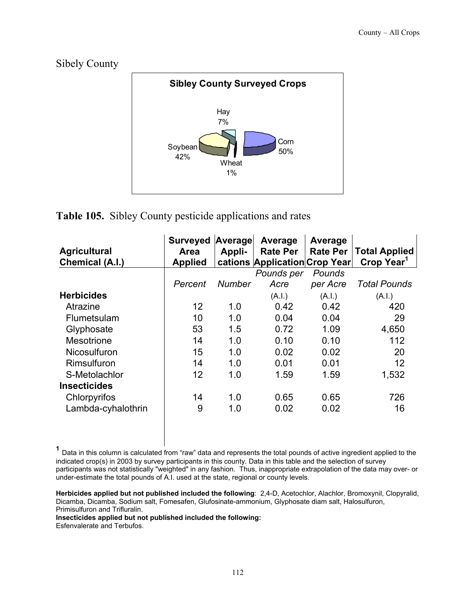



#### **Table 105.** Sibley County pesticide applications and rates

| <b>Agricultural</b><br>Chemical (A.I.) | <b>Surveyed</b><br><b>Area</b><br><b>Applied</b> | Average<br>Appli- | Average<br><b>Rate Per</b><br>cations Application Crop Year | Average<br><b>Rate Per</b> | <b>Total Applied</b><br>Crop Year <sup>1</sup> |
|----------------------------------------|--------------------------------------------------|-------------------|-------------------------------------------------------------|----------------------------|------------------------------------------------|
|                                        |                                                  |                   | Pounds per                                                  | Pounds                     |                                                |
|                                        | Percent                                          | <b>Number</b>     | Acre                                                        | per Acre                   | <b>Total Pounds</b>                            |
| <b>Herbicides</b>                      |                                                  |                   | (A.I.)                                                      | (A.I.)                     | (A.I.)                                         |
| Atrazine                               | 12                                               | 1.0               | 0.42                                                        | 0.42                       | 420                                            |
| Flumetsulam                            | 10                                               | 1.0               | 0.04                                                        | 0.04                       | 29                                             |
| Glyphosate                             | 53                                               | 1.5               | 0.72                                                        | 1.09                       | 4,650                                          |
| <b>Mesotrione</b>                      | 14                                               | 1.0               | 0.10                                                        | 0.10                       | 112                                            |
| <b>Nicosulfuron</b>                    | 15                                               | 1.0               | 0.02                                                        | 0.02                       | 20                                             |
| Rimsulfuron                            | 14                                               | 1.0               | 0.01                                                        | 0.01                       | 12                                             |
| S-Metolachlor                          | 12                                               | 1.0               | 1.59                                                        | 1.59                       | 1,532                                          |
| <b>Insecticides</b>                    |                                                  |                   |                                                             |                            |                                                |
| Chlorpyrifos                           | 14                                               | 1.0               | 0.65                                                        | 0.65                       | 726                                            |
| Lambda-cyhalothrin                     | 9                                                | 1.0               | 0.02                                                        | 0.02                       | 16                                             |

**<sup>1</sup>** Data in this column is calculated from "raw" data and represents the total pounds of active ingredient applied to the indicated crop(s) in 2003 by survey participants in this county. Data in this table and the selection of survey participants was not statistically "weighted" in any fashion. Thus, inappropriate extrapolation of the data may over- or under-estimate the total pounds of A.I. used at the state, regional or county levels.

**Herbicides applied but not published included the following**: 2,4-D, Acetochlor, Alachlor, Bromoxynil, Clopyralid, Dicamba, Dicamba, Sodium salt, Fomesafen, Glufosinate-ammonium, Glyphosate diam salt, Halosulfuron, Primisulfuron and Trifluralin.

**Insecticides applied but not published included the following:** 

Esfenvalerate and Terbufos.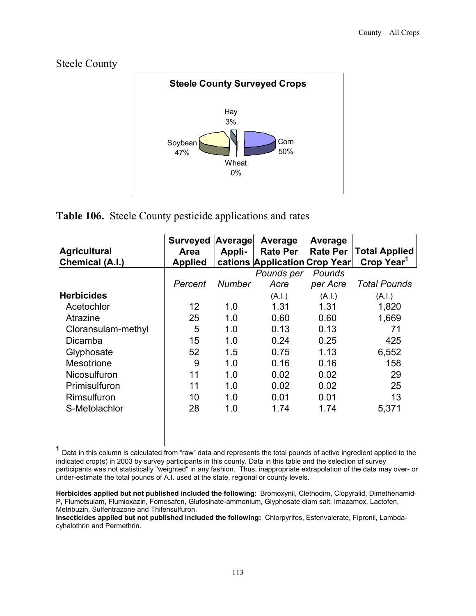



#### **Table 106.** Steele County pesticide applications and rates

|                        | <b>Surveyed</b> | Average | Average                       | Average         |                        |
|------------------------|-----------------|---------|-------------------------------|-----------------|------------------------|
| <b>Agricultural</b>    | Area            | Appli-  | <b>Rate Per</b>               | <b>Rate Per</b> | <b>Total Applied</b>   |
| <b>Chemical (A.I.)</b> | <b>Applied</b>  |         | cations Application Crop Year |                 | Crop Year <sup>1</sup> |
|                        |                 |         | Pounds per                    | Pounds          |                        |
|                        | Percent         | Number  | Acre                          | per Acre        | <b>Total Pounds</b>    |
| <b>Herbicides</b>      |                 |         | (A.I.)                        | (A.I.)          | (A.I.)                 |
| Acetochlor             | 12              | 1.0     | 1.31                          | 1.31            | 1,820                  |
| Atrazine               | 25              | 1.0     | 0.60                          | 0.60            | 1,669                  |
| Cloransulam-methyl     | 5               | 1.0     | 0.13                          | 0.13            | 71                     |
| Dicamba                | 15              | 1.0     | 0.24                          | 0.25            | 425                    |
| Glyphosate             | 52              | 1.5     | 0.75                          | 1.13            | 6,552                  |
| <b>Mesotrione</b>      | 9               | 1.0     | 0.16                          | 0.16            | 158                    |
| <b>Nicosulfuron</b>    | 11              | 1.0     | 0.02                          | 0.02            | 29                     |
| Primisulfuron          | 11              | 1.0     | 0.02                          | 0.02            | 25                     |
| Rimsulfuron            | 10              | 1.0     | 0.01                          | 0.01            | 13                     |
| S-Metolachlor          | 28              | 1.0     | 1.74                          | 1.74            | 5,371                  |
|                        |                 |         |                               |                 |                        |
|                        |                 |         |                               |                 |                        |

**<sup>1</sup>** Data in this column is calculated from "raw" data and represents the total pounds of active ingredient applied to the indicated crop(s) in 2003 by survey participants in this county. Data in this table and the selection of survey participants was not statistically "weighted" in any fashion. Thus, inappropriate extrapolation of the data may over- or under-estimate the total pounds of A.I. used at the state, regional or county levels.

**Herbicides applied but not published included the following**: Bromoxynil, Clethodim, Clopyralid, Dimethenamid-P, Flumetsulam, Flumioxazin, Fomesafen, Glufosinate-ammonium, Glyphosate diam salt, Imazamox, Lactofen, Metribuzin, Sulfentrazone and Thifensulfuron.

**Insecticides applied but not published included the following:** Chlorpyrifos, Esfenvalerate, Fipronil, Lambdacyhalothrin and Permethrin.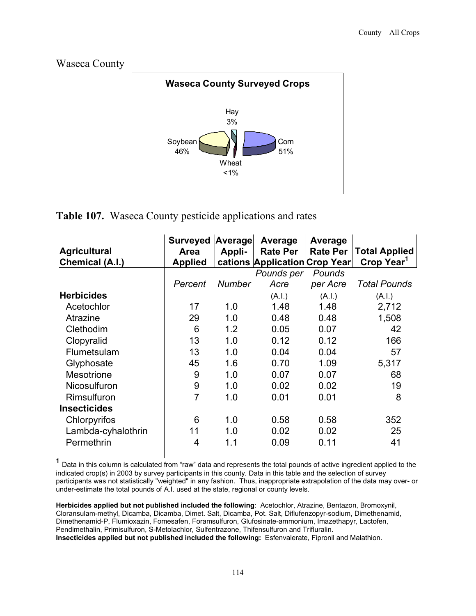



#### **Table 107.** Waseca County pesticide applications and rates

| <b>Agricultural</b><br><b>Chemical (A.I.)</b> | <b>Surveyed</b><br>Area<br><b>Applied</b> | Average<br>Appli- | Average<br><b>Rate Per</b><br>cations Application Crop Year | Average<br><b>Rate Per</b> | <b>Total Applied</b><br>Crop Year <sup>1</sup> |
|-----------------------------------------------|-------------------------------------------|-------------------|-------------------------------------------------------------|----------------------------|------------------------------------------------|
|                                               |                                           |                   | Pounds per                                                  | Pounds                     |                                                |
|                                               | Percent                                   | <b>Number</b>     | Acre                                                        | per Acre                   | <b>Total Pounds</b>                            |
| <b>Herbicides</b>                             |                                           |                   | (A.I.)                                                      | (A.I.)                     | (A.I.)                                         |
| Acetochlor                                    | 17                                        | 1.0               | 1.48                                                        | 1.48                       | 2,712                                          |
| Atrazine                                      | 29                                        | 1.0               | 0.48                                                        | 0.48                       | 1,508                                          |
| Clethodim                                     | 6                                         | 1.2               | 0.05                                                        | 0.07                       | 42                                             |
| Clopyralid                                    | 13                                        | 1.0               | 0.12                                                        | 0.12                       | 166                                            |
| Flumetsulam                                   | 13                                        | 1.0               | 0.04                                                        | 0.04                       | 57                                             |
| Glyphosate                                    | 45                                        | 1.6               | 0.70                                                        | 1.09                       | 5,317                                          |
| Mesotrione                                    | 9                                         | 1.0               | 0.07                                                        | 0.07                       | 68                                             |
| Nicosulfuron                                  | 9                                         | 1.0               | 0.02                                                        | 0.02                       | 19                                             |
| Rimsulfuron                                   | 7                                         | 1.0               | 0.01                                                        | 0.01                       | 8                                              |
| <b>Insecticides</b>                           |                                           |                   |                                                             |                            |                                                |
| Chlorpyrifos                                  | 6                                         | 1.0               | 0.58                                                        | 0.58                       | 352                                            |
| Lambda-cyhalothrin                            | 11                                        | 1.0               | 0.02                                                        | 0.02                       | 25                                             |
| Permethrin                                    | 4                                         | 1.1               | 0.09                                                        | 0.11                       | 41                                             |

 **<sup>1</sup>** Data in this column is calculated from "raw" data and represents the total pounds of active ingredient applied to the indicated crop(s) in 2003 by survey participants in this county. Data in this table and the selection of survey participants was not statistically "weighted" in any fashion. Thus, inappropriate extrapolation of the data may over- or under-estimate the total pounds of A.I. used at the state, regional or county levels.

**Herbicides applied but not published included the following**: Acetochlor, Atrazine, Bentazon, Bromoxynil, Cloransulam-methyl, Dicamba, Dicamba, Dimet. Salt, Dicamba, Pot. Salt, Diflufenzopyr-sodium, Dimethenamid, Dimethenamid-P, Flumioxazin, Fomesafen, Foramsulfuron, Glufosinate-ammonium, Imazethapyr, Lactofen, Pendimethalin, Primisulfuron, S-Metolachlor, Sulfentrazone, Thifensulfuron and Trifluralin. **Insecticides applied but not published included the following:** Esfenvalerate, Fipronil and Malathion.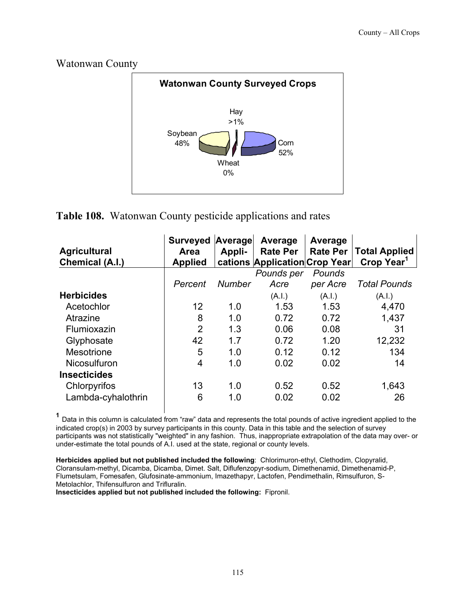



#### **Table 108.** Watonwan County pesticide applications and rates

| <b>Agricultural</b><br><b>Chemical (A.I.)</b> | <b>Surveyed</b><br><b>Area</b><br><b>Applied</b> | Average<br>Appli- | Average<br><b>Rate Per</b><br>cations Application Crop Year | Average<br><b>Rate Per</b> | <b>Total Applied</b><br>Crop Year <sup>1</sup> |
|-----------------------------------------------|--------------------------------------------------|-------------------|-------------------------------------------------------------|----------------------------|------------------------------------------------|
|                                               |                                                  |                   | Pounds per                                                  | Pounds                     |                                                |
|                                               | Percent                                          | <b>Number</b>     | Acre                                                        | per Acre                   | <b>Total Pounds</b>                            |
| <b>Herbicides</b>                             |                                                  |                   | (A.I.)                                                      | (A.I.)                     | (A.1.)                                         |
| Acetochlor                                    | 12                                               | 1.0               | 1.53                                                        | 1.53                       | 4,470                                          |
| Atrazine                                      | 8                                                | 1.0               | 0.72                                                        | 0.72                       | 1,437                                          |
| Flumioxazin                                   | $\overline{2}$                                   | 1.3               | 0.06                                                        | 0.08                       | 31                                             |
| Glyphosate                                    | 42                                               | 1.7               | 0.72                                                        | 1.20                       | 12,232                                         |
| Mesotrione                                    | 5                                                | 1.0               | 0.12                                                        | 0.12                       | 134                                            |
| Nicosulfuron                                  | 4                                                | 1.0               | 0.02                                                        | 0.02                       | 14                                             |
| <b>Insecticides</b>                           |                                                  |                   |                                                             |                            |                                                |
| Chlorpyrifos                                  | 13                                               | 1.0               | 0.52                                                        | 0.52                       | 1,643                                          |
| Lambda-cyhalothrin                            | 6                                                | 1.0               | 0.02                                                        | 0.02                       | 26                                             |

 **<sup>1</sup>** Data in this column is calculated from "raw" data and represents the total pounds of active ingredient applied to the indicated crop(s) in 2003 by survey participants in this county. Data in this table and the selection of survey participants was not statistically "weighted" in any fashion. Thus, inappropriate extrapolation of the data may over- or under-estimate the total pounds of A.I. used at the state, regional or county levels.

**Herbicides applied but not published included the following**: Chlorimuron-ethyl, Clethodim, Clopyralid, Cloransulam-methyl, Dicamba, Dicamba, Dimet. Salt, Diflufenzopyr-sodium, Dimethenamid, Dimethenamid-P, Flumetsulam, Fomesafen, Glufosinate-ammonium, Imazethapyr, Lactofen, Pendimethalin, Rimsulfuron, S-Metolachlor, Thifensulfuron and Trifluralin.

**Insecticides applied but not published included the following:** Fipronil.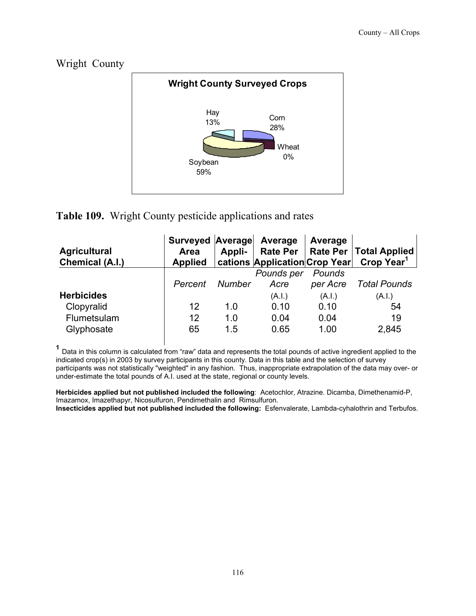Wright County



#### **Table 109.** Wright County pesticide applications and rates

| <b>Agricultural</b><br>Chemical (A.I.) | Surveyed Average<br>Area<br><b>Applied</b> | Appli- | Average<br>cations Application Crop Year | Average            | Rate Per   Rate Per   Total Applied<br>Crop Year <sup>1</sup> |
|----------------------------------------|--------------------------------------------|--------|------------------------------------------|--------------------|---------------------------------------------------------------|
|                                        | Percent                                    | Number | Pounds per<br>Acre                       | Pounds<br>per Acre | <b>Total Pounds</b>                                           |
| <b>Herbicides</b>                      |                                            |        | (A.I.)                                   | (A.I.)             | (A.I.)                                                        |
| Clopyralid                             | 12                                         | 1.0    | 0.10                                     | 0.10               | 54                                                            |
| Flumetsulam                            | 12                                         | 1.0    | 0.04                                     | 0.04               | 19                                                            |
| Glyphosate                             | 65                                         | 1.5    | 0.65                                     | 1.00               | 2,845                                                         |

 **<sup>1</sup>** Data in this column is calculated from "raw" data and represents the total pounds of active ingredient applied to the indicated crop(s) in 2003 by survey participants in this county. Data in this table and the selection of survey participants was not statistically "weighted" in any fashion. Thus, inappropriate extrapolation of the data may over- or under-estimate the total pounds of A.I. used at the state, regional or county levels.

**Herbicides applied but not published included the following**: Acetochlor, Atrazine. Dicamba, Dimethenamid-P, Imazamox, Imazethapyr, Nicosulfuron, Pendimethalin and Rimsulfuron. **Insecticides applied but not published included the following:** Esfenvalerate, Lambda-cyhalothrin and Terbufos.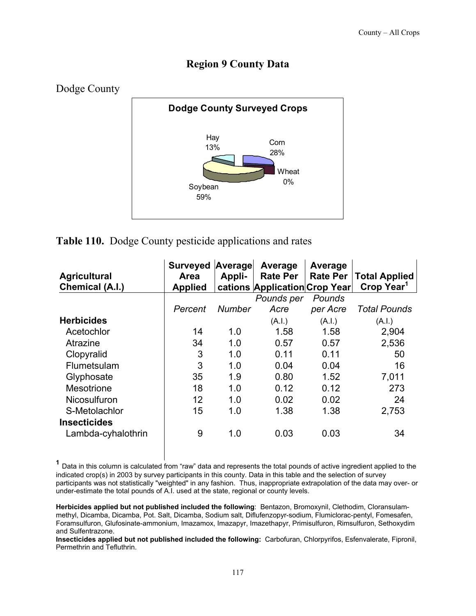#### **Region 9 County Data**



#### **Table 110.** Dodge County pesticide applications and rates

| <b>Agricultural</b><br>Chemical (A.I.) | <b>Surveyed</b><br><b>Area</b><br><b>Applied</b> | Average<br>Appli- | Average<br><b>Rate Per</b><br>cations Application Crop Year | Average<br><b>Rate Per</b> | <b>Total Applied</b><br>Crop Year <sup>1</sup> |
|----------------------------------------|--------------------------------------------------|-------------------|-------------------------------------------------------------|----------------------------|------------------------------------------------|
|                                        |                                                  |                   | Pounds per                                                  | Pounds                     |                                                |
|                                        | Percent                                          | Number            | Acre                                                        | per Acre                   | <b>Total Pounds</b>                            |
| <b>Herbicides</b>                      |                                                  |                   | (A.I.)                                                      | (A.I.)                     | (A.I.)                                         |
| Acetochlor                             | 14                                               | 1.0               | 1.58                                                        | 1.58                       | 2,904                                          |
| Atrazine                               | 34                                               | 1.0               | 0.57                                                        | 0.57                       | 2,536                                          |
| Clopyralid                             | 3                                                | 1.0               | 0.11                                                        | 0.11                       | 50                                             |
| Flumetsulam                            | 3                                                | 1.0               | 0.04                                                        | 0.04                       | 16                                             |
| Glyphosate                             | 35                                               | 1.9               | 0.80                                                        | 1.52                       | 7,011                                          |
| <b>Mesotrione</b>                      | 18                                               | 1.0               | 0.12                                                        | 0.12                       | 273                                            |
| <b>Nicosulfuron</b>                    | 12                                               | 1.0               | 0.02                                                        | 0.02                       | 24                                             |
| S-Metolachlor                          | 15                                               | 1.0               | 1.38                                                        | 1.38                       | 2,753                                          |
| <b>Insecticides</b>                    |                                                  |                   |                                                             |                            |                                                |
| Lambda-cyhalothrin                     | 9                                                | 1.0               | 0.03                                                        | 0.03                       | 34                                             |

**<sup>1</sup>** Data in this column is calculated from "raw" data and represents the total pounds of active ingredient applied to the indicated crop(s) in 2003 by survey participants in this county. Data in this table and the selection of survey participants was not statistically "weighted" in any fashion. Thus, inappropriate extrapolation of the data may over- or under-estimate the total pounds of A.I. used at the state, regional or county levels.

**Herbicides applied but not published included the following**: Bentazon, Bromoxynil, Clethodim, Cloransulammethyl, Dicamba, Dicamba, Pot. Salt, Dicamba, Sodium salt, Diflufenzopyr-sodium, Flumiclorac-pentyl, Fomesafen, Foramsulfuron, Glufosinate-ammonium, Imazamox, Imazapyr, Imazethapyr, Primisulfuron, Rimsulfuron, Sethoxydim and Sulfentrazone.

**Insecticides applied but not published included the following:** Carbofuran, Chlorpyrifos, Esfenvalerate, Fipronil, Permethrin and Tefluthrin.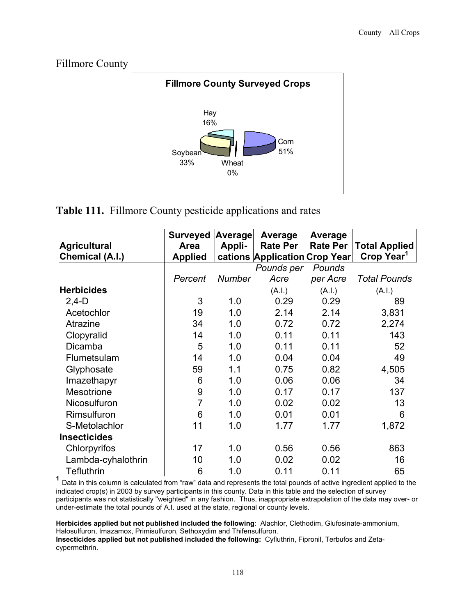Fillmore County



**Table 111.** Fillmore County pesticide applications and rates

|                        | <b>Surveyed</b> | Average       | Average                       | Average         |                        |
|------------------------|-----------------|---------------|-------------------------------|-----------------|------------------------|
| <b>Agricultural</b>    | Area            | Appli-        | <b>Rate Per</b>               | <b>Rate Per</b> | <b>Total Applied</b>   |
| <b>Chemical (A.I.)</b> | <b>Applied</b>  |               | cations Application Crop Year |                 | Crop Year <sup>1</sup> |
|                        |                 |               | Pounds per                    | Pounds          |                        |
|                        | Percent         | <b>Number</b> | Acre                          | per Acre        | <b>Total Pounds</b>    |
| <b>Herbicides</b>      |                 |               | (A.I.)                        | (A.I.)          | (A.I.)                 |
| $2,4-D$                | 3               | 1.0           | 0.29                          | 0.29            | 89                     |
| Acetochlor             | 19              | 1.0           | 2.14                          | 2.14            | 3,831                  |
| Atrazine               | 34              | 1.0           | 0.72                          | 0.72            | 2,274                  |
| Clopyralid             | 14              | 1.0           | 0.11                          | 0.11            | 143                    |
| <b>Dicamba</b>         | 5               | 1.0           | 0.11                          | 0.11            | 52                     |
| Flumetsulam            | 14              | 1.0           | 0.04                          | 0.04            | 49                     |
| Glyphosate             | 59              | 1.1           | 0.75                          | 0.82            | 4,505                  |
| Imazethapyr            | 6               | 1.0           | 0.06                          | 0.06            | 34                     |
| Mesotrione             | 9               | 1.0           | 0.17                          | 0.17            | 137                    |
| Nicosulfuron           | $\overline{7}$  | 1.0           | 0.02                          | 0.02            | 13                     |
| Rimsulfuron            | 6               | 1.0           | 0.01                          | 0.01            | 6                      |
| S-Metolachlor          | 11              | 1.0           | 1.77                          | 1.77            | 1,872                  |
| <b>Insecticides</b>    |                 |               |                               |                 |                        |
| Chlorpyrifos           | 17              | 1.0           | 0.56                          | 0.56            | 863                    |
| Lambda-cyhalothrin     | 10              | 1.0           | 0.02                          | 0.02            | 16                     |
| <b>Tefluthrin</b>      | 6               | 1.0           | 0.11                          | 0.11            | 65                     |

**<sup>1</sup>** Data in this column is calculated from "raw" data and represents the total pounds of active ingredient applied to the indicated crop(s) in 2003 by survey participants in this county. Data in this table and the selection of survey participants was not statistically "weighted" in any fashion. Thus, inappropriate extrapolation of the data may over- or under-estimate the total pounds of A.I. used at the state, regional or county levels.

**Herbicides applied but not published included the following**: Alachlor, Clethodim, Glufosinate-ammonium, Halosulfuron, Imazamox, Primisulfuron, Sethoxydim and Thifensulfuron.

**Insecticides applied but not published included the following:** Cyfluthrin, Fipronil, Terbufos and Zetacypermethrin.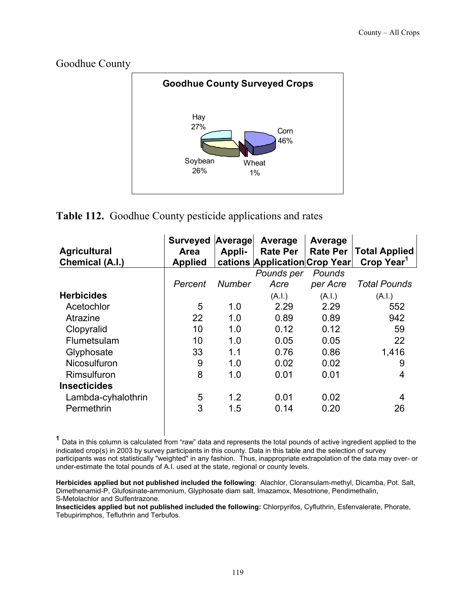Goodhue County



#### **Table 112.** Goodhue County pesticide applications and rates

| <b>Agricultural</b><br>Chemical (A.I.) | <b>Surveyed</b><br><b>Area</b><br><b>Applied</b> | Average<br>Appli- | Average<br><b>Rate Per</b><br>cations Application Crop Year | Average<br><b>Rate Per</b> | <b>Total Applied</b><br>Crop Year <sup>1</sup> |
|----------------------------------------|--------------------------------------------------|-------------------|-------------------------------------------------------------|----------------------------|------------------------------------------------|
|                                        |                                                  |                   | Pounds per                                                  | Pounds                     |                                                |
|                                        | Percent                                          | Number            | Acre                                                        | per Acre                   | <b>Total Pounds</b>                            |
| <b>Herbicides</b>                      |                                                  |                   | (A.I.)                                                      | (A.I.)                     | (A.I.)                                         |
| Acetochlor                             | 5                                                | 1.0               | 2.29                                                        | 2.29                       | 552                                            |
| Atrazine                               | 22                                               | 1.0               | 0.89                                                        | 0.89                       | 942                                            |
| Clopyralid                             | 10                                               | 1.0               | 0.12                                                        | 0.12                       | 59                                             |
| Flumetsulam                            | 10                                               | 1.0               | 0.05                                                        | 0.05                       | 22                                             |
| Glyphosate                             | 33                                               | 1.1               | 0.76                                                        | 0.86                       | 1,416                                          |
| Nicosulfuron                           | 9                                                | 1.0               | 0.02                                                        | 0.02                       | 9                                              |
| Rimsulfuron                            | 8                                                | 1.0               | 0.01                                                        | 0.01                       | 4                                              |
| <b>Insecticides</b>                    |                                                  |                   |                                                             |                            |                                                |
| Lambda-cyhalothrin                     | 5                                                | 1.2               | 0.01                                                        | 0.02                       | 4                                              |
| Permethrin                             | 3                                                | 1.5               | 0.14                                                        | 0.20                       | 26                                             |

**<sup>1</sup>** Data in this column is calculated from "raw" data and represents the total pounds of active ingredient applied to the indicated crop(s) in 2003 by survey participants in this county. Data in this table and the selection of survey participants was not statistically "weighted" in any fashion. Thus, inappropriate extrapolation of the data may over- or under-estimate the total pounds of A.I. used at the state, regional or county levels.

**Herbicides applied but not published included the following**: Alachlor, Cloransulam-methyl, Dicamba, Pot. Salt, Dimethenamid-P, Glufosinate-ammonium, Glyphosate diam salt, Imazamox, Mesotrione, Pendimethalin, S-Metolachlor and Sulfentrazone.

**Insecticides applied but not published included the following:** Chlorpyrifos, Cyfluthrin, Esfenvalerate, Phorate, Tebupirimphos, Tefluthrin and Terbufos.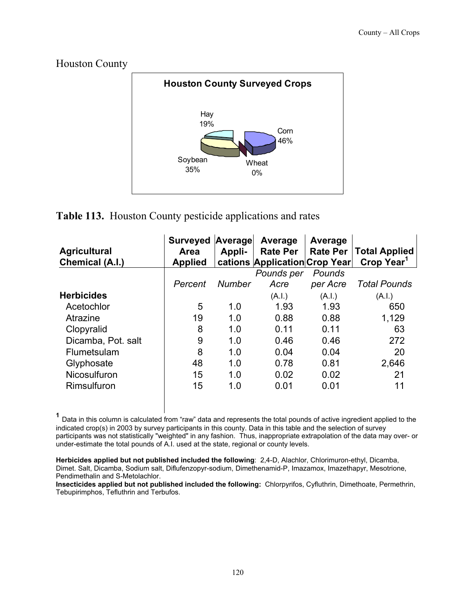Houston County



#### **Table 113.** Houston County pesticide applications and rates

| <b>Agricultural</b><br>Chemical (A.I.) | <b>Surveyed</b><br>Area<br><b>Applied</b> | Average<br>Appli- | Average<br><b>Rate Per</b><br>cations Application Crop Year | Average<br><b>Rate Per</b> | <b>Total Applied</b><br>Crop Year <sup>1</sup> |
|----------------------------------------|-------------------------------------------|-------------------|-------------------------------------------------------------|----------------------------|------------------------------------------------|
|                                        |                                           |                   | Pounds per                                                  | Pounds                     |                                                |
|                                        | Percent                                   | <b>Number</b>     | Acre                                                        | per Acre                   | <b>Total Pounds</b>                            |
| <b>Herbicides</b>                      |                                           |                   | (A.I.)                                                      | (A.I.)                     | (A.I.)                                         |
| Acetochlor                             | 5                                         | 1.0               | 1.93                                                        | 1.93                       | 650                                            |
| Atrazine                               | 19                                        | 1.0               | 0.88                                                        | 0.88                       | 1,129                                          |
| Clopyralid                             | 8                                         | 1.0               | 0.11                                                        | 0.11                       | 63                                             |
| Dicamba, Pot. salt                     | 9                                         | 1.0               | 0.46                                                        | 0.46                       | 272                                            |
| Flumetsulam                            | 8                                         | 1.0               | 0.04                                                        | 0.04                       | 20                                             |
| Glyphosate                             | 48                                        | 1.0               | 0.78                                                        | 0.81                       | 2,646                                          |
| Nicosulfuron                           | 15                                        | 1.0               | 0.02                                                        | 0.02                       | 21                                             |
| Rimsulfuron                            | 15                                        | 1.0               | 0.01                                                        | 0.01                       | 11                                             |

**<sup>1</sup>** Data in this column is calculated from "raw" data and represents the total pounds of active ingredient applied to the indicated crop(s) in 2003 by survey participants in this county. Data in this table and the selection of survey participants was not statistically "weighted" in any fashion. Thus, inappropriate extrapolation of the data may over- or under-estimate the total pounds of A.I. used at the state, regional or county levels.

**Herbicides applied but not published included the following**: 2,4-D, Alachlor, Chlorimuron-ethyl, Dicamba, Dimet. Salt, Dicamba, Sodium salt, Diflufenzopyr-sodium, Dimethenamid-P, Imazamox, Imazethapyr, Mesotrione, Pendimethalin and S-Metolachlor.

**Insecticides applied but not published included the following:** Chlorpyrifos, Cyfluthrin, Dimethoate, Permethrin, Tebupirimphos, Tefluthrin and Terbufos.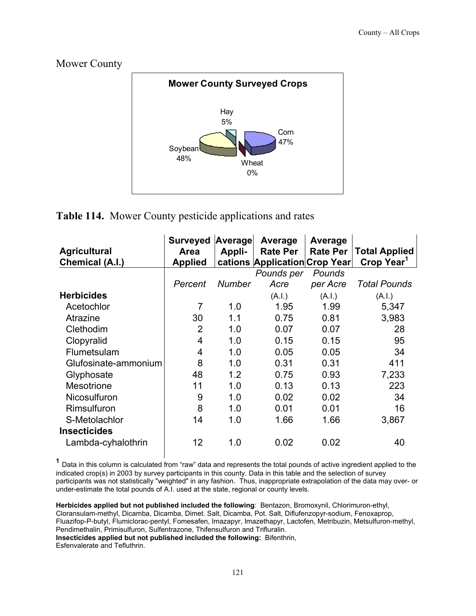Mower County



#### **Table 114.** Mower County pesticide applications and rates

| <b>Agricultural</b><br>Chemical (A.I.) | <b>Surveyed</b><br><b>Area</b><br><b>Applied</b> | Average<br>Appli- | Average<br><b>Rate Per</b><br>cations Application Crop Year | Average<br><b>Rate Per</b> | <b>Total Applied</b><br>Crop Year <sup>1</sup> |
|----------------------------------------|--------------------------------------------------|-------------------|-------------------------------------------------------------|----------------------------|------------------------------------------------|
|                                        |                                                  |                   | Pounds per                                                  | Pounds                     |                                                |
|                                        | Percent                                          | Number            | Acre                                                        | per Acre                   | <b>Total Pounds</b>                            |
| <b>Herbicides</b>                      |                                                  |                   | (A.I.)                                                      | (A.I.)                     | (A.I.)                                         |
| Acetochlor                             | 7                                                | 1.0               | 1.95                                                        | 1.99                       | 5,347                                          |
| Atrazine                               | 30                                               | 1.1               | 0.75                                                        | 0.81                       | 3,983                                          |
| Clethodim                              | 2                                                | 1.0               | 0.07                                                        | 0.07                       | 28                                             |
| Clopyralid                             | 4                                                | 1.0               | 0.15                                                        | 0.15                       | 95                                             |
| Flumetsulam                            | 4                                                | 1.0               | 0.05                                                        | 0.05                       | 34                                             |
| Glufosinate-ammonium                   | 8                                                | 1.0               | 0.31                                                        | 0.31                       | 411                                            |
| Glyphosate                             | 48                                               | 1.2               | 0.75                                                        | 0.93                       | 7,233                                          |
| Mesotrione                             | 11                                               | 1.0               | 0.13                                                        | 0.13                       | 223                                            |
| Nicosulfuron                           | 9                                                | 1.0               | 0.02                                                        | 0.02                       | 34                                             |
| Rimsulfuron                            | 8                                                | 1.0               | 0.01                                                        | 0.01                       | 16                                             |
| S-Metolachlor                          | 14                                               | 1.0               | 1.66                                                        | 1.66                       | 3,867                                          |
| <b>Insecticides</b>                    |                                                  |                   |                                                             |                            |                                                |
| Lambda-cyhalothrin                     | 12                                               | 1.0               | 0.02                                                        | 0.02                       | 40                                             |

**<sup>1</sup>** Data in this column is calculated from "raw" data and represents the total pounds of active ingredient applied to the indicated crop(s) in 2003 by survey participants in this county. Data in this table and the selection of survey participants was not statistically "weighted" in any fashion. Thus, inappropriate extrapolation of the data may over- or under-estimate the total pounds of A.I. used at the state, regional or county levels.

**Herbicides applied but not published included the following**: Bentazon, Bromoxynil, Chlorimuron-ethyl, Cloransulam-methyl, Dicamba, Dicamba, Dimet. Salt, Dicamba, Pot. Salt, Diflufenzopyr-sodium, Fenoxaprop, Fluazifop-P-butyl, Flumiclorac-pentyl, Fomesafen, Imazapyr, Imazethapyr, Lactofen, Metribuzin, Metsulfuron-methyl, Pendimethalin, Primisulfuron, Sulfentrazone, Thifensulfuron and Trifluralin. **Insecticides applied but not published included the following:** Bifenthrin, Esfenvalerate and Tefluthrin.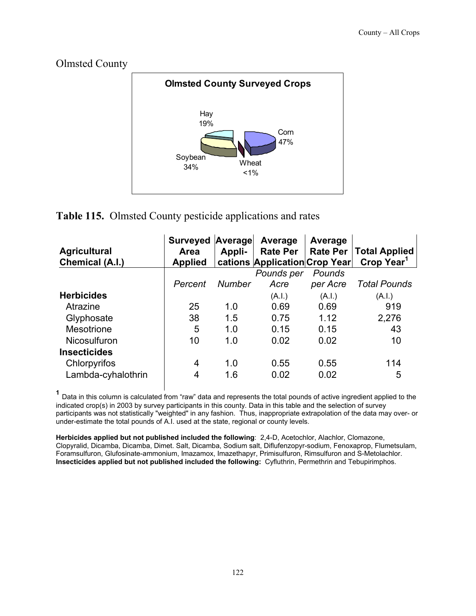



#### **Table 115.** Olmsted County pesticide applications and rates

| <b>Agricultural</b><br>Chemical (A.I.) | <b>Surveyed</b><br><b>Area</b><br><b>Applied</b> | Average<br>Appli- | Average<br><b>Rate Per</b><br>cations Application Crop Year | Average<br>Rate Per | <b>Total Applied</b><br>Crop Year <sup>1</sup> |
|----------------------------------------|--------------------------------------------------|-------------------|-------------------------------------------------------------|---------------------|------------------------------------------------|
|                                        |                                                  |                   | Pounds per                                                  | Pounds              |                                                |
|                                        | Percent                                          | <b>Number</b>     | Acre                                                        | per Acre            | <b>Total Pounds</b>                            |
| <b>Herbicides</b>                      |                                                  |                   | (A.I.)                                                      | (A.I.)              | (A.I.)                                         |
| Atrazine                               | 25                                               | 1.0               | 0.69                                                        | 0.69                | 919                                            |
| Glyphosate                             | 38                                               | 1.5               | 0.75                                                        | 1.12                | 2,276                                          |
| Mesotrione                             | 5                                                | 1.0               | 0.15                                                        | 0.15                | 43                                             |
| <b>Nicosulfuron</b>                    | 10                                               | 1.0               | 0.02                                                        | 0.02                | 10                                             |
| <b>Insecticides</b>                    |                                                  |                   |                                                             |                     |                                                |
| Chlorpyrifos                           | 4                                                | 1.0               | 0.55                                                        | 0.55                | 114                                            |
| Lambda-cyhalothrin                     | 4                                                | 1.6               | 0.02                                                        | 0.02                | 5                                              |

**<sup>1</sup>** Data in this column is calculated from "raw" data and represents the total pounds of active ingredient applied to the indicated crop(s) in 2003 by survey participants in this county. Data in this table and the selection of survey participants was not statistically "weighted" in any fashion. Thus, inappropriate extrapolation of the data may over- or under-estimate the total pounds of A.I. used at the state, regional or county levels.

**Herbicides applied but not published included the following**: 2,4-D, Acetochlor, Alachlor, Clomazone, Clopyralid, Dicamba, Dicamba, Dimet. Salt, Dicamba, Sodium salt, Diflufenzopyr-sodium, Fenoxaprop, Flumetsulam, Foramsulfuron, Glufosinate-ammonium, Imazamox, Imazethapyr, Primisulfuron, Rimsulfuron and S-Metolachlor. **Insecticides applied but not published included the following:** Cyfluthrin, Permethrin and Tebupirimphos.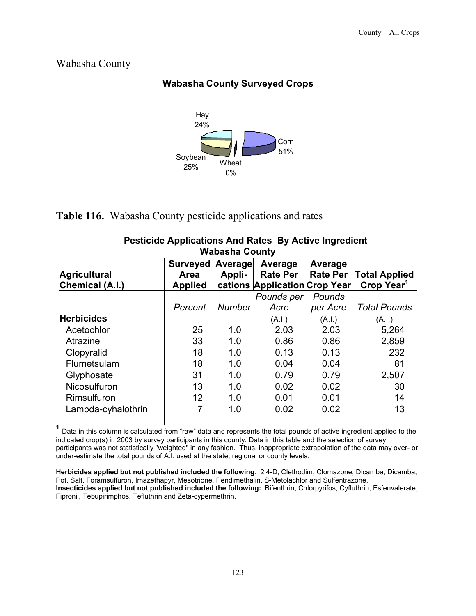



**Table 116.** Wabasha County pesticide applications and rates

| Wabasha County                         |                                                  |                   |                                                             |                            |                                                |  |  |
|----------------------------------------|--------------------------------------------------|-------------------|-------------------------------------------------------------|----------------------------|------------------------------------------------|--|--|
| <b>Agricultural</b><br>Chemical (A.I.) | <b>Surveyed</b><br><b>Area</b><br><b>Applied</b> | Average<br>Appli- | Average<br><b>Rate Per</b><br>cations Application Crop Year | Average<br><b>Rate Per</b> | <b>Total Applied</b><br>Crop Year <sup>1</sup> |  |  |
|                                        |                                                  |                   | Pounds per                                                  | Pounds                     |                                                |  |  |
|                                        | Percent                                          | <b>Number</b>     | Acre                                                        | per Acre                   | <b>Total Pounds</b>                            |  |  |
| <b>Herbicides</b>                      |                                                  |                   | (A.I.)                                                      | (A.l.)                     | (A.l.)                                         |  |  |
| Acetochlor                             | 25                                               | 1.0               | 2.03                                                        | 2.03                       | 5,264                                          |  |  |
| Atrazine                               | 33                                               | 1.0               | 0.86                                                        | 0.86                       | 2,859                                          |  |  |
| Clopyralid                             | 18                                               | 1.0               | 0.13                                                        | 0.13                       | 232                                            |  |  |
| Flumetsulam                            | 18                                               | 1.0               | 0.04                                                        | 0.04                       | 81                                             |  |  |
| Glyphosate                             | 31                                               | 1.0               | 0.79                                                        | 0.79                       | 2,507                                          |  |  |
| Nicosulfuron                           | 13                                               | 1.0               | 0.02                                                        | 0.02                       | 30                                             |  |  |
| Rimsulfuron                            | 12                                               | 1.0               | 0.01                                                        | 0.01                       | 14                                             |  |  |
| Lambda-cyhalothrin                     | 7                                                | 1.0               | 0.02                                                        | 0.02                       | 13                                             |  |  |

#### **Pesticide Applications And Rates By Active Ingredient Wabasha County**

**<sup>1</sup>** Data in this column is calculated from "raw" data and represents the total pounds of active ingredient applied to the indicated crop(s) in 2003 by survey participants in this county. Data in this table and the selection of survey participants was not statistically "weighted" in any fashion. Thus, inappropriate extrapolation of the data may over- or under-estimate the total pounds of A.I. used at the state, regional or county levels.

**Herbicides applied but not published included the following**: 2,4-D, Clethodim, Clomazone, Dicamba, Dicamba, Pot. Salt, Foramsulfuron, Imazethapyr, Mesotrione, Pendimethalin, S-Metolachlor and Sulfentrazone. **Insecticides applied but not published included the following:** Bifenthrin, Chlorpyrifos, Cyfluthrin, Esfenvalerate, Fipronil, Tebupirimphos, Tefluthrin and Zeta-cypermethrin.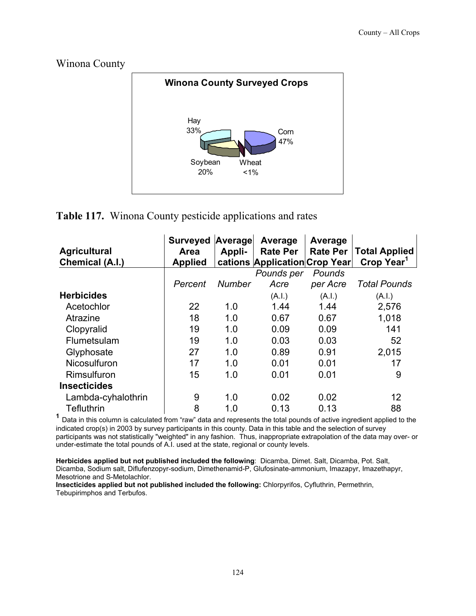Winona County



#### **Table 117.** Winona County pesticide applications and rates

| <b>Agricultural</b><br><b>Chemical (A.I.)</b> | <b>Surveyed</b><br>Area<br><b>Applied</b> | Average<br>Appli- | Average<br><b>Rate Per</b><br>cations Application Crop Year | Average<br><b>Rate Per</b> | <b>Total Applied</b><br>Crop Year <sup>1</sup> |
|-----------------------------------------------|-------------------------------------------|-------------------|-------------------------------------------------------------|----------------------------|------------------------------------------------|
|                                               |                                           |                   | Pounds per                                                  | Pounds                     |                                                |
|                                               | Percent                                   | <b>Number</b>     | Acre                                                        | per Acre                   | <b>Total Pounds</b>                            |
| <b>Herbicides</b>                             |                                           |                   | (A.I.)                                                      | (A.I.)                     | (A.I.)                                         |
| Acetochlor                                    | 22                                        | 1.0               | 1.44                                                        | 1.44                       | 2,576                                          |
| Atrazine                                      | 18                                        | 1.0               | 0.67                                                        | 0.67                       | 1,018                                          |
| Clopyralid                                    | 19                                        | 1.0               | 0.09                                                        | 0.09                       | 141                                            |
| Flumetsulam                                   | 19                                        | 1.0               | 0.03                                                        | 0.03                       | 52                                             |
| Glyphosate                                    | 27                                        | 1.0               | 0.89                                                        | 0.91                       | 2,015                                          |
| Nicosulfuron                                  | 17                                        | 1.0               | 0.01                                                        | 0.01                       | 17                                             |
| Rimsulfuron                                   | 15                                        | 1.0               | 0.01                                                        | 0.01                       | 9                                              |
| <b>Insecticides</b>                           |                                           |                   |                                                             |                            |                                                |
| Lambda-cyhalothrin                            | 9                                         | 1.0               | 0.02                                                        | 0.02                       | 12                                             |
| Tefluthrin                                    | 8                                         | 1.0               | 0.13                                                        | 0.13                       | 88                                             |

<sup>1</sup> Data in this column is calculated from "raw" data and represents the total pounds of active ingredient applied to the indicated crop(s) in 2003 by survey participants in this county. Data in this table and the selection of survey participants was not statistically "weighted" in any fashion. Thus, inappropriate extrapolation of the data may over- or under-estimate the total pounds of A.I. used at the state, regional or county levels.

**Herbicides applied but not published included the following**: Dicamba, Dimet. Salt, Dicamba, Pot. Salt, Dicamba, Sodium salt, Diflufenzopyr-sodium, Dimethenamid-P, Glufosinate-ammonium, Imazapyr, Imazethapyr, Mesotrione and S-Metolachlor.

**Insecticides applied but not published included the following:** Chlorpyrifos, Cyfluthrin, Permethrin, Tebupirimphos and Terbufos.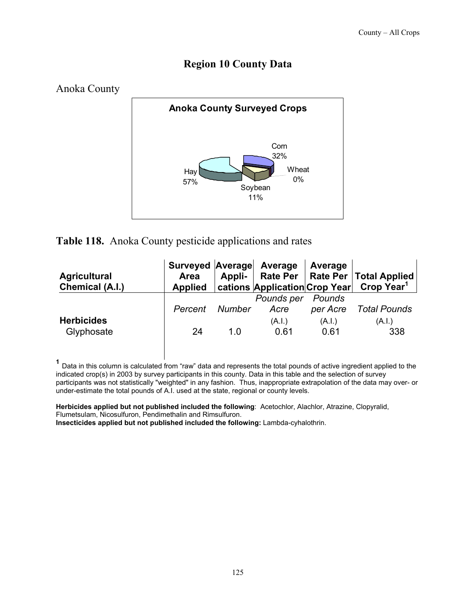#### **Region 10 County Data**



#### **Table 118.** Anoka County pesticide applications and rates

| <b>Agricultural</b><br>Chemical (A.I.) | Surveyed Average Average<br><b>Area</b><br><b>Applied</b> | Appli- |                    | Average            | Rate Per   Rate Per   Total Applied<br>  cations Application Crop Year  Crop Year <sup>1</sup> |
|----------------------------------------|-----------------------------------------------------------|--------|--------------------|--------------------|------------------------------------------------------------------------------------------------|
|                                        | Percent                                                   | Number | Pounds per<br>Acre | Pounds<br>per Acre | Total Pounds                                                                                   |
| <b>Herbicides</b><br>Glyphosate        | 24                                                        | 1 O    | (A.I.)<br>0.61     | (A.I.)<br>0.61     | (A.I.)<br>338                                                                                  |

**<sup>1</sup>** Data in this column is calculated from "raw" data and represents the total pounds of active ingredient applied to the indicated crop(s) in 2003 by survey participants in this county. Data in this table and the selection of survey participants was not statistically "weighted" in any fashion. Thus, inappropriate extrapolation of the data may over- or under-estimate the total pounds of A.I. used at the state, regional or county levels.

**Herbicides applied but not published included the following**: Acetochlor, Alachlor, Atrazine, Clopyralid, Flumetsulam, Nicosulfuron, Pendimethalin and Rimsulfuron.

**Insecticides applied but not published included the following:** Lambda-cyhalothrin.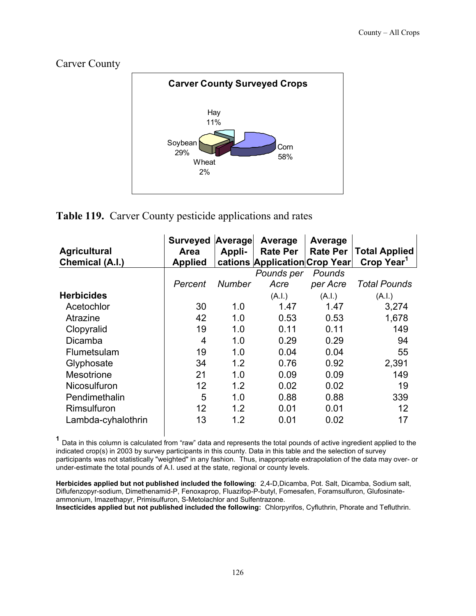



#### **Table 119.** Carver County pesticide applications and rates

| <b>Agricultural</b><br>Chemical (A.I.) | <b>Surveyed</b><br><b>Area</b><br><b>Applied</b> | Average<br>Appli- | Average<br><b>Rate Per</b><br>cations Application Crop Year | Average<br><b>Rate Per</b> | <b>Total Applied</b><br>Crop Year <sup>1</sup> |
|----------------------------------------|--------------------------------------------------|-------------------|-------------------------------------------------------------|----------------------------|------------------------------------------------|
|                                        |                                                  |                   | Pounds per                                                  | Pounds                     |                                                |
|                                        | Percent                                          | Number            | Acre                                                        | per Acre                   | <b>Total Pounds</b>                            |
| <b>Herbicides</b>                      |                                                  |                   | (A.I.)                                                      | (A.l.)                     | (A.l.)                                         |
| Acetochlor                             | 30                                               | 1.0               | 1.47                                                        | 1.47                       | 3,274                                          |
| Atrazine                               | 42                                               | 1.0               | 0.53                                                        | 0.53                       | 1,678                                          |
| Clopyralid                             | 19                                               | 1.0               | 0.11                                                        | 0.11                       | 149                                            |
| Dicamba                                | 4                                                | 1.0               | 0.29                                                        | 0.29                       | 94                                             |
| Flumetsulam                            | 19                                               | 1.0               | 0.04                                                        | 0.04                       | 55                                             |
| Glyphosate                             | 34                                               | 1.2               | 0.76                                                        | 0.92                       | 2,391                                          |
| <b>Mesotrione</b>                      | 21                                               | 1.0               | 0.09                                                        | 0.09                       | 149                                            |
| Nicosulfuron                           | 12                                               | 1.2               | 0.02                                                        | 0.02                       | 19                                             |
| Pendimethalin                          | 5                                                | 1.0               | 0.88                                                        | 0.88                       | 339                                            |
| Rimsulfuron                            | 12                                               | 1.2               | 0.01                                                        | 0.01                       | 12                                             |
| Lambda-cyhalothrin                     | 13                                               | 1.2               | 0.01                                                        | 0.02                       | 17                                             |

 **<sup>1</sup>** Data in this column is calculated from "raw" data and represents the total pounds of active ingredient applied to the indicated crop(s) in 2003 by survey participants in this county. Data in this table and the selection of survey participants was not statistically "weighted" in any fashion. Thus, inappropriate extrapolation of the data may over- or under-estimate the total pounds of A.I. used at the state, regional or county levels.

**Herbicides applied but not published included the following**: 2,4-D,Dicamba, Pot. Salt, Dicamba, Sodium salt, Diflufenzopyr-sodium, Dimethenamid-P, Fenoxaprop, Fluazifop-P-butyl, Fomesafen, Foramsulfuron, Glufosinateammonium, Imazethapyr, Primisulfuron, S-Metolachlor and Sulfentrazone.

**Insecticides applied but not published included the following:** Chlorpyrifos, Cyfluthrin, Phorate and Tefluthrin.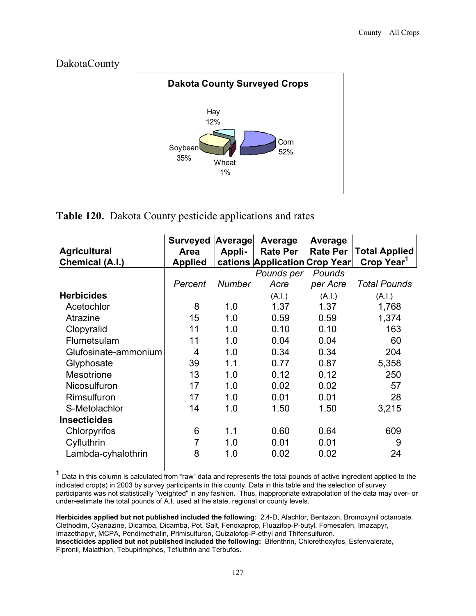DakotaCounty



**Table 120.** Dakota County pesticide applications and rates

| <b>Agricultural</b><br>Chemical (A.I.) | <b>Surveyed</b><br>Area<br><b>Applied</b> | Average<br>Appli- | Average<br><b>Rate Per</b><br>cations Application Crop Year | Average<br><b>Rate Per</b> | <b>Total Applied</b><br>Crop Year <sup>1</sup> |
|----------------------------------------|-------------------------------------------|-------------------|-------------------------------------------------------------|----------------------------|------------------------------------------------|
|                                        |                                           |                   | Pounds per                                                  | Pounds                     |                                                |
|                                        | Percent                                   | <b>Number</b>     | Acre                                                        | per Acre                   | <b>Total Pounds</b>                            |
| <b>Herbicides</b>                      |                                           |                   | (A.I.)                                                      | (A.I.)                     | (A.I.)                                         |
| Acetochlor                             | 8                                         | 1.0               | 1.37                                                        | 1.37                       | 1,768                                          |
| Atrazine                               | 15                                        | 1.0               | 0.59                                                        | 0.59                       | 1,374                                          |
| Clopyralid                             | 11                                        | 1.0               | 0.10                                                        | 0.10                       | 163                                            |
| Flumetsulam                            | 11                                        | 1.0               | 0.04                                                        | 0.04                       | 60                                             |
| Glufosinate-ammonium                   | 4                                         | 1.0               | 0.34                                                        | 0.34                       | 204                                            |
| Glyphosate                             | 39                                        | 1.1               | 0.77                                                        | 0.87                       | 5,358                                          |
| <b>Mesotrione</b>                      | 13                                        | 1.0               | 0.12                                                        | 0.12                       | 250                                            |
| Nicosulfuron                           | 17                                        | 1.0               | 0.02                                                        | 0.02                       | 57                                             |
| Rimsulfuron                            | 17                                        | 1.0               | 0.01                                                        | 0.01                       | 28                                             |
| S-Metolachlor                          | 14                                        | 1.0               | 1.50                                                        | 1.50                       | 3,215                                          |
| <b>Insecticides</b>                    |                                           |                   |                                                             |                            |                                                |
| Chlorpyrifos                           | 6                                         | 1.1               | 0.60                                                        | 0.64                       | 609                                            |
| Cyfluthrin                             | 7                                         | 1.0               | 0.01                                                        | 0.01                       | 9                                              |
| Lambda-cyhalothrin                     | 8                                         | 1.0               | 0.02                                                        | 0.02                       | 24                                             |

 **<sup>1</sup>** Data in this column is calculated from "raw" data and represents the total pounds of active ingredient applied to the indicated crop(s) in 2003 by survey participants in this county. Data in this table and the selection of survey participants was not statistically "weighted" in any fashion. Thus, inappropriate extrapolation of the data may over- or under-estimate the total pounds of A.I. used at the state, regional or county levels.

**Herbicides applied but not published included the following**: 2,4-D, Alachlor, Bentazon, Bromoxynil octanoate, Clethodim, Cyanazine, Dicamba, Dicamba, Pot. Salt, Fenoxaprop, Fluazifop-P-butyl, Fomesafen, Imazapyr, Imazethapyr, MCPA, Pendimethalin, Primisulfuron, Quizalofop-P-ethyl and Thifensulfuron. **Insecticides applied but not published included the following:** Bifenthrin, Chlorethoxyfos, Esfenvalerate, Fipronil, Malathion, Tebupirimphos, Tefluthrin and Terbufos.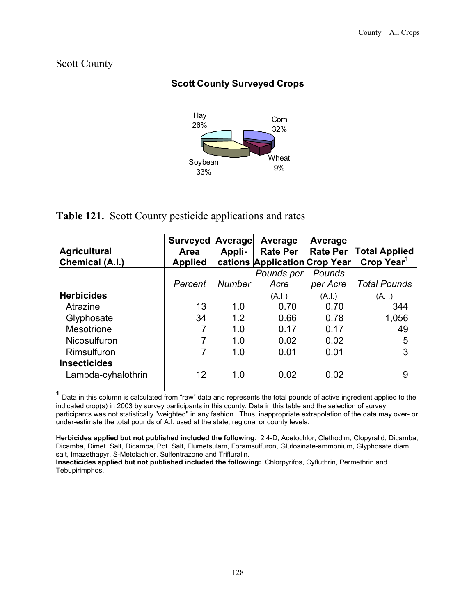Scott County



#### **Table 121.** Scott County pesticide applications and rates

| <b>Agricultural</b><br><b>Chemical (A.I.)</b> | <b>Surveyed Average</b><br><b>Area</b><br><b>Applied</b> | Appli-        | Average<br><b>Rate Per</b><br>cations Application Crop Year | Average<br><b>Rate Per</b> | <b>Total Applied</b><br>Crop Year <sup>1</sup> |
|-----------------------------------------------|----------------------------------------------------------|---------------|-------------------------------------------------------------|----------------------------|------------------------------------------------|
|                                               |                                                          |               | Pounds per                                                  | Pounds                     |                                                |
|                                               | Percent                                                  | <b>Number</b> | Acre                                                        | per Acre                   | <b>Total Pounds</b>                            |
| <b>Herbicides</b>                             |                                                          |               | (A.I.)                                                      | (A.I.)                     | (A.I.)                                         |
| Atrazine                                      | 13                                                       | 1.0           | 0.70                                                        | 0.70                       | 344                                            |
| Glyphosate                                    | 34                                                       | 1.2           | 0.66                                                        | 0.78                       | 1,056                                          |
| <b>Mesotrione</b>                             | 7                                                        | 1.0           | 0.17                                                        | 0.17                       | 49                                             |
| <b>Nicosulfuron</b>                           | 7                                                        | 1.0           | 0.02                                                        | 0.02                       | 5                                              |
| Rimsulfuron                                   | 7                                                        | 1.0           | 0.01                                                        | 0.01                       | 3                                              |
| <b>Insecticides</b>                           |                                                          |               |                                                             |                            |                                                |
| Lambda-cyhalothrin                            | 12                                                       | 1.0           | 0.02                                                        | 0.02                       | 9                                              |

 **<sup>1</sup>** Data in this column is calculated from "raw" data and represents the total pounds of active ingredient applied to the indicated crop(s) in 2003 by survey participants in this county. Data in this table and the selection of survey participants was not statistically "weighted" in any fashion. Thus, inappropriate extrapolation of the data may over- or under-estimate the total pounds of A.I. used at the state, regional or county levels.

**Herbicides applied but not published included the following**: 2,4-D, Acetochlor, Clethodim, Clopyralid, Dicamba, Dicamba, Dimet. Salt, Dicamba, Pot. Salt, Flumetsulam, Foramsulfuron, Glufosinate-ammonium, Glyphosate diam salt, Imazethapyr, S-Metolachlor, Sulfentrazone and Trifluralin.

**Insecticides applied but not published included the following:** Chlorpyrifos, Cyfluthrin, Permethrin and Tebupirimphos.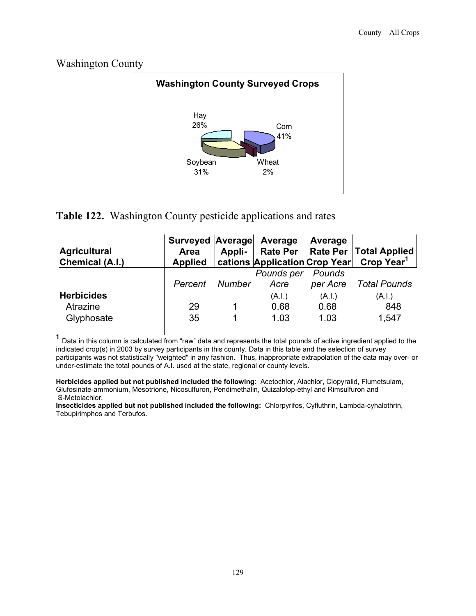Washington County



#### **Table 122.** Washington County pesticide applications and rates

| <b>Agricultural</b><br>Chemical (A.I.)      | Surveyed Average Average<br><b>Area</b><br><b>Applied</b> | Appli- |                        | Average                | Rate Per   Rate Per   Total Applied  <br>  cations Application Crop Year Crop Year <sup>1</sup> |
|---------------------------------------------|-----------------------------------------------------------|--------|------------------------|------------------------|-------------------------------------------------------------------------------------------------|
|                                             | Percent                                                   | Number | Pounds per<br>Acre     | Pounds<br>per Acre     | Total Pounds                                                                                    |
| <b>Herbicides</b><br>Atrazine<br>Glyphosate | 29<br>35                                                  |        | (A.I.)<br>0.68<br>1.03 | (A.I.)<br>0.68<br>1.03 | (A.I.)<br>848<br>1,547                                                                          |

 **<sup>1</sup>** Data in this column is calculated from "raw" data and represents the total pounds of active ingredient applied to the indicated crop(s) in 2003 by survey participants in this county. Data in this table and the selection of survey participants was not statistically "weighted" in any fashion. Thus, inappropriate extrapolation of the data may over- or under-estimate the total pounds of A.I. used at the state, regional or county levels.

**Herbicides applied but not published included the following**: Acetochlor, Alachlor, Clopyralid, Flumetsulam, Glufosinate-ammonium, Mesotrione, Nicosulfuron, Pendimethalin, Quizalofop-ethyl and Rimsulfuron and S-Metolachlor.

**Insecticides applied but not published included the following:** Chlorpyrifos, Cyfluthrin, Lambda-cyhalothrin, Tebupirimphos and Terbufos.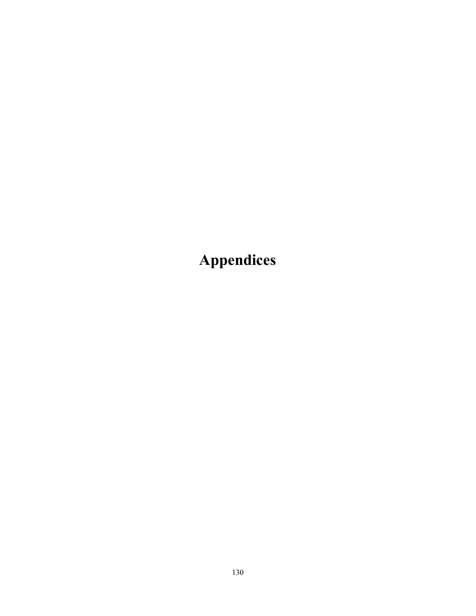**Appendices**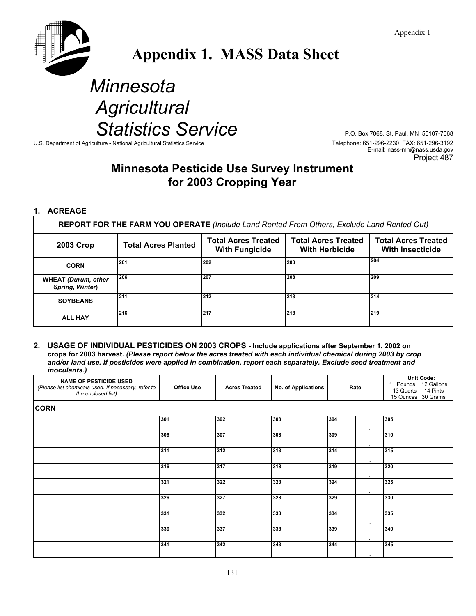

## **Appendix 1. MASS Data Sheet**

# *Minnesota Agricultural*  Statistics Service<br> *Stational Agricultural Statistics Service*<br>
Telephone: 651-296-2230 FAX: 651-296-3192

U.S. Department of Agriculture - National Agricultural Statistics Service

E-mail: nass-mn@nass.usda.gov Project 487

#### **Minnesota Pesticide Use Survey Instrument for 2003 Cropping Year**

#### **1. ACREAGE**

**REPORT FOR THE FARM YOU OPERATE** *(Include Land Rented From Others, Exclude Land Rented Out)*

| 2003 Crop                                     | <b>Total Acres Planted</b> | <b>Total Acres Treated</b><br><b>With Fungicide</b> | <b>Total Acres Treated</b><br><b>With Herbicide</b> | <b>Total Acres Treated</b><br><b>With Insecticide</b> |
|-----------------------------------------------|----------------------------|-----------------------------------------------------|-----------------------------------------------------|-------------------------------------------------------|
| <b>CORN</b>                                   | l 201                      | 202                                                 | 203                                                 | 204                                                   |
| <b>WHEAT (Durum, other</b><br>Spring, Winter) | 206                        | 207                                                 | 208                                                 | 209                                                   |
| <b>SOYBEANS</b>                               | 211                        | 212                                                 | 213                                                 | 214                                                   |
| <b>ALL HAY</b>                                | 216                        | 217                                                 | 218                                                 | 219                                                   |

**2. USAGE OF INDIVIDUAL PESTICIDES ON 2003 CROPS - Include applications after September 1, 2002 on crops for 2003 harvest.** *(Please report below the acres treated with each individual chemical during 2003 by crop and/or land use. If pesticides were applied in combination, report each separately. Exclude seed treatment and inoculants.)*

| <b>NAME OF PESTICIDE USED</b><br>(Please list chemicals used. If necessary, refer to<br>the enclosed list) | <b>Office Use</b> | <b>Acres Treated</b> | <b>No. of Applications</b> | Rate                      | <b>Unit Code:</b><br>Pounds 12 Gallons<br>14 Pints<br>13 Quarts<br>15 Ounces 30 Grams |  |  |  |  |  |  |
|------------------------------------------------------------------------------------------------------------|-------------------|----------------------|----------------------------|---------------------------|---------------------------------------------------------------------------------------|--|--|--|--|--|--|
| <b>CORN</b>                                                                                                |                   |                      |                            |                           |                                                                                       |  |  |  |  |  |  |
|                                                                                                            | 301               | 302                  | 303                        | 304<br>$\bullet$          | 305                                                                                   |  |  |  |  |  |  |
|                                                                                                            | 306               | 307                  | 308                        | 309                       | 310                                                                                   |  |  |  |  |  |  |
|                                                                                                            | 311               | 312                  | 313                        | $\cdot$<br>314            | 315                                                                                   |  |  |  |  |  |  |
|                                                                                                            | 316               | 317                  | 318                        | $\cdot$<br>319            | 320                                                                                   |  |  |  |  |  |  |
|                                                                                                            | 321               | 322                  | 323                        | $\cdot$<br>324<br>$\cdot$ | 325                                                                                   |  |  |  |  |  |  |
|                                                                                                            | 326               | 327                  | 328                        | 329<br>$\cdot$            | 330                                                                                   |  |  |  |  |  |  |
|                                                                                                            | 331               | 332                  | 333                        | 334                       | 335                                                                                   |  |  |  |  |  |  |
|                                                                                                            | 336               | 337                  | 338                        | 339<br>$\bullet$          | 340                                                                                   |  |  |  |  |  |  |
|                                                                                                            | 341               | 342                  | 343                        | 344                       | 345                                                                                   |  |  |  |  |  |  |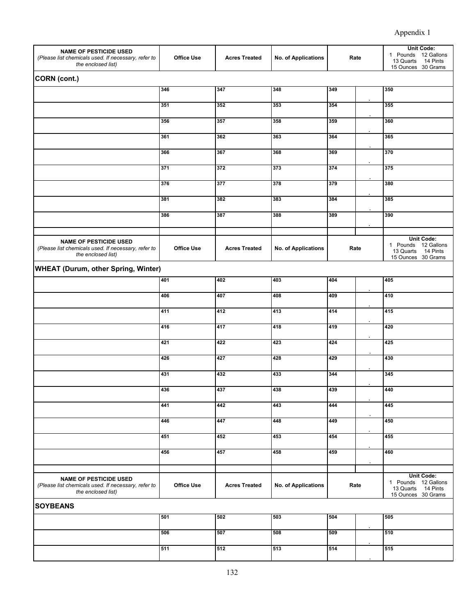| <b>NAME OF PESTICIDE USED</b><br>(Please list chemicals used. If necessary, refer to<br>the enclosed list) | <b>Office Use</b> | <b>Acres Treated</b> | No. of Applications | Rate |      | <b>Unit Code:</b><br>1 Pounds 12 Gallons<br>13 Quarts<br>14 Pints<br>15 Ounces 30 Grams |  |  |  |  |
|------------------------------------------------------------------------------------------------------------|-------------------|----------------------|---------------------|------|------|-----------------------------------------------------------------------------------------|--|--|--|--|
| CORN (cont.)                                                                                               |                   |                      |                     |      |      |                                                                                         |  |  |  |  |
|                                                                                                            | 346               | 347                  | 348                 | 349  |      | 350                                                                                     |  |  |  |  |
|                                                                                                            | 351               | 352                  | 353                 | 354  |      | 355                                                                                     |  |  |  |  |
|                                                                                                            | 356               | 357                  | 358<br>359          |      |      | 360                                                                                     |  |  |  |  |
|                                                                                                            | 361               | 362                  | 363                 | 364  |      | 365                                                                                     |  |  |  |  |
|                                                                                                            | 366               | 367                  | 368                 | 369  |      | 370                                                                                     |  |  |  |  |
|                                                                                                            | 371               | 372                  | 373                 | 374  |      | 375                                                                                     |  |  |  |  |
|                                                                                                            | 376               | 377                  | 378                 | 379  |      | 380                                                                                     |  |  |  |  |
|                                                                                                            | 381               | 382                  | 383                 | 384  |      | 385                                                                                     |  |  |  |  |
|                                                                                                            | 386               | 387                  | 388                 | 389  |      | 390                                                                                     |  |  |  |  |
| <b>NAME OF PESTICIDE USED</b><br>(Please list chemicals used. If necessary, refer to<br>the enclosed list) | <b>Office Use</b> | <b>Acres Treated</b> | No. of Applications |      | Rate | <b>Unit Code:</b><br>1 Pounds 12 Gallons<br>13 Quarts<br>14 Pints<br>15 Ounces 30 Grams |  |  |  |  |
| <b>WHEAT (Durum, other Spring, Winter)</b>                                                                 |                   |                      |                     |      |      |                                                                                         |  |  |  |  |
|                                                                                                            | 401               | 402                  | 403                 | 404  |      | 405                                                                                     |  |  |  |  |
|                                                                                                            | 406               | 407                  | 408                 | 409  |      | 410                                                                                     |  |  |  |  |
|                                                                                                            | 411               | 412                  | 413                 | 414  |      | 415                                                                                     |  |  |  |  |
|                                                                                                            | 416               | 417                  | 418                 | 419  |      | 420                                                                                     |  |  |  |  |
|                                                                                                            | 421               | 422                  | 423                 | 424  |      | 425                                                                                     |  |  |  |  |
|                                                                                                            | 426               | 427                  | 428                 | 429  |      | 430                                                                                     |  |  |  |  |
|                                                                                                            | 431               | 432                  | 433                 | 344  |      | 345                                                                                     |  |  |  |  |
|                                                                                                            | 436               | 437                  | 438                 | 439  |      | 440                                                                                     |  |  |  |  |
|                                                                                                            | 441               | 442                  | 443                 | 444  |      | 445                                                                                     |  |  |  |  |
|                                                                                                            | 446               | 447                  | 448                 | 449  |      | 450                                                                                     |  |  |  |  |
|                                                                                                            | 451               | 452                  | 453                 | 454  |      | 455                                                                                     |  |  |  |  |
|                                                                                                            | 456               | 457                  | 458                 | 459  |      | 460                                                                                     |  |  |  |  |
| <b>NAME OF PESTICIDE USED</b><br>(Please list chemicals used. If necessary, refer to<br>the enclosed list) | <b>Office Use</b> | <b>Acres Treated</b> | No. of Applications |      | Rate | <b>Unit Code:</b><br>1 Pounds 12 Gallons<br>13 Quarts 14 Pints<br>15 Ounces 30 Grams    |  |  |  |  |
| <b>SOYBEANS</b>                                                                                            |                   |                      |                     |      |      |                                                                                         |  |  |  |  |
|                                                                                                            | 501               | 502                  | 503                 | 504  |      | 505                                                                                     |  |  |  |  |
|                                                                                                            | 506               | 507                  | 508                 | 509  |      | 510                                                                                     |  |  |  |  |
|                                                                                                            | 511               | 512                  | 513                 | 514  |      | 515                                                                                     |  |  |  |  |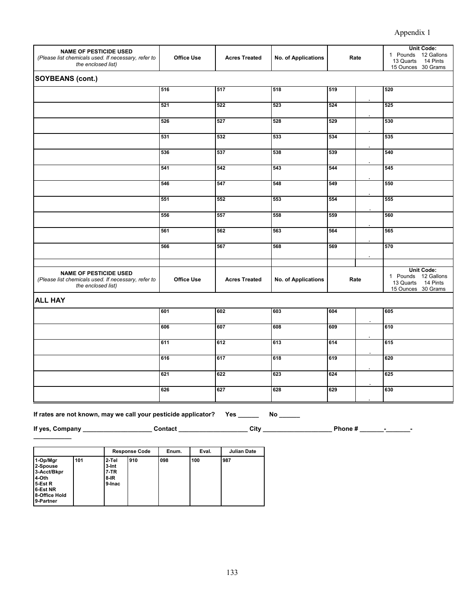| <b>NAME OF PESTICIDE USED</b><br>(Please list chemicals used. If necessary, refer to<br>the enclosed list) | <b>Office Use</b> | <b>Acres Treated</b> | No. of Applications        | Rate |  | Unit Code:<br>1 Pounds 12 Gallons<br>14 Pints<br>13 Quarts<br>15 Ounces 30 Grams        |
|------------------------------------------------------------------------------------------------------------|-------------------|----------------------|----------------------------|------|--|-----------------------------------------------------------------------------------------|
| <b>SOYBEANS (cont.)</b>                                                                                    |                   |                      |                            |      |  |                                                                                         |
|                                                                                                            | 516               | 517                  | 518                        | 519  |  | 520                                                                                     |
|                                                                                                            | 521               | 522                  | 523                        | 524  |  | 525                                                                                     |
|                                                                                                            | 526               | 527                  | 528                        | 529  |  | 530                                                                                     |
|                                                                                                            | 531               | 532                  | 533                        | 534  |  | 535                                                                                     |
|                                                                                                            | 536               | 537                  | 538                        | 539  |  | 540                                                                                     |
|                                                                                                            | 541               | 542                  | 543                        | 544  |  | 545                                                                                     |
|                                                                                                            | 546               | 547                  | 548                        | 549  |  | 550                                                                                     |
|                                                                                                            | 551               | 552                  | 553                        | 554  |  | 555                                                                                     |
|                                                                                                            | 556               | 557                  | 558                        | 559  |  | 560                                                                                     |
|                                                                                                            | 561               | 562                  | 563                        | 564  |  | 565                                                                                     |
|                                                                                                            | 566               | 567                  | 568                        | 569  |  | 570                                                                                     |
|                                                                                                            |                   |                      |                            |      |  |                                                                                         |
| <b>NAME OF PESTICIDE USED</b><br>(Please list chemicals used. If necessary, refer to<br>the enclosed list) | <b>Office Use</b> | <b>Acres Treated</b> | <b>No. of Applications</b> | Rate |  | <b>Unit Code:</b><br>1 Pounds 12 Gallons<br>13 Quarts<br>14 Pints<br>15 Ounces 30 Grams |
| <b>ALL HAY</b>                                                                                             |                   |                      |                            |      |  |                                                                                         |
|                                                                                                            | 601               | 602                  | 603                        | 604  |  | 605                                                                                     |
|                                                                                                            | 606               | 607                  | 608                        | 609  |  | 610                                                                                     |
|                                                                                                            | 611               | 612                  | 613                        | 614  |  | 615                                                                                     |
|                                                                                                            | 616               | 617                  | 618                        | 619  |  | 620                                                                                     |
|                                                                                                            | 621               | 622                  | 623                        | 624  |  | 625                                                                                     |
|                                                                                                            | 626               | 627                  | 628                        | 629  |  | 630                                                                                     |

**If rates are not known, may we call your pesticide applicator? Yes \_\_\_\_\_\_ No \_\_\_\_\_\_** 

**\_\_\_\_\_\_\_\_\_\_\_** 

**If yes, Company \_\_\_\_\_\_\_\_\_\_\_\_\_\_\_\_\_\_\_\_ Contact \_\_\_\_\_\_\_\_\_\_\_\_\_\_\_\_\_\_\_\_ City \_\_\_\_\_\_\_\_\_\_\_\_\_\_\_\_\_\_\_\_ Phone # \_\_\_\_\_\_\_-\_\_\_\_\_\_\_-**

|                                                                                                   |     |                                                   | <b>Response Code</b> |     | Eval. | <b>Julian Date</b> |  |
|---------------------------------------------------------------------------------------------------|-----|---------------------------------------------------|----------------------|-----|-------|--------------------|--|
| 1-Op/Mgr<br>2-Spouse<br>3-Acct/Bkpr<br>4-Oth<br>5-Est R<br>6-Est NR<br>8-Office Hold<br>9-Partner | 101 | 2-Tel<br>3-Int<br><b>7-TR</b><br>$8-IR$<br>9-Inac | 910                  | 098 | 100   | 987                |  |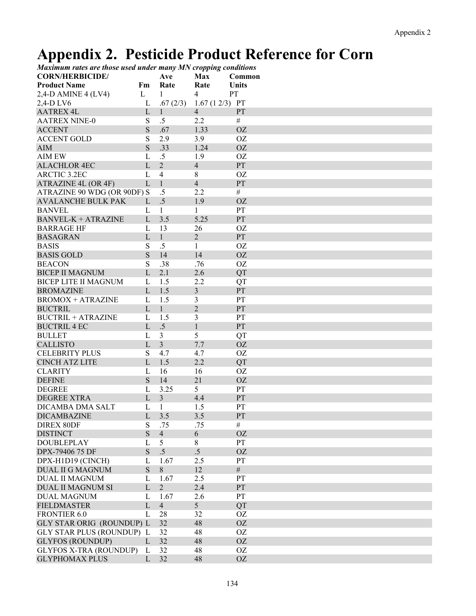### **Appendix 2. Pesticide Product Reference for Corn**

| Maximum rates are those used under many MN cropping conditions |              |                |                 |              |
|----------------------------------------------------------------|--------------|----------------|-----------------|--------------|
| <b>CORN/HERBICIDE/</b>                                         |              | Ave            | Max             | Common       |
| <b>Product Name</b>                                            | Fm           | Rate           | Rate            | <b>Units</b> |
| $2,4$ -D AMINE 4 (LV4)                                         | L            | 1              | 4               | <b>PT</b>    |
| 2,4-D LV6                                                      | L            | .67(2/3)       | $1.67(12/3)$ PT |              |
| <b>AATREX 4L</b>                                               | L            | $\mathbf{1}$   | $\overline{4}$  | PT           |
| <b>AATREX NINE-0</b>                                           | S            | $.5\,$         | 2.2             | $\#$         |
| <b>ACCENT</b>                                                  | S            | .67            | 1.33            | <b>OZ</b>    |
| <b>ACCENT GOLD</b>                                             | ${\bf S}$    | 2.9            | 3.9             | OZ           |
| <b>AIM</b>                                                     | S            | .33            | 1.24            | <b>OZ</b>    |
| <b>AIM EW</b>                                                  | L            | .5             | 1.9             | <b>OZ</b>    |
| <b>ALACHLOR 4EC</b>                                            | L            | $\overline{2}$ | $\overline{4}$  | PT           |
| ARCTIC 3.2EC                                                   | L            | $\overline{4}$ | 8               | <b>OZ</b>    |
| ATRAZINE 4L (OR 4F)                                            | $\mathbf{L}$ | $\mathbf{1}$   | $\overline{4}$  | PT           |
| ATRAZINE 90 WDG (OR 90DF) S                                    |              | $.5\,$         | 2.2             | $\#$         |
| <b>AVALANCHE BULK PAK</b>                                      | L            | .5             | 1.9             | <b>OZ</b>    |
| <b>BANVEL</b>                                                  | L            | $\mathbf{1}$   | 1               | PT           |
|                                                                |              | 3.5            | 5.25            | PT           |
| <b>BANVEL-K + ATRAZINE</b>                                     | L            |                |                 |              |
| <b>BARRAGE HF</b>                                              | L            | 13             | 26              | <b>OZ</b>    |
| <b>BASAGRAN</b>                                                | $\mathbf{L}$ | $\mathbf{1}$   | $\overline{2}$  | PT           |
| <b>BASIS</b>                                                   | S            | $.5\,$         | $\mathbf{1}$    | <b>OZ</b>    |
| <b>BASIS GOLD</b>                                              | S            | 14             | 14              | <b>OZ</b>    |
| <b>BEACON</b>                                                  | S            | .38            | .76             | <b>OZ</b>    |
| <b>BICEP II MAGNUM</b>                                         | L            | 2.1            | 2.6             | QT           |
| <b>BICEP LITE II MAGNUM</b>                                    | $\mathbf{L}$ | 1.5            | 2.2             | <b>QT</b>    |
| <b>BROMAZINE</b>                                               | $\mathbf{L}$ | 1.5            | $\mathfrak{Z}$  | PT           |
| <b>BROMOX + ATRAZINE</b>                                       | L            | 1.5            | 3               | PT           |
| <b>BUCTRIL</b>                                                 | L            | $\mathbf{1}$   | $\overline{2}$  | PT           |
| <b>BUCTRIL + ATRAZINE</b>                                      | L            | 1.5            | 3               | PT           |
| <b>BUCTRIL 4 EC</b>                                            | L            | $.5\,$         | $\mathbf{1}$    | PT           |
| <b>BULLET</b>                                                  | L            | $\mathfrak{Z}$ | 5               | <b>QT</b>    |
| <b>CALLISTO</b>                                                | L            | $\overline{3}$ | 7.7             | <b>OZ</b>    |
| <b>CELEBRITY PLUS</b>                                          | S            | 4.7            | 4.7             | OZ           |
| <b>CINCH ATZ LITE</b>                                          | L            | 1.5            | 2.2             | QT           |
| <b>CLARITY</b>                                                 | L            | 16             | 16              | <b>OZ</b>    |
|                                                                |              |                |                 |              |
| <b>DEFINE</b>                                                  | S            | 14             | 21              | <b>OZ</b>    |
| <b>DEGREE</b>                                                  | L            | 3.25           | 5               | PT           |
| <b>DEGREE XTRA</b>                                             | L            | $\mathfrak{Z}$ | 4.4             | PT           |
| DICAMBA DMA SALT                                               | L            | 1              | 1.5             | PT           |
| <b>DICAMBAZINE</b>                                             | L            | 3.5            | 3.5             | <b>PT</b>    |
| <b>DIREX 80DF</b>                                              | S            | .75            | .75             | $\#$         |
| <b>DISTINCT</b>                                                | S            | $\overline{4}$ | 6               | <b>OZ</b>    |
| <b>DOUBLEPLAY</b>                                              | L            | 5              | $8\,$           | PT           |
| DPX-79406 75 DF                                                | ${\bf S}$    | $.5\,$         | $\overline{.5}$ | <b>OZ</b>    |
| DPX-H1D19 (CINCH)                                              | L            | 1.67           | 2.5             | PT           |
| <b>DUAL II G MAGNUM</b>                                        | S            | 8              | 12              | #            |
| DUAL II MAGNUM                                                 | L            | 1.67           | 2.5             | PT           |
| <b>DUAL II MAGNUM SI</b>                                       | L            | $\overline{2}$ | 2.4             | PT           |
| <b>DUAL MAGNUM</b>                                             | L            | 1.67           | 2.6             | PT           |
| <b>FIELDMASTER</b>                                             | L            | $\overline{4}$ | 5 <sup>1</sup>  | QT           |
|                                                                |              |                |                 |              |
| <b>FRONTIER 6.0</b>                                            | L            | 28             | 32              | <b>OZ</b>    |
| <b>GLY STAR ORIG (ROUNDUP) L</b>                               |              | 32             | 48              | <b>OZ</b>    |
| <b>GLY STAR PLUS (ROUNDUP) L</b>                               |              | 32             | 48              | <b>OZ</b>    |
| <b>GLYFOS (ROUNDUP)</b>                                        | L            | 32             | 48              | <b>OZ</b>    |
| <b>GLYFOS X-TRA (ROUNDUP)</b>                                  | L            | 32             | 48              | OZ           |
| <b>GLYPHOMAX PLUS</b>                                          | L            | 32             | 48              | <b>OZ</b>    |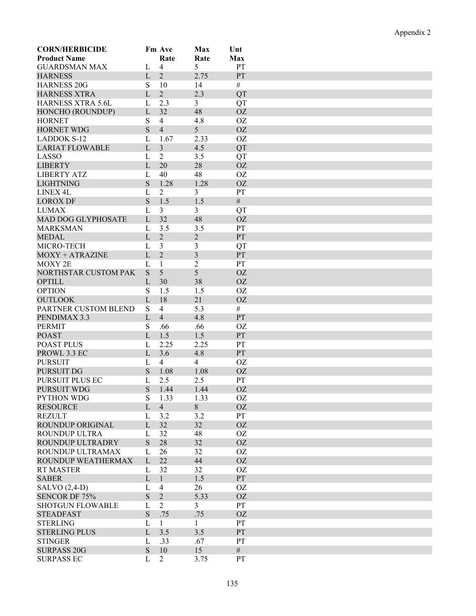| <b>CORN/HERBICIDE</b>        |              | Fm Ave         | Max            | Unt             |  |  |
|------------------------------|--------------|----------------|----------------|-----------------|--|--|
| <b>Product Name</b>          |              | Rate           | Rate           | Max             |  |  |
| <b>GUARDSMAN MAX</b>         | L            | 4              | 5              | PT              |  |  |
| <b>HARNESS</b>               | $\mathbf{L}$ | $\overline{2}$ | 2.75           | PT              |  |  |
| <b>HARNESS 20G</b>           | S            | 10             | 14             | $\#$            |  |  |
| <b>HARNESS XTRA</b>          | L            | $\overline{2}$ | 2.3            | QT              |  |  |
| <b>HARNESS XTRA 5.6L</b>     | L            | 2.3            | $\mathfrak{Z}$ | QT              |  |  |
| HONCHO (ROUNDUP)             | L            | 32             | 48             | <b>OZ</b>       |  |  |
| <b>HORNET</b>                | ${\bf S}$    | $\overline{4}$ | 4.8            | <b>OZ</b>       |  |  |
| <b>HORNET WDG</b>            | S            | $\overline{4}$ | 5              | <b>OZ</b>       |  |  |
| <b>LADDOK S-12</b>           | L            | 1.67           | 2.33           | <b>OZ</b>       |  |  |
| <b>LARIAT FLOWABLE</b>       | L            | 3              | 4.5            | QT              |  |  |
| LASSO                        | L            | $\overline{2}$ | 3.5            | QT              |  |  |
| <b>LIBERTY</b>               | L            | 20             | 28             | <b>OZ</b>       |  |  |
| <b>LIBERTY ATZ</b>           | L            | 40             | 48             | <b>OZ</b>       |  |  |
| <b>LIGHTNING</b>             | S            | 1.28           | 1.28           | <b>OZ</b>       |  |  |
| LINEX <sub>4L</sub>          | L            | $\overline{2}$ | 3              | PT              |  |  |
| <b>LOROX DF</b>              | S            | 1.5            | 1.5            | #               |  |  |
| <b>LUMAX</b>                 | L            | 3              | $\mathfrak{Z}$ | QT              |  |  |
| <b>MAD DOG GLYPHOSATE</b>    | L            | 32             | 48             | <b>OZ</b>       |  |  |
| <b>MARKSMAN</b>              | L            | 3.5            | 3.5            | PT              |  |  |
| <b>MEDAL</b>                 | $\mathbf{L}$ | $\overline{2}$ | $\overline{2}$ | PT              |  |  |
| MICRO-TECH                   | $\mathbf{L}$ | $\mathfrak{Z}$ | 3              | QT              |  |  |
| $MOXY + ATRAZINE$            | L            | $\overline{2}$ | 3              | PT              |  |  |
| MOXY 2E                      | L            | $\mathbf{1}$   | $\overline{2}$ | PT              |  |  |
| NORTHSTAR CUSTOM PAK         | S            | 5              | 5              | <b>OZ</b>       |  |  |
| <b>OPTILL</b>                | L            | 30             | 38             | <b>OZ</b>       |  |  |
| <b>OPTION</b>                | S            | 1.5            | 1.5            | <b>OZ</b>       |  |  |
| <b>OUTLOOK</b>               | $\mathbf{L}$ | 18             | 21             | <b>OZ</b>       |  |  |
| PARTNER CUSTOM BLEND         | S            | $\overline{4}$ | 5.3            | $\#$            |  |  |
| PENDIMAX 3.3                 | L            | $\overline{4}$ | 4.8            | <b>PT</b>       |  |  |
| <b>PERMIT</b>                | ${\bf S}$    |                |                |                 |  |  |
| <b>POAST</b>                 | L            | .66<br>1.5     | .66<br>1.5     | <b>OZ</b><br>PT |  |  |
|                              |              |                |                |                 |  |  |
| POAST PLUS                   | L            | 2.25           | 2.25           | PT              |  |  |
| PROWL 3.3 EC                 | L            | 3.6            | 4.8            | PT<br><b>OZ</b> |  |  |
| <b>PURSUIT</b><br>PURSUIT DG | L<br>S       | $\overline{4}$ | $\overline{4}$ |                 |  |  |
|                              |              | 1.08           | 1.08           | <b>OZ</b>       |  |  |
| PURSUIT PLUS EC              | L            | 2.5            | 2.5            | PT              |  |  |
| PURSUIT WDG                  | S            | 1.44           | 1.44           | <b>OZ</b>       |  |  |
| <b>PYTHON WDG</b>            | S            | 1.33           | 1.33           | <b>OZ</b>       |  |  |
| <b>RESOURCE</b>              | $\mathbf{L}$ | $\overline{4}$ | 8              | <b>OZ</b>       |  |  |
| <b>REZULT</b>                | L            | 3.2            | 3.2            | <b>PT</b>       |  |  |
| <b>ROUNDUP ORIGINAL</b>      | L            | 32             | 32             | <b>OZ</b>       |  |  |
| ROUNDUP ULTRA                | L            | 32             | 48             | <b>OZ</b>       |  |  |
| ROUNDUP ULTRADRY             | ${\bf S}$    | 28             | 32             | <b>OZ</b>       |  |  |
| ROUNDUP ULTRAMAX             | L            | 26             | 32             | <b>OZ</b>       |  |  |
| ROUNDUP WEATHERMAX           | $\mathbf{L}$ | 22             | 44             | <b>OZ</b>       |  |  |
| <b>RT MASTER</b>             | L            | 32             | 32             | <b>OZ</b>       |  |  |
| <b>SABER</b>                 | L            | $\mathbf{1}$   | 1.5            | PT              |  |  |
| SALVO $(2,4-D)$              | L            | $\overline{4}$ | 26             | <b>OZ</b>       |  |  |
| <b>SENCOR DF 75%</b>         | ${\bf S}$    | $\overline{2}$ | 5.33           | <b>OZ</b>       |  |  |
| <b>SHOTGUN FLOWABLE</b>      | L            | $\overline{2}$ | $\overline{3}$ | PT              |  |  |
| <b>STEADFAST</b>             | S            | .75            | .75            | <b>OZ</b>       |  |  |
| <b>STERLING</b>              | L            | $\mathbf{1}$   | $\mathbf{1}$   | PT              |  |  |
| <b>STERLING PLUS</b>         | L            | 3.5            | 3.5            | <b>PT</b>       |  |  |
| <b>STINGER</b>               | L            | .33            | .67            | PT              |  |  |
| <b>SURPASS 20G</b>           | ${\bf S}$    | 10             | 15             | #               |  |  |
| <b>SURPASS EC</b>            | L            | $\overline{2}$ | 3.75           | PT              |  |  |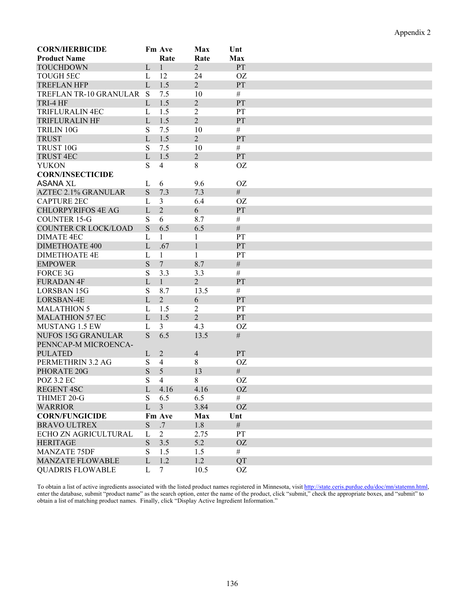| <b>CORN/HERBICIDE</b>      |              | Fm Ave         | Max            | Unt       |
|----------------------------|--------------|----------------|----------------|-----------|
| <b>Product Name</b>        |              | Rate           | Rate           | Max       |
| <b>TOUCHDOWN</b>           | L            | $\mathbf{1}$   | $\overline{2}$ | <b>PT</b> |
| <b>TOUGH 5EC</b>           | L            | 12             | 24             | <b>OZ</b> |
| <b>TREFLAN HFP</b>         | $\mathbf{L}$ | 1.5            | $\overline{2}$ | <b>PT</b> |
| TREFLAN TR-10 GRANULAR     | S            | 7.5            | 10             | #         |
| TRI-4 HF                   | L            | 1.5            | $\overline{2}$ | <b>PT</b> |
| <b>TRIFLURALIN 4EC</b>     | L            | 1.5            | $\overline{2}$ | PT        |
| <b>TRIFLURALIN HF</b>      | L            | 1.5            | $\overline{2}$ | PT        |
| <b>TRILIN 10G</b>          | ${\bf S}$    | 7.5            | 10             | $\#$      |
| <b>TRUST</b>               | $\mathbf{L}$ | 1.5            | $\overline{2}$ | <b>PT</b> |
| TRUST 10G                  |              |                |                | #         |
|                            | ${\bf S}$    | 7.5            | 10             |           |
| <b>TRUST 4EC</b>           | L            | 1.5            | $\overline{2}$ | <b>PT</b> |
| <b>YUKON</b>               | S            | $\overline{4}$ | 8              | <b>OZ</b> |
| <b>CORN/INSECTICIDE</b>    |              |                |                |           |
| <b>ASANA XL</b>            | L            | 6              | 9.6            | <b>OZ</b> |
| <b>AZTEC 2.1% GRANULAR</b> | ${\bf S}$    | 7.3            | 7.3            | #         |
| <b>CAPTURE 2EC</b>         | L            | 3              | 6.4            | OZ.       |
| <b>CHLORPYRIFOS 4E AG</b>  | L            | $\overline{2}$ | 6              | PT        |
| <b>COUNTER 15-G</b>        | ${\bf S}$    | 6              | 8.7            | $\#$      |
| COUNTER CR LOCK/LOAD       | ${\bf S}$    | 6.5            | 6.5            | $\#$      |
| DIMATE 4EC                 | L            | 1              | $\mathbf{1}$   | PT        |
| <b>DIMETHOATE 400</b>      | L            | .67            | $\mathbf{1}$   | <b>PT</b> |
| <b>DIMETHOATE 4E</b>       | $\mathbf{L}$ | $\mathbf{1}$   | $\mathbf{1}$   | PT        |
| <b>EMPOWER</b>             | ${\bf S}$    | $\overline{7}$ | 8.7            | $\#$      |
| <b>FORCE 3G</b>            | $\mathbf S$  | 3.3            | 3.3            | $\#$      |
|                            |              |                |                |           |
| <b>FURADAN 4F</b>          | $\mathbf{L}$ | $\mathbf{1}$   | $\overline{2}$ | <b>PT</b> |
| LORSBAN 15G                | S            | 8.7            | 13.5           | $\#$      |
| LORSBAN-4E                 | L            | $\overline{2}$ | 6              | <b>PT</b> |
| <b>MALATHION 5</b>         | L            | 1.5            | 2              | PT        |
| <b>MALATHION 57 EC</b>     | L            | 1.5            | $\overline{2}$ | <b>PT</b> |
| <b>MUSTANG 1.5 EW</b>      | L            | 3              | 4.3            | <b>OZ</b> |
| <b>NUFOS 15G GRANULAR</b>  | S            | 6.5            | 13.5           | $\#$      |
| PENNCAP-M MICROENCA-       |              |                |                |           |
| <b>PULATED</b>             | L            | $\overline{2}$ | $\overline{4}$ | PT        |
| PERMETHRIN 3.2 AG          | ${\bf S}$    | $\overline{4}$ | 8              | <b>OZ</b> |
| PHORATE 20G                | S            | 5              | 13             | #         |
| POZ 3.2 EC                 | S            | 4              | 8              | <b>OZ</b> |
| <b>REGENT 4SC</b>          | L            | 4.16           | 4.16           | <b>OZ</b> |
| THIMET 20-G                |              | 6.5            | 6.5            | $\#$      |
|                            | S            |                |                |           |
| <b>WARRIOR</b>             | $\mathbf{L}$ | $\overline{3}$ | 3.84           | <b>OZ</b> |
| <b>CORN/FUNGICIDE</b>      |              | Fm Ave         | Max            | Unt       |
| <b>BRAVO ULTREX</b>        | S            | .7             | 1.8            | $\#$      |
| ECHO ZN AGRICULTURAL       | L            | 2              | 2.75           | <b>PT</b> |
| <b>HERITAGE</b>            | S.           | 3.5            | 5.2            | <b>OZ</b> |
| <b>MANZATE 75DF</b>        | S            | 1.5            | 1.5            | $\#$      |
| <b>MANZATE FLOWABLE</b>    | L            | 1.2            | 1.2            | QT        |
| <b>QUADRIS FLOWABLE</b>    | L            | $\tau$         | 10.5           | <b>OZ</b> |

To obtain a list of active ingredients associated with the listed product names registered in Minnesota, visit http://state.ceris.purdue.edu/doc/mn/statemn.html, enter the database, submit "product name" as the search option, enter the name of the product, click "submit," check the appropriate boxes, and "submit" to obtain a list of matching product names. Finally, click "Display Active Ingredient Information."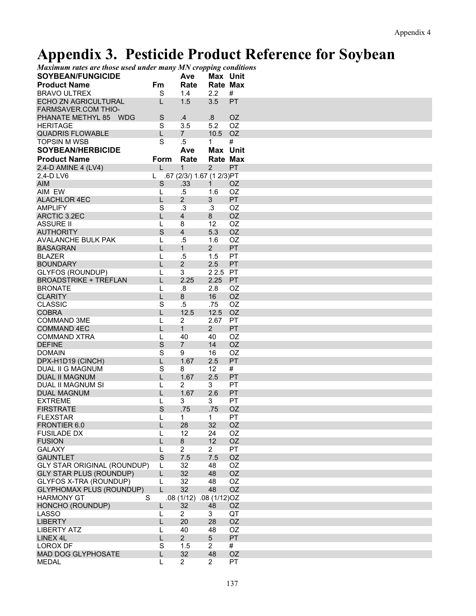## **Appendix 3. Pesticide Product Reference for Soybean**

| Maximum rates are those used under many MN cropping conditions |     |          |
|----------------------------------------------------------------|-----|----------|
| <b>SOYBEAN/FUNGICIDE</b>                                       | Ave | Max Unit |

| <b>SOYBEAN/FUNGICIDE</b>                    |              | Ave                        | Max Unit       |           |
|---------------------------------------------|--------------|----------------------------|----------------|-----------|
| <b>Product Name</b>                         | Fm           | Rate                       | Rate Max       |           |
| <b>BRAVO ULTREX</b>                         | S            | 1.4                        | 2.2            | #         |
| ECHO ZN AGRICULTURAL<br>FARMSAVER.COM THIO- | L            | 1.5                        | 3.5            | PT        |
| PHANATE METHYL 85 WDG                       | $\mathsf S$  | .4                         | .8             | OZ.       |
| <b>HERITAGE</b>                             | S            | 3.5                        | 5.2            | OZ        |
| <b>QUADRIS FLOWABLE</b>                     | L            | $\overline{7}$             | 10.5           | OZ        |
| <b>TOPSIN M WSB</b>                         | S            | $.5\,$                     | $\mathbf{1}$   | #         |
| <b>SOYBEAN/HERBICIDE</b>                    |              | Ave                        | Max Unit       |           |
| <b>Product Name</b>                         | Form         | Rate                       | Rate Max       |           |
| 2,4-D AMINE 4 (LV4)                         | L            | 1                          | 2              | PT        |
| 2,4-D LV6                                   | L.           | .67 (2/3/) 1.67 (1 2/3) PT |                |           |
| <b>AIM</b>                                  | $\mathbf S$  | .33                        | $\mathbf{1}$   | OZ.       |
| AIM EW                                      | L            | $.5\,$                     | 1.6            | <b>OZ</b> |
| <b>ALACHLOR 4EC</b>                         | L            | $\overline{2}$             | 3              | PT        |
| <b>AMPLIFY</b>                              | S            | $\cdot$ 3                  | .3             | OZ        |
| ARCTIC 3.2EC                                | L            | $\overline{4}$             | 8              | <b>OZ</b> |
| <b>ASSURE II</b>                            | L            | 8                          | 12             | <b>OZ</b> |
| <b>AUTHORITY</b>                            | $\mathsf{S}$ | $\overline{4}$             | 5.3            | <b>OZ</b> |
| <b>AVALANCHE BULK PAK</b>                   | L            | $.5\,$                     | 1.6            | OZ        |
| <b>BASAGRAN</b>                             | L            | $\mathbf{1}$               | $2^{\circ}$    | PT        |
| <b>BLAZER</b>                               | L            | $.5\,$                     | 1.5            | PT        |
| <b>BOUNDARY</b>                             | L            | $\overline{2}$             | 2.5            | PT        |
| <b>GLYFOS (ROUNDUP)</b>                     | L            | 3                          | 22.5           | PT        |
| <b>BROADSTRIKE + TREFLAN</b>                | L            | 2.25                       | 2.25           | <b>PT</b> |
| <b>BRONATE</b>                              | L            | .8                         | 2.8            | <b>OZ</b> |
| <b>CLARITY</b>                              | L            | 8                          | 16             | <b>OZ</b> |
| <b>CLASSIC</b>                              | S            | $.5\,$                     | .75            | OZ        |
| <b>COBRA</b>                                | L            | 12.5                       | 12.5           | <b>OZ</b> |
| <b>COMMAND 3ME</b>                          | L            | 2                          | 2.67           | <b>PT</b> |
| <b>COMMAND 4EC</b>                          | L            | $\mathbf{1}$               | $\overline{2}$ | PT        |
| <b>COMMAND XTRA</b>                         | L            | 40                         | 40             | <b>OZ</b> |
| <b>DEFINE</b>                               | $\mathbf S$  | $\overline{7}$             | 14             | OZ.       |
| <b>DOMAIN</b>                               | S            | 9                          | 16             | <b>OZ</b> |
| DPX-H1D19 (CINCH)                           | L            | 1.67                       | 2.5            | PT        |
| <b>DUAL II G MAGNUM</b>                     | S            | 8                          | 12             | #         |
| <b>DUAL II MAGNUM</b>                       | L            | 1.67                       | 2.5            | <b>PT</b> |
| DUAL II MAGNUM SI                           | L            | $\overline{2}$             | 3              | PT        |
| <b>DUAL MAGNUM</b>                          | L            | 1.67                       | 2.6            | PT        |
| <b>EXTREME</b>                              | L            | 3                          | 3              | <b>PT</b> |
| <b>FIRSTRATE</b>                            | $\mathbf S$  | .75                        | .75            | <b>OZ</b> |
| <b>FLEXSTAR</b>                             | L            | 1                          | $\mathbf 1$    | PT        |
| FRONTIER 6.0                                | L            | 28                         | 32             | OZ        |
| <b>FUSILADE DX</b>                          | L            | 12                         | 24             | OZ        |
| <b>FUSION</b>                               | L            | 8                          | 12             | <b>OZ</b> |
| <b>GALAXY</b>                               | L            | $\overline{2}$             | $\overline{2}$ | PT        |
| <b>GAUNTLET</b>                             | S            | 7.5                        | 7.5            | OZ        |
| <b>GLY STAR ORIGINAL (ROUNDUP)</b>          | L            | 32                         | 48             | OZ        |
| <b>GLY STAR PLUS (ROUNDUP)</b>              | L            | 32                         | 48             | <b>OZ</b> |
| GLYFOS X-TRA (ROUNDUP)                      | L            | 32                         | 48             | OZ        |
| <b>GLYPHOMAX PLUS (ROUNDUP)</b>             | $\mathbf{I}$ | 32                         | 48             | OZ        |
| <b>HARMONY GT</b><br>S                      |              | .08 (1/12) .08 (1/12) OZ   |                |           |
| HONCHO (ROUNDUP)                            | L            | 32                         | 48             | OZ        |
| <b>LASSO</b>                                | L            | $\overline{2}$             | 3              | QT        |
| <b>LIBERTY</b>                              | L            | 20                         | 28             | OZ        |
| <b>LIBERTY ATZ</b>                          | L            | 40                         | 48             | OZ        |
| LINEX 4L                                    | L            | $\overline{2}$             | 5              | PT        |
| <b>LOROX DF</b>                             | S            | 1.5                        | $\overline{2}$ | #         |
| <b>MAD DOG GLYPHOSATE</b>                   | L            | 32                         | 48             | OZ        |
| <b>MEDAL</b>                                | L            | $\overline{2}$             | $\overline{2}$ | PT        |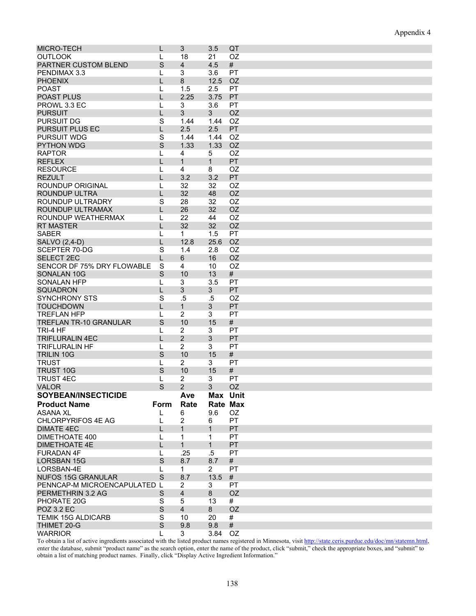| <b>MICRO-TECH</b>            | L           | 3              | 3.5             | QT        |
|------------------------------|-------------|----------------|-----------------|-----------|
| <b>OUTLOOK</b>               | L           | 18             | 21              | OZ        |
| PARTNER CUSTOM BLEND         | S           | 4              | 4.5             | #         |
| PENDIMAX 3.3                 | L           | 3              | 3.6             | PT        |
| <b>PHOENIX</b>               | L           | 8              | 12.5            | <b>OZ</b> |
| <b>POAST</b>                 | L           | 1.5            | 2.5             | PT        |
| <b>POAST PLUS</b>            | L           | 2.25           | 3.75            | PT        |
| PROWL 3.3 EC                 | L           | 3              | 3.6             | PT        |
| <b>PURSUIT</b>               | L           | 3              | $\mathbf{3}$    | <b>OZ</b> |
| <b>PURSUIT DG</b>            | S           | 1.44           | 1.44            | <b>OZ</b> |
| <b>PURSUIT PLUS EC</b>       | L           | 2.5            | 2.5             | PT        |
| <b>PURSUIT WDG</b>           | S           | 1.44           | 1.44            | <b>OZ</b> |
| <b>PYTHON WDG</b>            | S           | 1.33           | 1.33            | <b>OZ</b> |
| <b>RAPTOR</b>                | L           | 4              | 5               | <b>OZ</b> |
| <b>REFLEX</b>                | L           | $\mathbf{1}$   | $\mathbf{1}$    | PT        |
| <b>RESOURCE</b>              | L           | 4              | 8               | OZ        |
| <b>REZULT</b>                | L           | 3.2            | 3.2             | PT        |
| <b>ROUNDUP ORIGINAL</b>      | L           | 32             | 32              | <b>OZ</b> |
| <b>ROUNDUP ULTRA</b>         | L           | 32             | 48              | <b>OZ</b> |
| ROUNDUP ULTRADRY             | S           | 28             | 32              | OZ        |
| ROUNDUP ULTRAMAX             | L           | 26             | 32              | <b>OZ</b> |
| ROUNDUP WEATHERMAX           | L           | 22             | 44              | <b>OZ</b> |
| <b>RT MASTER</b>             | L           | 32             | 32              | <b>OZ</b> |
| <b>SABER</b>                 | L           | $\mathbf 1$    | 1.5             | PT        |
| SALVO (2,4-D)                | L           | 12.8           | 25.6            | <b>OZ</b> |
| <b>SCEPTER 70-DG</b>         | S           | 1.4            | 2.8             | <b>OZ</b> |
| <b>SELECT 2EC</b>            | L           | 6              | 16              | <b>OZ</b> |
| SENCOR DF 75% DRY FLOWABLE   |             | 4              | 10              | <b>OZ</b> |
|                              | S           |                |                 |           |
| SONALAN 10G                  | S           | 10             | 13              | #         |
| <b>SONALAN HFP</b>           | L           | 3              | 3.5             | PT        |
| <b>SQUADRON</b>              | L           | 3              | 3               | PT        |
| <b>SYNCHRONY STS</b>         | S           | .5             | .5              | <b>OZ</b> |
| <b>TOUCHDOWN</b>             | L           | $\mathbf{1}$   | $\mathfrak{S}$  | PT        |
| <b>TREFLAN HFP</b>           | L           | 2              | 3               | PT        |
| TREFLAN TR-10 GRANULAR       | S           | 10             | 15              | #         |
| TRI-4 HF                     | L           | 2              | 3               | PT        |
| <b>TRIFLURALIN 4EC</b>       | L           | $\overline{2}$ | 3               | PT        |
| <b>TRIFLURALIN HF</b>        | L           | $\overline{2}$ | 3               | PT        |
| <b>TRILIN 10G</b>            | S           | 10             | 15              | #         |
| <b>TRUST</b>                 | L           | 2              | 3               | PT        |
| <b>TRUST 10G</b>             | S           | 10             | 15              | #         |
| <b>TRUST 4EC</b>             | L           | 2              | 3               | PT        |
| <b>VALOR</b>                 | S           | 2              | 3               | <b>OZ</b> |
| <b>SOYBEAN/INSECTICIDE</b>   |             | Ave            | <b>Max Unit</b> |           |
| <b>Product Name</b>          | Form        | Rate           | Rate Max        |           |
| <b>ASANA XL</b>              | L           | 6              | 9.6             | OZ.       |
| <b>CHLORPYRIFOS 4E AG</b>    | L           | 2              | 6               | PT        |
| <b>DIMATE 4EC</b>            | L           | 1              | $\mathbf{1}$    | <b>PT</b> |
| <b>DIMETHOATE 400</b>        | L           | 1              | $\mathbf{1}$    | PT        |
| <b>DIMETHOATE 4E</b>         | L           | $\mathbf{1}$   | $\mathbf{1}$    | <b>PT</b> |
| <b>FURADAN 4F</b>            | L           | .25            | .5              | PT        |
| <b>LORSBAN 15G</b>           | S           | 8.7            | 8.7             | #         |
| LORSBAN-4E                   | L           | $\mathbf{1}$   | $\overline{2}$  | <b>PT</b> |
| <b>NUFOS 15G GRANULAR</b>    | S           | 8.7            | 13.5            | #         |
| PENNCAP-M MICROENCAPULATED L |             | 2              | 3               | <b>PT</b> |
| PERMETHRIN 3.2 AG            | S           | $\overline{4}$ | 8               | <b>OZ</b> |
| PHORATE 20G                  | S           | 5              | 13              | #         |
| <b>POZ 3.2 EC</b>            | $\mathsf S$ | $\overline{4}$ | 8               | <b>OZ</b> |
| <b>TEMIK 15G ALDICARB</b>    | S           | 10             | 20              | #         |
| THIMET 20-G                  | S           | 9.8            | 9.8             | #         |
| <b>WARRIOR</b>               |             | 3              | 3.84            | OZ        |

To obtain a list of active ingredients associated with the listed product names registered in Minnesota, visit http://state.ceris.purdue.edu/doc/mn/statemn.html, enter the database, submit "product name" as the search option, enter the name of the product, click "submit," check the appropriate boxes, and "submit" to obtain a list of matching product names. Finally, click "Display Active Ingredient Information."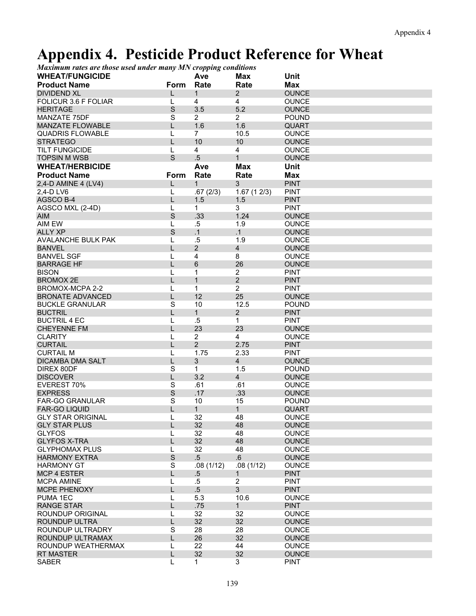### **Appendix 4. Pesticide Product Reference for Wheat**

*Maximum rates are those used under many MN cropping conditions* 

| <b>WHEAT/FUNGICIDE</b><br><b>Unit</b><br>Max<br>Ave<br><b>Product Name</b><br>Rate<br>Rate<br><b>Max</b><br><b>Form</b><br>2<br><b>DIVIDEND XL</b><br>$\mathbf{1}$<br><b>OUNCE</b><br>L<br>FOLICUR 3.6 F FOLIAR<br>4<br>4<br><b>OUNCE</b><br>L<br>S<br>5.2<br><b>HERITAGE</b><br>3.5<br><b>OUNCE</b><br>$\overline{\mathbf{S}}$<br>$\overline{2}$<br>$\overline{2}$<br>MANZATE 75DF<br><b>POUND</b><br>1.6<br><b>MANZATE FLOWABLE</b><br>L<br>1.6<br><b>QUART</b> |  |
|-------------------------------------------------------------------------------------------------------------------------------------------------------------------------------------------------------------------------------------------------------------------------------------------------------------------------------------------------------------------------------------------------------------------------------------------------------------------|--|
|                                                                                                                                                                                                                                                                                                                                                                                                                                                                   |  |
|                                                                                                                                                                                                                                                                                                                                                                                                                                                                   |  |
|                                                                                                                                                                                                                                                                                                                                                                                                                                                                   |  |
|                                                                                                                                                                                                                                                                                                                                                                                                                                                                   |  |
|                                                                                                                                                                                                                                                                                                                                                                                                                                                                   |  |
|                                                                                                                                                                                                                                                                                                                                                                                                                                                                   |  |
| $\overline{7}$<br><b>QUADRIS FLOWABLE</b><br>L<br>10.5<br><b>OUNCE</b>                                                                                                                                                                                                                                                                                                                                                                                            |  |
| <b>STRATEGO</b><br>L<br>10<br>10<br><b>OUNCE</b>                                                                                                                                                                                                                                                                                                                                                                                                                  |  |
| <b>TILT FUNGICIDE</b><br>L<br>4<br>4<br><b>OUNCE</b>                                                                                                                                                                                                                                                                                                                                                                                                              |  |
| S<br>$.5\,$<br>$\mathbf{1}$<br><b>TOPSIN M WSB</b><br><b>OUNCE</b>                                                                                                                                                                                                                                                                                                                                                                                                |  |
| <b>WHEAT/HERBICIDE</b><br>Ave<br><b>Max</b><br>Unit                                                                                                                                                                                                                                                                                                                                                                                                               |  |
| <b>Product Name</b><br>Form<br>Rate<br>Rate<br><b>Max</b>                                                                                                                                                                                                                                                                                                                                                                                                         |  |
| 3<br><b>PINT</b><br>2,4-D AMINE 4 (LV4)<br>$\mathbf{1}$<br>L                                                                                                                                                                                                                                                                                                                                                                                                      |  |
| .67(2/3)<br><b>PINT</b><br>2,4-D LV6<br>L<br>1.67(12/3)                                                                                                                                                                                                                                                                                                                                                                                                           |  |
| AGSCO B-4<br>L<br>1.5<br>1.5<br><b>PINT</b>                                                                                                                                                                                                                                                                                                                                                                                                                       |  |
| 3<br>L<br>$\mathbf 1$<br><b>PINT</b><br>AGSCO MXL (2-4D)                                                                                                                                                                                                                                                                                                                                                                                                          |  |
| $\mathsf{S}$<br>1.24<br>.33<br><b>OUNCE</b><br><b>AIM</b>                                                                                                                                                                                                                                                                                                                                                                                                         |  |
| AIM EW<br>.5<br>1.9<br><b>OUNCE</b><br>L                                                                                                                                                                                                                                                                                                                                                                                                                          |  |
| S<br><b>ALLY XP</b><br>.1<br>$\cdot$ 1<br><b>OUNCE</b>                                                                                                                                                                                                                                                                                                                                                                                                            |  |
| <b>AVALANCHE BULK PAK</b><br>$.5\,$<br>1.9<br>L<br><b>OUNCE</b>                                                                                                                                                                                                                                                                                                                                                                                                   |  |
| L<br>$\overline{2}$<br>$\overline{4}$<br><b>OUNCE</b><br><b>BANVEL</b>                                                                                                                                                                                                                                                                                                                                                                                            |  |
| 8<br><b>BANVEL SGF</b><br>L<br>4<br><b>OUNCE</b>                                                                                                                                                                                                                                                                                                                                                                                                                  |  |
| L<br>6<br>26<br><b>BARRAGE HF</b><br><b>OUNCE</b>                                                                                                                                                                                                                                                                                                                                                                                                                 |  |
| <b>BISON</b><br>1<br>$\overline{c}$<br><b>PINT</b><br>L                                                                                                                                                                                                                                                                                                                                                                                                           |  |
| $\overline{2}$<br><b>BROMOX 2E</b><br>L<br>$\mathbf{1}$<br><b>PINT</b>                                                                                                                                                                                                                                                                                                                                                                                            |  |
| BROMOX-MCPA 2-2<br>$\mathbf{1}$<br>$\overline{2}$<br><b>PINT</b><br>L                                                                                                                                                                                                                                                                                                                                                                                             |  |
| 12<br>25<br><b>BRONATE ADVANCED</b><br>L<br><b>OUNCE</b>                                                                                                                                                                                                                                                                                                                                                                                                          |  |
| $\mathbf S$<br><b>BUCKLE GRANULAR</b><br>10<br>12.5<br><b>POUND</b>                                                                                                                                                                                                                                                                                                                                                                                               |  |
| <b>BUCTRIL</b><br>L<br>$\mathbf{1}$<br>$\overline{2}$<br><b>PINT</b>                                                                                                                                                                                                                                                                                                                                                                                              |  |
| $\mathbf{1}$<br><b>BUCTRIL 4 EC</b><br>L<br>.5<br><b>PINT</b>                                                                                                                                                                                                                                                                                                                                                                                                     |  |
| 23<br>23<br><b>CHEYENNE FM</b><br>L<br><b>OUNCE</b>                                                                                                                                                                                                                                                                                                                                                                                                               |  |
| $\overline{2}$<br><b>CLARITY</b><br>L<br>4<br><b>OUNCE</b>                                                                                                                                                                                                                                                                                                                                                                                                        |  |
| $\overline{2}$<br><b>CURTAIL</b><br>L<br>2.75<br><b>PINT</b>                                                                                                                                                                                                                                                                                                                                                                                                      |  |
| 1.75<br>2.33<br><b>CURTAIL M</b><br>L<br><b>PINT</b>                                                                                                                                                                                                                                                                                                                                                                                                              |  |
| $\mathfrak{S}$<br><b>DICAMBA DMA SALT</b><br>L<br>$\overline{4}$<br><b>OUNCE</b>                                                                                                                                                                                                                                                                                                                                                                                  |  |
| $\mathbf S$<br>DIREX 80DF<br>$\mathbf{1}$<br>1.5<br><b>POUND</b>                                                                                                                                                                                                                                                                                                                                                                                                  |  |
| 3.2<br><b>DISCOVER</b><br>L<br>$\overline{4}$<br><b>OUNCE</b>                                                                                                                                                                                                                                                                                                                                                                                                     |  |
| $\mathbf S$<br>EVEREST 70%<br>.61<br>.61<br><b>OUNCE</b>                                                                                                                                                                                                                                                                                                                                                                                                          |  |
| S<br>.17<br><b>EXPRESS</b><br>.33<br><b>OUNCE</b>                                                                                                                                                                                                                                                                                                                                                                                                                 |  |
| $\mathbf S$<br><b>FAR-GO GRANULAR</b><br>10<br>15<br><b>POUND</b>                                                                                                                                                                                                                                                                                                                                                                                                 |  |
| $\mathbf{1}$<br><b>FAR-GO LIQUID</b><br>$\mathbf{1}$<br><b>QUART</b>                                                                                                                                                                                                                                                                                                                                                                                              |  |
| 32<br>48<br><b>GLY STAR ORIGINAL</b><br>1<br><b>OUNCE</b>                                                                                                                                                                                                                                                                                                                                                                                                         |  |
| 32<br><b>OUNCE</b><br><b>GLY STAR PLUS</b><br>L<br>48                                                                                                                                                                                                                                                                                                                                                                                                             |  |
| <b>GLYFOS</b><br>32<br>48<br><b>OUNCE</b><br>L                                                                                                                                                                                                                                                                                                                                                                                                                    |  |
| 32<br><b>GLYFOS X-TRA</b><br>L<br>48<br><b>OUNCE</b>                                                                                                                                                                                                                                                                                                                                                                                                              |  |
| <b>GLYPHOMAX PLUS</b><br>32<br>48<br><b>OUNCE</b><br>L                                                                                                                                                                                                                                                                                                                                                                                                            |  |
| $\mathsf S$<br>$.5\,$<br>6.6<br><b>HARMONY EXTRA</b><br><b>OUNCE</b>                                                                                                                                                                                                                                                                                                                                                                                              |  |
| $\overline{\mathbf{S}}$<br><b>HARMONY GT</b><br>.08(1/12)<br>.08(1/12)<br><b>OUNCE</b>                                                                                                                                                                                                                                                                                                                                                                            |  |
| <b>MCP 4 ESTER</b><br>L<br>$.5\,$<br><b>PINT</b><br>1                                                                                                                                                                                                                                                                                                                                                                                                             |  |
| $\overline{2}$<br>$.5\,$<br><b>MCPA AMINE</b><br>L<br><b>PINT</b>                                                                                                                                                                                                                                                                                                                                                                                                 |  |
| $.5\phantom{0}$<br>3<br>L<br>MCPE PHENOXY<br><b>PINT</b>                                                                                                                                                                                                                                                                                                                                                                                                          |  |
| L<br>5.3<br>10.6<br><b>OUNCE</b><br>PUMA 1EC                                                                                                                                                                                                                                                                                                                                                                                                                      |  |
| <b>RANGE STAR</b><br>L<br>.75<br>$\mathbf{1}$<br><b>PINT</b>                                                                                                                                                                                                                                                                                                                                                                                                      |  |
| 32<br>ROUNDUP ORIGINAL<br>32<br><b>OUNCE</b><br>L                                                                                                                                                                                                                                                                                                                                                                                                                 |  |
| 32<br>32<br>ROUNDUP ULTRA<br>L<br><b>OUNCE</b>                                                                                                                                                                                                                                                                                                                                                                                                                    |  |
| ROUNDUP ULTRADRY<br>S<br>28<br>28<br><b>OUNCE</b>                                                                                                                                                                                                                                                                                                                                                                                                                 |  |
| ROUNDUP ULTRAMAX<br>L<br>26<br>32<br><b>OUNCE</b>                                                                                                                                                                                                                                                                                                                                                                                                                 |  |
| 22<br>ROUNDUP WEATHERMAX<br>44<br><b>OUNCE</b><br>L                                                                                                                                                                                                                                                                                                                                                                                                               |  |
| 32<br>32<br><b>RT MASTER</b><br>L<br><b>OUNCE</b>                                                                                                                                                                                                                                                                                                                                                                                                                 |  |
| <b>SABER</b><br><b>PINT</b><br>L<br>$\mathbf{1}$<br>3                                                                                                                                                                                                                                                                                                                                                                                                             |  |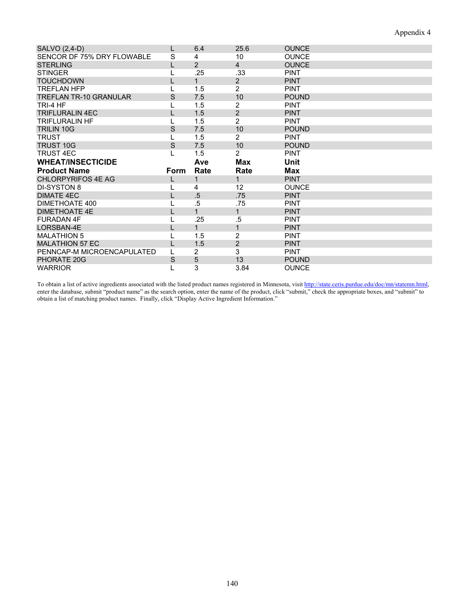| SALVO (2,4-D)                                    |      | 6.4            | 25.6                 | <b>OUNCE</b> |
|--------------------------------------------------|------|----------------|----------------------|--------------|
| SENCOR DF 75% DRY FLOWABLE                       | S    | 4              | 10                   | <b>OUNCE</b> |
| <b>STERLING</b>                                  |      | $\overline{2}$ | $\overline{4}$       | <b>OUNCE</b> |
| <b>STINGER</b>                                   |      | .25            | .33                  | <b>PINT</b>  |
| <b>TOUCHDOWN</b>                                 |      | $\mathbf{1}$   | $\overline{2}$       | <b>PINT</b>  |
| <b>TREFLAN HFP</b>                               |      | 1.5            | 2                    | <b>PINT</b>  |
| <b>TREFLAN TR-10 GRANULAR</b>                    | S    | 7.5            | 10                   | <b>POUND</b> |
| TRI-4 HF                                         |      | 1.5            | 2                    | <b>PINT</b>  |
| TRIFI URAI IN 4FC                                |      | 1.5            | $\overline{2}$       | <b>PINT</b>  |
| <b>TRIFLURALIN HF</b>                            |      | 1.5            | $\overline{2}$       | <b>PINT</b>  |
| <b>TRILIN 10G</b>                                | S    | 7.5            | 10                   | <b>POUND</b> |
| <b>TRUST</b>                                     |      | 1.5            | $\overline{2}$       | <b>PINT</b>  |
| <b>TRUST 10G</b>                                 | S    | 7.5            | 10                   | <b>POUND</b> |
| <b>TRUST 4EC</b>                                 | L    | 1.5            | 2                    | <b>PINT</b>  |
|                                                  |      |                |                      |              |
| <b>WHEAT/INSECTICIDE</b>                         |      | Ave            | Max                  | Unit         |
|                                                  |      |                |                      | <b>Max</b>   |
| <b>Product Name</b><br><b>CHLORPYRIFOS 4E AG</b> | Form | Rate<br>1      | Rate<br>$\mathbf{1}$ | <b>PINT</b>  |
| <b>DI-SYSTON 8</b>                               |      | 4              | 12 <sup>2</sup>      | <b>OUNCE</b> |
| <b>DIMATE 4EC</b>                                |      |                |                      | <b>PINT</b>  |
| DIMETHOATE 400                                   |      | .5<br>.5       | .75<br>.75           | <b>PINT</b>  |
| <b>DIMETHOATE 4E</b>                             |      | $\overline{1}$ | $\mathbf{1}$         | <b>PINT</b>  |
| <b>FURADAN 4F</b>                                |      | .25            | .5                   | <b>PINT</b>  |
| LORSBAN-4E                                       |      | 1              | $\mathbf{1}$         | <b>PINT</b>  |
| <b>MALATHION 5</b>                               |      | 1.5            | $\overline{c}$       | <b>PINT</b>  |
| <b>MALATHION 57 EC</b>                           |      | 1.5            | $\overline{2}$       | <b>PINT</b>  |
| PENNCAP-M MICROENCAPULATED                       |      | 2              | 3                    | <b>PINT</b>  |
| PHORATE 20G                                      | S    | 5              | 13                   | <b>POUND</b> |

To obtain a list of active ingredients associated with the listed product names registered in Minnesota, visit http://state.ceris.purdue.edu/doc/mn/statemn.html, enter the database, submit "product name" as the search option, enter the name of the product, click "submit," check the appropriate boxes, and "submit" to obtain a list of matching product names. Finally, click "Display Active Ingredient Information."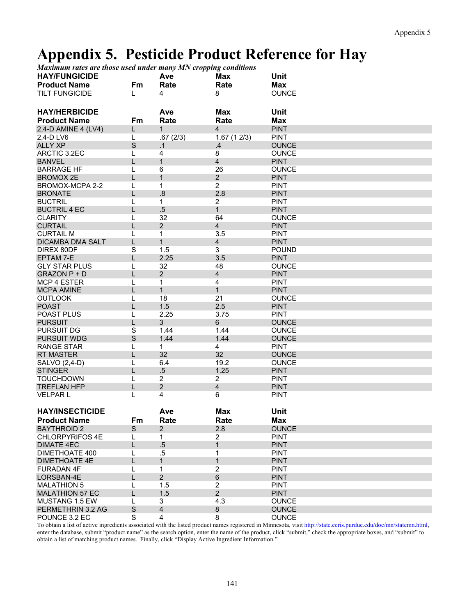## **Appendix 5. Pesticide Product Reference for Hay**

*Maximum rates are those used under many MN cropping conditions* 

| <b>HAY/FUNGICIDE</b>    |             | Ave            | Max                     | Unit         |
|-------------------------|-------------|----------------|-------------------------|--------------|
| <b>Product Name</b>     | Fm          | Rate           | Rate                    | <b>Max</b>   |
| <b>TILT FUNGICIDE</b>   | L           | 4              | 8                       | <b>OUNCE</b> |
|                         |             |                |                         |              |
|                         |             |                |                         |              |
| <b>HAY/HERBICIDE</b>    |             | Ave            | <b>Max</b>              | <b>Unit</b>  |
| <b>Product Name</b>     | Fm          | Rate           | Rate                    | Max          |
| 2,4-D AMINE 4 (LV4)     | L           | $\mathbf{1}$   | $\overline{4}$          | <b>PINT</b>  |
| 2,4-D LV6               | L           | .67(2/3)       | 1.67(12/3)              | <b>PINT</b>  |
| <b>ALLY XP</b>          | $\mathbf S$ | .1             | .4                      | <b>OUNCE</b> |
| ARCTIC 3.2EC            | L           | 4              | 8                       | <b>OUNCE</b> |
| <b>BANVEL</b>           | L           | $\mathbf{1}$   | $\overline{\mathbf{4}}$ | <b>PINT</b>  |
| <b>BARRAGE HF</b>       | L           | 6              | 26                      | <b>OUNCE</b> |
| <b>BROMOX 2E</b>        | L           | $\mathbf{1}$   | $\overline{2}$          | <b>PINT</b>  |
| BROMOX-MCPA 2-2         | L           | 1              | $\overline{2}$          | <b>PINT</b>  |
| <b>BRONATE</b>          | L           | .8             | 2.8                     | <b>PINT</b>  |
| <b>BUCTRIL</b>          | L           | 1              | $\overline{2}$          | <b>PINT</b>  |
| <b>BUCTRIL 4 EC</b>     | L           | $.5\,$         | $\mathbf{1}$            | <b>PINT</b>  |
| <b>CLARITY</b>          | L           | 32             | 64                      | <b>OUNCE</b> |
| <b>CURTAIL</b>          | L           | $\overline{2}$ | $\overline{\mathbf{4}}$ | <b>PINT</b>  |
| <b>CURTAIL M</b>        | L           | $\mathbf{1}$   | 3.5                     | <b>PINT</b>  |
| <b>DICAMBA DMA SALT</b> | L           | $\mathbf{1}$   | $\overline{4}$          | <b>PINT</b>  |
|                         | S           |                | 3                       | <b>POUND</b> |
| DIREX 80DF              |             | 1.5<br>2.25    |                         | <b>PINT</b>  |
| <b>EPTAM 7-E</b>        | L           |                | 3.5                     |              |
| <b>GLY STAR PLUS</b>    | L           | 32             | 48                      | <b>OUNCE</b> |
| GRAZON P + D            | L           | $\overline{2}$ | $\overline{\mathbf{4}}$ | <b>PINT</b>  |
| <b>MCP 4 ESTER</b>      | L           | $\mathbf{1}$   | 4                       | <b>PINT</b>  |
| <b>MCPA AMINE</b>       | L           | $\mathbf{1}$   | $\mathbf{1}$            | <b>PINT</b>  |
| <b>OUTLOOK</b>          | L           | 18             | 21                      | <b>OUNCE</b> |
| <b>POAST</b>            | L           | 1.5            | 2.5                     | <b>PINT</b>  |
| <b>POAST PLUS</b>       | L           | 2.25           | 3.75                    | <b>PINT</b>  |
| <b>PURSUIT</b>          | L           | 3              | 6                       | <b>OUNCE</b> |
| <b>PURSUIT DG</b>       | S           | 1.44           | 1.44                    | <b>OUNCE</b> |
| <b>PURSUIT WDG</b>      | $\mathsf S$ | 1.44           | 1.44                    | <b>OUNCE</b> |
| <b>RANGE STAR</b>       | L           | 1              | 4                       | <b>PINT</b>  |
| <b>RT MASTER</b>        | L           | 32             | 32                      | <b>OUNCE</b> |
| SALVO (2,4-D)           | L           | 6.4            | 19.2                    | <b>OUNCE</b> |
| <b>STINGER</b>          | L           | $.5\,$         | 1.25                    | <b>PINT</b>  |
| <b>TOUCHDOWN</b>        | L           | $\overline{2}$ | 2                       | <b>PINT</b>  |
| <b>TREFLAN HFP</b>      | L           | $\overline{2}$ | $\overline{\mathbf{4}}$ | <b>PINT</b>  |
| <b>VELPARL</b>          | L           | 4              | 6                       | <b>PINT</b>  |
|                         |             |                |                         |              |
| <b>HAY/INSECTICIDE</b>  |             | Ave            | <b>Max</b>              | <b>Unit</b>  |
| <b>Product Name</b>     |             | Rate           | Rate                    |              |
|                         | Fm          |                |                         | Max          |
| <b>BAYTHROID 2</b>      | S           | $\overline{2}$ | 2.8                     | <b>OUNCE</b> |
| <b>CHLORPYRIFOS 4E</b>  | L           | 1              | $\overline{2}$          | <b>PINT</b>  |
| <b>DIMATE 4EC</b>       | L           | $.5\,$         | 1                       | <b>PINT</b>  |
| <b>DIMETHOATE 400</b>   | L           | $.5\,$         | 1                       | <b>PINT</b>  |
| <b>DIMETHOATE 4E</b>    | L           | $\mathbf{1}$   | $\mathbf{1}$            | <b>PINT</b>  |
| <b>FURADAN 4F</b>       | L           | 1              | $\overline{2}$          | <b>PINT</b>  |
| LORSBAN-4E              | L           | $\overline{2}$ | $\,6$                   | <b>PINT</b>  |
| <b>MALATHION 5</b>      | L           | 1.5            | $\overline{2}$          | <b>PINT</b>  |
| <b>MALATHION 57 EC</b>  | L           | 1.5            | $2^{\circ}$             | <b>PINT</b>  |
| MUSTANG 1.5 EW          | L           | 3              | 4.3                     | <b>OUNCE</b> |
| PERMETHRIN 3.2 AG       | $\mathsf S$ | 4              | 8                       | <b>OUNCE</b> |
| POUNCE 3.2 EC           | S           | 4              | 8                       | <b>OUNCE</b> |

To obtain a list of active ingredients associated with the listed product names registered in Minnesota, visit http://state.ceris.purdue.edu/doc/mn/statemn.html, enter the database, submit "product name" as the search option, enter the name of the product, click "submit," check the appropriate boxes, and "submit" to obtain a list of matching product names. Finally, click "Display Active Ingredient Information."